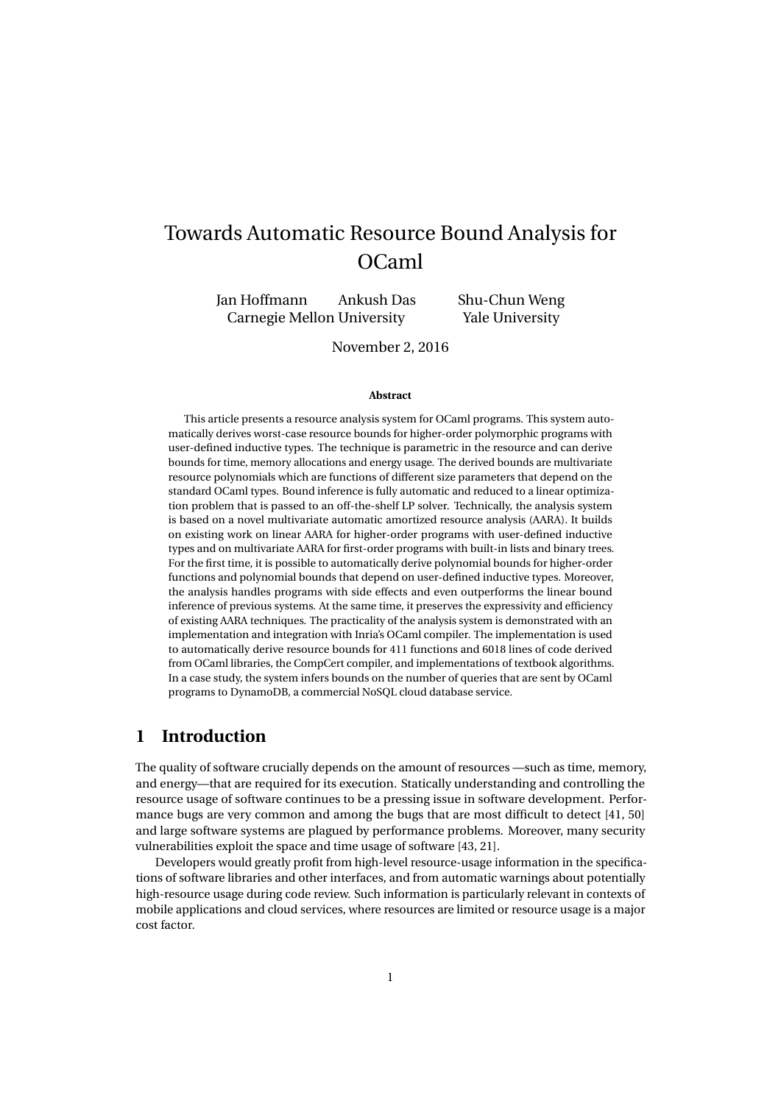# Towards Automatic Resource Bound Analysis for OCaml

Jan Hoffmann Ankush Das Carnegie Mellon University

Shu-Chun Weng Yale University

November 2, 2016

#### **Abstract**

This article presents a resource analysis system for OCaml programs. This system automatically derives worst-case resource bounds for higher-order polymorphic programs with user-defined inductive types. The technique is parametric in the resource and can derive bounds for time, memory allocations and energy usage. The derived bounds are multivariate resource polynomials which are functions of different size parameters that depend on the standard OCaml types. Bound inference is fully automatic and reduced to a linear optimization problem that is passed to an off-the-shelf LP solver. Technically, the analysis system is based on a novel multivariate automatic amortized resource analysis (AARA). It builds on existing work on linear AARA for higher-order programs with user-defined inductive types and on multivariate AARA for first-order programs with built-in lists and binary trees. For the first time, it is possible to automatically derive polynomial bounds for higher-order functions and polynomial bounds that depend on user-defined inductive types. Moreover, the analysis handles programs with side effects and even outperforms the linear bound inference of previous systems. At the same time, it preserves the expressivity and efficiency of existing AARA techniques. The practicality of the analysis system is demonstrated with an implementation and integration with Inria's OCaml compiler. The implementation is used to automatically derive resource bounds for 411 functions and 6018 lines of code derived from OCaml libraries, the CompCert compiler, and implementations of textbook algorithms. In a case study, the system infers bounds on the number of queries that are sent by OCaml programs to DynamoDB, a commercial NoSQL cloud database service.

## **1 Introduction**

The quality of software crucially depends on the amount of resources —such as time, memory, and energy—that are required for its execution. Statically understanding and controlling the resource usage of software continues to be a pressing issue in software development. Performance bugs are very common and among the bugs that are most difficult to detect [41, 50] and large software systems are plagued by performance problems. Moreover, many security vulnerabilities exploit the space and time usage of software [43, 21].

Developers would greatly profit from high-level resource-usage information in the specifications of software libraries and other interfaces, and from automatic warnings about potentially high-resource usage during code review. Such information is particularly relevant in contexts of mobile applications and cloud services, where resources are limited or resource usage is a major cost factor.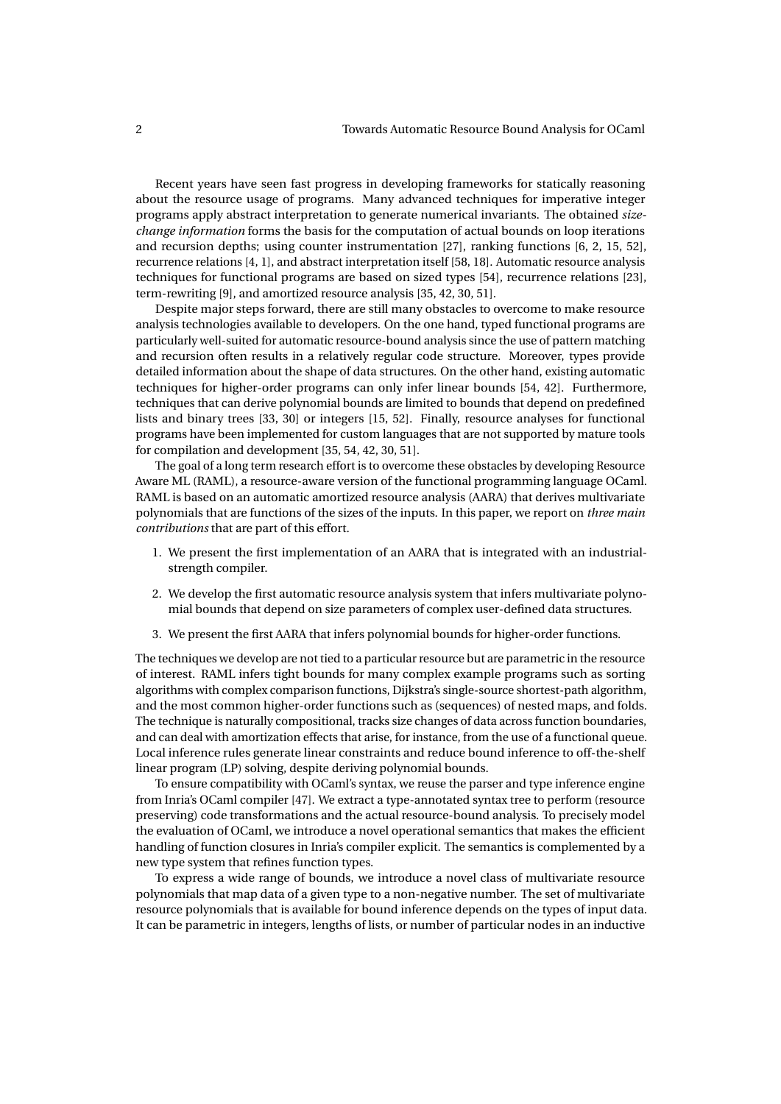Recent years have seen fast progress in developing frameworks for statically reasoning about the resource usage of programs. Many advanced techniques for imperative integer programs apply abstract interpretation to generate numerical invariants. The obtained *sizechange information* forms the basis for the computation of actual bounds on loop iterations and recursion depths; using counter instrumentation [27], ranking functions [6, 2, 15, 52], recurrence relations [4, 1], and abstract interpretation itself [58, 18]. Automatic resource analysis techniques for functional programs are based on sized types [54], recurrence relations [23], term-rewriting [9], and amortized resource analysis [35, 42, 30, 51].

Despite major steps forward, there are still many obstacles to overcome to make resource analysis technologies available to developers. On the one hand, typed functional programs are particularly well-suited for automatic resource-bound analysis since the use of pattern matching and recursion often results in a relatively regular code structure. Moreover, types provide detailed information about the shape of data structures. On the other hand, existing automatic techniques for higher-order programs can only infer linear bounds [54, 42]. Furthermore, techniques that can derive polynomial bounds are limited to bounds that depend on predefined lists and binary trees [33, 30] or integers [15, 52]. Finally, resource analyses for functional programs have been implemented for custom languages that are not supported by mature tools for compilation and development [35, 54, 42, 30, 51].

The goal of a long term research effort is to overcome these obstacles by developing Resource Aware ML (RAML), a resource-aware version of the functional programming language OCaml. RAML is based on an automatic amortized resource analysis (AARA) that derives multivariate polynomials that are functions of the sizes of the inputs. In this paper, we report on *three main contributions* that are part of this effort.

- 1. We present the first implementation of an AARA that is integrated with an industrialstrength compiler.
- 2. We develop the first automatic resource analysis system that infers multivariate polynomial bounds that depend on size parameters of complex user-defined data structures.
- 3. We present the first AARA that infers polynomial bounds for higher-order functions.

The techniques we develop are not tied to a particular resource but are parametric in the resource of interest. RAML infers tight bounds for many complex example programs such as sorting algorithms with complex comparison functions, Dijkstra's single-source shortest-path algorithm, and the most common higher-order functions such as (sequences) of nested maps, and folds. The technique is naturally compositional, tracks size changes of data across function boundaries, and can deal with amortization effects that arise, for instance, from the use of a functional queue. Local inference rules generate linear constraints and reduce bound inference to off-the-shelf linear program (LP) solving, despite deriving polynomial bounds.

To ensure compatibility with OCaml's syntax, we reuse the parser and type inference engine from Inria's OCaml compiler [47]. We extract a type-annotated syntax tree to perform (resource preserving) code transformations and the actual resource-bound analysis. To precisely model the evaluation of OCaml, we introduce a novel operational semantics that makes the efficient handling of function closures in Inria's compiler explicit. The semantics is complemented by a new type system that refines function types.

To express a wide range of bounds, we introduce a novel class of multivariate resource polynomials that map data of a given type to a non-negative number. The set of multivariate resource polynomials that is available for bound inference depends on the types of input data. It can be parametric in integers, lengths of lists, or number of particular nodes in an inductive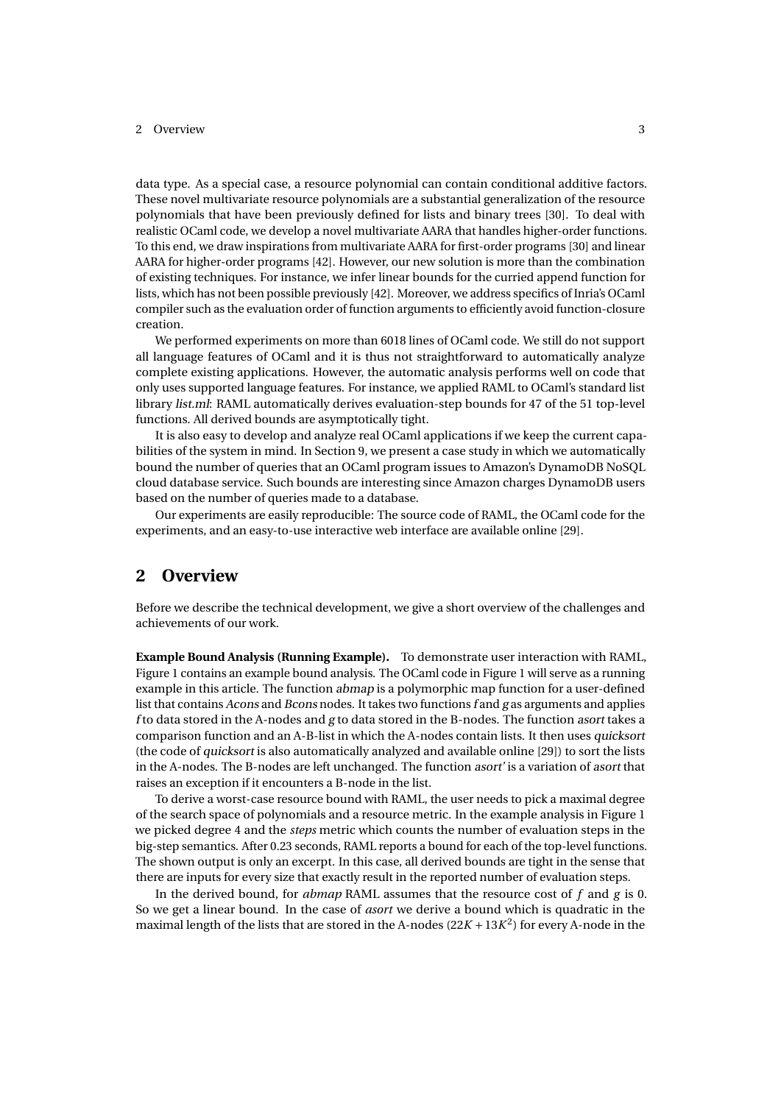#### 2 Overview 3

data type. As a special case, a resource polynomial can contain conditional additive factors. These novel multivariate resource polynomials are a substantial generalization of the resource polynomials that have been previously defined for lists and binary trees [30]. To deal with realistic OCaml code, we develop a novel multivariate AARA that handles higher-order functions. To this end, we draw inspirations from multivariate AARA for first-order programs [30] and linear AARA for higher-order programs [42]. However, our new solution is more than the combination of existing techniques. For instance, we infer linear bounds for the curried append function for lists, which has not been possible previously [42]. Moreover, we address specifics of Inria's OCaml compiler such as the evaluation order of function arguments to efficiently avoid function-closure creation.

We performed experiments on more than 6018 lines of OCaml code. We still do not support all language features of OCaml and it is thus not straightforward to automatically analyze complete existing applications. However, the automatic analysis performs well on code that only uses supported language features. For instance, we applied RAML to OCaml's standard list library list.ml: RAML automatically derives evaluation-step bounds for 47 of the 51 top-level functions. All derived bounds are asymptotically tight.

It is also easy to develop and analyze real OCaml applications if we keep the current capabilities of the system in mind. In Section 9, we present a case study in which we automatically bound the number of queries that an OCaml program issues to Amazon's DynamoDB NoSQL cloud database service. Such bounds are interesting since Amazon charges DynamoDB users based on the number of queries made to a database.

Our experiments are easily reproducible: The source code of RAML, the OCaml code for the experiments, and an easy-to-use interactive web interface are available online [29].

## **2 Overview**

Before we describe the technical development, we give a short overview of the challenges and achievements of our work.

**Example Bound Analysis (Running Example).** To demonstrate user interaction with RAML, Figure 1 contains an example bound analysis. The OCaml code in Figure 1 will serve as a running example in this article. The function abmap is a polymorphic map function for a user-defined list that contains Acons and Bcons nodes. It takes two functions f and g as arguments and applies f to data stored in the A-nodes and g to data stored in the B-nodes. The function asort takes a comparison function and an A-B-list in which the A-nodes contain lists. It then uses quicksort (the code of quicksort is also automatically analyzed and available online [29]) to sort the lists in the A-nodes. The B-nodes are left unchanged. The function asort' is a variation of asort that raises an exception if it encounters a B-node in the list.

To derive a worst-case resource bound with RAML, the user needs to pick a maximal degree of the search space of polynomials and a resource metric. In the example analysis in Figure 1 we picked degree 4 and the *steps* metric which counts the number of evaluation steps in the big-step semantics. After 0.23 seconds, RAML reports a bound for each of the top-level functions. The shown output is only an excerpt. In this case, all derived bounds are tight in the sense that there are inputs for every size that exactly result in the reported number of evaluation steps.

In the derived bound, for *abmap* RAML assumes that the resource cost of *f* and *g* is 0. So we get a linear bound. In the case of *asort* we derive a bound which is quadratic in the maximal length of the lists that are stored in the A-nodes  $(22K + 13K^2)$  for every A-node in the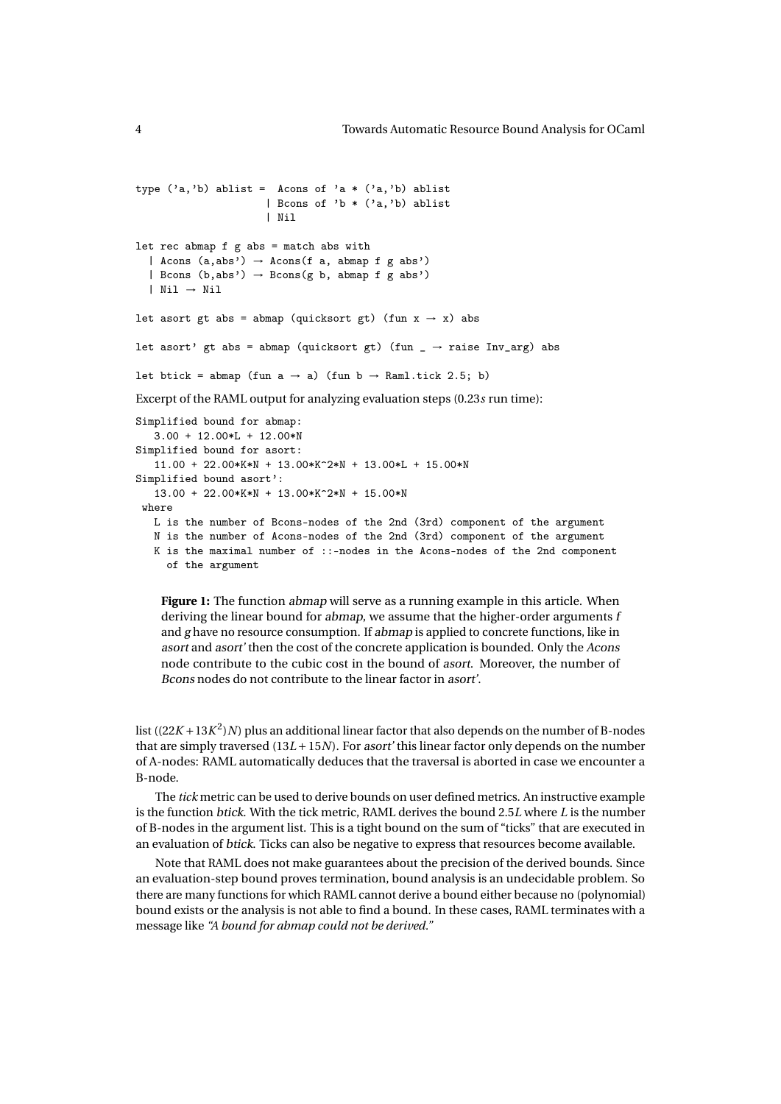```
type ('a, 'b) ablist = Acons of 'a * ('a, 'b) ablist
                      | Bcons of 'b * ('a,'b) ablist
                       | Nil
let rec abmap f g abs = match abs with
  | Acons (a,abs') \rightarrow Acons(f a, abmap f g abs')
  | Bcons (b,abs') \rightarrow Bcons(g b, abmap f g abs')
  | Nil → Nil
let asort gt abs = abmap (quicksort gt) (fun x \rightarrow x) abs
let asort' gt abs = abmap (quicksort gt) (fun _ \rightarrow raise Inv_arg) abs
let btick = abmap (fun a \rightarrow a) (fun b \rightarrow Raml.tick 2.5; b)
Excerpt of the RAML output for analyzing evaluation steps (0.23s run time):
Simplified bound for abmap:
   3.00 + 12.00*L + 12.00*N
Simplified bound for asort:
   11.00 + 22.00*K*N + 13.00*K^2*N + 13.00*L + 15.00*NSimplified bound asort':
   13.00 + 22.00*K*N + 13.00*K^2*N + 15.00*N
 where
   L is the number of Bcons-nodes of the 2nd (3rd) component of the argument
   N is the number of Acons-nodes of the 2nd (3rd) component of the argument
   K is the maximal number of ::-nodes in the Acons-nodes of the 2nd component
```

```
of the argument
```
**Figure 1:** The function abmap will serve as a running example in this article. When deriving the linear bound for abmap, we assume that the higher-order arguments f and g have no resource consumption. If abmap is applied to concrete functions, like in asort and asort' then the cost of the concrete application is bounded. Only the Acons node contribute to the cubic cost in the bound of asort. Moreover, the number of Bcons nodes do not contribute to the linear factor in asort'.

list ((22 $K$  + 13 $K^2$ ) $N$ ) plus an additional linear factor that also depends on the number of B-nodes that are simply traversed (13*L* +15*N*). For asort' this linear factor only depends on the number of A-nodes: RAML automatically deduces that the traversal is aborted in case we encounter a B-node.

The *tick* metric can be used to derive bounds on user defined metrics. An instructive example is the function btick. With the tick metric, RAML derives the bound 2.5*L* where *L* is the number of B-nodes in the argument list. This is a tight bound on the sum of "ticks" that are executed in an evaluation of btick. Ticks can also be negative to express that resources become available.

Note that RAML does not make guarantees about the precision of the derived bounds. Since an evaluation-step bound proves termination, bound analysis is an undecidable problem. So there are many functions for which RAML cannot derive a bound either because no (polynomial) bound exists or the analysis is not able to find a bound. In these cases, RAML terminates with a message like *"A bound for abmap could not be derived."*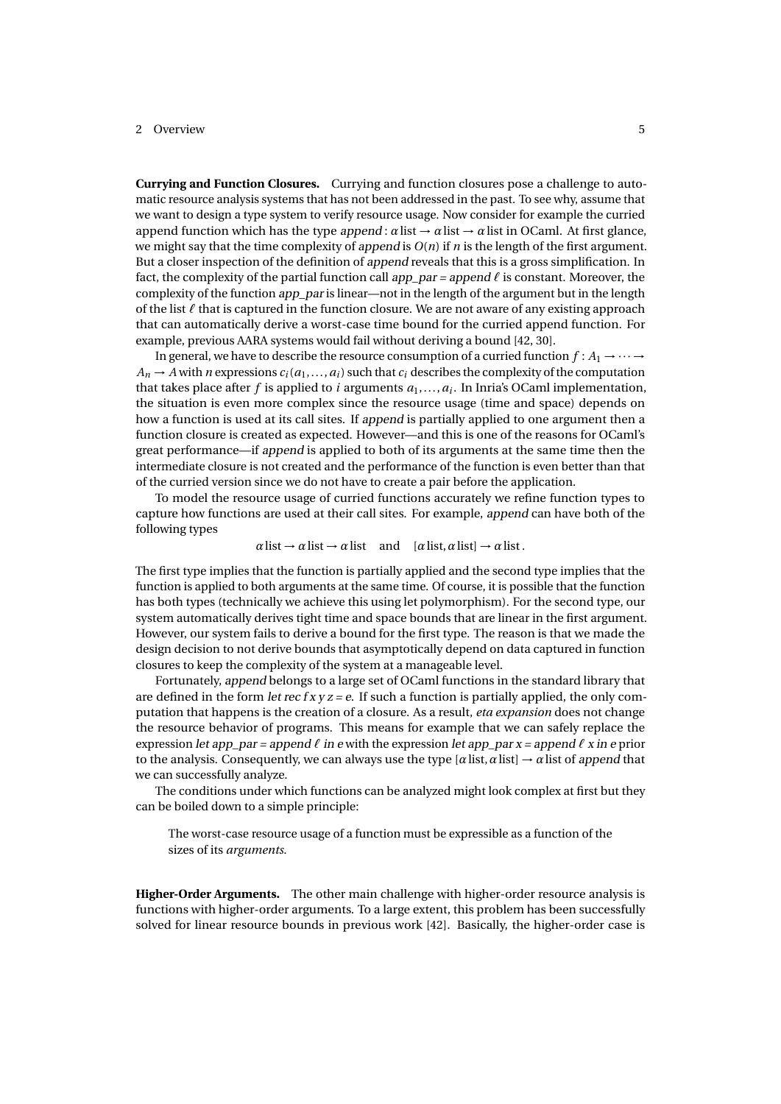#### 2 Overview 5

**Currying and Function Closures.** Currying and function closures pose a challenge to automatic resource analysis systems that has not been addressed in the past. To see why, assume that we want to design a type system to verify resource usage. Now consider for example the curried append function which has the type append :  $\alpha$  list  $\rightarrow \alpha$  list  $\rightarrow \alpha$  list in OCaml. At first glance, we might say that the time complexity of append is *O*(*n*) if *n* is the length of the first argument. But a closer inspection of the definition of append reveals that this is a gross simplification. In fact, the complexity of the partial function call  $app\_par = append \ell$  is constant. Moreover, the complexity of the function app\_par is linear—not in the length of the argument but in the length of the list  $\ell$  that is captured in the function closure. We are not aware of any existing approach that can automatically derive a worst-case time bound for the curried append function. For example, previous AARA systems would fail without deriving a bound [42, 30].

In general, we have to describe the resource consumption of a curried function  $f: A_1 \rightarrow \cdots \rightarrow$  $A_n \rightarrow A$  with *n* expressions  $c_i(a_1,...,a_i)$  such that  $c_i$  describes the complexity of the computation that takes place after f is applied to *i* arguments  $a_1, \ldots, a_i$ . In Inria's OCaml implementation, the situation is even more complex since the resource usage (time and space) depends on how a function is used at its call sites. If append is partially applied to one argument then a function closure is created as expected. However—and this is one of the reasons for OCaml's great performance—if append is applied to both of its arguments at the same time then the intermediate closure is not created and the performance of the function is even better than that of the curried version since we do not have to create a pair before the application.

To model the resource usage of curried functions accurately we refine function types to capture how functions are used at their call sites. For example, append can have both of the following types

 $\alpha$  list  $\rightarrow \alpha$  list  $\rightarrow \alpha$  list and  $[\alpha$  list,  $\alpha$  list  $\rightarrow \alpha$  list.

The first type implies that the function is partially applied and the second type implies that the function is applied to both arguments at the same time. Of course, it is possible that the function has both types (technically we achieve this using let polymorphism). For the second type, our system automatically derives tight time and space bounds that are linear in the first argument. However, our system fails to derive a bound for the first type. The reason is that we made the design decision to not derive bounds that asymptotically depend on data captured in function closures to keep the complexity of the system at a manageable level.

Fortunately, append belongs to a large set of OCaml functions in the standard library that are defined in the form let rec  $fxyz = e$ . If such a function is partially applied, the only computation that happens is the creation of a closure. As a result, *eta expansion* does not change the resource behavior of programs. This means for example that we can safely replace the expression let app\_par = append  $\ell$  in e with the expression let app\_par x = append  $\ell$  x in e prior to the analysis. Consequently, we can always use the type  $\lbrack \alpha \text{ list}, \alpha \text{ list} \rbrack \rightarrow \alpha$  list of append that we can successfully analyze.

The conditions under which functions can be analyzed might look complex at first but they can be boiled down to a simple principle:

The worst-case resource usage of a function must be expressible as a function of the sizes of its *arguments*.

**Higher-Order Arguments.** The other main challenge with higher-order resource analysis is functions with higher-order arguments. To a large extent, this problem has been successfully solved for linear resource bounds in previous work [42]. Basically, the higher-order case is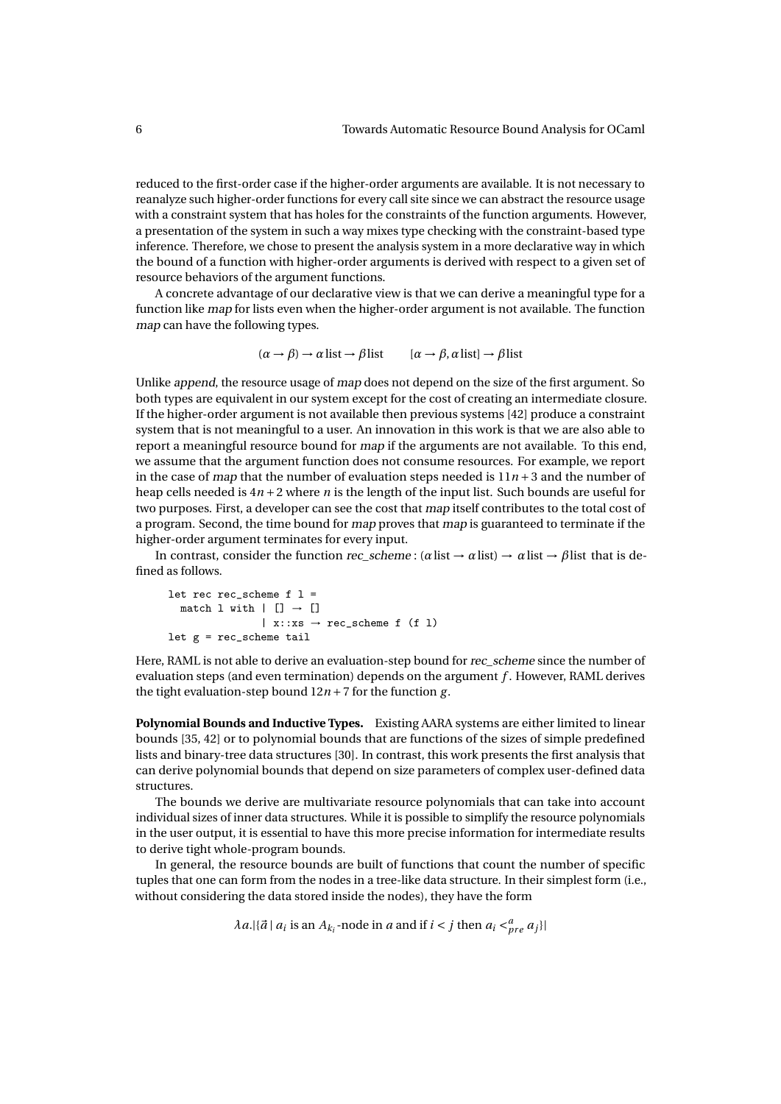reduced to the first-order case if the higher-order arguments are available. It is not necessary to reanalyze such higher-order functions for every call site since we can abstract the resource usage with a constraint system that has holes for the constraints of the function arguments. However, a presentation of the system in such a way mixes type checking with the constraint-based type inference. Therefore, we chose to present the analysis system in a more declarative way in which the bound of a function with higher-order arguments is derived with respect to a given set of resource behaviors of the argument functions.

A concrete advantage of our declarative view is that we can derive a meaningful type for a function like map for lists even when the higher-order argument is not available. The function map can have the following types.

$$
(\alpha \rightarrow \beta) \rightarrow \alpha
$$
list  $\rightarrow \beta$ list  $[\alpha \rightarrow \beta, \alpha$ list]  $\rightarrow \beta$ list

Unlike append, the resource usage of map does not depend on the size of the first argument. So both types are equivalent in our system except for the cost of creating an intermediate closure. If the higher-order argument is not available then previous systems [42] produce a constraint system that is not meaningful to a user. An innovation in this work is that we are also able to report a meaningful resource bound for map if the arguments are not available. To this end, we assume that the argument function does not consume resources. For example, we report in the case of map that the number of evaluation steps needed is  $11n + 3$  and the number of heap cells needed is 4*n* +2 where *n* is the length of the input list. Such bounds are useful for two purposes. First, a developer can see the cost that map itself contributes to the total cost of a program. Second, the time bound for map proves that map is guaranteed to terminate if the higher-order argument terminates for every input.

In contrast, consider the function *rec* scheme : (*a* list  $\rightarrow \alpha$  list  $\rightarrow \beta$  list that is defined as follows.

```
let rec rec_scheme f l =
  match 1 with | | \rightarrow |]
                  | x::xs \rightarrow rec\_scheme \ f \ (f \ 1)let g = rec_scheme tail
```
Here, RAML is not able to derive an evaluation-step bound for rec\_scheme since the number of evaluation steps (and even termination) depends on the argument *f* . However, RAML derives the tight evaluation-step bound  $12n + 7$  for the function *g*.

**Polynomial Bounds and Inductive Types.** Existing AARA systems are either limited to linear bounds [35, 42] or to polynomial bounds that are functions of the sizes of simple predefined lists and binary-tree data structures [30]. In contrast, this work presents the first analysis that can derive polynomial bounds that depend on size parameters of complex user-defined data structures.

The bounds we derive are multivariate resource polynomials that can take into account individual sizes of inner data structures. While it is possible to simplify the resource polynomials in the user output, it is essential to have this more precise information for intermediate results to derive tight whole-program bounds.

In general, the resource bounds are built of functions that count the number of specific tuples that one can form from the nodes in a tree-like data structure. In their simplest form (i.e., without considering the data stored inside the nodes), they have the form

 $\lambda a.|\{\vec{a} \mid a_i \text{ is an } A_{k_i} \text{-node in } a \text{ and if } i < j \text{ then } a_i <_{pre}^a a_j\}|$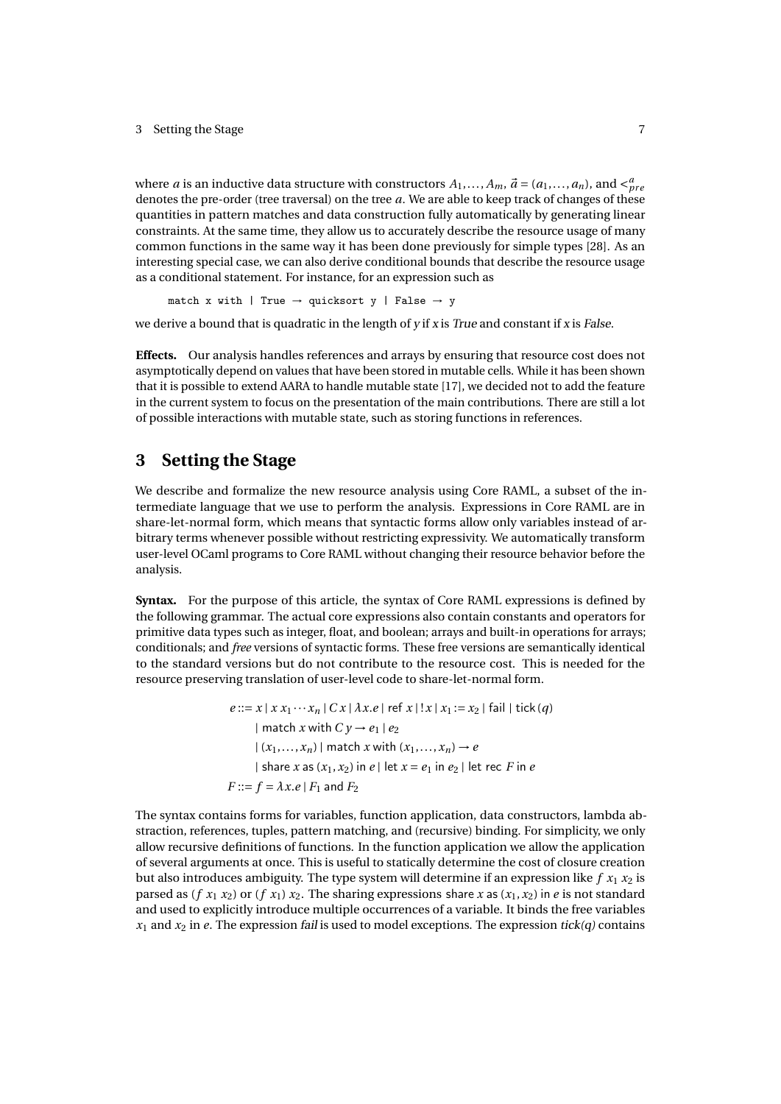#### 3 Setting the Stage 7

where *a* is an inductive data structure with constructors  $A_1, \ldots, A_m$ ,  $\vec{a} = (a_1, \ldots, a_n)$ , and  $\lt^a_{pre}$ denotes the pre-order (tree traversal) on the tree *a*. We are able to keep track of changes of these quantities in pattern matches and data construction fully automatically by generating linear constraints. At the same time, they allow us to accurately describe the resource usage of many common functions in the same way it has been done previously for simple types [28]. As an interesting special case, we can also derive conditional bounds that describe the resource usage as a conditional statement. For instance, for an expression such as

match x with | True  $\rightarrow$  quicksort y | False  $\rightarrow$  y

we derive a bound that is quadratic in the length of  $y$  if  $x$  is *True* and constant if  $x$  is *False.* 

**Effects.** Our analysis handles references and arrays by ensuring that resource cost does not asymptotically depend on values that have been stored in mutable cells. While it has been shown that it is possible to extend AARA to handle mutable state [17], we decided not to add the feature in the current system to focus on the presentation of the main contributions. There are still a lot of possible interactions with mutable state, such as storing functions in references.

## **3 Setting the Stage**

We describe and formalize the new resource analysis using Core RAML, a subset of the intermediate language that we use to perform the analysis. Expressions in Core RAML are in share-let-normal form, which means that syntactic forms allow only variables instead of arbitrary terms whenever possible without restricting expressivity. We automatically transform user-level OCaml programs to Core RAML without changing their resource behavior before the analysis.

**Syntax.** For the purpose of this article, the syntax of Core RAML expressions is defined by the following grammar. The actual core expressions also contain constants and operators for primitive data types such as integer, float, and boolean; arrays and built-in operations for arrays; conditionals; and *free* versions of syntactic forms. These free versions are semantically identical to the standard versions but do not contribute to the resource cost. This is needed for the resource preserving translation of user-level code to share-let-normal form.

> $e ::= x | x x_1 \cdots x_n | C x | \lambda x . e |$  ref  $x | x | x_1 := x_2 |$  fail | tick(*q*) | match *x* with  $Cv \rightarrow e_1 \mid e_2$  $|(x_1,...,x_n)|$  match *x* with  $(x_1,...,x_n) \rightarrow e$ | share *x* as  $(x_1, x_2)$  in  $e$  | let  $x = e_1$  in  $e_2$  | let rec *F* in *e*  $F ::= f = \lambda x.e \mid F_1$  and  $F_2$

The syntax contains forms for variables, function application, data constructors, lambda abstraction, references, tuples, pattern matching, and (recursive) binding. For simplicity, we only allow recursive definitions of functions. In the function application we allow the application of several arguments at once. This is useful to statically determine the cost of closure creation but also introduces ambiguity. The type system will determine if an expression like  $f(x_1, x_2)$  is parsed as  $(f x_1 x_2)$  or  $(f x_1) x_2$ . The sharing expressions share x as  $(x_1, x_2)$  in *e* is not standard and used to explicitly introduce multiple occurrences of a variable. It binds the free variables  $x_1$  and  $x_2$  in *e*. The expression fail is used to model exceptions. The expression tick(q) contains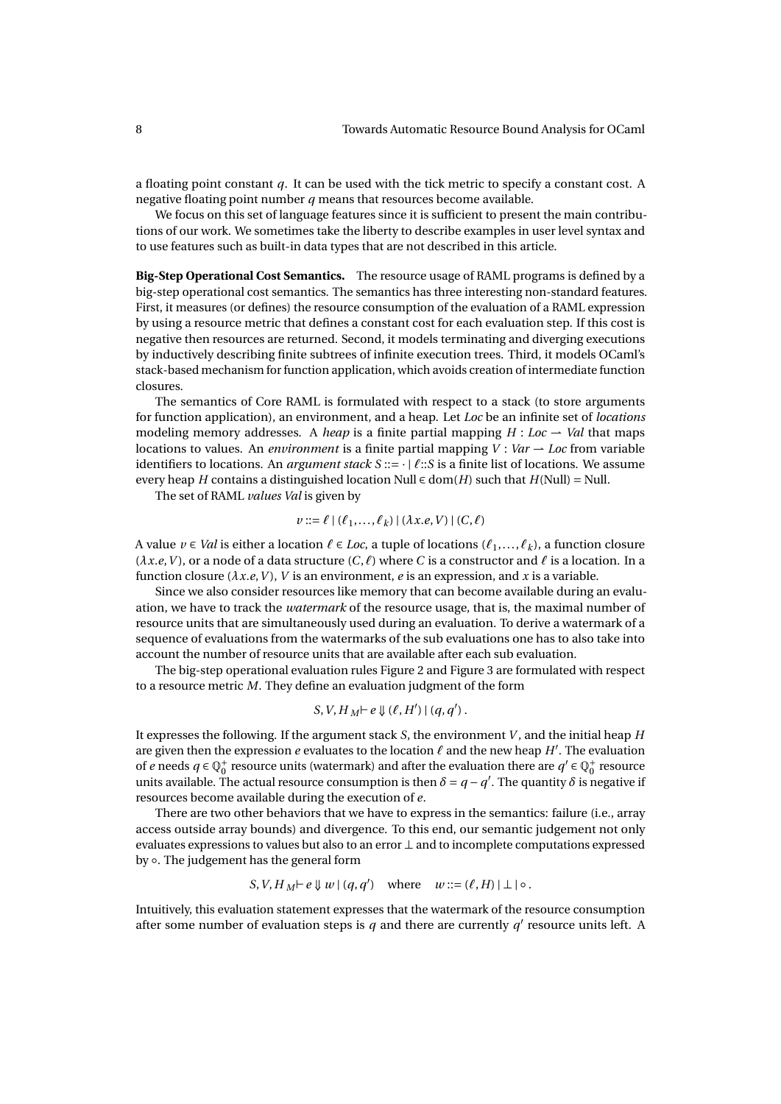a floating point constant *q*. It can be used with the tick metric to specify a constant cost. A negative floating point number *q* means that resources become available.

We focus on this set of language features since it is sufficient to present the main contributions of our work. We sometimes take the liberty to describe examples in user level syntax and to use features such as built-in data types that are not described in this article.

**Big-Step Operational Cost Semantics.** The resource usage of RAML programs is defined by a big-step operational cost semantics. The semantics has three interesting non-standard features. First, it measures (or defines) the resource consumption of the evaluation of a RAML expression by using a resource metric that defines a constant cost for each evaluation step. If this cost is negative then resources are returned. Second, it models terminating and diverging executions by inductively describing finite subtrees of infinite execution trees. Third, it models OCaml's stack-based mechanism for function application, which avoids creation of intermediate function closures.

The semantics of Core RAML is formulated with respect to a stack (to store arguments for function application), an environment, and a heap. Let *Loc* be an infinite set of *locations* modeling memory addresses. A *heap* is a finite partial mapping  $H : Loc \rightarrow Val$  that maps locations to values. An *environment* is a finite partial mapping  $V : Var \rightarrow Loc$  from variable identifiers to locations. An *argument stack*  $S ::= \cdot | \ell : S$  is a finite list of locations. We assume every heap *H* contains a distinguished location Null  $\in$  dom(*H*) such that *H*(Null) = Null.

The set of RAML *values Val* is given by

$$
\nu ::= \ell \mid (\ell_1, \ldots, \ell_k) \mid (\lambda x. e, V) \mid (C, \ell)
$$

A value *v* ∈ *Val* is either a location  $\ell \in Loc$ , a tuple of locations  $(\ell_1, ..., \ell_k)$ , a function closure  $(\lambda x.e, V)$ , or a node of a data structure  $(C, \ell)$  where *C* is a constructor and  $\ell$  is a location. In a function closure ( $\lambda x.e$ ,  $V$ ),  $V$  is an environment,  $e$  is an expression, and  $x$  is a variable.

Since we also consider resources like memory that can become available during an evaluation, we have to track the *watermark* of the resource usage, that is, the maximal number of resource units that are simultaneously used during an evaluation. To derive a watermark of a sequence of evaluations from the watermarks of the sub evaluations one has to also take into account the number of resource units that are available after each sub evaluation.

The big-step operational evaluation rules Figure 2 and Figure 3 are formulated with respect to a resource metric *M*. They define an evaluation judgment of the form

$$
S, V, HM \vdash e \Downarrow (\ell, H') \mid (q, q').
$$

It expresses the following. If the argument stack *S*, the environment *V* , and the initial heap *H* are given then the expression *e* evaluates to the location  $\ell$  and the new heap  $H'$ . The evaluation of *e* needs  $q \in \mathbb{Q}_0^+$ <sup>+</sup> resource units (watermark) and after the evaluation there are  $q' \in \mathbb{Q}_0^+$  $_0^+$  resource units available. The actual resource consumption is then  $\delta = q - q'$ . The quantity  $\delta$  is negative if resources become available during the execution of *e*.

There are two other behaviors that we have to express in the semantics: failure (i.e., array access outside array bounds) and divergence. To this end, our semantic judgement not only evaluates expressions to values but also to an error ⊥ and to incomplete computations expressed by ◦. The judgement has the general form

$$
S, V, H_M \vdash e \Downarrow w \mid (q, q') \quad \text{where} \quad w ::= (\ell, H) \mid \bot \mid \circ.
$$

Intuitively, this evaluation statement expresses that the watermark of the resource consumption after some number of evaluation steps is  $q$  and there are currently  $q'$  resource units left. A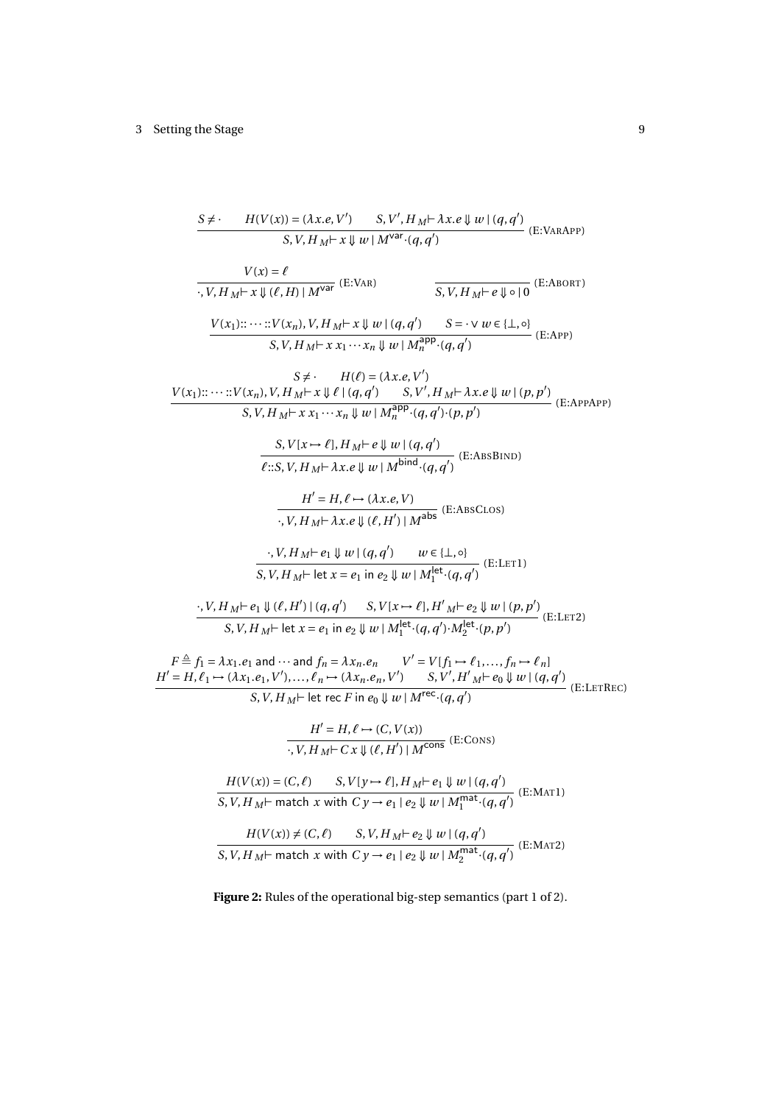$$
S \neq H(V(x)) = (\lambda x.e, V') \qquad S, V', H_M \vdash \lambda x.e \Downarrow w \mid (q, q') \qquad (E: VARP)
$$
\n
$$
S, V, H_M \vdash x \Downarrow w \mid M^{\text{var}}(q, q') \qquad (E: VARP)
$$
\n
$$
\frac{V(x) = \ell}{\sqrt{V, H_M \vdash x \Downarrow (\ell, H)} \mid M^{\text{var}}(E: VAR)} \qquad \frac{V(x_1) \cdots \cdots V(x_n) \vee H_M \vdash x \Downarrow w \mid (q, q') \qquad S = \cdots w \in \{\bot, \circ\} \qquad (E:APP)
$$
\n
$$
S, V, H_M \vdash x x_1 \cdots x_n \Downarrow w \mid (q, q') \qquad S = \cdots w \in \{\bot, \circ\} \qquad (E:APP)
$$
\n
$$
S \neq \cdots H(\ell) = (\lambda x.e, V')
$$
\n
$$
V(x_1) \cdots \cdots V(x_n), V, H_M \vdash x \Downarrow \ell \mid (q, q') \qquad S, V', H_M \vdash \lambda x.e \Downarrow w \mid (p, p') \qquad (E:APPAPP)
$$
\n
$$
S, V, H_M \vdash x x_1 \cdots x_n \Downarrow w \mid M^{app}_{\ell} \cdot (q, q') \cdot (p, p') \qquad (E:APPAPP)
$$
\n
$$
S, V[x \mapsto \ell], H_M \vdash e \Downarrow w \mid (q, q') \qquad (E:ABSBIND)
$$
\n
$$
\frac{H' = H, \ell \mapsto (\lambda x.e, V)}{\ell : S, V, H_M \vdash \lambda x.e \Downarrow w \mid M^{\text{bin}}(q, q') \qquad (E:ABSEND)
$$
\n
$$
\frac{H' = H, \ell \mapsto (\lambda x.e, V)}{\sqrt{V, H_M \vdash \lambda x.e \Downarrow w \mid (q, q') \qquad w \in \{\bot, \circ\} \qquad (E:LET1)}
$$
\n
$$
S, V, H_M \vdash \text{let } x = e_1 \text{ in } e_2 \Downarrow w \mid M_1^{\text{det}}(q, q') \text{ in } \ell^{\text{det}}(p, p') \qquad (E:LET2)
$$
\n
$$
S, V, H_M \vdash \text{let } x = e_
$$

Figure 2: Rules of the operational big-step semantics (part 1 of 2).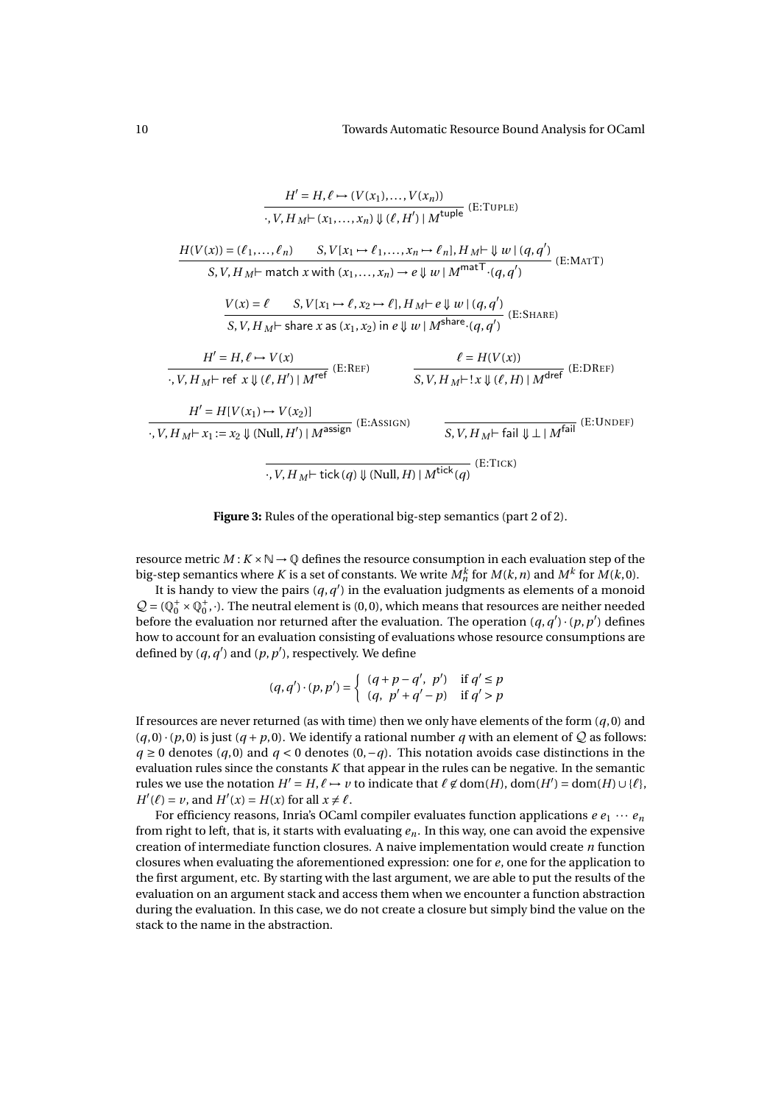$$
H' = H, \ell \mapsto (V(x_1), ..., V(x_n))
$$
  
\n
$$
\frac{H(V(x)) = (\ell_1, ..., \ell_n) \qquad S, V[x_1 \mapsto \ell_1, ..., x_n \mapsto \ell_n], H_M \mapsto \psi \mid (q, q')
$$
  
\n
$$
H(V(x)) = (\ell_1, ..., \ell_n) \qquad S, V[x_1 \mapsto \ell_1, ..., x_n \mapsto \ell_n], H_M \mapsto \psi \mid (q, q')
$$
  
\n
$$
S, V, H_M \mapsto \text{match } x \text{ with } (x_1, ..., x_n) \mapsto e \Downarrow w \mid M^{\text{mat}} \cdot (q, q')
$$
  
\n
$$
\frac{V(x) = \ell \qquad S, V[x_1 \mapsto \ell, x_2 \mapsto \ell], H_M \mapsto \psi \mid (q, q')
$$
  
\n
$$
S, V, H_M \mapsto \text{share } x \text{ as } (x_1, x_2) \text{ in } e \Downarrow w \mid M^{\text{share}} \cdot (q, q')
$$
  
\n
$$
\frac{H' = H, \ell \mapsto V(x)}{\cdot, V, H_M \mapsto \text{ref } x \Downarrow (\ell, H') \mid M^{\text{ref}} \text{ (E:REF)}} \qquad \frac{\ell = H(V(x))}{S, V, H_M \mapsto \text{tr } V \downarrow (\ell, H) \mid M^{\text{dref}}} \text{ (E:DREF)}
$$
  
\n
$$
\frac{H' = H[V(x_1) \mapsto V(x_2)]}{\cdot, V, H_M \mapsto x_1 := x_2 \Downarrow (\text{Null}, H') \mid M^{\text{assign}}} \text{ (E:ASSIGN)} \qquad \frac{S, V, H_M \mapsto \text{fail } \Downarrow \perp | M^{\text{fail}} \text{ (E:UNDEF)}}{S, V, H_M \mapsto \text{fail } \Downarrow \perp | M^{\text{fail}} \text{ (E:UNDEF)}}
$$

**Figure 3:** Rules of the operational big-step semantics (part 2 of 2).

resource metric  $M: K \times N \to \mathbb{Q}$  defines the resource consumption in each evaluation step of the big-step semantics where *K* is a set of constants. We write  $M_n^k$  for  $M(k, n)$  and  $M^k$  for  $M(k, 0)$ .

It is handy to view the pairs  $(q, q')$  in the evaluation judgments as elements of a monoid  $\mathcal{Q} = (\mathbb{Q}_0^+ \times \mathbb{Q}_0^+)$  $_{0}^{+}$ , $\cdot$ ). The neutral element is (0,0), which means that resources are neither needed before the evaluation nor returned after the evaluation. The operation  $(q, q') \cdot (p, p')$  defines how to account for an evaluation consisting of evaluations whose resource consumptions are defined by  $(q, q')$  and  $(p, p')$ , respectively. We define

$$
(q, q') \cdot (p, p') = \begin{cases} (q + p - q', \ p') & \text{if } q' \le p \\ (q, \ p' + q' - p) & \text{if } q' > p \end{cases}
$$

If resources are never returned (as with time) then we only have elements of the form  $(q,0)$  and  $(q,0) \cdot (p,0)$  is just  $(q+p,0)$ . We identify a rational number *q* with an element of *Q* as follows: *q* ≥ 0 denotes (*q*,0) and *q* < 0 denotes (0,−*q*). This notation avoids case distinctions in the evaluation rules since the constants *K* that appear in the rules can be negative. In the semantic rules we use the notation  $H' = H, \ell \mapsto \nu$  to indicate that  $\ell \notin \text{dom}(H), \text{dom}(H') = \text{dom}(H) \cup \{\ell\},\$  $H'(\ell) = v$ , and  $H'(x) = H(x)$  for all  $x \neq \ell$ .

For efficiency reasons, Inria's OCaml compiler evaluates function applications  $e e_1 \cdots e_n$ from right to left, that is, it starts with evaluating *en*. In this way, one can avoid the expensive creation of intermediate function closures. A naive implementation would create *n* function closures when evaluating the aforementioned expression: one for *e*, one for the application to the first argument, etc. By starting with the last argument, we are able to put the results of the evaluation on an argument stack and access them when we encounter a function abstraction during the evaluation. In this case, we do not create a closure but simply bind the value on the stack to the name in the abstraction.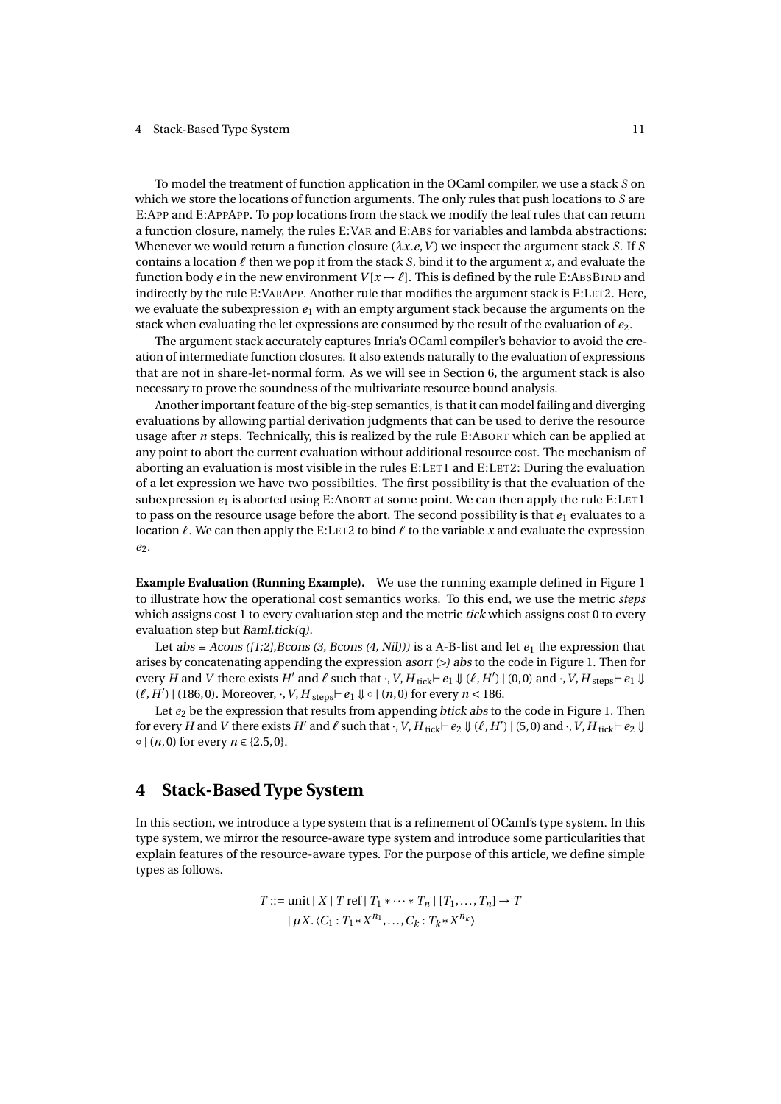#### 4 Stack-Based Type System 11

To model the treatment of function application in the OCaml compiler, we use a stack *S* on which we store the locations of function arguments. The only rules that push locations to *S* are E:APP and E:APPAPP. To pop locations from the stack we modify the leaf rules that can return a function closure, namely, the rules E:VAR and E:ABS for variables and lambda abstractions: Whenever we would return a function closure (*λx*.*e*,*V* ) we inspect the argument stack *S*. If *S* contains a location  $\ell$  then we pop it from the stack *S*, bind it to the argument *x*, and evaluate the function body *e* in the new environment  $V[x \rightarrow \ell]$ . This is defined by the rule E:ABSBIND and indirectly by the rule E:VARAPP. Another rule that modifies the argument stack is E:LET2. Here, we evaluate the subexpression  $e_1$  with an empty argument stack because the arguments on the stack when evaluating the let expressions are consumed by the result of the evaluation of *e*2.

The argument stack accurately captures Inria's OCaml compiler's behavior to avoid the creation of intermediate function closures. It also extends naturally to the evaluation of expressions that are not in share-let-normal form. As we will see in Section 6, the argument stack is also necessary to prove the soundness of the multivariate resource bound analysis.

Another important feature of the big-step semantics, is that it can model failing and diverging evaluations by allowing partial derivation judgments that can be used to derive the resource usage after *n* steps. Technically, this is realized by the rule E:ABORT which can be applied at any point to abort the current evaluation without additional resource cost. The mechanism of aborting an evaluation is most visible in the rules E:LET1 and E:LET2: During the evaluation of a let expression we have two possibilties. The first possibility is that the evaluation of the subexpression  $e_1$  is aborted using E:ABORT at some point. We can then apply the rule E:LET1 to pass on the resource usage before the abort. The second possibility is that *e*<sup>1</sup> evaluates to a location  $\ell$ . We can then apply the E:LET2 to bind  $\ell$  to the variable *x* and evaluate the expression *e*2.

**Example Evaluation (Running Example).** We use the running example defined in Figure 1 to illustrate how the operational cost semantics works. To this end, we use the metric *steps* which assigns cost 1 to every evaluation step and the metric *tick* which assigns cost 0 to every evaluation step but Raml.tick $(q)$ .

Let  $abs \equiv Acons$  ([1;2], Bcons (3, Bcons (4, Nil))) is a A-B-list and let  $e_1$  the expression that arises by concatenating appending the expression asort  $(>)$  abs to the code in Figure 1. Then for every *H* and *V* there exists *H'* and  $\ell$  such that  $\cdot$ , *V*,  $H_{\text{tick}} \vdash e_1 \Downarrow (\ell, H') \mid (0,0)$  and  $\cdot$ , *V*,  $H_{\text{steps}} \vdash e_1 \Downarrow$  $(\ell, H')$  | (186,0). Moreover, ·, *V*,  $H_{\text{steps}} \vdash e_1 \Downarrow \circ | (n, 0)$  for every  $n < 186$ .

Let  $e_2$  be the expression that results from appending btick abs to the code in Figure 1. Then for every *H* and *V* there exists *H'* and  $\ell$  such that  $\cdot$ , *V*,  $H_{\text{tick}} \vdash e_2 \Downarrow (\ell, H') \mid (5,0)$  and  $\cdot$ ,  $\check{V}$ ,  $H_{\text{tick}} \vdash e_2 \Downarrow$  $\circ$  | (*n*, 0) for every *n*  $\in$  {2.5, 0}.

## **4 Stack-Based Type System**

In this section, we introduce a type system that is a refinement of OCaml's type system. In this type system, we mirror the resource-aware type system and introduce some particularities that explain features of the resource-aware types. For the purpose of this article, we define simple types as follows.

$$
T ::= \text{unit} | X | T \text{ ref} | T_1 * \cdots * T_n | [T_1, \ldots, T_n] \rightarrow T
$$

$$
| \mu X. \langle C_1 : T_1 * X^{n_1}, \ldots, C_k : T_k * X^{n_k} \rangle
$$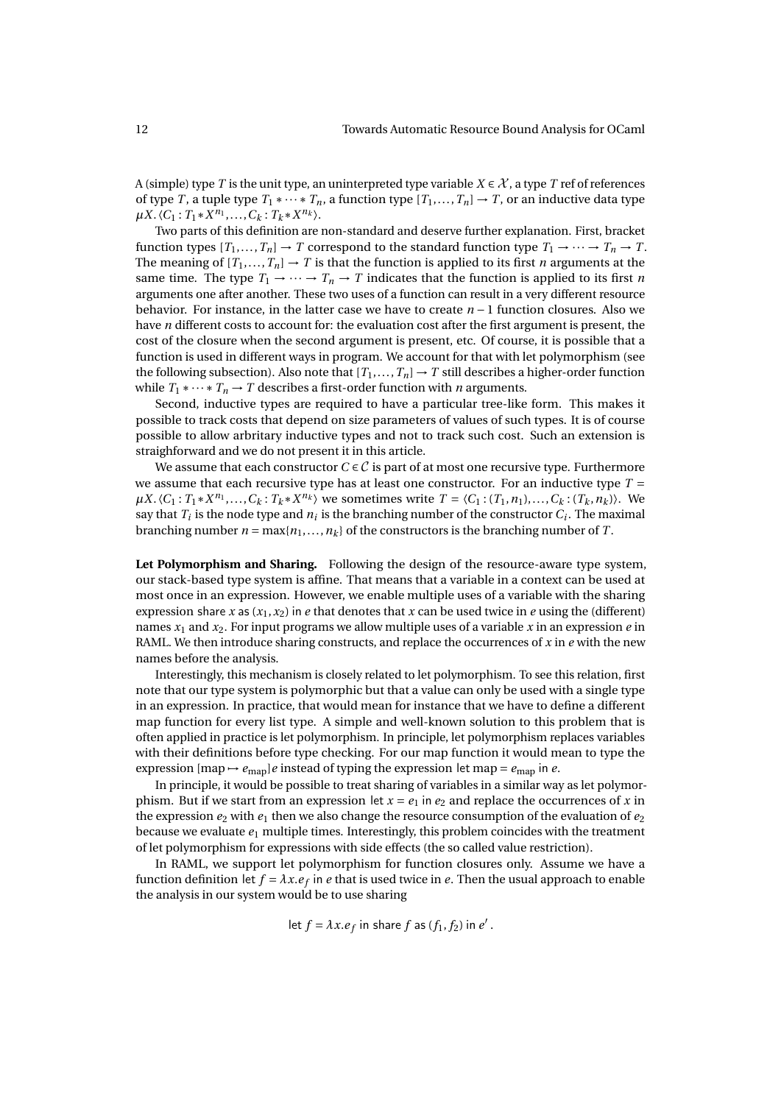A (simple) type *T* is the unit type, an uninterpreted type variable  $X \in \mathcal{X}$ , a type *T* ref of references of type *T*, a tuple type  $T_1 * \cdots * T_n$ , a function type  $[T_1, ..., T_n] \rightarrow T$ , or an inductive data type  $\mu X. \langle C_1 : T_1 * X^{n_1}, \ldots, C_k : T_k * X^{n_k} \rangle.$ 

Two parts of this definition are non-standard and deserve further explanation. First, bracket function types  $[T_1, \ldots, T_n] \to T$  correspond to the standard function type  $T_1 \to \cdots \to T_n \to T$ . The meaning of  $[T_1, ..., T_n] \rightarrow T$  is that the function is applied to its first *n* arguments at the same time. The type  $T_1 \rightarrow \cdots \rightarrow T_n \rightarrow T$  indicates that the function is applied to its first *n* arguments one after another. These two uses of a function can result in a very different resource behavior. For instance, in the latter case we have to create *n* − 1 function closures. Also we have *n* different costs to account for: the evaluation cost after the first argument is present, the cost of the closure when the second argument is present, etc. Of course, it is possible that a function is used in different ways in program. We account for that with let polymorphism (see the following subsection). Also note that  $[T_1, ..., T_n] \to T$  still describes a higher-order function while  $T_1 * \cdots * T_n \to T$  describes a first-order function with *n* arguments.

Second, inductive types are required to have a particular tree-like form. This makes it possible to track costs that depend on size parameters of values of such types. It is of course possible to allow arbritary inductive types and not to track such cost. Such an extension is straighforward and we do not present it in this article.

We assume that each constructor  $C \in \mathcal{C}$  is part of at most one recursive type. Furthermore we assume that each recursive type has at least one constructor. For an inductive type  $T =$  $\mu X. \langle C_1 : T_1 * X^{n_1}, \ldots, C_k : T_k * X^{n_k} \rangle$  we sometimes write  $T = \langle C_1 : (T_1, n_1), \ldots, C_k : (T_k, n_k) \rangle$ . We say that  $T_i$  is the node type and  $n_i$  is the branching number of the constructor  $C_i$ . The maximal branching number  $n = \max\{n_1, \ldots, n_k\}$  of the constructors is the branching number of *T*.

**Let Polymorphism and Sharing.** Following the design of the resource-aware type system, our stack-based type system is affine. That means that a variable in a context can be used at most once in an expression. However, we enable multiple uses of a variable with the sharing expression share *x* as  $(x_1, x_2)$  in *e* that denotes that *x* can be used twice in *e* using the (different) names *x*<sup>1</sup> and *x*2. For input programs we allow multiple uses of a variable *x* in an expression *e* in RAML. We then introduce sharing constructs, and replace the occurrences of *x* in *e* with the new names before the analysis.

Interestingly, this mechanism is closely related to let polymorphism. To see this relation, first note that our type system is polymorphic but that a value can only be used with a single type in an expression. In practice, that would mean for instance that we have to define a different map function for every list type. A simple and well-known solution to this problem that is often applied in practice is let polymorphism. In principle, let polymorphism replaces variables with their definitions before type checking. For our map function it would mean to type the expression  $[\text{map} \rightarrow e_{\text{map}}]e$  instead of typing the expression let map =  $e_{\text{map}}$  in *e*.

In principle, it would be possible to treat sharing of variables in a similar way as let polymorphism. But if we start from an expression let  $x = e_1$  in  $e_2$  and replace the occurrences of *x* in the expression  $e_2$  with  $e_1$  then we also change the resource consumption of the evaluation of  $e_2$ because we evaluate *e*<sup>1</sup> multiple times. Interestingly, this problem coincides with the treatment of let polymorphism for expressions with side effects (the so called value restriction).

In RAML, we support let polymorphism for function closures only. Assume we have a function definition let  $f = \lambda x.e_f$  in *e* that is used twice in *e*. Then the usual approach to enable the analysis in our system would be to use sharing

let 
$$
f = \lambda x . e_f
$$
 in share f as  $(f_1, f_2)$  in  $e'$ .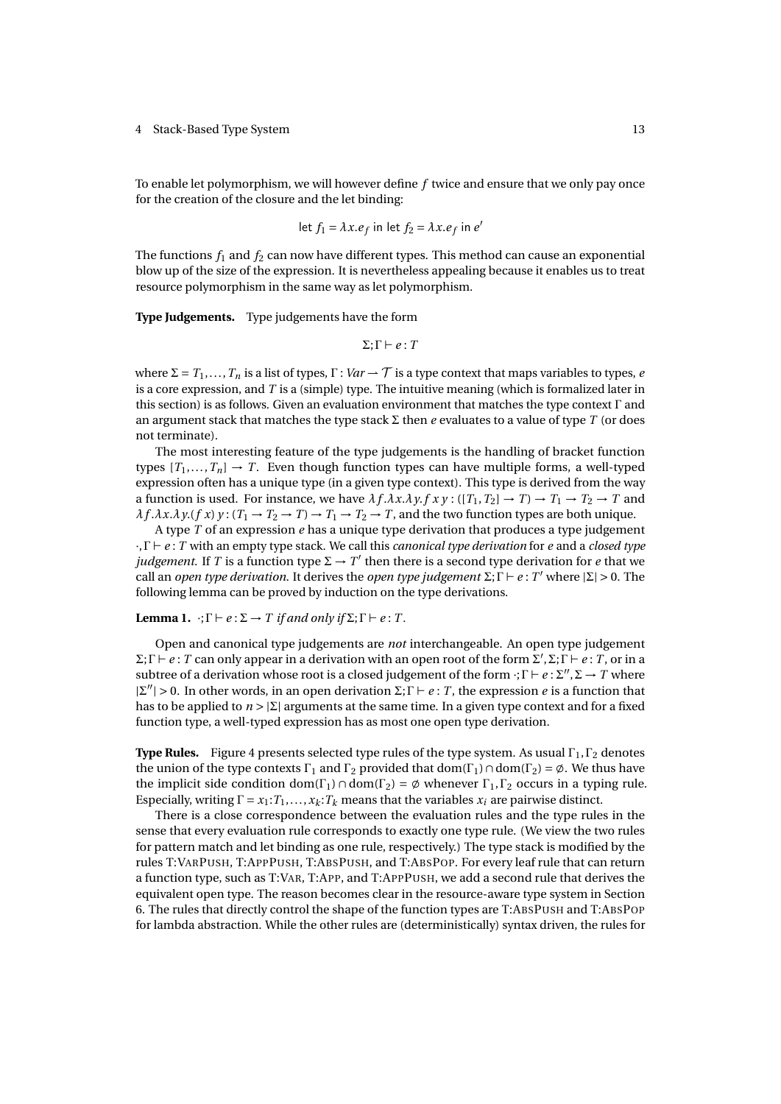#### 4 Stack-Based Type System 13

To enable let polymorphism, we will however define *f* twice and ensure that we only pay once for the creation of the closure and the let binding:

$$
\text{let } f_1 = \lambda x. e_f \text{ in } \text{let } f_2 = \lambda x. e_f \text{ in } e'
$$

The functions  $f_1$  and  $f_2$  can now have different types. This method can cause an exponential blow up of the size of the expression. It is nevertheless appealing because it enables us to treat resource polymorphism in the same way as let polymorphism.

**Type Judgements.** Type judgements have the form

 $\Sigma: \Gamma \vdash e : T$ 

where  $\Sigma = T_1, \ldots, T_n$  is a list of types,  $\Gamma : Var \to T$  is a type context that maps variables to types, *e* is a core expression, and *T* is a (simple) type. The intuitive meaning (which is formalized later in this section) is as follows. Given an evaluation environment that matches the type context Γ and an argument stack that matches the type stack  $\Sigma$  then  $e$  evaluates to a value of type *T* (or does not terminate).

The most interesting feature of the type judgements is the handling of bracket function types  $[T_1, ..., T_n] \rightarrow T$ . Even though function types can have multiple forms, a well-typed expression often has a unique type (in a given type context). This type is derived from the way a function is used. For instance, we have  $\lambda f \cdot \lambda x \cdot \lambda y \cdot f xy$  :  $([T_1, T_2] \to T) \to T_1 \to T_2 \to T$  and  $\lambda f \cdot \lambda x \cdot \lambda y \cdot (f x) y : (T_1 \to T_2 \to T) \to T_1 \to T_2 \to T$ , and the two function types are both unique.

A type *T* of an expression *e* has a unique type derivation that produces a type judgement ·,Γ ` *e* : *T* with an empty type stack. We call this *canonical type derivation* for *e* and a *closed type judgement*. If *T* is a function type  $\Sigma \rightarrow T'$  then there is a second type derivation for *e* that we call an *open type derivation*. It derives the *open type judgement*  $\Sigma$ ;  $\Gamma \vdash e$  :  $T'$  where  $|\Sigma| > 0$ . The following lemma can be proved by induction on the type derivations.

### **Lemma 1.**  $\cdot$ ;  $\Gamma \vdash e : \Sigma \to T$  *if and only if*  $\Sigma$ ;  $\Gamma \vdash e : T$ .

Open and canonical type judgements are *not* interchangeable. An open type judgement  $Σ; Γ ⊢ e$ : *T* can only appear in a derivation with an open root of the form Σ', Σ; Γ  $⊢ e$ : *T*, or in a subtree of a derivation whose root is a closed judgement of the form  $\cdot$ ;  $\Gamma \vdash e$  :  $\Sigma''$ ,  $\Sigma \rightarrow T$  where  $|\Sigma''| > 0$ . In other words, in an open derivation  $\Sigma$ ;  $\Gamma \vdash e : T$ , the expression *e* is a function that has to be applied to *n* > |Σ| arguments at the same time. In a given type context and for a fixed function type, a well-typed expression has as most one open type derivation.

**Type Rules.** Figure 4 presents selected type rules of the type system. As usual  $\Gamma_1, \Gamma_2$  denotes the union of the type contexts  $\Gamma_1$  and  $\Gamma_2$  provided that  $dom(\Gamma_1) \cap dom(\Gamma_2) = \emptyset$ . We thus have the implicit side condition  $dom(\Gamma_1) \cap dom(\Gamma_2) = \emptyset$  whenever  $\Gamma_1, \Gamma_2$  occurs in a typing rule. Especially, writing  $\Gamma = x_1 : T_1, \ldots, x_k : T_k$  means that the variables  $x_i$  are pairwise distinct.

There is a close correspondence between the evaluation rules and the type rules in the sense that every evaluation rule corresponds to exactly one type rule. (We view the two rules for pattern match and let binding as one rule, respectively.) The type stack is modified by the rules T:VARPUSH, T:APPPUSH, T:ABSPUSH, and T:ABSPOP. For every leaf rule that can return a function type, such as T:VAR, T:APP, and T:APPPUSH, we add a second rule that derives the equivalent open type. The reason becomes clear in the resource-aware type system in Section 6. The rules that directly control the shape of the function types are T:ABSPUSH and T:ABSPOP for lambda abstraction. While the other rules are (deterministically) syntax driven, the rules for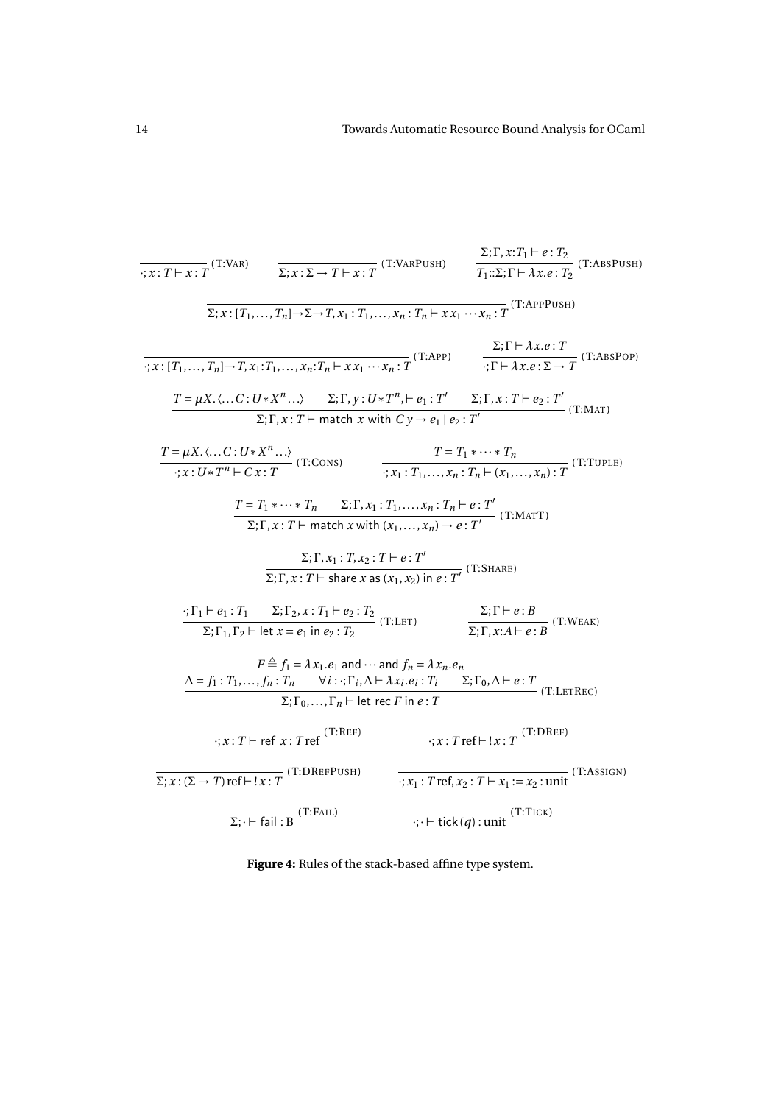$$
\frac{\sum_{i} \sum_{i} x_{i} \sum f_{i} \sum_{i} x_{i} \sum f_{i} \sum f_{i} \sum f_{i} \sum f_{i} \sum f_{i} \sum f_{i} \sum f_{i} \sum f_{i} \sum f_{i} \sum f_{i} \sum f_{i} \sum f_{i} \sum f_{i} \sum f_{i} \sum f_{i} \sum f_{i} \sum f_{i} \sum f_{i} \sum f_{i} \sum f_{i} \sum f_{i} \sum f_{i} \sum f_{i} \sum f_{i} \sum f_{i} \sum f_{i} \sum f_{i} \sum f_{i} \sum f_{i} \sum f_{i} \sum f_{i} \sum f_{i} \sum f_{i} \sum f_{i} \sum f_{i} \sum f_{i} \sum f_{i} \sum f_{i} \sum f_{i} \sum f_{i} \sum f_{i} \sum f_{i} \sum f_{i} \sum f_{i} \sum f_{i} \sum f_{i} \sum f_{i} \sum f_{i} \sum f_{i} \sum f_{i} \sum f_{i} \sum f_{i} \sum f_{i} \sum f_{i} \sum f_{i} \sum f_{i} \sum f_{i} \sum f_{i} \sum f_{i} \sum f_{i} \sum f_{i} \sum f_{i} \sum f_{i} \sum f_{i} \sum f_{i} \sum f_{i} \sum f_{i} \sum f_{i} \sum f_{i} \sum f_{i} \sum f_{i} \sum f_{i} \sum f_{i} \sum f_{i} \sum f_{i} \sum f_{i} \sum f_{i} \sum f_{i} \sum f_{i} \sum f_{i} \sum f_{i} \sum f_{i} \sum f_{i} \sum f_{i} \sum f_{i} \sum f_{i} \sum f_{i} \sum f_{i} \sum f_{i} \sum f_{i} \sum f_{i} \sum f_{i} \sum f_{i} \sum f_{i} \sum f_{i} \sum f_{i} \sum f_{i} \sum f_{i} \sum f_{i} \sum f_{i} \sum f_{i} \sum f_{i} \sum f_{i} \sum f_{i} \sum f_{i} \sum f_{i} \sum f_{i} \sum f_{i} \sum f_{i} \sum f_{i} \sum f_{i} \sum f_{i} \sum f_{i} \sum f_{i} \sum f_{i} \sum f_{i} \sum f_{i} \sum f_{i} \sum f_{i} \sum f_{i} \sum f_{i} \sum f
$$

**Figure 4:** Rules of the stack-based affine type system.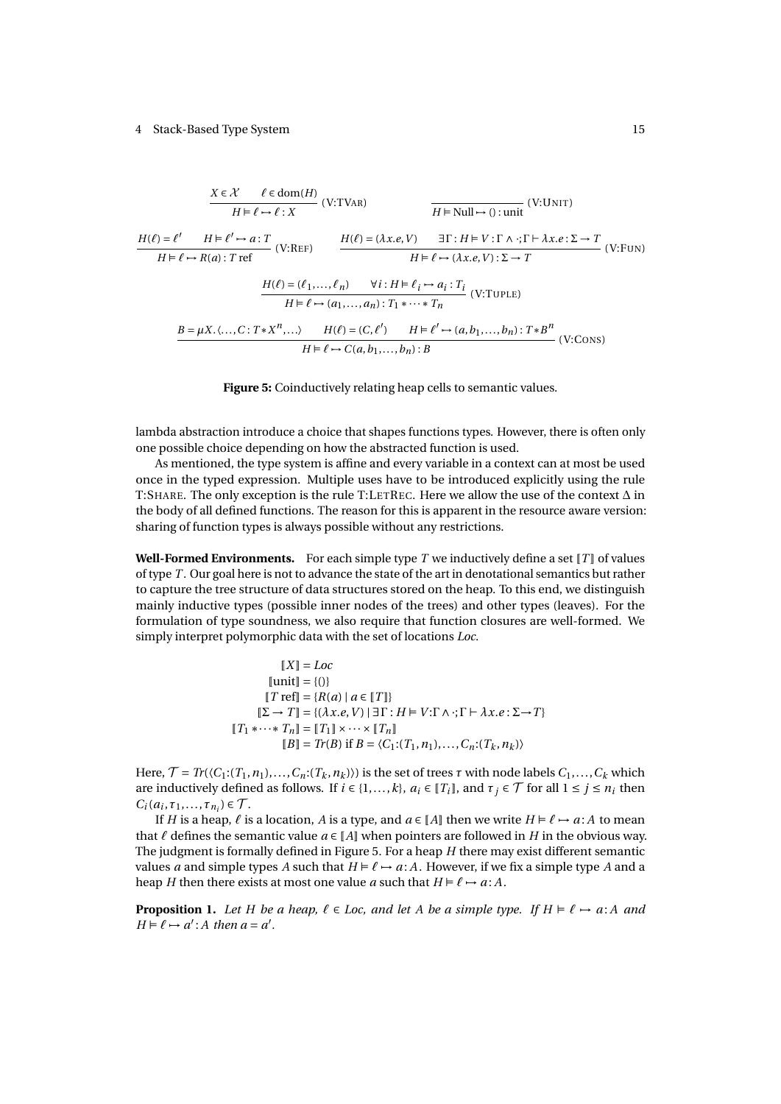$$
\frac{X \in \mathcal{X} \quad \ell \in \text{dom}(H)}{H \models \ell \rightarrow \ell : X} \quad \text{(V:TVAR)} \qquad \frac{}{H \models \text{Null} \rightarrow 0 : \text{unit}} \quad \text{(V:UNIT)}
$$
\n
$$
\frac{H(\ell) = \ell' \quad H \models \ell' \rightarrow a : T}{H \models \ell \rightarrow R(a) : T \text{ ref}} \quad \frac{H(\ell) = (\lambda x. e, V) \quad \exists \Gamma : H \models V : \Gamma \land \cdot; \Gamma \vdash \lambda x. e : \Sigma \rightarrow T}{H \models \ell \rightarrow (\lambda x. e, V) : \Sigma \rightarrow T} \quad \text{(V:Fun)}
$$
\n
$$
\frac{H(\ell) = (\ell_1, \dots, \ell_n) \quad \forall i : H \models \ell_i \rightarrow a_i : T_i}{H \models \ell \rightarrow (a_1, \dots, a_n) : T_1 * \dots * T_n} \quad \text{(V:TUPLE)}
$$
\n
$$
\frac{B = \mu X. \langle \dots, C : T * X^n, \dots \rangle \quad H(\ell) = (C, \ell') \quad H \models \ell' \rightarrow (a, b_1, \dots, b_n) : T * B^n}{H \models \ell \rightarrow C(a, b_1, \dots, b_n) : B} \quad \text{(V:Cons)}
$$

#### **Figure 5:** Coinductively relating heap cells to semantic values.

lambda abstraction introduce a choice that shapes functions types. However, there is often only one possible choice depending on how the abstracted function is used.

As mentioned, the type system is affine and every variable in a context can at most be used once in the typed expression. Multiple uses have to be introduced explicitly using the rule T:SHARE. The only exception is the rule T:LETREC. Here we allow the use of the context ∆ in the body of all defined functions. The reason for this is apparent in the resource aware version: sharing of function types is always possible without any restrictions.

**Well-Formed Environments.** For each simple type  $T$  we inductively define a set  $[T]$  of values of type *T* . Our goal here is not to advance the state of the art in denotational semantics but rather to capture the tree structure of data structures stored on the heap. To this end, we distinguish mainly inductive types (possible inner nodes of the trees) and other types (leaves). For the formulation of type soundness, we also require that function closures are well-formed. We simply interpret polymorphic data with the set of locations *Loc*.

$$
\begin{aligned}\n[X] &= Loc \\
[\text{unit}] &= \{()\} \\
[T \text{ ref}] &= \{R(a) \mid a \in [T]\} \\
[\Sigma \to T] &= \{(\lambda x. e, V) \mid \exists \Gamma : H \models V : \Gamma \land \cdot; \Gamma \vdash \lambda x. e : \Sigma \to T\} \\
[T_1 * \cdots * T_n] &= [T_1] \times \cdots \times [T_n] \\
[\text{B}] &= Tr(B) \text{ if } B = \langle C_1 : (T_1, n_1), \dots, C_n : (T_k, n_k) \rangle\n\end{aligned}
$$

Here,  $\mathcal{T} = Tr(\langle C_1:(T_1,n_1),\ldots,C_n:(T_k,n_k)\rangle)$  is the set of trees  $\tau$  with node labels  $C_1,\ldots,C_k$  which are inductively defined as follows. If  $i \in \{1, ..., k\}$ ,  $a_i \in [T_i]$ , and  $\tau_j \in \mathcal{T}$  for all  $1 \le j \le n_i$  then  $C_i(a_i, \tau_1, \ldots, \tau_{n_i}) \in \mathcal{T}$ .

If *H* is a heap,  $\ell$  is a location, *A* is a type, and  $a \in \llbracket A \rrbracket$  then we write  $H \models \ell \rightarrow a$ ; *A* to mean that  $\ell$  defines the semantic value  $a \in [A]$  when pointers are followed in *H* in the obvious way. The judgment is formally defined in Figure 5. For a heap *H* there may exist different semantic values *a* and simple types *A* such that  $H \models \ell \rightarrow a : A$ . However, if we fix a simple type *A* and a heap *H* then there exists at most one value *a* such that  $H \models \ell \rightarrow a : A$ .

**Proposition 1.** Let *H* be a heap,  $\ell \in \text{Loc}$ , and let *A* be a simple type. If  $H \models \ell \rightarrow a$ ; *A* and  $H \models \ell \mapsto a' : A \text{ then } a = a'.$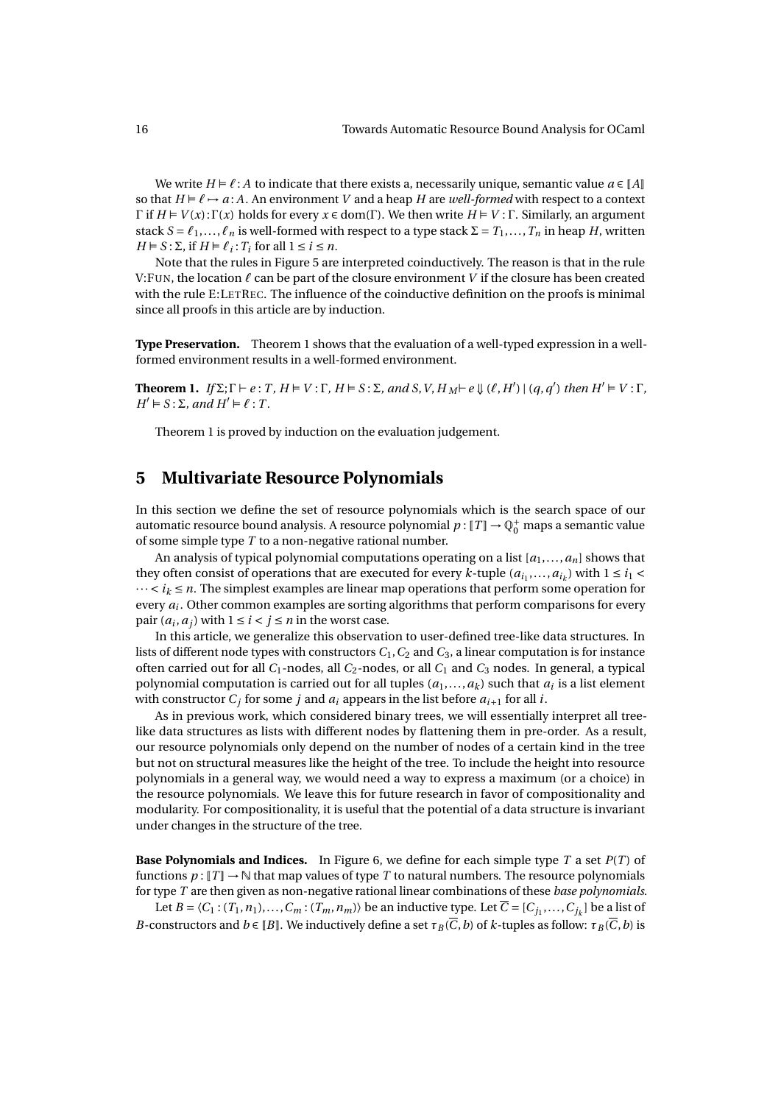We write  $H \models \ell : A$  to indicate that there exists a, necessarily unique, semantic value  $a \in [A]$ so that  $H \models \ell \rightarrow a$ : *A*. An environment *V* and a heap *H* are *well-formed* with respect to a context Γ if  $H \models V(x): \Gamma(x)$  holds for every  $x \in \text{dom}(\Gamma)$ . We then write  $H \models V: \Gamma$ . Similarly, an argument stack  $S = \ell_1, \ldots, \ell_n$  is well-formed with respect to a type stack  $\Sigma = T_1, \ldots, T_n$  in heap *H*, written  $H \models S : \Sigma$ , if  $H \models \ell_i : T_i$  for all  $1 \le i \le n$ .

Note that the rules in Figure 5 are interpreted coinductively. The reason is that in the rule V:FUN, the location  $\ell$  can be part of the closure environment *V* if the closure has been created with the rule E:LETREC. The influence of the coinductive definition on the proofs is minimal since all proofs in this article are by induction.

**Type Preservation.** Theorem 1 shows that the evaluation of a well-typed expression in a wellformed environment results in a well-formed environment.

**Theorem 1.** If  $\Sigma$ ;  $\Gamma \vdash e : T$ ,  $H \models V : \Gamma$ ,  $H \models S : \Sigma$ , and  $S$ ,  $V$ ,  $H_M \vdash e \Downarrow (\ell, H') \mid (q, q')$  then  $H' \models V : \Gamma$ ,  $H' \models S : \Sigma$ , and  $H' \models \ell : T$ .

Theorem 1 is proved by induction on the evaluation judgement.

## **5 Multivariate Resource Polynomials**

In this section we define the set of resource polynomials which is the search space of our automatic resource bound analysis. A resource polynomial  $p: [T] \to \mathbb{Q}_0^+$  maps a semantic value of some simple type *T* to a non-negative rational number.

An analysis of typical polynomial computations operating on a list [*a*1,...,*an*] shows that they often consist of operations that are executed for every *k*-tuple  $(a_{i_1},...,a_{i_k})$  with  $1 \le i_1$  $\cdots < i_k \leq n$ . The simplest examples are linear map operations that perform some operation for every *a<sup>i</sup>* . Other common examples are sorting algorithms that perform comparisons for every pair  $(a_i, a_j)$  with  $1 \le i < j \le n$  in the worst case.

In this article, we generalize this observation to user-defined tree-like data structures. In lists of different node types with constructors  $C_1$ ,  $C_2$  and  $C_3$ , a linear computation is for instance often carried out for all  $C_1$ -nodes, all  $C_2$ -nodes, or all  $C_1$  and  $C_3$  nodes. In general, a typical polynomial computation is carried out for all tuples  $(a_1, \ldots, a_k)$  such that  $a_i$  is a list element with constructor  $C_j$  for some  $j$  and  $a_i$  appears in the list before  $a_{i+1}$  for all  $i.$ 

As in previous work, which considered binary trees, we will essentially interpret all treelike data structures as lists with different nodes by flattening them in pre-order. As a result, our resource polynomials only depend on the number of nodes of a certain kind in the tree but not on structural measures like the height of the tree. To include the height into resource polynomials in a general way, we would need a way to express a maximum (or a choice) in the resource polynomials. We leave this for future research in favor of compositionality and modularity. For compositionality, it is useful that the potential of a data structure is invariant under changes in the structure of the tree.

**Base Polynomials and Indices.** In Figure 6, we define for each simple type *T* a set *P*(*T* ) of functions  $p: [T] \to \mathbb{N}$  that map values of type *T* to natural numbers. The resource polynomials for type *T* are then given as non-negative rational linear combinations of these *base polynomials*.

Let  $B = \langle C_1 : (T_1, n_1), \ldots, C_m : (T_m, n_m) \rangle$  be an inductive type. Let  $\overline{C} = [C_{j_1}, \ldots, C_{j_k}]$  be a list of *B*-constructors and  $b \in [B]$ . We inductively define a set  $\tau_B(\overline{C}, b)$  of *k*-tuples as follow:  $\tau_B(\overline{C}, b)$  is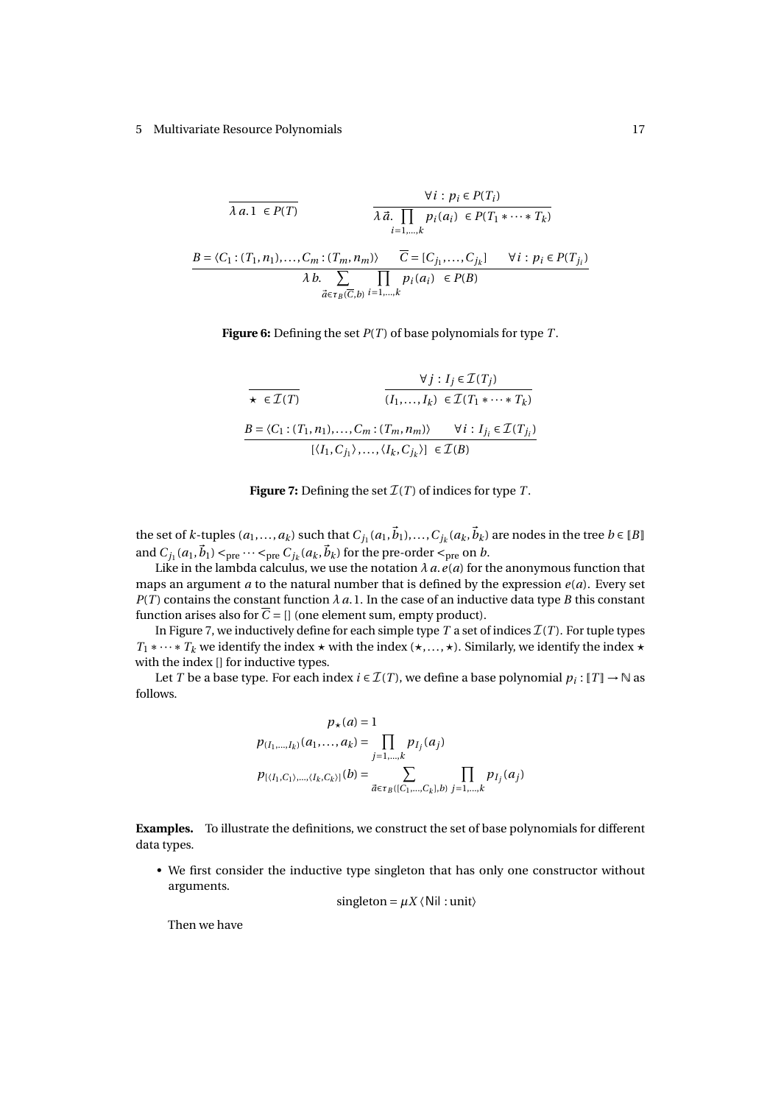### 5 Multivariate Resource Polynomials 17

$$
\overline{\lambda a.1 \in P(T)}
$$
\n
$$
\overline{\lambda \overline{a}. \prod_{i=1,\dots,k} p_i(a_i) \in P(T_1 * \dots * T_k)}
$$
\n
$$
\underline{B} = \langle C_1 : (T_1, n_1), \dots, C_m : (T_m, n_m) \rangle
$$
\n
$$
\overline{C} = [C_{j_1}, \dots, C_{j_k}] \quad \forall i : p_i \in P(T_{j_i})
$$
\n
$$
\overline{\lambda b. \sum_{\overline{a} \in \tau_B(\overline{C}, b)} \prod_{i=1,\dots,k} p_i(a_i) \in P(B)}
$$

#### **Figure 6:** Defining the set *P*(*T* ) of base polynomials for type *T* .

$$
\frac{\forall j : I_j \in \mathcal{I}(T_j)}{\star \in \mathcal{I}(T)} \qquad \qquad \frac{\forall j : I_j \in \mathcal{I}(T_j)}{(I_1, \dots, I_k) \in \mathcal{I}(T_1 * \dots * T_k)}
$$
\n
$$
\frac{B = \langle C_1 : (T_1, n_1), \dots, C_m : (T_m, n_m) \rangle \qquad \forall i : I_{j_i} \in \mathcal{I}(T_{j_i})}{[\langle I_1, C_{j_1} \rangle, \dots, \langle I_k, C_{j_k} \rangle] \in \mathcal{I}(B)}
$$



the set of *k*-tuples  $(a_1,...,a_k)$  such that  $C_{j_1}(a_1,\vec{b}_1),...,C_{j_k}(a_k,\vec{b}_k)$  are nodes in the tree  $b \in [B]$ and  $C_{j_1}(a_1, \vec{b}_1) <_{\text{pre}} \cdots <_{\text{pre}} C_{j_k}(a_k, \vec{b}_k)$  for the pre-order  $<_{\text{pre}}$  on *b*.

Like in the lambda calculus, we use the notation  $\lambda a.e(a)$  for the anonymous function that maps an argument *a* to the natural number that is defined by the expression  $e(a)$ . Every set *P*(*T*) contains the constant function  $\lambda a$ .1. In the case of an inductive data type *B* this constant function arises also for  $\overline{C} = []$  (one element sum, empty product).

In Figure 7, we inductively define for each simple type  $T$  a set of indices  $\mathcal{I}(T)$ . For tuple types  $T_1 * \cdots * T_k$  we identify the index  $\star$  with the index  $(\star, \ldots, \star)$ . Similarly, we identify the index  $\star$ with the index [] for inductive types.

Let *T* be a base type. For each index  $i \in I(T)$ , we define a base polynomial  $p_i : [T] \to \mathbb{N}$  as follows.

$$
p_{\star}(a) = 1
$$
  
\n
$$
p_{(I_1,...,I_k)}(a_1,...,a_k) = \prod_{j=1,...,k} p_{I_j}(a_j)
$$
  
\n
$$
p_{[\langle I_1, C_1 \rangle,...,\langle I_k, C_k \rangle]}(b) = \sum_{\vec{a} \in \tau_B([\langle C_1,...,\langle C_k \rangle],b)} \prod_{j=1,...,k} p_{I_j}(a_j)
$$

**Examples.** To illustrate the definitions, we construct the set of base polynomials for different data types.

• We first consider the inductive type singleton that has only one constructor without arguments.

$$
singleton = \mu X \langle Nil: unit \rangle
$$

Then we have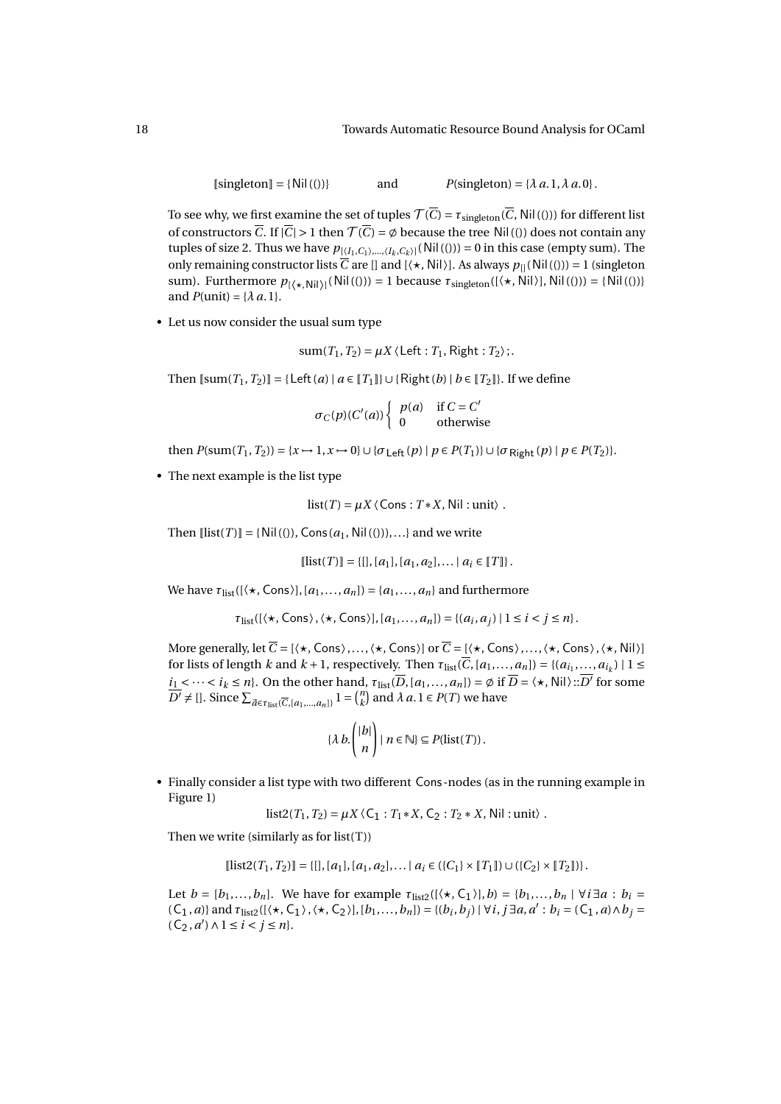$[singleton] = \{Nil(0)\}$  and  $P(singleton) = \{\lambda a. 1, \lambda a. 0\}.$ 

To see why, we first examine the set of tuples  $\mathcal{T}(\overline{C}) = \tau_{\text{singleton}}(\overline{C}, \text{Nil}(0))$  for different list of constructors  $\overline{C}$ . If  $|\overline{C}| > 1$  then  $\mathcal{T}(\overline{C}) = \emptyset$  because the tree Nil(()) does not contain any tuples of size 2. Thus we have  $p_{[(I_1, C_1), ..., (I_k, C_k)]}(\text{Nil}(0)) = 0$  in this case (empty sum). The only remaining constructor lists  $\overline{C}$  are [] and  $\{\star, N\}\$ . As always  $p_{\parallel}(N\text{H}(0)) = 1$  (singleton sum). Furthermore  $p_{\{\star, Nil\}}(Nil(0)) = 1$  because  $\tau_{singleton}([\star, Nil)], Nil(0)) = \{Nil(0)\}$ and  $P(\text{unit}) = \{\lambda \ a, 1\}.$ 

• Let us now consider the usual sum type

sum
$$
(T_1, T_2) = \mu X \langle \text{Left} : T_1, \text{Right} : T_2 \rangle;
$$

Then  $[\text{sum}(T_1, T_2)] = { \text{Left}(a) | a ∈ [T_1]} \cup { \text{Right}(b) | b ∈ [T_2]} }.$  If we define

$$
\sigma_C(p)(C'(a)) \begin{cases} p(a) & \text{if } C = C' \\ 0 & \text{otherwise} \end{cases}
$$

then  $P(\text{sum}(T_1, T_2)) = \{x \mapsto 1, x \mapsto 0\} \cup \{\sigma_{\text{Left}}(p) \mid p \in P(T_1)\} \cup \{\sigma_{\text{Right}}(p) \mid p \in P(T_2)\}.$ 

• The next example is the list type

 $list(T) = \mu X \langle \text{Cons} : T * X, \text{Nil} : \text{unit} \rangle$ .

Then  $\left[\text{list}(T)\right] = \left\{\text{Nil}\right\}(0), \text{Cons}\left(a_1, \text{Nil}\right)\left(0\right), \ldots\}$  and we write

$$
[\![\mathbf{list}(T)]\!] = \{[\!],[a_1],[a_1,a_2],\ldots,[a_i \in [\![T]\!]\}.
$$

We have  $\tau_{\text{list}}([\langle \star, \text{Cons}\rangle], [a_1,\ldots,a_n]) = \{a_1,\ldots,a_n\}$  and furthermore

 $\tau_{\text{list}}([ \langle \star, \text{Cons} \rangle, \langle \star, \text{Cons} \rangle], [a_1, ..., a_n]) = \{(a_i, a_j) | 1 \le i < j \le n\}.$ 

More generally, let  $\overline{C} = [\langle \star, \text{Cons} \rangle, \ldots, \langle \star, \text{Cons} \rangle]$  or  $\overline{C} = [\langle \star, \text{Cons} \rangle, \ldots, \langle \star, \text{Cons} \rangle, \langle \star, \text{Nil} \rangle]$ for lists of length *k* and *k* + 1, respectively. Then  $\tau_{\text{list}}(\overline{C},[a_1,\ldots,a_n]) = \{(a_{i_1},\ldots,a_{i_k}) \mid 1 \leq i \leq j \}$  $i_1 < \cdots < i_k \le n$ }. On the other hand,  $\tau_{\text{list}}(\overline{D}, [a_1, \ldots, a_n]) = \emptyset$  if  $\overline{D} = \langle \star, \text{Nil} \rangle : : \overline{D'}$  for some  $\overline{D'} \neq []$ . Since  $\sum_{\vec{a} \in \tau_{\text{list}}(\overline{C},[a_1,...,a_n])} 1 = \binom{n}{k}$  and  $\lambda a. 1 \in P(T)$  we have

$$
\{\lambda b.\binom{|b|}{n} \mid n \in \mathbb{N}\} \subseteq P(\text{list}(T)).
$$

• Finally consider a list type with two different Cons-nodes (as in the running example in Figure 1)

list2(*T*<sub>1</sub>, *T*<sub>2</sub>) =  $\mu$ *X*  $\langle$  C<sub>1</sub> : *T*<sub>1</sub> ∗ *X*, C<sub>2</sub> : *T*<sub>2</sub> ∗ *X*, Nil : unit〉.

Then we write (similarly as for  $list(T))$ 

$$
[\text{list2}(T_1, T_2)] = \{[], [a_1], [a_1, a_2], \dots | a_i \in (\{C_1\} \times [T_1]) \cup (\{C_2\} \times [T_2])\}.
$$

Let  $b = [b_1, \ldots, b_n]$ . We have for example  $\tau_{\text{list2}}([\langle \star, C_1 \rangle], b) = \{b_1, \ldots, b_n \mid \forall i \exists a : b_i =$  $(C_1, a)$ } and  $\tau_{\text{list2}}([\langle \star, C_1 \rangle, \langle \star, C_2 \rangle], [b_1, ..., b_n]) = \{(b_i, b_j) | \forall i, j \exists a, a' : b_i = (C_1, a) \land b_j = (c_1, a) \land b_j = (c_2, a') \land b_j = (c_2, a') \land b_j = (c_2, a') \land b_j = (c_2, a') \land b_j = (c_2, a') \land b_j = (c_2, a') \land b_j = (c_2, a') \land b_j = (c_2, a') \land b_j = (c_2, a') \land b_j = (c_2, a') \land$  $(C_2, a') \land 1 \le i < j \le n$ }.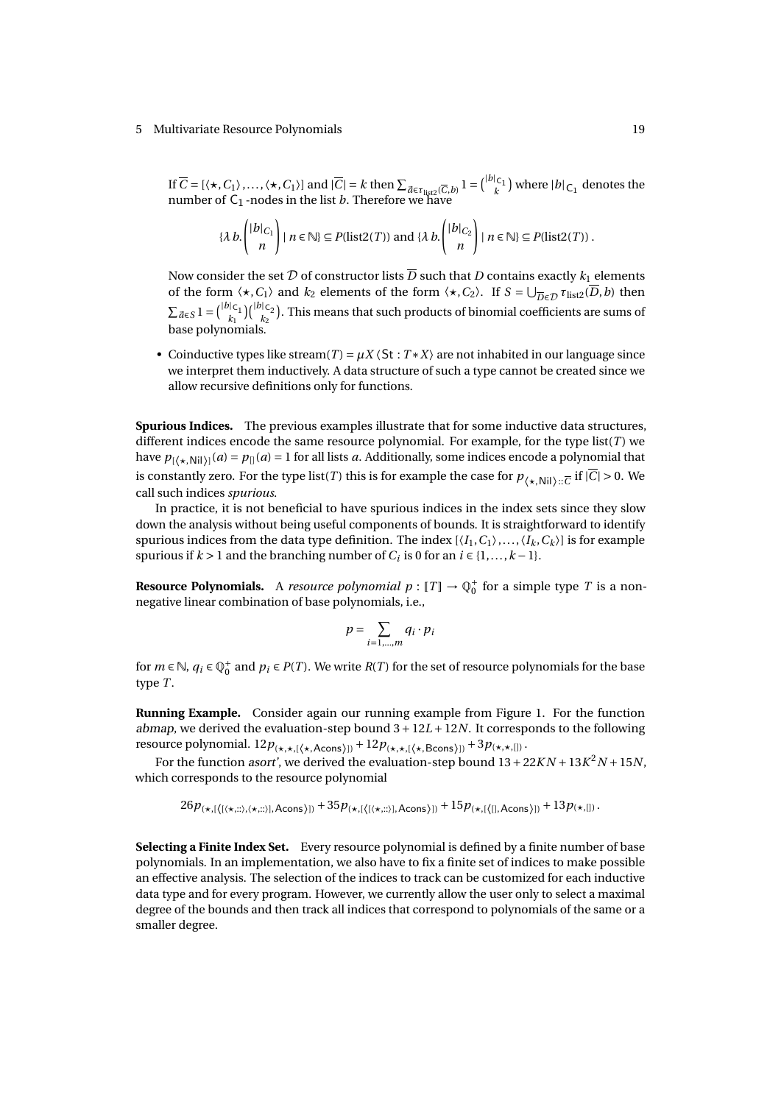#### 5 Multivariate Resource Polynomials 19

If  $\overline{C} = [\langle \star, C_1 \rangle, \ldots, \langle \star, C_1 \rangle]$  and  $|\overline{C}| = k$  then  $\sum_{\overline{d} \in \tau_{\text{ligt}2}(\overline{C}, b)} 1 = \binom{|b|c_1}{k}$  where  $|b|_{\mathsf{C}_1}$  denotes the number of  $\mathsf{C}_1$  -nodes in the list  $b.$  Therefore we have

$$
\{\lambda b.\binom{|b|_{C_1}}{n} \mid n \in \mathbb{N}\} \subseteq P(\text{list2}(T)) \text{ and } \{\lambda b.\binom{|b|_{C_2}}{n} \mid n \in \mathbb{N}\} \subseteq P(\text{list2}(T)).
$$

Now consider the set  $D$  of constructor lists  $\overline{D}$  such that  $D$  contains exactly  $k_1$  elements of the form  $\langle \star, C_1 \rangle$  and  $k_2$  elements of the form  $\langle \star, C_2 \rangle$ . If  $S = \bigcup_{\overline{D} \in \mathcal{D}} \tau_{\text{list2}}(\overline{D}, b)$  then  $\sum_{\vec{a}\in S} 1 = \binom{|b|C_1}{k_1}\binom{|b|C_2}{k_2}$ . This means that such products of binomial coefficients are sums of base polynomials.

• Coinductive types like stream(*T*) =  $\mu$ *X*  $\langle$  St : *T* \* *X* $\rangle$  are not inhabited in our language since we interpret them inductively. A data structure of such a type cannot be created since we allow recursive definitions only for functions.

**Spurious Indices.** The previous examples illustrate that for some inductive data structures, different indices encode the same resource polynomial. For example, for the type list( $T$ ) we have  $p_{[(\star,\text{Nil})]}(a) = p_{[]}(a) = 1$  for all lists *a*. Additionally, some indices encode a polynomial that is constantly zero. For the type list(*T*) this is for example the case for  $p_{\langle\star,N\mid\cdot|\cdot\rangle::\overline{C}}$  if  $|\overline{C}|>0.$  We call such indices *spurious*.

In practice, it is not beneficial to have spurious indices in the index sets since they slow down the analysis without being useful components of bounds. It is straightforward to identify spurious indices from the data type definition. The index  $\{\langle I_1, C_1 \rangle, \ldots, \langle I_k, C_k \rangle\}$  is for example spurious if  $k > 1$  and the branching number of  $C_i$  is 0 for an  $i \in \{1, ..., k-1\}$ .

**Resource Polynomials.** A *resource polynomial*  $p: [T] \rightarrow \mathbb{Q}_0^+$  $_0^+$  for a simple type *T* is a nonnegative linear combination of base polynomials, i.e.,

$$
p = \sum_{i=1,\dots,m} q_i \cdot p_i
$$

for  $m \in \mathbb{N}$ ,  $q_i \in \mathbb{Q}_0^+$  $\frac{1}{0}$  and  $p_i \in P(T)$ . We write  $R(T)$  for the set of resource polynomials for the base type *T* .

**Running Example.** Consider again our running example from Figure 1. For the function abmap, we derived the evaluation-step bound 3+12*L* +12*N*. It corresponds to the following resource polynomial.  $12p_{(*,*,[(\star,Acons)])} + 12p_{(*,*,[(\star,Bcons)])} + 3p_{(*,*,[]})$ .

For the function *asort'*, we derived the evaluation-step bound  $13+22KN+13K^2N+15N$ , which corresponds to the resource polynomial

$$
26p_{(\star,\lbrack\{\langle\star,\ldots\rangle,\langle\star,\ldots\rangle\},\text{Acons}\rangle])} + 35p_{(\star,\lbrack\{\langle\star,\ldots\rangle\},\text{Acons}\rangle])} + 15p_{(\star,\lbrack\{\vert\},\text{Acons}\rangle])} + 13p_{(\star,\vert\{\vert\},\text{Acons}\rangle)}.
$$

**Selecting a Finite Index Set.** Every resource polynomial is defined by a finite number of base polynomials. In an implementation, we also have to fix a finite set of indices to make possible an effective analysis. The selection of the indices to track can be customized for each inductive data type and for every program. However, we currently allow the user only to select a maximal degree of the bounds and then track all indices that correspond to polynomials of the same or a smaller degree.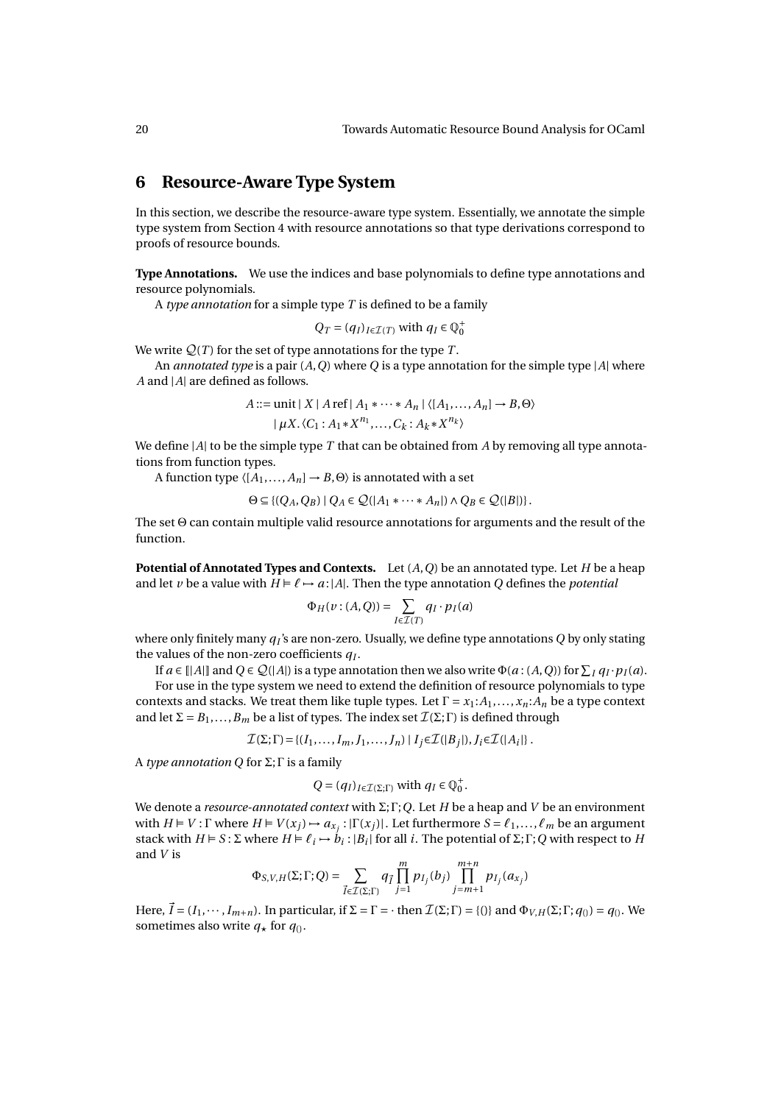## **6 Resource-Aware Type System**

In this section, we describe the resource-aware type system. Essentially, we annotate the simple type system from Section 4 with resource annotations so that type derivations correspond to proofs of resource bounds.

**Type Annotations.** We use the indices and base polynomials to define type annotations and resource polynomials.

A *type annotation* for a simple type *T* is defined to be a family

$$
Q_T = (q_I)_{I \in \mathcal{I}(T)} \text{ with } q_I \in \mathbb{Q}_0^+
$$

We write  $Q(T)$  for the set of type annotations for the type  $T$ .

An *annotated type* is a pair (*A*,*Q*) where *Q* is a type annotation for the simple type |*A*| where *A* and |*A*| are defined as follows.

$$
A ::= \text{unit} \mid X \mid A \text{ ref} \mid A_1 * \cdots * A_n \mid \langle [A_1, \ldots, A_n] \to B, \Theta \rangle
$$
  
 
$$
\mid \mu X. \langle C_1 : A_1 * X^{n_1}, \ldots, C_k : A_k * X^{n_k} \rangle
$$

We define |*A*| to be the simple type *T* that can be obtained from *A* by removing all type annotations from function types.

A function type  $\langle [A_1, \ldots, A_n] \rightarrow B, \Theta \rangle$  is annotated with a set

$$
\Theta \subseteq \{ (Q_A, Q_B) \mid Q_A \in \mathcal{Q}(|A_1 \ast \cdots \ast A_n|) \land Q_B \in \mathcal{Q}(|B|) \}.
$$

The set Θ can contain multiple valid resource annotations for arguments and the result of the function.

**Potential of Annotated Types and Contexts.** Let (*A*,*Q*) be an annotated type. Let *H* be a heap and let *v* be a value with  $H \models \ell \rightarrow a$ ; |A|. Then the type annotation *Q* defines the *potential* 

$$
\Phi_H(v:(A,Q))=\sum_{I\in \mathcal{I}(T)}q_I\cdot p_I(a)
$$

where only finitely many  $q_I$ 's are non-zero. Usually, we define type annotations  $Q$  by only stating the values of the non-zero coefficients *q<sup>I</sup>* .

If  $a \in [\|A|\]$  and  $Q \in \mathcal{Q}(|A|)$  is a type annotation then we also write  $\Phi(a:(A,Q))$  for  $\sum_{I} q_I \cdot p_I(a)$ .

For use in the type system we need to extend the definition of resource polynomials to type contexts and stacks. We treat them like tuple types. Let  $\Gamma = x_1 : A_1, \ldots, x_n : A_n$  be a type context and let  $\Sigma = B_1, \ldots, B_m$  be a list of types. The index set  $\mathcal{I}(\Sigma; \Gamma)$  is defined through

$$
\mathcal{I}(\Sigma;\Gamma) = \{ (I_1,\ldots,I_m,J_1,\ldots,J_n) \mid I_j \in \mathcal{I}(|B_j|), J_i \in \mathcal{I}(|A_i|).
$$

A *type annotation Q* for Σ;Γ is a family

$$
Q = (q_I)_{I \in \mathcal{I}(\Sigma; \Gamma)} \text{ with } q_I \in \mathbb{Q}_0^+.
$$

We denote a *resource-annotated context* with Σ;Γ;*Q*. Let *H* be a heap and *V* be an environment with  $H \models V : \Gamma$  where  $H \models V(x_j) \mapsto a_{x_j} : |\Gamma(x_j)|$ . Let furthermore  $S = \ell_1, \ldots, \ell_m$  be an argument stack with  $H \models S : \Sigma$  where  $H \models \ell_i \mapsto b_i : |B_i|$  for all *i*. The potential of Σ; Γ; *Q* with respect to *H* and *V* is

$$
\Phi_{S,V,H}(\Sigma;\Gamma;Q)=\sum_{\vec{I}\in\mathcal{I}(\Sigma;\Gamma)}q_{\vec{I}}\prod_{j=1}^mp_{I_j}(b_j)\prod_{j=m+1}^{m+n}p_{I_j}(a_{x_j})
$$

Here,  $\vec{I} = (I_1, \dots, I_{m+n})$ . In particular, if  $\Sigma = \Gamma = \cdot$  then  $\mathcal{I}(\Sigma; \Gamma) = \{()\}$  and  $\Phi_{V,H}(\Sigma; \Gamma; q_0) = q_0$ . We sometimes also write  $q_{\star}$  for  $q_0$ .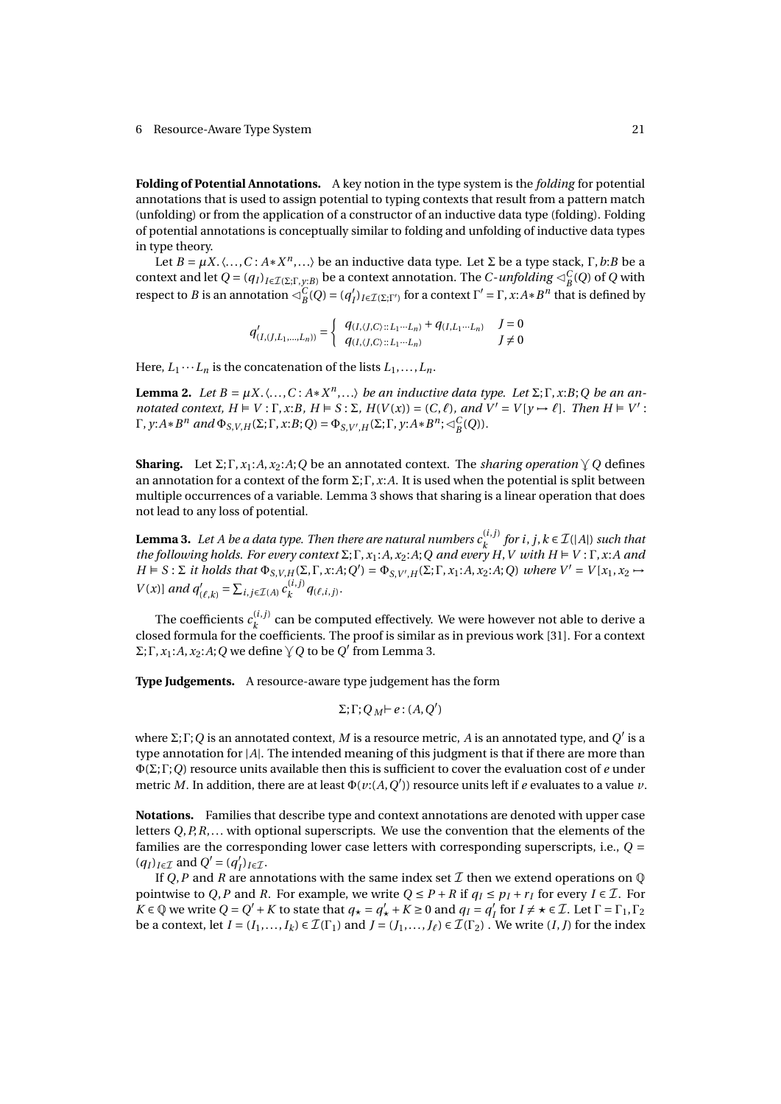#### 6 Resource-Aware Type System 21

**Folding of Potential Annotations.** A key notion in the type system is the *folding* for potential annotations that is used to assign potential to typing contexts that result from a pattern match (unfolding) or from the application of a constructor of an inductive data type (folding). Folding of potential annotations is conceptually similar to folding and unfolding of inductive data types in type theory.

Let  $B = \mu X$ ,  $\langle \ldots, C : A * X^n, \ldots \rangle$  be an inductive data type. Let  $\Sigma$  be a type stack,  $\Gamma$ *, b*:*B* be a context and let  $Q = (q_I)_{I \in \mathcal{I}(\Sigma; \Gamma, y; B)}$  be a context annotation. The *C*-*unfolding*  $\lhd_B^C(Q)$  of *Q* with respect to *B* is an annotation  $\lhd_B^C(Q) = \lceil q' \rceil$  $I_I^{\prime}$ *I*<sub>E</sub> $I(\Sigma; \Gamma')$  for a context  $\Gamma' = \Gamma$ ,  $x: A * B^n$  that is defined by

$$
q'_{(I,(J,L_1,...,L_n))} = \begin{cases} q_{(I,(J,C):L_1\cdots L_n)} + q_{(I,L_1\cdots L_n)} & J=0\\ q_{(I,(J,C):L_1\cdots L_n)} & J \neq 0 \end{cases}
$$

Here,  $L_1 \cdots L_n$  is the concatenation of the lists  $L_1, \ldots, L_n$ .

**Lemma 2.** *Let*  $B = \mu X$ ,  $\langle \ldots, C : A * X^n, \ldots \rangle$  *be an inductive data type. Let* Σ; Γ, *x*:*B*; *Q be an an*notated context,  $H \models V : \Gamma, x : B, H \models S : \Sigma, H(V(x)) = (C, \ell), and V' = V[y \rightarrow \ell].$  Then  $H \models V'$ :  $\Gamma$ ,  $y: A * B^n$  and  $\Phi_{S, V, H}(\Sigma; \Gamma, x:B; Q) = \Phi_{S, V', H}(\Sigma; \Gamma, y:A*B^n; \triangleleft_B^C(Q)).$ 

**Sharing.** Let  $\Sigma$ ;  $\Gamma$ ,  $x_1$ :  $A$ ,  $x_2$ :  $A$ ;  $Q$  be an annotated context. The *sharing operation*  $\gamma$   $Q$  defines an annotation for a context of the form  $\Sigma$ ; Γ, x:*A*. It is used when the potential is split between multiple occurrences of a variable. Lemma 3 shows that sharing is a linear operation that does not lead to any loss of potential.

**Lemma 3.** Let A be a data type. Then there are natural numbers  $c_{k}^{(i,j)}$  $f_k^{(i,j)}$  for  $i, j, k \in \mathcal{I}(|A|)$  *such that the following holds. For every context*  $\Sigma$ ;  $\Gamma$ ,  $x_1$ :  $A$ ,  $x_2$ :  $A$ ;  $Q$  *and every*  $H$ ,  $V$  *with*  $H \models V : \Gamma$ ,  $x$ :  $A$  *and*  $H \models S : \Sigma$  it holds that  $\Phi_{S,V,H}(\Sigma,\Gamma,x:A;Q') = \Phi_{S,V',H}(\Sigma;\Gamma,x_1:A,x_2:A;Q)$  where  $V' = V[x_1,x_2 \rightarrow Q]$ *V*(*x*)] *and*  $q'_{(\ell,k)} = \sum_{i,j \in \mathcal{I}(A)} c_k^{(i,j)}$  $q_{(\ell,i,j)}$ .

The coefficients  $c_k^{(i,j)}$  $k$ <sup>(i,j)</sup> can be computed effectively. We were however not able to derive a closed formula for the coefficients. The proof is similar as in previous work [31]. For a context  $\Sigma$ ; Γ, *x*<sub>1</sub>:*A*, *x*<sub>2</sub>:*A*; *Q* we define  $\gamma$  *Q* to be *Q*<sup>'</sup> from Lemma 3.

**Type Judgements.** A resource-aware type judgement has the form

$$
\Sigma;\Gamma;Q_M \vdash e:(A,Q')
$$

where Σ; Γ; Q is an annotated context,  $M$  is a resource metric,  $A$  is an annotated type, and  $Q'$  is a type annotation for |*A*|. The intended meaning of this judgment is that if there are more than Φ(Σ;Γ;*Q*) resource units available then this is sufficient to cover the evaluation cost of *e* under metric  $\dot{M}$ . In addition, there are at least  $\Phi(\nu:(A,Q'))$  resource units left if  $e$  evaluates to a value  $\nu$ .

**Notations.** Families that describe type and context annotations are denoted with upper case letters *Q*,*P*,*R*,... with optional superscripts. We use the convention that the elements of the families are the corresponding lower case letters with corresponding superscripts, i.e., *Q* =  $(q_I)_{I \in \mathcal{I}}$  and  $Q' = (q'_I)$  $'$ <sub>*I*</sub>)<sub>*I*∈*I*</sub>.

If *Q*, *P* and *R* are annotations with the same index set *T* then we extend operations on  $\mathbb{Q}$ pointwise to *Q*, *P* and *R*. For example, we write  $Q \le P + R$  if  $q_I \le p_I + r_I$  for every  $I \in \mathcal{I}$ . For  $K \in \mathbb{Q}$  we write  $Q = Q' + K$  to state that  $q_{\star} = q'_{\star} + K \ge 0$  and  $q_I = q'_{I}$ *I*<sub>I</sub> for  $I \neq \star \in \mathcal{I}$ . Let  $\Gamma = \Gamma_1, \Gamma_2$ be a context, let  $I = (I_1, \ldots, I_k) \in \mathcal{I}(\Gamma_1)$  and  $J = (J_1, \ldots, J_\ell) \in \mathcal{I}(\Gamma_2)$ . We write  $(I, J)$  for the index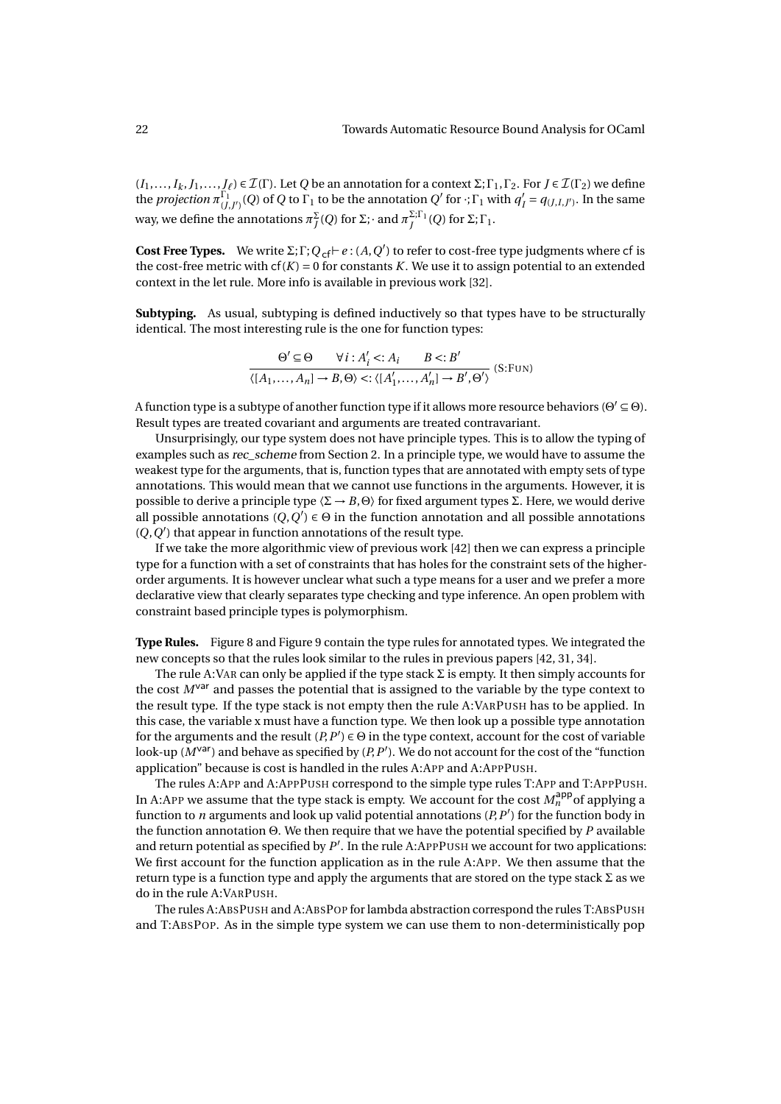$(I_1,...,I_k, J_1,...,J_\ell) \in \mathcal{I}(\Gamma)$ . Let *Q* be an annotation for a context  $\Sigma; \Gamma_1, \Gamma_2$ . For  $J \in \mathcal{I}(\Gamma_2)$  we define the *projection*  $\pi_{(J,J')}^{\Gamma_1}(Q)$  of  $Q$  to  $\Gamma_1$  to be the annotation  $Q'$  for  $\cdot$ ; $\Gamma_1$  with  $q'_j$  $q'$ <sub> $I$ </sub> =  $q$ <sub>(*J*,*I*,*J*<sup> $\prime$ </sup>)</sub>. In the same way, we define the annotations  $\pi_{\bar{f}}^{\Sigma}(Q)$  for Σ; $\cdot$  and  $\pi_{\bar{f}}^{\Sigma; \Gamma_1}(Q)$  for Σ; $\Gamma_1$ .

**Cost Free Types.** We write  $\Sigma$ ;  $\Gamma$ ;  $Q_{cf} \vdash e$  : (*A*,  $Q'$ ) to refer to cost-free type judgments where cf is the cost-free metric with  $cf(K) = 0$  for constants K. We use it to assign potential to an extended context in the let rule. More info is available in previous work [32].

**Subtyping.** As usual, subtyping is defined inductively so that types have to be structurally identical. The most interesting rule is the one for function types:

$$
\frac{\Theta' \subseteq \Theta \qquad \forall i: A'_i <: A_i \qquad B <: B'}{\langle [A_1, \dots, A_n] \to B, \Theta \rangle <: \langle [A'_1, \dots, A'_n] \to B', \Theta' \rangle} \quad \text{(S:FUN)}
$$

A function type is a subtype of another function type if it allows more resource behaviors ( $\Theta'\subseteq\Theta$ ). Result types are treated covariant and arguments are treated contravariant.

Unsurprisingly, our type system does not have principle types. This is to allow the typing of examples such as *rec\_scheme* from Section 2. In a principle type, we would have to assume the weakest type for the arguments, that is, function types that are annotated with empty sets of type annotations. This would mean that we cannot use functions in the arguments. However, it is possible to derive a principle type  $\langle \Sigma \to B, \Theta \rangle$  for fixed argument types Σ. Here, we would derive all possible annotations  $(Q, Q') \in \Theta$  in the function annotation and all possible annotations  $(Q, Q')$  that appear in function annotations of the result type.

If we take the more algorithmic view of previous work [42] then we can express a principle type for a function with a set of constraints that has holes for the constraint sets of the higherorder arguments. It is however unclear what such a type means for a user and we prefer a more declarative view that clearly separates type checking and type inference. An open problem with constraint based principle types is polymorphism.

**Type Rules.** Figure 8 and Figure 9 contain the type rules for annotated types. We integrated the new concepts so that the rules look similar to the rules in previous papers [42, 31, 34].

The rule A:VAR can only be applied if the type stack  $\Sigma$  is empty. It then simply accounts for the cost *M*var and passes the potential that is assigned to the variable by the type context to the result type. If the type stack is not empty then the rule A:VARPUSH has to be applied. In this case, the variable x must have a function type. We then look up a possible type annotation for the arguments and the result  $(P, P') \in \Theta$  in the type context, account for the cost of variable look-up ( $\tilde{M}^{\text{var}}$ ) and behave as specified by (*P*, *P*<sup>'</sup>). We do not account for the cost of the "function application" because is cost is handled in the rules A:APP and A:APPPUSH.

The rules A:APP and A:APPPUSH correspond to the simple type rules T:APP and T:APPPUSH. In A:APP we assume that the type stack is empty. We account for the cost  $M_n^{\text{app}}$  of applying a function to *n* arguments and look up valid potential annotations (*P*, *P*<sup>'</sup>) for the function body in the function annotation Θ. We then require that we have the potential specified by *P* available and return potential as specified by  $P'$ . In the rule A:APPPUSH we account for two applications: We first account for the function application as in the rule A:APP. We then assume that the return type is a function type and apply the arguments that are stored on the type stack  $\Sigma$  as we do in the rule A:VARPUSH.

The rules A:ABSPUSH and A:ABSPOP for lambda abstraction correspond the rules T:ABSPUSH and T:ABSPOP. As in the simple type system we can use them to non-deterministically pop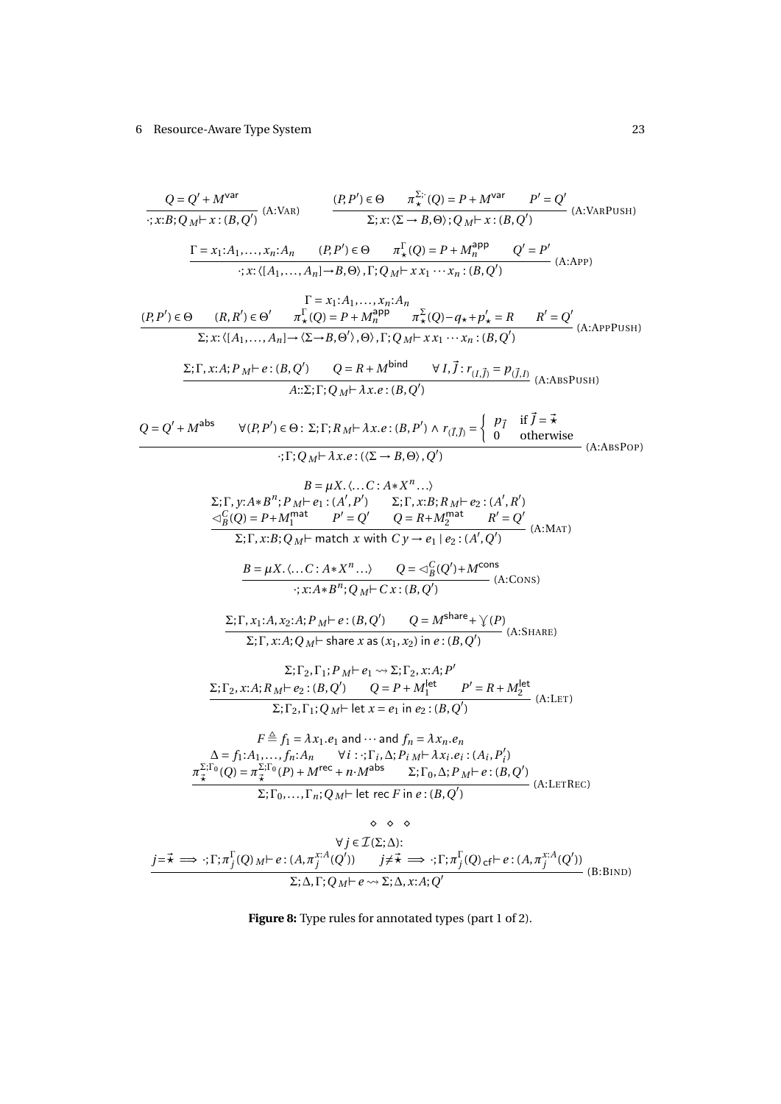## 6 Resource-Aware Type System 23

$$
Q = Q' + M^{\text{var}} \qquad (A: VAR) \qquad (RP') \in \Theta \qquad \pi_{+}^{\Sigma_{+}}(Q) = P + M^{\text{var}} \qquad P' = Q' \qquad (A: VARPUSH)
$$
\n
$$
\frac{\Gamma = x_1:A_1,\ldots,x_n:A_n \qquad (P,P') \in \Theta \qquad \pi_{+}^{\Gamma}(Q) = P + M^{\text{app}} \qquad Q' = P'}{\therefore x:(A_1,\ldots,A_n| \rightarrow B,\Theta), \Gamma; Q_M \vdash x.x_1 \cdots x_n:(B,Q')}
$$
\n
$$
\frac{\Gamma = x_1:A_1,\ldots,x_n:A_n \qquad (P,P') \in \Theta \qquad \pi_{+}^{\Gamma}(Q) = P + M^{\text{app}} \qquad Q' = P'}{\therefore x:(A_1,\ldots,A_n| \rightarrow (Z \rightrightarrow B,\Theta), \Gamma; Q_M \vdash x.x_1 \cdots x_n:(B,Q') \qquad (A:APPDUSH)
$$
\n
$$
\frac{\Sigma_{\Gamma} \Gamma_{x}:A_{\Gamma} P_{M} \vdash e:(B,Q') \qquad Q = R + M^{\text{bind}} \qquad \forall I, \tilde{J}: r_{(J, \tilde{J})} = P_{(\tilde{J}, I)} \qquad (A:ABSPUSH)
$$
\n
$$
\frac{\Sigma_{\Gamma} \Gamma_{x}:A_{\Gamma} P_{M} \vdash e:(B,Q') \qquad Q = R + M^{\text{bind}} \qquad \forall I, \tilde{J}: r_{(J, \tilde{J})} = P_{(\tilde{J}, I)} \qquad (A:ABSPUSH)
$$
\n
$$
\frac{\Sigma_{\Gamma} \Gamma_{y}:A_{\Gamma} P_{M} \vdash e:(B,Q') \qquad Q = R + M^{\text{bind}} \qquad \forall I, \tilde{J}: r_{(J, \tilde{J})} = \begin{cases} P_{\tilde{I}} & \text{if } \tilde{J} = \tilde{x} \\ 0 & \text{otherwise} \end{cases}
$$
\n
$$
\therefore \Gamma; Q_{M} \vdash \Lambda x.e:(B,P') \land r_{(\tilde{J},\tilde{J})} = \begin{cases} P_{\tilde{I}} & \text{if } \tilde{J} = \tilde{x} \\ 0 & \text{otherwise} \end{cases}
$$
\n
$$
\frac{\Sigma_{\tilde{J}} \Gamma_{y}: \Lambda_{\Gamma
$$

Figure 8: Type rules for annotated types (part 1 of 2).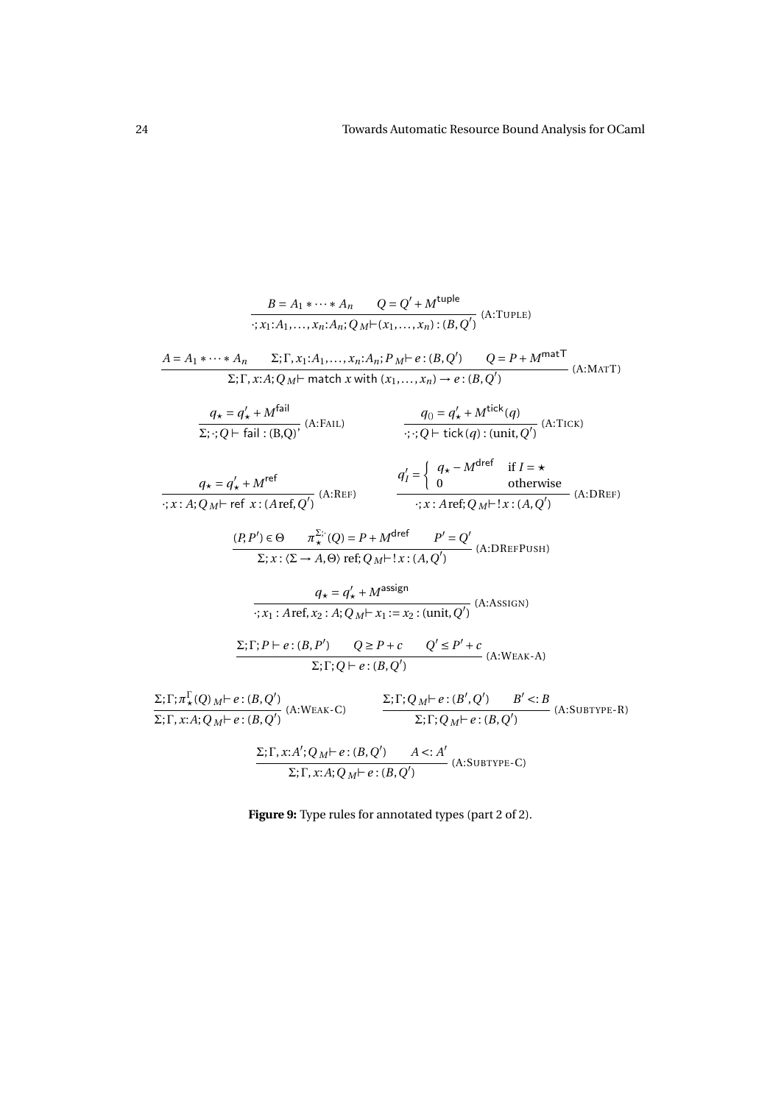$$
\frac{B=A_1*\cdots+A_n \quad Q=Q'+M^{\text{tuple}}}{\therefore x_1:A_1,\dots,x_n:A_n;Q_M\vdash(x_1,\dots,x_n):(B,Q')}(A:TUPLE)
$$
\n
$$
\frac{A=A_1*\cdots+A_n \quad \Sigma;\Gamma,x_1:A_1,\dots,x_n:A_n;P_M\vdash e:(B,Q') \quad Q=P+M^{\text{mat}}\Gamma}{\Sigma;\Gamma,x:A;Q_M\vdash \text{match } x \text{ with } (x_1,\dots,x_n)\rightarrow e:(B,Q')}(A:TUATE)
$$
\n
$$
\frac{q_* = q'_* + M^{\text{fail}}}{\Sigma;\because Q \vdash \text{fail } (B,Q)'}(A:FALL) \qquad \frac{q_0 = q'_* + M^{\text{tick}}(q)}{\therefore Q \vdash \text{tick}(q):(unit,Q')}(A:TICK)
$$
\n
$$
\frac{q_* = q'_* + M^{\text{ref}} \qquad \frac{q'_1 = \begin{cases} q'_* - M^{\text{def}} & \text{if } I = * \\ 0 & \text{otherwise} \end{cases}}{\therefore x:A;Q_M\vdash \text{ref } x:(A\text{ref},Q')}(A:REF) \qquad \frac{q'_i = \begin{cases} q'_* - M^{\text{def}} & \text{if } I = * \\ 0 & \text{otherwise} \end{cases}}{\therefore x:A;A,Q_M\vdash \text{ref } x:(A,Q')}(A:REF) \qquad \frac{q'_i = \begin{cases} q'_* - M^{\text{def}} & \text{if } I = * \\ 0 & \text{otherwise} \end{cases}}{\Sigma;x:(\Sigma \rightarrow A,\Theta) \text{ ref};Q_M\vdash !; x:(A,Q')}(A:DREFPUSH)
$$
\n
$$
\frac{q_* = q'_* + M^{\text{assign}}}{\Sigma;\Gamma;P \vdash e:(B,P')} \quad Q \geq P + c \quad Q' \leq P' + c \quad \text{(A:MSISTOR)}
$$
\n
$$
\frac{\Sigma;\Gamma;\pi^{\Gamma}_*(Q)M\vdash e:(B,Q')}{\Sigma;\Gamma;Q \vdash e:(B,Q')} \quad \frac{\Sigma;\Gamma;Q_M\vdash e:(B',Q') \quad B' <:B}{\Sigma;\Gamma;x:A;Q_M\vdash e:(B,Q')} \quad \frac{\Sigma;\Gamma;Q_M\vdash e:(B,Q')}{\Sigma;\Gamma;x:A;Q_M\vdash e:(B,Q')} \quad (A:SUBType \vdash R) \quad \frac{\Sigma;\Gamma;
$$

**Figure 9:** Type rules for annotated types (part 2 of 2).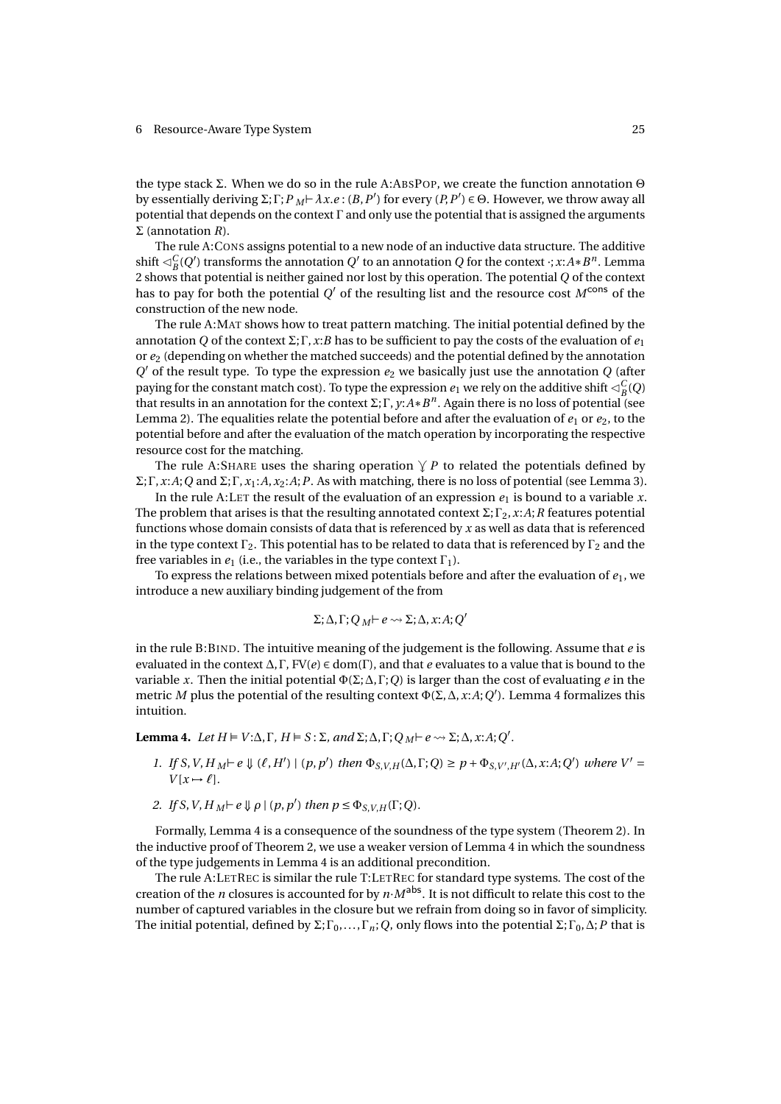#### 6 Resource-Aware Type System 25

the type stack Σ. When we do so in the rule A:ABSPOP, we create the function annotation Θ by essentially deriving  $\Sigma$ ;  $\Gamma$ ;  $P_M \vdash \lambda x.e$  : ( $B, P'$ ) for every ( $P, P'$ )  $\in \Theta$ . However, we throw away all potential that depends on the context  $\Gamma$  and only use the potential that is assigned the arguments Σ (annotation *R*).

The rule A:CONS assigns potential to a new node of an inductive data structure. The additive shift  $\lhd_B^C(Q')$  transforms the annotation  $Q'$  to an annotation  $Q$  for the context  $\cdot$ ; *x*: $A*B^n$ . Lemma 2 shows that potential is neither gained nor lost by this operation. The potential *Q* of the context has to pay for both the potential *Q'* of the resulting list and the resource cost *M*<sup>cons</sup> of the construction of the new node.

The rule A:MAT shows how to treat pattern matching. The initial potential defined by the annotation *Q* of the context  $\Sigma$ ; Γ, *x*:*B* has to be sufficient to pay the costs of the evaluation of  $e_1$ or *e*<sup>2</sup> (depending on whether the matched succeeds) and the potential defined by the annotation  $Q'$  of the result type. To type the expression  $e_2$  we basically just use the annotation  $Q$  (after paying for the constant match cost). To type the expression  $e_1$  we rely on the additive shift  $\lhd_B^C(Q)$ that results in an annotation for the context Σ;Γ, *y*:*A*∗*B n* . Again there is no loss of potential (see Lemma 2). The equalities relate the potential before and after the evaluation of  $e_1$  or  $e_2$ , to the potential before and after the evaluation of the match operation by incorporating the respective resource cost for the matching.

The rule A:SHARE uses the sharing operation  $\gamma$  *P* to related the potentials defined by  $\Sigma$ ; Γ, *x*:*A*; *Q* and  $\Sigma$ ; Γ, *x*<sub>1</sub>:*A*, *x*<sub>2</sub>:*A*; *P*. As with matching, there is no loss of potential (see Lemma 3).

In the rule A:LET the result of the evaluation of an expression  $e_1$  is bound to a variable *x*. The problem that arises is that the resulting annotated context  $\Sigma$ ;  $\Gamma_2$ , *x*:*A*; *R* features potential functions whose domain consists of data that is referenced by *x* as well as data that is referenced in the type context  $\Gamma_2$ . This potential has to be related to data that is referenced by  $\Gamma_2$  and the free variables in  $e_1$  (i.e., the variables in the type context  $\Gamma_1$ ).

To express the relations between mixed potentials before and after the evaluation of  $e_1$ , we introduce a new auxiliary binding judgement of the from

$$
\Sigma; \Delta, \Gamma; Q_M \vdash e \leadsto \Sigma; \Delta, x; A; Q'
$$

in the rule B:BIND. The intuitive meaning of the judgement is the following. Assume that *e* is evaluated in the context ∆,Γ, FV(*e*) ∈ dom(Γ), and that *e* evaluates to a value that is bound to the variable *x*. Then the initial potential Φ(Σ;∆,Γ;*Q*) is larger than the cost of evaluating *e* in the metric *M* plus the potential of the resulting context Φ(Σ,∆,*x*:*A*;*Q* 0 ). Lemma 4 formalizes this intuition.

**Lemma 4.** *Let H*  $\models$  *V*: $\Delta$ ,  $\Gamma$ ,  $H \models S : \Sigma$ , and  $\Sigma$ ;  $\Delta$ ,  $\Gamma$ ;  $Q_M \vdash e \leadsto \Sigma$ ;  $\Delta$ ,  $x : A$ ;  $Q'$ .

- 1. If S, V, H<sub>M</sub> $\vdash$  e  $\Downarrow$  ( $\ell$ , H') | (p, p') then  $\Phi_{S,V,H}(\Delta,\Gamma;Q) \geq p + \Phi_{S,V',H'}(\Delta,x:A;Q')$  where  $V' =$  $V[x \rightarrow \ell]$ .
- 2. *If S*, *V*, *H*<sub>*M*</sub><sup> $\vdash$ </sup> *e*  $\Downarrow$  *ρ* | (*p*, *p*<sup> $\prime$ </sup>) *then p*  $\leq$   $\Phi$ <sub>*S*</sub>,*v*,*H*(**Γ**; *Q*).

Formally, Lemma 4 is a consequence of the soundness of the type system (Theorem 2). In the inductive proof of Theorem 2, we use a weaker version of Lemma 4 in which the soundness of the type judgements in Lemma 4 is an additional precondition.

The rule A:LETREC is similar the rule T:LETREC for standard type systems. The cost of the creation of the *n* closures is accounted for by  $n \cdot M^{abs}$ . It is not difficult to relate this cost to the number of captured variables in the closure but we refrain from doing so in favor of simplicity. The initial potential, defined by  $\Sigma$ ; Γ<sub>0</sub>,...,Γ<sub>*n*</sub>; *Q*, only flows into the potential  $\Sigma$ ; Γ<sub>0</sub>, Δ; *P* that is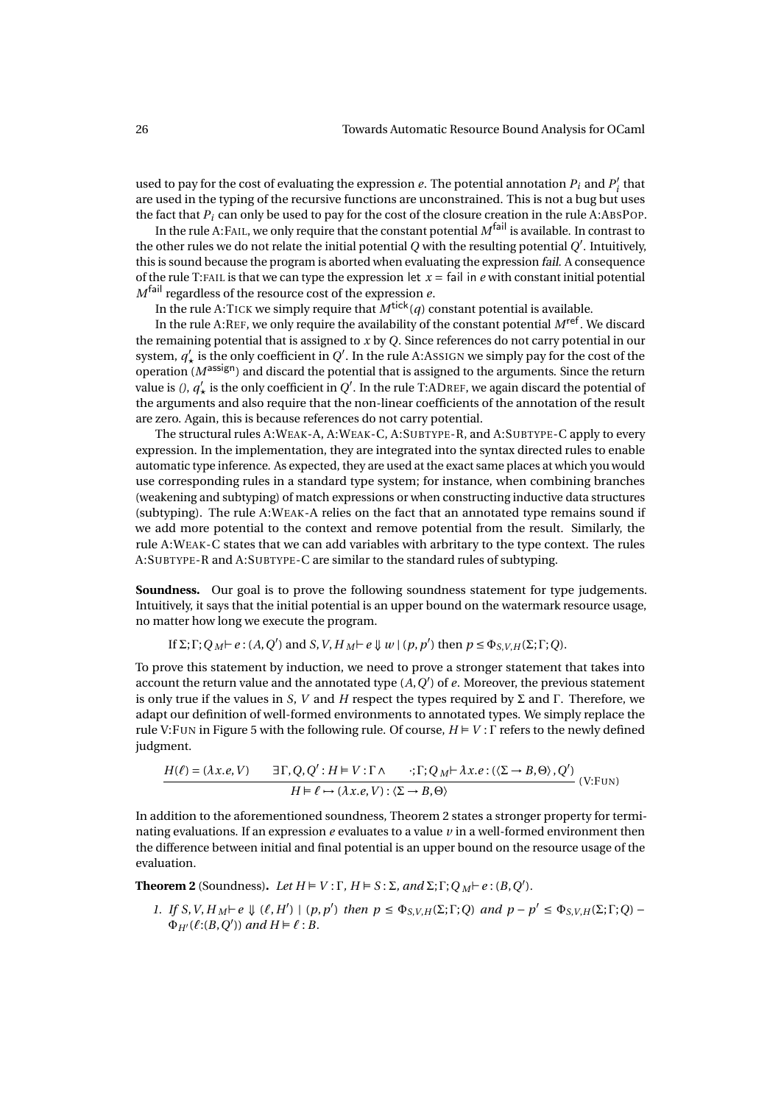used to pay for the cost of evaluating the expression *e*. The potential annotation  $P_i$  and  $P_i^j$  $b_i'$  that are used in the typing of the recursive functions are unconstrained. This is not a bug but uses the fact that  $P_i$  can only be used to pay for the cost of the closure creation in the rule A:ABSPOP.

In the rule A:FAIL, we only require that the constant potential  $M^{\text{fail}}$  is available. In contrast to the other rules we do not relate the initial potential *Q* with the resulting potential *Q* 0 . Intuitively, this is sound because the program is aborted when evaluating the expression fail. A consequence of the rule T:FAIL is that we can type the expression let  $x = \text{fail}$  in *e* with constant initial potential *M*fail regardless of the resource cost of the expression *e*.

In the rule A:TICK we simply require that  $M<sup>tick</sup>(q)$  constant potential is available.

In the rule A:REF, we only require the availability of the constant potential *M*ref. We discard the remaining potential that is assigned to *x* by *Q*. Since references do not carry potential in our system,  $q'_{\star}$  is the only coefficient in *Q'*. In the rule A:Assign we simply pay for the cost of the operation ( $M^{assign}$ ) and discard the potential that is assigned to the arguments. Since the return value is  $(0, q'_\star)$  is the only coefficient in  $Q'$ . In the rule T:ADREF, we again discard the potential of the arguments and also require that the non-linear coefficients of the annotation of the result are zero. Again, this is because references do not carry potential.

The structural rules A:WEAK-A, A:WEAK-C, A:SUBTYPE-R, and A:SUBTYPE-C apply to every expression. In the implementation, they are integrated into the syntax directed rules to enable automatic type inference. As expected, they are used at the exact same places at which you would use corresponding rules in a standard type system; for instance, when combining branches (weakening and subtyping) of match expressions or when constructing inductive data structures (subtyping). The rule A:WEAK-A relies on the fact that an annotated type remains sound if we add more potential to the context and remove potential from the result. Similarly, the rule A:WEAK-C states that we can add variables with arbritary to the type context. The rules A:SUBTYPE-R and A:SUBTYPE-C are similar to the standard rules of subtyping.

**Soundness.** Our goal is to prove the following soundness statement for type judgements. Intuitively, it says that the initial potential is an upper bound on the watermark resource usage, no matter how long we execute the program.

If 
$$
\Sigma
$$
;  $\Gamma$ ;  $Q_M \vdash e : (A, Q')$  and  $S, V, H_M \vdash e \Downarrow w \mid (p, p')$  then  $p \le \Phi_{S, V, H}(\Sigma; \Gamma; Q)$ .

To prove this statement by induction, we need to prove a stronger statement that takes into account the return value and the annotated type  $(A, Q')$  of  $e$ . Moreover, the previous statement is only true if the values in *S*, *V* and *H* respect the types required by  $\Sigma$  and  $\Gamma$ . Therefore, we adapt our definition of well-formed environments to annotated types. We simply replace the rule V:FUN in Figure 5 with the following rule. Of course,  $H \models V : \Gamma$  refers to the newly defined judgment.

$$
\frac{H(\ell) = (\lambda x. e, V)}{H \models \ell \rightarrow (\lambda x. e, V) : K \models V : \Gamma \land \dots; \Gamma; Q_M \vdash \lambda x. e : (\langle \Sigma \rightarrow B, \Theta \rangle, Q')}{H \models \ell \rightarrow (\lambda x. e, V) : \langle \Sigma \rightarrow B, \Theta \rangle}
$$
 (V:FUN)

In addition to the aforementioned soundness, Theorem 2 states a stronger property for terminating evaluations. If an expression  $e$  evaluates to a value  $\nu$  in a well-formed environment then the difference between initial and final potential is an upper bound on the resource usage of the evaluation.

**Theorem 2** (Soundness). Let  $H \models V : \Gamma$ ,  $H \models S : \Sigma$ , and  $\Sigma$ ;  $\Gamma$ ;  $Q_M \vdash e : (B, Q')$ .

1. If S, V, H<sub>M</sub> $\vdash$  e  $\Downarrow$  ( $\ell$ , H') | (p, p') then  $p \leq \Phi_{S,V,H}(\Sigma;\Gamma;Q)$  and  $p - p' \leq \Phi_{S,V,H}(\Sigma;\Gamma;Q)$  - $\Phi_{H}(\ell:(B, Q'))$  and  $H \models \ell : B$ .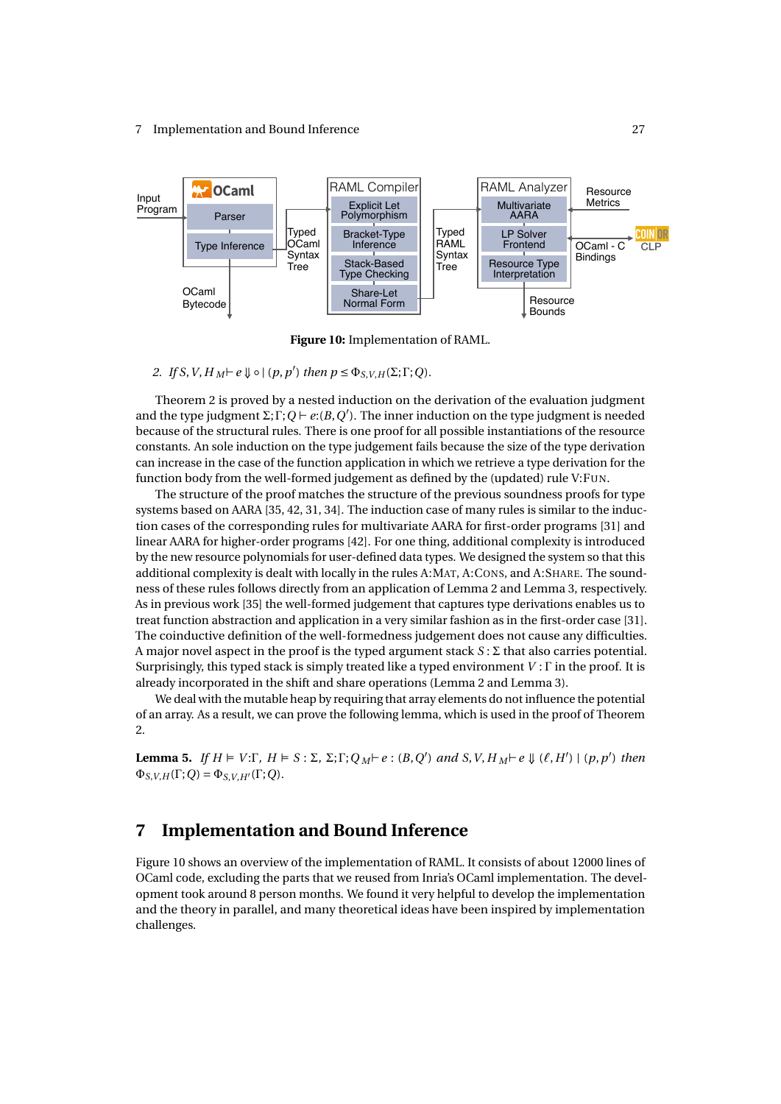#### 7 Implementation and Bound Inference 27



**Figure 10:** Implementation of RAML.

2. *If S*, *V*, *H*<sub>*M*</sub><sup> $\vdash$ *e*  $\Downarrow$  ∘ | (*p*, *p*<sup> $\prime$ </sup>) *then p* ≤  $\Phi$ <sub>*S*</sub>,*v*,*H*(**Σ**;**Γ**;*Q*).</sup>

Theorem 2 is proved by a nested induction on the derivation of the evaluation judgment and the type judgment  $\Sigma$ ;  $\Gamma$ ;  $Q \vdash e$ :( $B$ ,  $Q'$ ). The inner induction on the type judgment is needed because of the structural rules. There is one proof for all possible instantiations of the resource constants. An sole induction on the type judgement fails because the size of the type derivation can increase in the case of the function application in which we retrieve a type derivation for the function body from the well-formed judgement as defined by the (updated) rule V:FUN.

The structure of the proof matches the structure of the previous soundness proofs for type systems based on AARA [35, 42, 31, 34]. The induction case of many rules is similar to the induction cases of the corresponding rules for multivariate AARA for first-order programs [31] and linear AARA for higher-order programs [42]. For one thing, additional complexity is introduced by the new resource polynomials for user-defined data types. We designed the system so that this additional complexity is dealt with locally in the rules A:MAT, A:CONS, and A:SHARE. The soundness of these rules follows directly from an application of Lemma 2 and Lemma 3, respectively. As in previous work [35] the well-formed judgement that captures type derivations enables us to treat function abstraction and application in a very similar fashion as in the first-order case [31]. The coinductive definition of the well-formedness judgement does not cause any difficulties. A major novel aspect in the proof is the typed argument stack *S* : Σ that also carries potential. Surprisingly, this typed stack is simply treated like a typed environment *V* : Γ in the proof. It is already incorporated in the shift and share operations (Lemma 2 and Lemma 3).

We deal with the mutable heap by requiring that array elements do not influence the potential of an array. As a result, we can prove the following lemma, which is used in the proof of Theorem 2.

**Lemma 5.** If  $H \models V:\Gamma$ ,  $H \models S : \Sigma$ ,  $\Sigma$ ;  $\Gamma$ ;  $Q_M \vdash e : (B, Q')$  and  $S$ ,  $V$ ,  $H_M \vdash e \Downarrow (\ell, H') \mid (p, p')$  then  $\Phi_{S,V,H}(\Gamma;Q) = \Phi_{S,V,H'}(\Gamma;Q)$ .

## **7 Implementation and Bound Inference**

Figure 10 shows an overview of the implementation of RAML. It consists of about 12000 lines of OCaml code, excluding the parts that we reused from Inria's OCaml implementation. The development took around 8 person months. We found it very helpful to develop the implementation and the theory in parallel, and many theoretical ideas have been inspired by implementation challenges.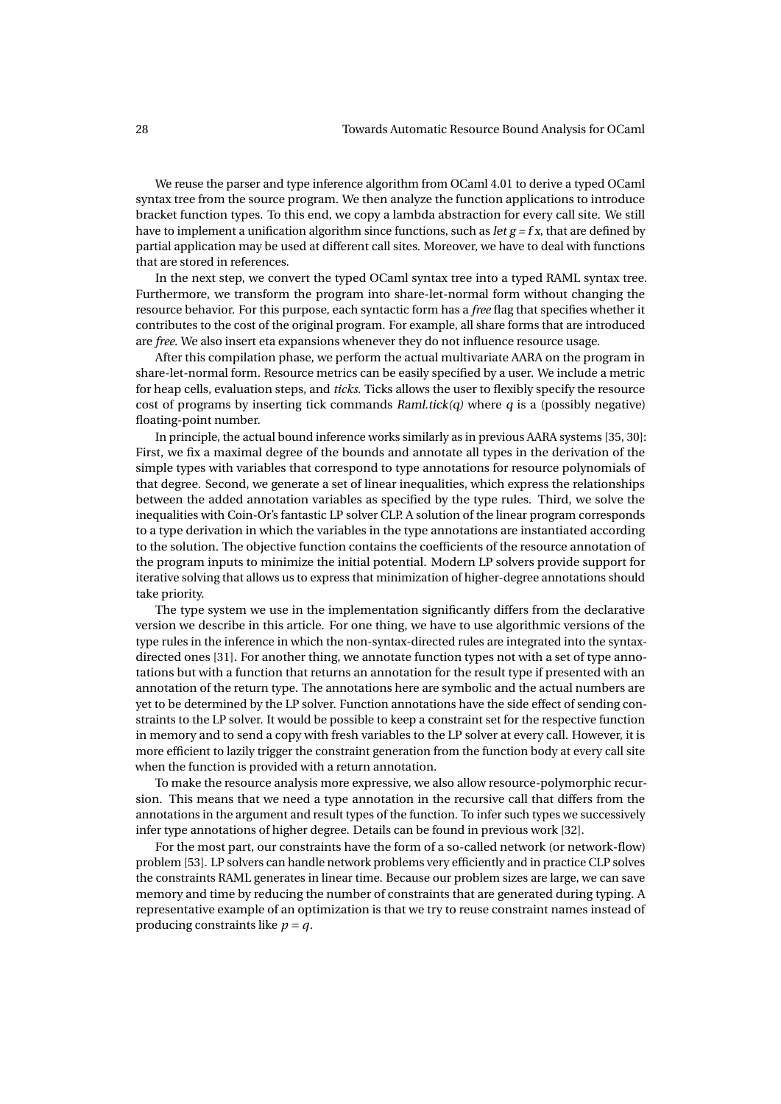We reuse the parser and type inference algorithm from OCaml 4.01 to derive a typed OCaml syntax tree from the source program. We then analyze the function applications to introduce bracket function types. To this end, we copy a lambda abstraction for every call site. We still have to implement a unification algorithm since functions, such as  $let g = fx$ , that are defined by partial application may be used at different call sites. Moreover, we have to deal with functions that are stored in references.

In the next step, we convert the typed OCaml syntax tree into a typed RAML syntax tree. Furthermore, we transform the program into share-let-normal form without changing the resource behavior. For this purpose, each syntactic form has a *free* flag that specifies whether it contributes to the cost of the original program. For example, all share forms that are introduced are *free*. We also insert eta expansions whenever they do not influence resource usage.

After this compilation phase, we perform the actual multivariate AARA on the program in share-let-normal form. Resource metrics can be easily specified by a user. We include a metric for heap cells, evaluation steps, and *ticks*. Ticks allows the user to flexibly specify the resource cost of programs by inserting tick commands Raml.tick(q) where q is a (possibly negative) floating-point number.

In principle, the actual bound inference works similarly as in previous AARA systems [35, 30]: First, we fix a maximal degree of the bounds and annotate all types in the derivation of the simple types with variables that correspond to type annotations for resource polynomials of that degree. Second, we generate a set of linear inequalities, which express the relationships between the added annotation variables as specified by the type rules. Third, we solve the inequalities with Coin-Or's fantastic LP solver CLP. A solution of the linear program corresponds to a type derivation in which the variables in the type annotations are instantiated according to the solution. The objective function contains the coefficients of the resource annotation of the program inputs to minimize the initial potential. Modern LP solvers provide support for iterative solving that allows us to express that minimization of higher-degree annotations should take priority.

The type system we use in the implementation significantly differs from the declarative version we describe in this article. For one thing, we have to use algorithmic versions of the type rules in the inference in which the non-syntax-directed rules are integrated into the syntaxdirected ones [31]. For another thing, we annotate function types not with a set of type annotations but with a function that returns an annotation for the result type if presented with an annotation of the return type. The annotations here are symbolic and the actual numbers are yet to be determined by the LP solver. Function annotations have the side effect of sending constraints to the LP solver. It would be possible to keep a constraint set for the respective function in memory and to send a copy with fresh variables to the LP solver at every call. However, it is more efficient to lazily trigger the constraint generation from the function body at every call site when the function is provided with a return annotation.

To make the resource analysis more expressive, we also allow resource-polymorphic recursion. This means that we need a type annotation in the recursive call that differs from the annotations in the argument and result types of the function. To infer such types we successively infer type annotations of higher degree. Details can be found in previous work [32].

For the most part, our constraints have the form of a so-called network (or network-flow) problem [53]. LP solvers can handle network problems very efficiently and in practice CLP solves the constraints RAML generates in linear time. Because our problem sizes are large, we can save memory and time by reducing the number of constraints that are generated during typing. A representative example of an optimization is that we try to reuse constraint names instead of producing constraints like *p* = *q*.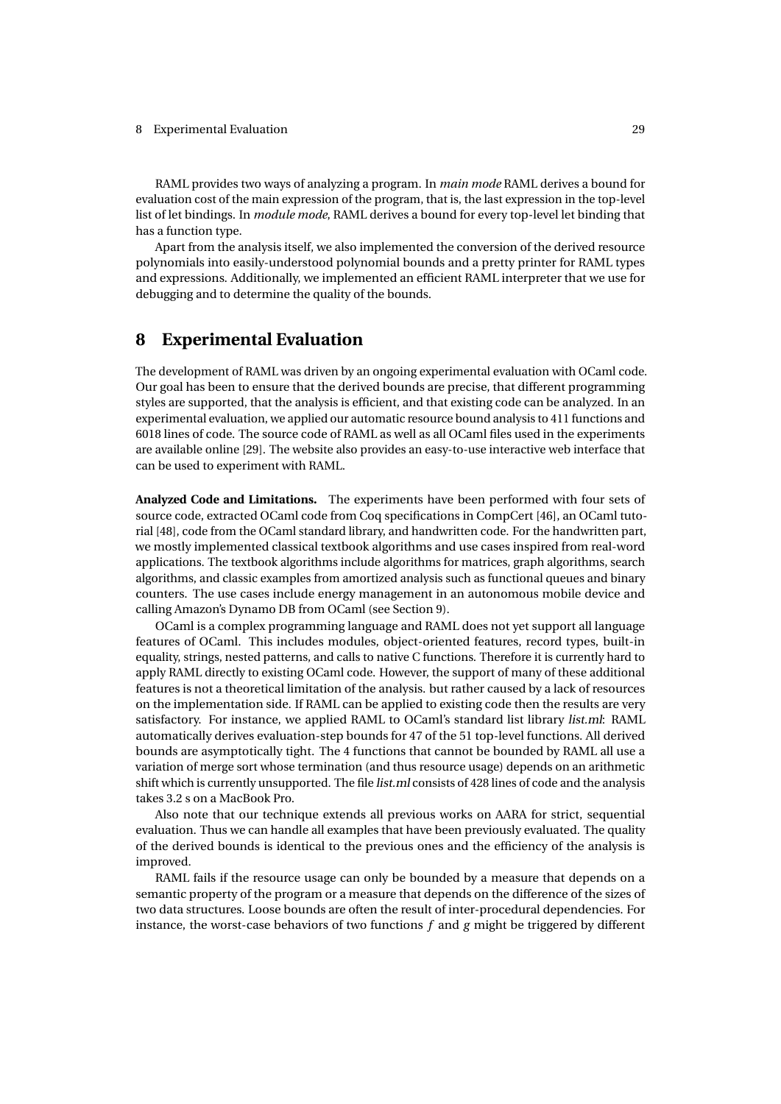#### 8 Experimental Evaluation 29

RAML provides two ways of analyzing a program. In *main mode* RAML derives a bound for evaluation cost of the main expression of the program, that is, the last expression in the top-level list of let bindings. In *module mode*, RAML derives a bound for every top-level let binding that has a function type.

Apart from the analysis itself, we also implemented the conversion of the derived resource polynomials into easily-understood polynomial bounds and a pretty printer for RAML types and expressions. Additionally, we implemented an efficient RAML interpreter that we use for debugging and to determine the quality of the bounds.

## **8 Experimental Evaluation**

The development of RAML was driven by an ongoing experimental evaluation with OCaml code. Our goal has been to ensure that the derived bounds are precise, that different programming styles are supported, that the analysis is efficient, and that existing code can be analyzed. In an experimental evaluation, we applied our automatic resource bound analysis to 411 functions and 6018 lines of code. The source code of RAML as well as all OCaml files used in the experiments are available online [29]. The website also provides an easy-to-use interactive web interface that can be used to experiment with RAML.

**Analyzed Code and Limitations.** The experiments have been performed with four sets of source code, extracted OCaml code from Coq specifications in CompCert [46], an OCaml tutorial [48], code from the OCaml standard library, and handwritten code. For the handwritten part, we mostly implemented classical textbook algorithms and use cases inspired from real-word applications. The textbook algorithms include algorithms for matrices, graph algorithms, search algorithms, and classic examples from amortized analysis such as functional queues and binary counters. The use cases include energy management in an autonomous mobile device and calling Amazon's Dynamo DB from OCaml (see Section 9).

OCaml is a complex programming language and RAML does not yet support all language features of OCaml. This includes modules, object-oriented features, record types, built-in equality, strings, nested patterns, and calls to native C functions. Therefore it is currently hard to apply RAML directly to existing OCaml code. However, the support of many of these additional features is not a theoretical limitation of the analysis. but rather caused by a lack of resources on the implementation side. If RAML can be applied to existing code then the results are very satisfactory. For instance, we applied RAML to OCaml's standard list library list.ml: RAML automatically derives evaluation-step bounds for 47 of the 51 top-level functions. All derived bounds are asymptotically tight. The 4 functions that cannot be bounded by RAML all use a variation of merge sort whose termination (and thus resource usage) depends on an arithmetic shift which is currently unsupported. The file list.ml consists of 428 lines of code and the analysis takes 3.2 s on a MacBook Pro.

Also note that our technique extends all previous works on AARA for strict, sequential evaluation. Thus we can handle all examples that have been previously evaluated. The quality of the derived bounds is identical to the previous ones and the efficiency of the analysis is improved.

RAML fails if the resource usage can only be bounded by a measure that depends on a semantic property of the program or a measure that depends on the difference of the sizes of two data structures. Loose bounds are often the result of inter-procedural dependencies. For instance, the worst-case behaviors of two functions *f* and *g* might be triggered by different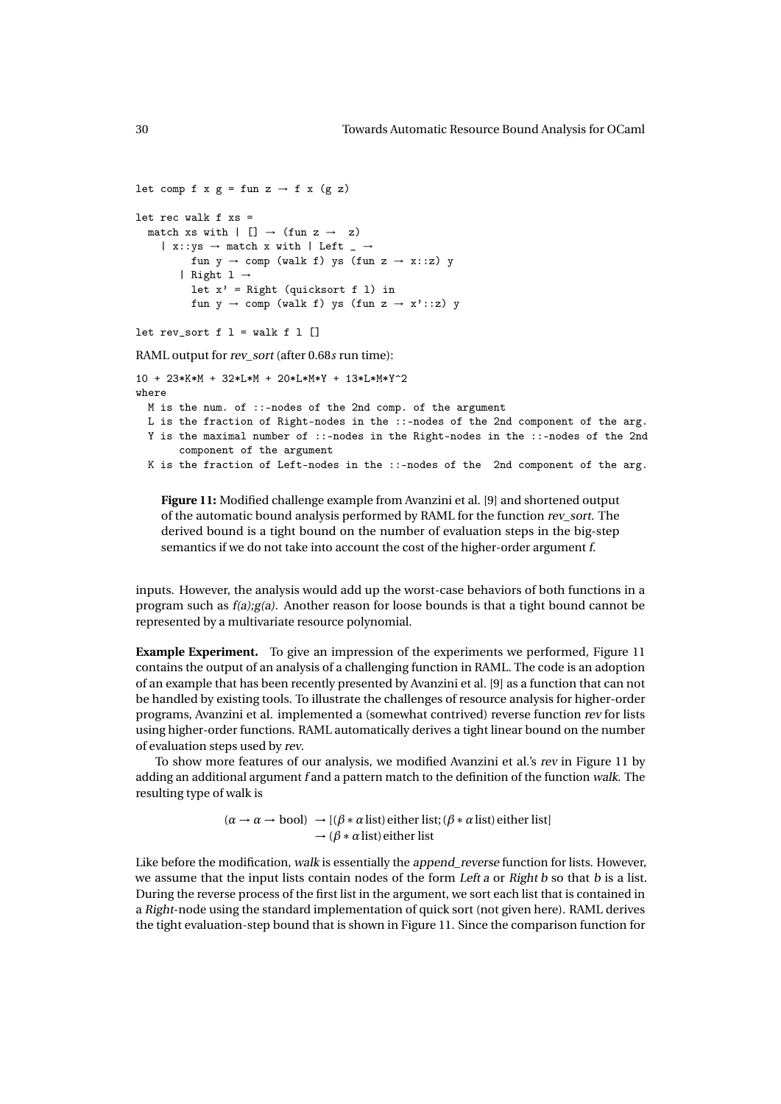```
let comp f x g = \text{fun } z \rightarrow f x (g z)let rec walk f xs =
  match xs with | | \rightarrow (fun z \rightarrow z)
    | x::ys \rightarrow match x with | Left _ \rightarrowfun y \rightarrow comp (walk f) ys (fun z \rightarrow x::z) y
        | Right l →
          let x' = Right (quicksort f 1) in
          fun y \rightarrow comp (walk f) ys (fun z \rightarrow x'::z) y
let rev_sort f l = walk f l []RAML output for rev_sort (after 0.68s run time):
10 + 23*K*M + 32*L*M + 20*L*M*Y + 13*L*M*Y^2
where
  M is the num. of ::-nodes of the 2nd comp. of the argument
  L is the fraction of Right-nodes in the ::-nodes of the 2nd component of the arg.
  Y is the maximal number of ::-nodes in the Right-nodes in the ::-nodes of the 2nd
        component of the argument
```
K is the fraction of Left-nodes in the ::-nodes of the 2nd component of the arg.

**Figure 11:** Modified challenge example from Avanzini et al. [9] and shortened output of the automatic bound analysis performed by RAML for the function rev\_sort. The derived bound is a tight bound on the number of evaluation steps in the big-step semantics if we do not take into account the cost of the higher-order argument f.

inputs. However, the analysis would add up the worst-case behaviors of both functions in a program such as f(a);g(a). Another reason for loose bounds is that a tight bound cannot be represented by a multivariate resource polynomial.

**Example Experiment.** To give an impression of the experiments we performed, Figure 11 contains the output of an analysis of a challenging function in RAML. The code is an adoption of an example that has been recently presented by Avanzini et al. [9] as a function that can not be handled by existing tools. To illustrate the challenges of resource analysis for higher-order programs, Avanzini et al. implemented a (somewhat contrived) reverse function rev for lists using higher-order functions. RAML automatically derives a tight linear bound on the number of evaluation steps used by rev.

To show more features of our analysis, we modified Avanzini et al.'s rev in Figure 11 by adding an additional argument f and a pattern match to the definition of the function walk. The resulting type of walk is

> $(\alpha \rightarrow \alpha \rightarrow \text{bool}) \rightarrow [(\beta * \alpha \text{ list}) \text{ either list}; (\beta * \alpha \text{ list}) \text{ either list}]$ → (*β*∗*α*list) either list

Like before the modification, walk is essentially the append\_reverse function for lists. However, we assume that the input lists contain nodes of the form Left a or Right  $b$  so that  $b$  is a list. During the reverse process of the first list in the argument, we sort each list that is contained in a Right-node using the standard implementation of quick sort (not given here). RAML derives the tight evaluation-step bound that is shown in Figure 11. Since the comparison function for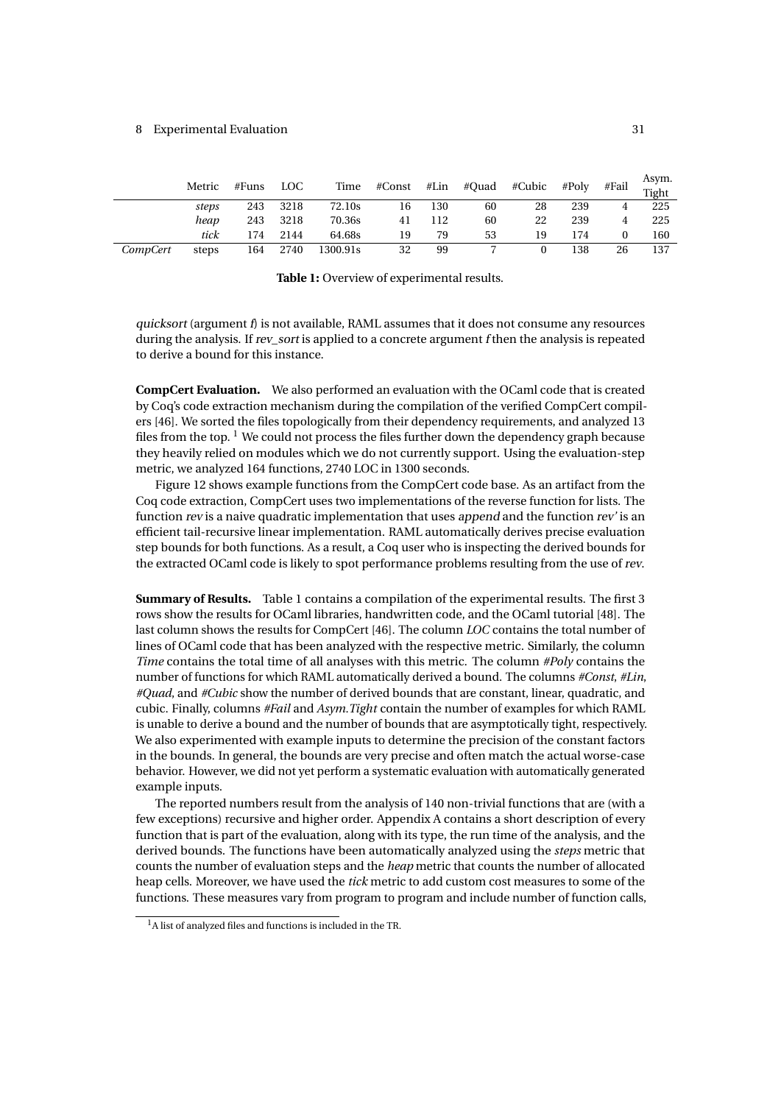|          |             | Metric #Funs LOC |          |          |    |     |    | Time #Const #Lin #Quad #Cubic #Poly #Fail |     |    | Asym.<br>Tight |
|----------|-------------|------------------|----------|----------|----|-----|----|-------------------------------------------|-----|----|----------------|
|          | steps       |                  | 243 3218 | 72.10s   | 16 | 130 | 60 | 28                                        | 239 |    | 225            |
|          | heap        |                  | 243 3218 | 70.36s   | 41 | 112 | 60 | 22                                        | 239 |    | 225            |
|          | <i>tick</i> |                  | 174 2144 | 64.68s   | 19 | 79  | 53 | 19                                        | 174 |    | 160            |
| CompCert | steps       | 164              | 2740     | 1300.91s | 32 | 99  |    |                                           | 138 | 26 | 137            |

**Table 1:** Overview of experimental results.

quicksort (argument  $f$ ) is not available, RAML assumes that it does not consume any resources during the analysis. If rev sort is applied to a concrete argument f then the analysis is repeated to derive a bound for this instance.

**CompCert Evaluation.** We also performed an evaluation with the OCaml code that is created by Coq's code extraction mechanism during the compilation of the verified CompCert compilers [46]. We sorted the files topologically from their dependency requirements, and analyzed 13 files from the top.  $\frac{1}{1}$  We could not process the files further down the dependency graph because they heavily relied on modules which we do not currently support. Using the evaluation-step metric, we analyzed 164 functions, 2740 LOC in 1300 seconds.

Figure 12 shows example functions from the CompCert code base. As an artifact from the Coq code extraction, CompCert uses two implementations of the reverse function for lists. The function rev is a naive quadratic implementation that uses append and the function rev' is an efficient tail-recursive linear implementation. RAML automatically derives precise evaluation step bounds for both functions. As a result, a Coq user who is inspecting the derived bounds for the extracted OCaml code is likely to spot performance problems resulting from the use of rev.

**Summary of Results.** Table 1 contains a compilation of the experimental results. The first 3 rows show the results for OCaml libraries, handwritten code, and the OCaml tutorial [48]. The last column shows the results for CompCert [46]. The column *LOC* contains the total number of lines of OCaml code that has been analyzed with the respective metric. Similarly, the column *Time* contains the total time of all analyses with this metric. The column *#Poly* contains the number of functions for which RAML automatically derived a bound. The columns *#Const*, *#Lin*, *#Quad*, and *#Cubic* show the number of derived bounds that are constant, linear, quadratic, and cubic. Finally, columns *#Fail* and *Asym.Tight* contain the number of examples for which RAML is unable to derive a bound and the number of bounds that are asymptotically tight, respectively. We also experimented with example inputs to determine the precision of the constant factors in the bounds. In general, the bounds are very precise and often match the actual worse-case behavior. However, we did not yet perform a systematic evaluation with automatically generated example inputs.

The reported numbers result from the analysis of 140 non-trivial functions that are (with a few exceptions) recursive and higher order. Appendix A contains a short description of every function that is part of the evaluation, along with its type, the run time of the analysis, and the derived bounds. The functions have been automatically analyzed using the *steps* metric that counts the number of evaluation steps and the *heap* metric that counts the number of allocated heap cells. Moreover, we have used the *tick* metric to add custom cost measures to some of the functions. These measures vary from program to program and include number of function calls,

 $<sup>1</sup>A$  list of analyzed files and functions is included in the TR.</sup>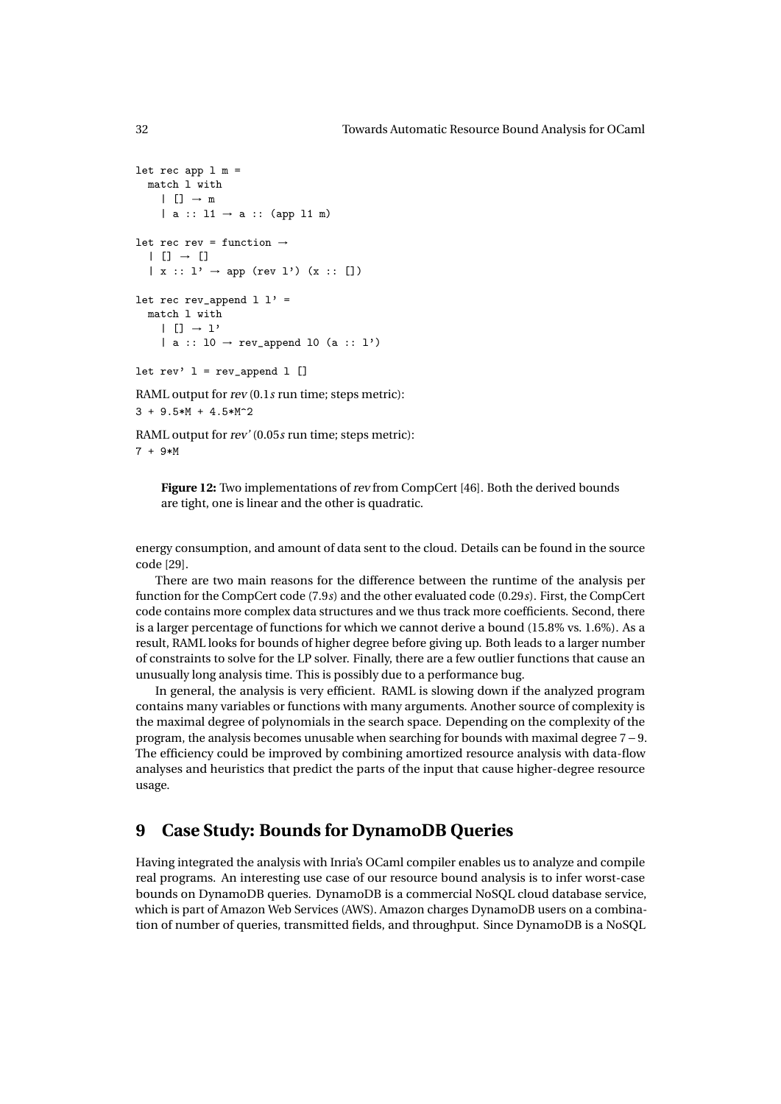```
let rec app l m =
  match l with
     | | | \rightarrow m
     | a :: 11 \rightarrow a :: (app 11 m)let rec rev = function \rightarrow| \Box \rightarrow \Box| x :: 1' \rightarrow app (rev 1') (x :: [])let rec rev_append 1 1' =match l with
     | | | \rightarrow 1'
     | a :: 10 \rightarrow \text{rev} append 10 (a :: 1')
let rev' l = rev append 1 []
```
RAML output for rev (0.1*s* run time; steps metric):  $3 + 9.5*M + 4.5*M^2$ 

RAML output for rev' (0.05*s* run time; steps metric):  $7 + 9*M$ 

**Figure 12:** Two implementations of rev from CompCert [46]. Both the derived bounds are tight, one is linear and the other is quadratic.

energy consumption, and amount of data sent to the cloud. Details can be found in the source code [29].

There are two main reasons for the difference between the runtime of the analysis per function for the CompCert code (7.9*s*) and the other evaluated code (0.29*s*). First, the CompCert code contains more complex data structures and we thus track more coefficients. Second, there is a larger percentage of functions for which we cannot derive a bound (15.8% vs. 1.6%). As a result, RAML looks for bounds of higher degree before giving up. Both leads to a larger number of constraints to solve for the LP solver. Finally, there are a few outlier functions that cause an unusually long analysis time. This is possibly due to a performance bug.

In general, the analysis is very efficient. RAML is slowing down if the analyzed program contains many variables or functions with many arguments. Another source of complexity is the maximal degree of polynomials in the search space. Depending on the complexity of the program, the analysis becomes unusable when searching for bounds with maximal degree 7−9. The efficiency could be improved by combining amortized resource analysis with data-flow analyses and heuristics that predict the parts of the input that cause higher-degree resource usage.

## **9 Case Study: Bounds for DynamoDB Queries**

Having integrated the analysis with Inria's OCaml compiler enables us to analyze and compile real programs. An interesting use case of our resource bound analysis is to infer worst-case bounds on DynamoDB queries. DynamoDB is a commercial NoSQL cloud database service, which is part of Amazon Web Services (AWS). Amazon charges DynamoDB users on a combination of number of queries, transmitted fields, and throughput. Since DynamoDB is a NoSQL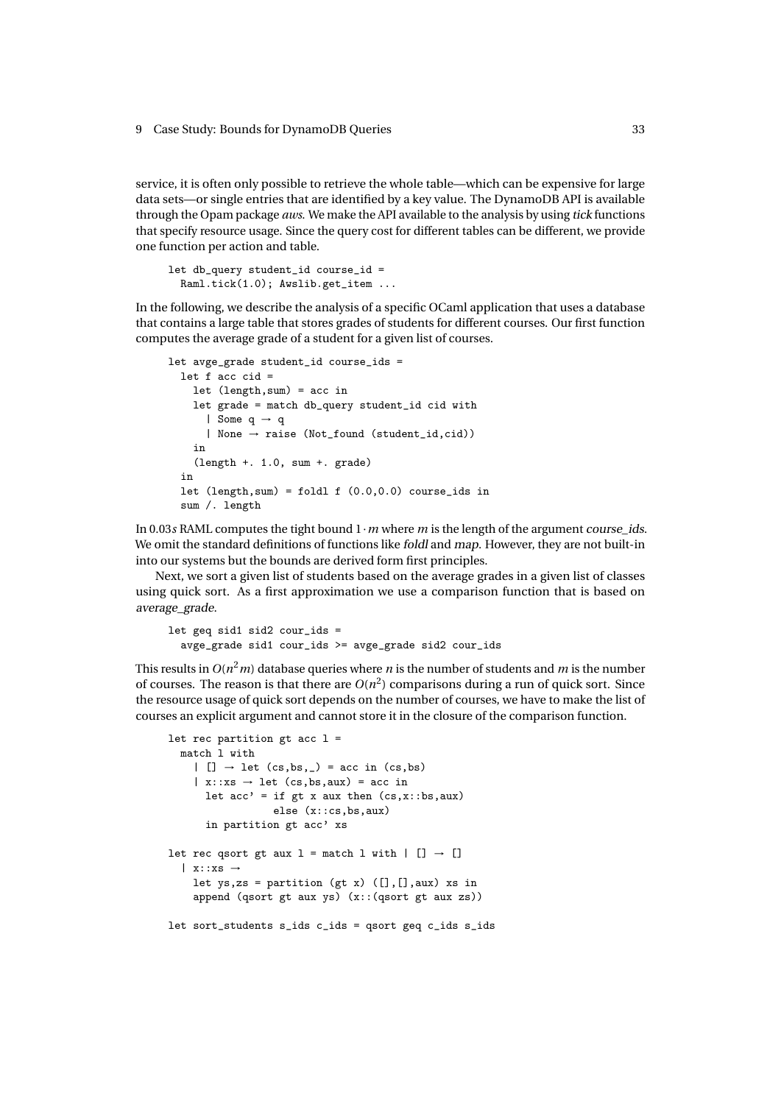service, it is often only possible to retrieve the whole table—which can be expensive for large data sets—or single entries that are identified by a key value. The DynamoDB API is available through the Opam package *aws*. We make the API available to the analysis by using tick functions that specify resource usage. Since the query cost for different tables can be different, we provide one function per action and table.

```
let db_query student_id course_id =
 Raml.tick(1.0); Awslib.get item ...
```
In the following, we describe the analysis of a specific OCaml application that uses a database that contains a large table that stores grades of students for different courses. Our first function computes the average grade of a student for a given list of courses.

```
let avge_grade student_id course_ids =
  let f acc cid =
    let (length,sum) = acc in
    let grade = match db_query student_id cid with
      | Some q \rightarrow q| None \rightarrow raise (Not_found (student_id,cid))
    in
    (length +. 1.0, sum +. grade)
  in
  let (length,sum) = fold 1 f (0.0,0.0) courseids insum /. length
```
In 0.03*s* RAML computes the tight bound  $1 \cdot m$  where *m* is the length of the argument course ids. We omit the standard definitions of functions like *foldl* and map. However, they are not built-in into our systems but the bounds are derived form first principles.

Next, we sort a given list of students based on the average grades in a given list of classes using quick sort. As a first approximation we use a comparison function that is based on average\_grade.

```
let geq sid1 sid2 cour\_ids =avge_grade sid1 cour_ids >= avge_grade sid2 cour_ids
```
This results in  $O(n^2m)$  database queries where  $n$  is the number of students and  $m$  is the number of courses. The reason is that there are  $O(n^2)$  comparisons during a run of quick sort. Since the resource usage of quick sort depends on the number of courses, we have to make the list of courses an explicit argument and cannot store it in the closure of the comparison function.

```
let rec partition gt acc l =match l with
    | | \rightarrow let (cs, bs, _) = acc in (cs, bs)| x: :xs \rightarrow let (cs,bs,aux) = acc inlet acc' = if gt x aux then (cs, x::bs, aux)else (x::cs,bs,aux)
      in partition gt acc' xs
let rec qsort gt aux l = match l with | [] \rightarrow []| x::xs -let ys, zs = partition (gt x) ([], [], aux) xs in
    append (qsort gt aux ys) (x::(qsort gt aux zs))
let sort_students s_ids c_ids = qsort geq c_ids s_ids
```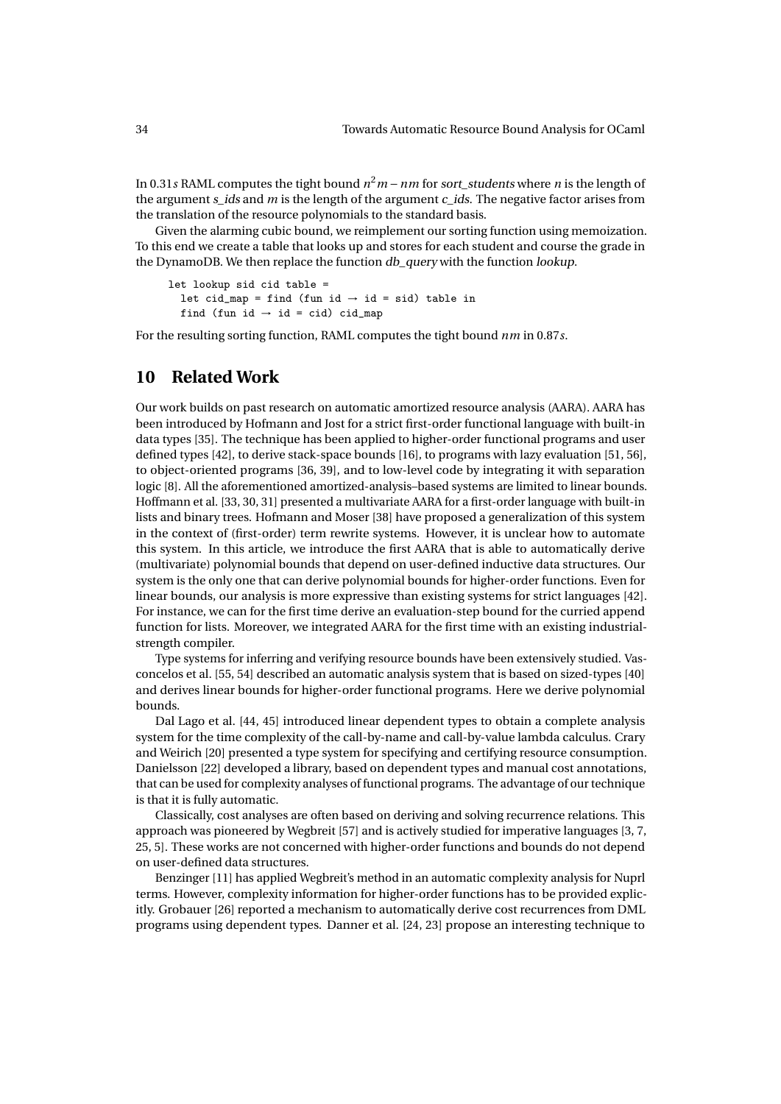In 0.31*s* RAML computes the tight bound *n* <sup>2</sup>*m* −*nm* for sort\_students where *n* is the length of the argument s ids and m is the length of the argument c ids. The negative factor arises from the translation of the resource polynomials to the standard basis.

Given the alarming cubic bound, we reimplement our sorting function using memoization. To this end we create a table that looks up and stores for each student and course the grade in the DynamoDB. We then replace the function db\_query with the function lookup.

```
let lookup sid cid table =
  let cid map = find (fun id \rightarrow id = sid) table in
  find (fun id \rightarrow id = cid) cid_map
```
For the resulting sorting function, RAML computes the tight bound *nm* in 0.87*s*.

## **10 Related Work**

Our work builds on past research on automatic amortized resource analysis (AARA). AARA has been introduced by Hofmann and Jost for a strict first-order functional language with built-in data types [35]. The technique has been applied to higher-order functional programs and user defined types [42], to derive stack-space bounds [16], to programs with lazy evaluation [51, 56], to object-oriented programs [36, 39], and to low-level code by integrating it with separation logic [8]. All the aforementioned amortized-analysis–based systems are limited to linear bounds. Hoffmann et al. [33, 30, 31] presented a multivariate AARA for a first-order language with built-in lists and binary trees. Hofmann and Moser [38] have proposed a generalization of this system in the context of (first-order) term rewrite systems. However, it is unclear how to automate this system. In this article, we introduce the first AARA that is able to automatically derive (multivariate) polynomial bounds that depend on user-defined inductive data structures. Our system is the only one that can derive polynomial bounds for higher-order functions. Even for linear bounds, our analysis is more expressive than existing systems for strict languages [42]. For instance, we can for the first time derive an evaluation-step bound for the curried append function for lists. Moreover, we integrated AARA for the first time with an existing industrialstrength compiler.

Type systems for inferring and verifying resource bounds have been extensively studied. Vasconcelos et al. [55, 54] described an automatic analysis system that is based on sized-types [40] and derives linear bounds for higher-order functional programs. Here we derive polynomial bounds.

Dal Lago et al. [44, 45] introduced linear dependent types to obtain a complete analysis system for the time complexity of the call-by-name and call-by-value lambda calculus. Crary and Weirich [20] presented a type system for specifying and certifying resource consumption. Danielsson [22] developed a library, based on dependent types and manual cost annotations, that can be used for complexity analyses of functional programs. The advantage of our technique is that it is fully automatic.

Classically, cost analyses are often based on deriving and solving recurrence relations. This approach was pioneered by Wegbreit [57] and is actively studied for imperative languages [3, 7, 25, 5]. These works are not concerned with higher-order functions and bounds do not depend on user-defined data structures.

Benzinger [11] has applied Wegbreit's method in an automatic complexity analysis for Nuprl terms. However, complexity information for higher-order functions has to be provided explicitly. Grobauer [26] reported a mechanism to automatically derive cost recurrences from DML programs using dependent types. Danner et al. [24, 23] propose an interesting technique to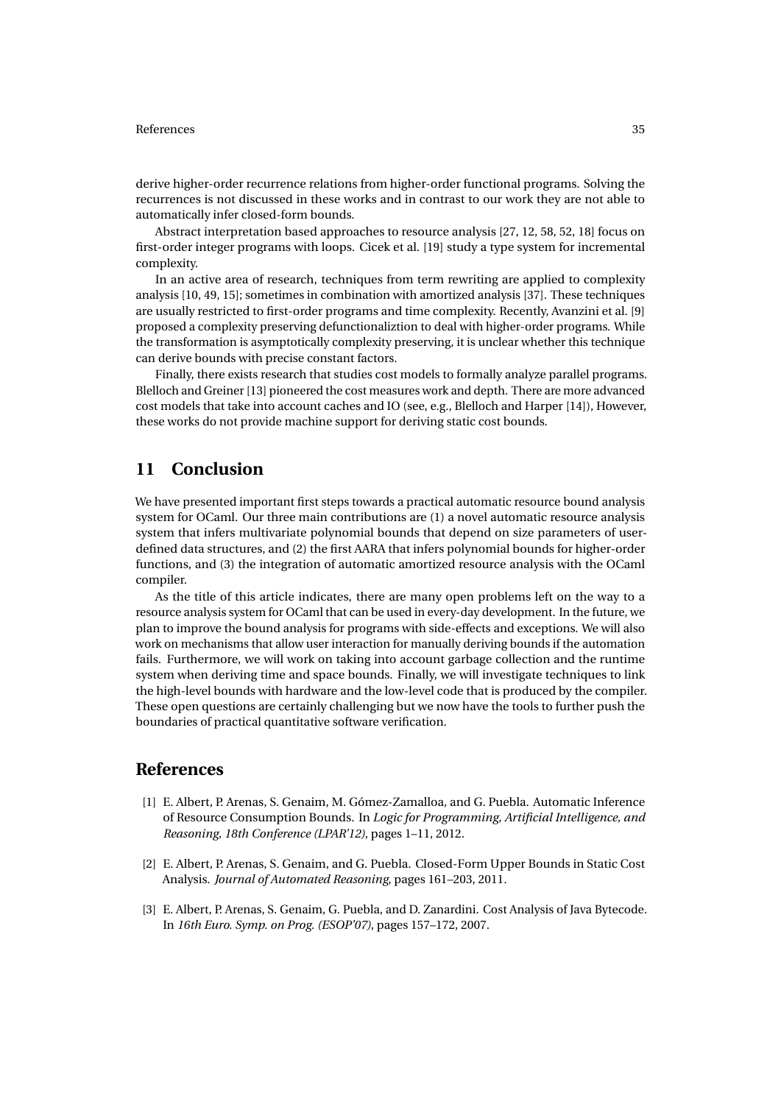#### References 35

derive higher-order recurrence relations from higher-order functional programs. Solving the recurrences is not discussed in these works and in contrast to our work they are not able to automatically infer closed-form bounds.

Abstract interpretation based approaches to resource analysis [27, 12, 58, 52, 18] focus on first-order integer programs with loops. Cicek et al. [19] study a type system for incremental complexity.

In an active area of research, techniques from term rewriting are applied to complexity analysis [10, 49, 15]; sometimes in combination with amortized analysis [37]. These techniques are usually restricted to first-order programs and time complexity. Recently, Avanzini et al. [9] proposed a complexity preserving defunctionaliztion to deal with higher-order programs. While the transformation is asymptotically complexity preserving, it is unclear whether this technique can derive bounds with precise constant factors.

Finally, there exists research that studies cost models to formally analyze parallel programs. Blelloch and Greiner [13] pioneered the cost measures work and depth. There are more advanced cost models that take into account caches and IO (see, e.g., Blelloch and Harper [14]), However, these works do not provide machine support for deriving static cost bounds.

## **11 Conclusion**

We have presented important first steps towards a practical automatic resource bound analysis system for OCaml. Our three main contributions are (1) a novel automatic resource analysis system that infers multivariate polynomial bounds that depend on size parameters of userdefined data structures, and (2) the first AARA that infers polynomial bounds for higher-order functions, and (3) the integration of automatic amortized resource analysis with the OCaml compiler.

As the title of this article indicates, there are many open problems left on the way to a resource analysis system for OCaml that can be used in every-day development. In the future, we plan to improve the bound analysis for programs with side-effects and exceptions. We will also work on mechanisms that allow user interaction for manually deriving bounds if the automation fails. Furthermore, we will work on taking into account garbage collection and the runtime system when deriving time and space bounds. Finally, we will investigate techniques to link the high-level bounds with hardware and the low-level code that is produced by the compiler. These open questions are certainly challenging but we now have the tools to further push the boundaries of practical quantitative software verification.

## **References**

- [1] E. Albert, P. Arenas, S. Genaim, M. Gómez-Zamalloa, and G. Puebla. Automatic Inference of Resource Consumption Bounds. In *Logic for Programming, Artificial Intelligence, and Reasoning, 18th Conference (LPAR'12)*, pages 1–11, 2012.
- [2] E. Albert, P. Arenas, S. Genaim, and G. Puebla. Closed-Form Upper Bounds in Static Cost Analysis. *Journal of Automated Reasoning*, pages 161–203, 2011.
- [3] E. Albert, P. Arenas, S. Genaim, G. Puebla, and D. Zanardini. Cost Analysis of Java Bytecode. In *16th Euro. Symp. on Prog. (ESOP'07)*, pages 157–172, 2007.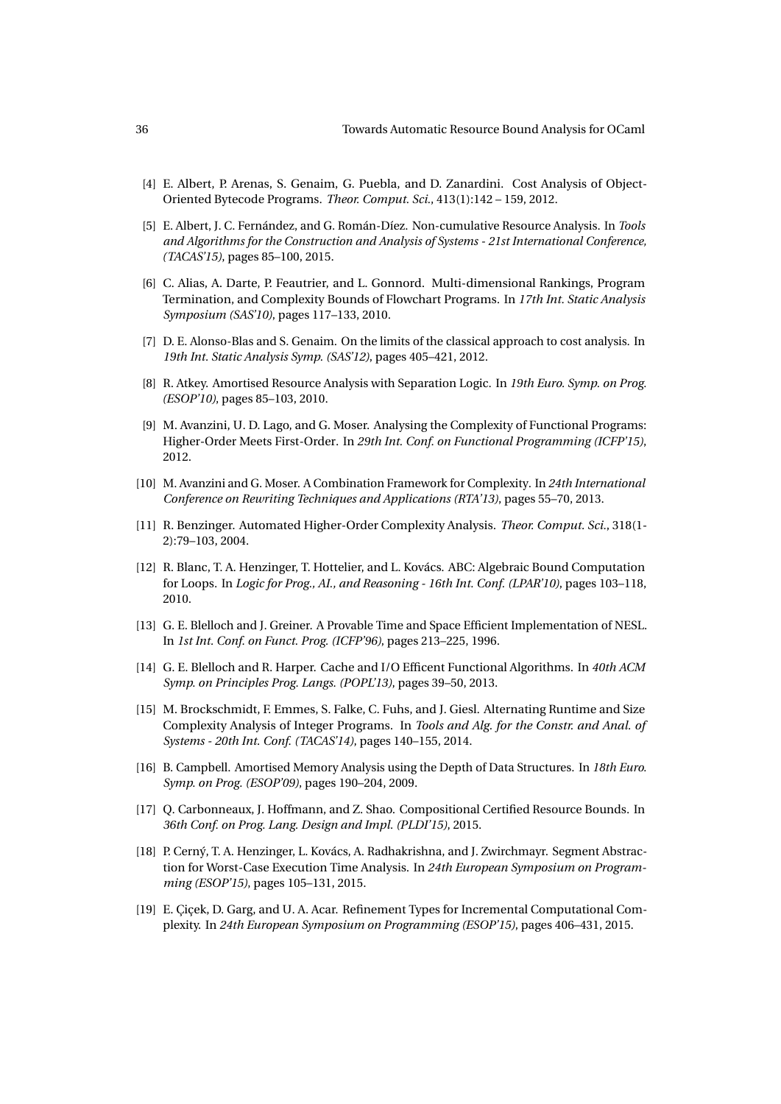- [4] E. Albert, P. Arenas, S. Genaim, G. Puebla, and D. Zanardini. Cost Analysis of Object-Oriented Bytecode Programs. *Theor. Comput. Sci.*, 413(1):142 – 159, 2012.
- [5] E. Albert, J. C. Fernández, and G. Román-Díez. Non-cumulative Resource Analysis. In *Tools and Algorithms for the Construction and Analysis of Systems - 21st International Conference, (TACAS'15)*, pages 85–100, 2015.
- [6] C. Alias, A. Darte, P. Feautrier, and L. Gonnord. Multi-dimensional Rankings, Program Termination, and Complexity Bounds of Flowchart Programs. In *17th Int. Static Analysis Symposium (SAS'10)*, pages 117–133, 2010.
- [7] D. E. Alonso-Blas and S. Genaim. On the limits of the classical approach to cost analysis. In *19th Int. Static Analysis Symp. (SAS'12)*, pages 405–421, 2012.
- [8] R. Atkey. Amortised Resource Analysis with Separation Logic. In *19th Euro. Symp. on Prog. (ESOP'10)*, pages 85–103, 2010.
- [9] M. Avanzini, U. D. Lago, and G. Moser. Analysing the Complexity of Functional Programs: Higher-Order Meets First-Order. In *29th Int. Conf. on Functional Programming (ICFP'15)*, 2012.
- [10] M. Avanzini and G. Moser. A Combination Framework for Complexity. In *24th International Conference on Rewriting Techniques and Applications (RTA'13)*, pages 55–70, 2013.
- [11] R. Benzinger. Automated Higher-Order Complexity Analysis. *Theor. Comput. Sci.*, 318(1- 2):79–103, 2004.
- [12] R. Blanc, T. A. Henzinger, T. Hottelier, and L. Kovács. ABC: Algebraic Bound Computation for Loops. In *Logic for Prog., AI., and Reasoning - 16th Int. Conf. (LPAR'10)*, pages 103–118, 2010.
- [13] G. E. Blelloch and J. Greiner. A Provable Time and Space Efficient Implementation of NESL. In *1st Int. Conf. on Funct. Prog. (ICFP'96)*, pages 213–225, 1996.
- [14] G. E. Blelloch and R. Harper. Cache and I/O Efficent Functional Algorithms. In *40th ACM Symp. on Principles Prog. Langs. (POPL'13)*, pages 39–50, 2013.
- [15] M. Brockschmidt, F. Emmes, S. Falke, C. Fuhs, and J. Giesl. Alternating Runtime and Size Complexity Analysis of Integer Programs. In *Tools and Alg. for the Constr. and Anal. of Systems - 20th Int. Conf. (TACAS'14)*, pages 140–155, 2014.
- [16] B. Campbell. Amortised Memory Analysis using the Depth of Data Structures. In *18th Euro. Symp. on Prog. (ESOP'09)*, pages 190–204, 2009.
- [17] Q. Carbonneaux, J. Hoffmann, and Z. Shao. Compositional Certified Resource Bounds. In *36th Conf. on Prog. Lang. Design and Impl. (PLDI'15)*, 2015.
- [18] P. Cerný, T. A. Henzinger, L. Kovács, A. Radhakrishna, and J. Zwirchmayr. Segment Abstraction for Worst-Case Execution Time Analysis. In *24th European Symposium on Programming (ESOP'15)*, pages 105–131, 2015.
- [19] E. Çiçek, D. Garg, and U. A. Acar. Refinement Types for Incremental Computational Complexity. In *24th European Symposium on Programming (ESOP'15)*, pages 406–431, 2015.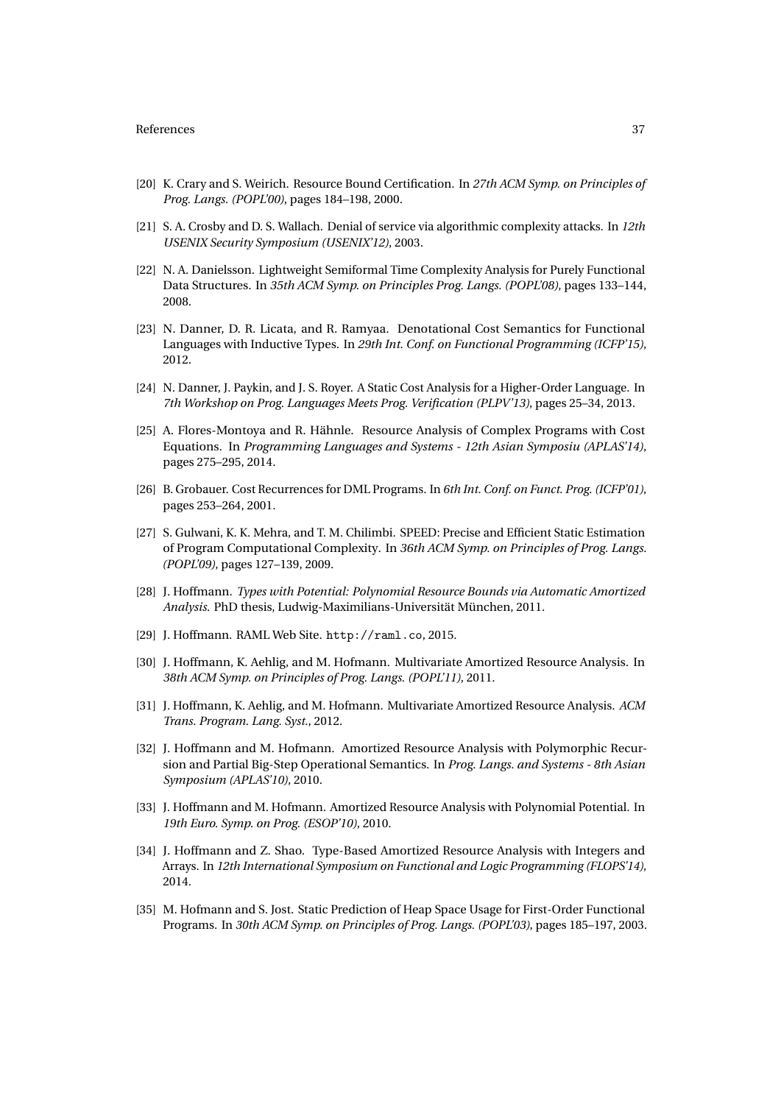#### References 37 and 37 and 37 and 37 and 37 and 37 and 37 and 37 and 37 and 37 and 37 and 37 and 37 and 37 and 37

- [20] K. Crary and S. Weirich. Resource Bound Certification. In *27th ACM Symp. on Principles of Prog. Langs. (POPL'00)*, pages 184–198, 2000.
- [21] S. A. Crosby and D. S. Wallach. Denial of service via algorithmic complexity attacks. In *12th USENIX Security Symposium (USENIX'12)*, 2003.
- [22] N. A. Danielsson. Lightweight Semiformal Time Complexity Analysis for Purely Functional Data Structures. In *35th ACM Symp. on Principles Prog. Langs. (POPL'08)*, pages 133–144, 2008.
- [23] N. Danner, D. R. Licata, and R. Ramyaa. Denotational Cost Semantics for Functional Languages with Inductive Types. In *29th Int. Conf. on Functional Programming (ICFP'15)*, 2012.
- [24] N. Danner, J. Paykin, and J. S. Royer. A Static Cost Analysis for a Higher-Order Language. In *7th Workshop on Prog. Languages Meets Prog. Verification (PLPV'13)*, pages 25–34, 2013.
- [25] A. Flores-Montoya and R. Hähnle. Resource Analysis of Complex Programs with Cost Equations. In *Programming Languages and Systems - 12th Asian Symposiu (APLAS'14)*, pages 275–295, 2014.
- [26] B. Grobauer. Cost Recurrences for DML Programs. In *6th Int. Conf. on Funct. Prog. (ICFP'01)*, pages 253–264, 2001.
- [27] S. Gulwani, K. K. Mehra, and T. M. Chilimbi. SPEED: Precise and Efficient Static Estimation of Program Computational Complexity. In *36th ACM Symp. on Principles of Prog. Langs. (POPL'09)*, pages 127–139, 2009.
- [28] J. Hoffmann. *Types with Potential: Polynomial Resource Bounds via Automatic Amortized Analysis*. PhD thesis, Ludwig-Maximilians-Universität München, 2011.
- [29] J. Hoffmann. RAML Web Site. http://raml.co, 2015.
- [30] J. Hoffmann, K. Aehlig, and M. Hofmann. Multivariate Amortized Resource Analysis. In *38th ACM Symp. on Principles of Prog. Langs. (POPL'11)*, 2011.
- [31] J. Hoffmann, K. Aehlig, and M. Hofmann. Multivariate Amortized Resource Analysis. *ACM Trans. Program. Lang. Syst.*, 2012.
- [32] J. Hoffmann and M. Hofmann. Amortized Resource Analysis with Polymorphic Recursion and Partial Big-Step Operational Semantics. In *Prog. Langs. and Systems - 8th Asian Symposium (APLAS'10)*, 2010.
- [33] J. Hoffmann and M. Hofmann. Amortized Resource Analysis with Polynomial Potential. In *19th Euro. Symp. on Prog. (ESOP'10)*, 2010.
- [34] J. Hoffmann and Z. Shao. Type-Based Amortized Resource Analysis with Integers and Arrays. In *12th International Symposium on Functional and Logic Programming (FLOPS'14)*, 2014.
- [35] M. Hofmann and S. Jost. Static Prediction of Heap Space Usage for First-Order Functional Programs. In *30th ACM Symp. on Principles of Prog. Langs. (POPL'03)*, pages 185–197, 2003.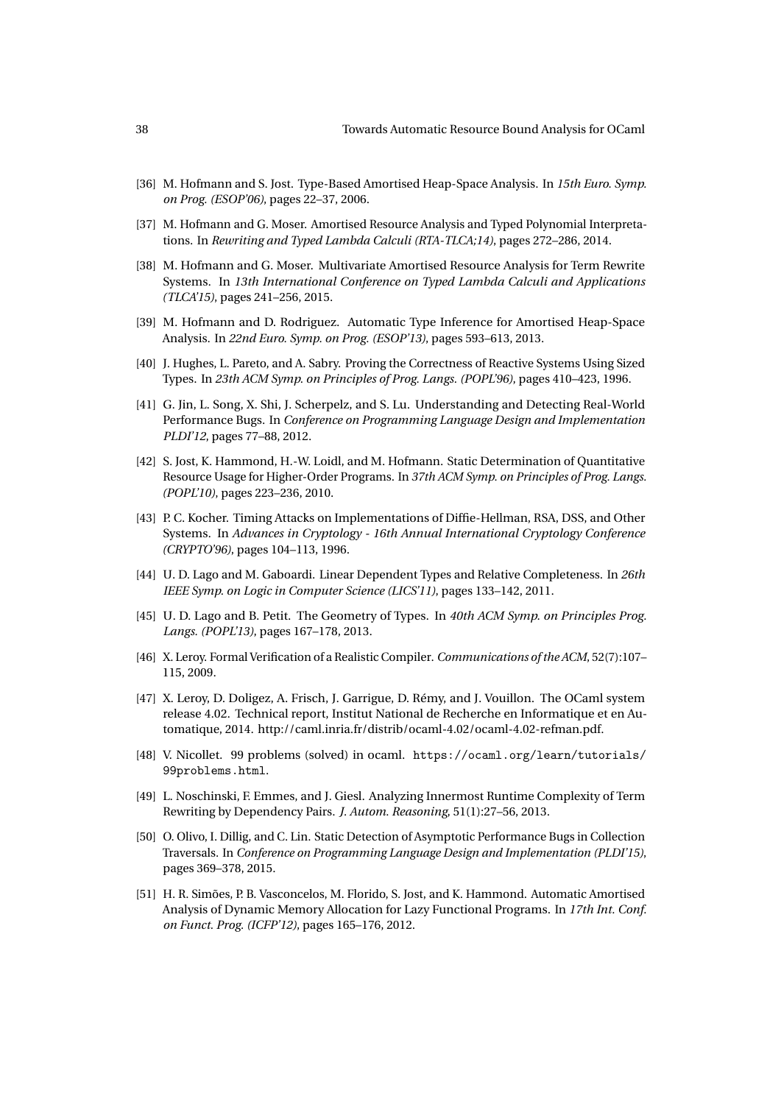- [36] M. Hofmann and S. Jost. Type-Based Amortised Heap-Space Analysis. In *15th Euro. Symp. on Prog. (ESOP'06)*, pages 22–37, 2006.
- [37] M. Hofmann and G. Moser. Amortised Resource Analysis and Typed Polynomial Interpretations. In *Rewriting and Typed Lambda Calculi (RTA-TLCA;14)*, pages 272–286, 2014.
- [38] M. Hofmann and G. Moser. Multivariate Amortised Resource Analysis for Term Rewrite Systems. In *13th International Conference on Typed Lambda Calculi and Applications (TLCA'15)*, pages 241–256, 2015.
- [39] M. Hofmann and D. Rodriguez. Automatic Type Inference for Amortised Heap-Space Analysis. In *22nd Euro. Symp. on Prog. (ESOP'13)*, pages 593–613, 2013.
- [40] J. Hughes, L. Pareto, and A. Sabry. Proving the Correctness of Reactive Systems Using Sized Types. In *23th ACM Symp. on Principles of Prog. Langs. (POPL'96)*, pages 410–423, 1996.
- [41] G. Jin, L. Song, X. Shi, J. Scherpelz, and S. Lu. Understanding and Detecting Real-World Performance Bugs. In *Conference on Programming Language Design and Implementation PLDI'12*, pages 77–88, 2012.
- [42] S. Jost, K. Hammond, H.-W. Loidl, and M. Hofmann. Static Determination of Quantitative Resource Usage for Higher-Order Programs. In *37th ACM Symp. on Principles of Prog. Langs. (POPL'10)*, pages 223–236, 2010.
- [43] P. C. Kocher. Timing Attacks on Implementations of Diffie-Hellman, RSA, DSS, and Other Systems. In *Advances in Cryptology - 16th Annual International Cryptology Conference (CRYPTO'96)*, pages 104–113, 1996.
- [44] U. D. Lago and M. Gaboardi. Linear Dependent Types and Relative Completeness. In *26th IEEE Symp. on Logic in Computer Science (LICS'11)*, pages 133–142, 2011.
- [45] U. D. Lago and B. Petit. The Geometry of Types. In *40th ACM Symp. on Principles Prog. Langs. (POPL'13)*, pages 167–178, 2013.
- [46] X. Leroy. Formal Verification of a Realistic Compiler. *Communications of the ACM*, 52(7):107– 115, 2009.
- [47] X. Leroy, D. Doligez, A. Frisch, J. Garrigue, D. Rémy, and J. Vouillon. The OCaml system release 4.02. Technical report, Institut National de Recherche en Informatique et en Automatique, 2014. http://caml.inria.fr/distrib/ocaml-4.02/ocaml-4.02-refman.pdf.
- [48] V. Nicollet. 99 problems (solved) in ocaml. https://ocaml.org/learn/tutorials/ 99problems.html.
- [49] L. Noschinski, F. Emmes, and J. Giesl. Analyzing Innermost Runtime Complexity of Term Rewriting by Dependency Pairs. *J. Autom. Reasoning*, 51(1):27–56, 2013.
- [50] O. Olivo, I. Dillig, and C. Lin. Static Detection of Asymptotic Performance Bugs in Collection Traversals. In *Conference on Programming Language Design and Implementation (PLDI'15)*, pages 369–378, 2015.
- [51] H. R. Simões, P. B. Vasconcelos, M. Florido, S. Jost, and K. Hammond. Automatic Amortised Analysis of Dynamic Memory Allocation for Lazy Functional Programs. In *17th Int. Conf. on Funct. Prog. (ICFP'12)*, pages 165–176, 2012.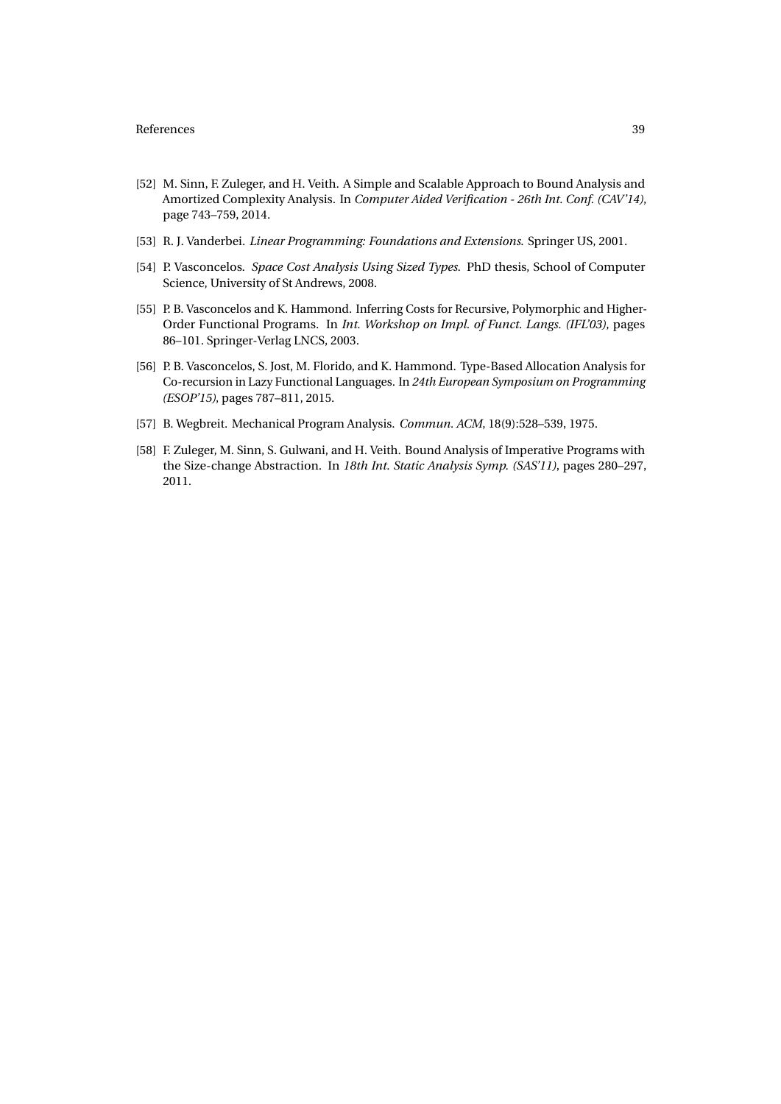#### References 39

- [52] M. Sinn, F. Zuleger, and H. Veith. A Simple and Scalable Approach to Bound Analysis and Amortized Complexity Analysis. In *Computer Aided Verification - 26th Int. Conf. (CAV'14)*, page 743–759, 2014.
- [53] R. J. Vanderbei. *Linear Programming: Foundations and Extensions*. Springer US, 2001.
- [54] P. Vasconcelos. *Space Cost Analysis Using Sized Types*. PhD thesis, School of Computer Science, University of St Andrews, 2008.
- [55] P. B. Vasconcelos and K. Hammond. Inferring Costs for Recursive, Polymorphic and Higher-Order Functional Programs. In *Int. Workshop on Impl. of Funct. Langs. (IFL'03)*, pages 86–101. Springer-Verlag LNCS, 2003.
- [56] P. B. Vasconcelos, S. Jost, M. Florido, and K. Hammond. Type-Based Allocation Analysis for Co-recursion in Lazy Functional Languages. In *24th European Symposium on Programming (ESOP'15)*, pages 787–811, 2015.
- [57] B. Wegbreit. Mechanical Program Analysis. *Commun. ACM*, 18(9):528–539, 1975.
- [58] F. Zuleger, M. Sinn, S. Gulwani, and H. Veith. Bound Analysis of Imperative Programs with the Size-change Abstraction. In *18th Int. Static Analysis Symp. (SAS'11)*, pages 280–297, 2011.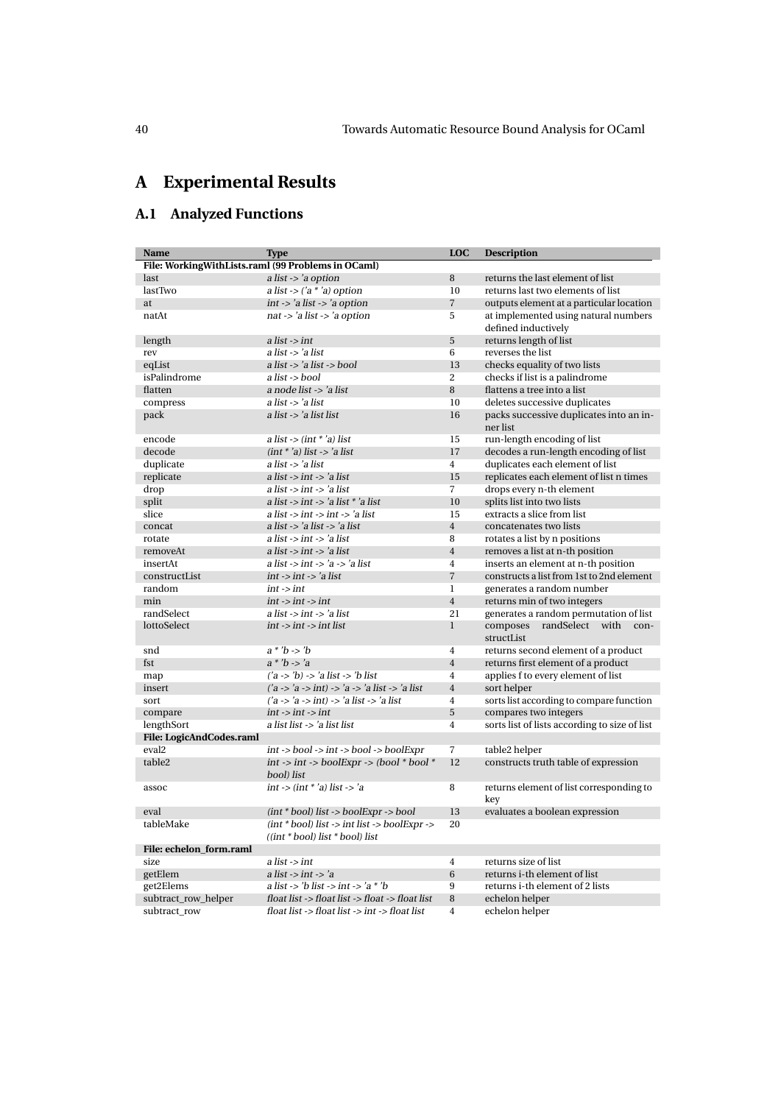# **A.1 Analyzed Functions**

| Name                     | <b>Type</b>                                                                               | <b>LOC</b>     | <b>Description</b>                            |
|--------------------------|-------------------------------------------------------------------------------------------|----------------|-----------------------------------------------|
|                          | File: WorkingWithLists.raml (99 Problems in OCaml)                                        |                |                                               |
| last                     | a list $\rightarrow$ 'a option                                                            | 8              | returns the last element of list              |
| lastTwo                  | a list -> $('a * 'a)$ option                                                              | 10             | returns last two elements of list             |
| at                       | $int \rightarrow 'a$ list $\rightarrow 'a$ option                                         | $\overline{7}$ | outputs element at a particular location      |
| natAt                    | nat -> 'a list -> 'a option                                                               | 5              | at implemented using natural numbers          |
|                          |                                                                                           |                | defined inductively                           |
| length                   | a list $\rightarrow$ int                                                                  | 5              | returns length of list                        |
| rev                      | $a$ list $\rightarrow$ 'a list                                                            | 6              | reverses the list                             |
| eqList                   | $a$ list -> ' $a$ list -> bool                                                            | 13             | checks equality of two lists                  |
| isPalindrome             | a list -> bool                                                                            | 2              | checks if list is a palindrome                |
| flatten                  | a node list -> 'a list                                                                    | 8              | flattens a tree into a list                   |
| compress                 | a list -> 'a list                                                                         | 10             | deletes successive duplicates                 |
| pack                     | a list -> 'a list list                                                                    | 16             | packs successive duplicates into an in-       |
|                          |                                                                                           |                | ner list                                      |
| encode                   | a list -> (int $*$ 'a) list                                                               | 15             | run-length encoding of list                   |
| decode                   | $(int * 'a)$ list -> 'a list                                                              | 17             | decodes a run-length encoding of list         |
| duplicate                | a list -> 'a list                                                                         | $\overline{4}$ | duplicates each element of list               |
| replicate                | a list $\rightarrow$ int $\rightarrow$ 'a list                                            | 15             | replicates each element of list n times       |
| drop                     | a list $\rightarrow$ int $\rightarrow$ 'a list                                            | 7              | drops every n-th element                      |
| split                    | a list -> int -> 'a list * 'a list                                                        | 10             | splits list into two lists                    |
| slice                    | a list $\rightarrow$ int $\rightarrow$ int $\rightarrow$ 'a list                          | 15             | extracts a slice from list                    |
| concat                   | a list -> 'a list -> 'a list                                                              | $\overline{4}$ | concatenates two lists                        |
| rotate                   | $a$ list $\rightarrow$ int $\rightarrow$ 'a list                                          | 8              | rotates a list by n positions                 |
| removeAt                 | a list $\rightarrow$ int $\rightarrow$ 'a list                                            | $\overline{4}$ | removes a list at n-th position               |
| insertAt                 | a list -> int -> 'a -> 'a list                                                            | $\overline{4}$ | inserts an element at n-th position           |
| constructList            | $int \rightarrow int \rightarrow 'a$ list                                                 | $\overline{7}$ | constructs a list from 1st to 2nd element     |
| random                   | $int \rightarrow int$                                                                     | $\mathbf 1$    | generates a random number                     |
| min                      | $int$ -> $int$ -> $int$                                                                   | $\overline{4}$ | returns min of two integers                   |
| randSelect               | $a$ list $\rightarrow$ int $\rightarrow$ 'a list                                          | 21             | generates a random permutation of list        |
| lottoSelect              | $int \rightarrow int \rightarrow int$ list                                                | $\bf{l}$       | randSelect<br>with<br>con-                    |
|                          |                                                                                           |                | composes<br>structList                        |
| snd                      | $a * 'b \rightarrow 'b$                                                                   | 4              | returns second element of a product           |
| fst                      | $a * 'b \rightarrow 'a$                                                                   | $\overline{4}$ | returns first element of a product            |
| map                      | $(a \rightarrow b) \rightarrow 'a$ list $\rightarrow 'b$ list                             | $\overline{4}$ | applies f to every element of list            |
| insert                   | $(a \rightarrow a \rightarrow int) \rightarrow a \rightarrow a$ list $\rightarrow a$ list | $\overline{4}$ | sort helper                                   |
| sort                     | $(a \rightarrow a \rightarrow int) \rightarrow 'a$ list $\rightarrow 'a$ list             | 4              | sorts list according to compare function      |
| compare                  | $int$ -> $int$ -> $int$                                                                   | 5              | compares two integers                         |
| lengthSort               | a list list -> 'a list list                                                               | $\overline{4}$ | sorts list of lists according to size of list |
| File: LogicAndCodes.raml |                                                                                           |                |                                               |
| eval <sub>2</sub>        | $int$ -> $bool$ -> $int$ -> $bool$ -> $bool$ -> $bool$                                    | $\overline{7}$ | table2 helper                                 |
| table2                   | $int \rightarrow int \rightarrow boolExpr \rightarrow (bool * bool *$                     | 12             | constructs truth table of expression          |
|                          | bool) list                                                                                |                |                                               |
| assoc                    | $int$ -> $(int * 'a)$ $list$ -> $'a$                                                      | 8              | returns element of list corresponding to      |
|                          |                                                                                           |                | key                                           |
| eval                     | (int * bool) list -> boolExpr -> bool                                                     | 13             | evaluates a boolean expression                |
| tableMake                | $(int * bool)$ list -> int list -> boolExpr -><br>((int * bool) list * bool) list         | 20             |                                               |
| File: echelon_form.raml  |                                                                                           |                |                                               |
| size                     | $a$ list $\rightarrow$ int                                                                | 4              | returns size of list                          |
| getElem                  | a list $\rightarrow$ int $\rightarrow$ 'a                                                 | 6              | returns i-th element of list                  |
| get2Elems                | a list -> 'b list -> int -> 'a * 'b                                                       | 9              | returns i-th element of 2 lists               |
| subtract_row_helper      | float list -> float list -> float -> float list                                           | 8              | echelon helper                                |
| subtract_row             | float list -> float list -> int -> float list                                             | $\overline{4}$ | echelon helper                                |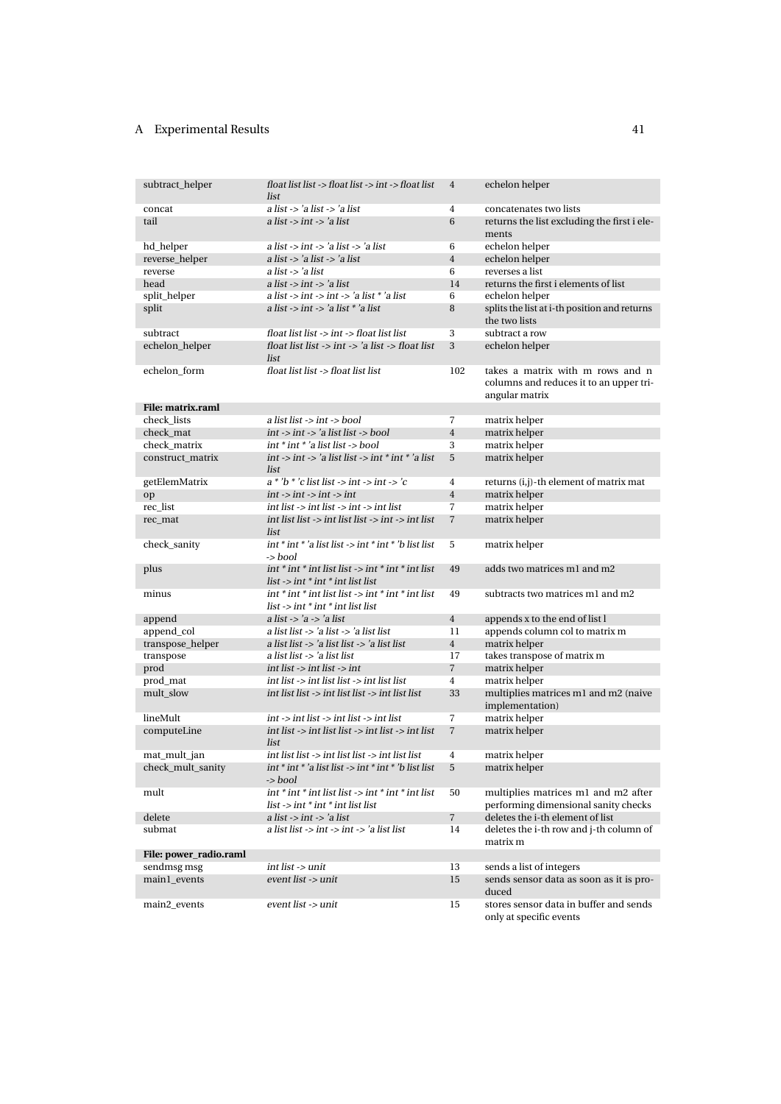| subtract_helper        | float list list -> float list -> int -> float list                                   | $\overline{4}$ | echelon helper                               |
|------------------------|--------------------------------------------------------------------------------------|----------------|----------------------------------------------|
|                        | list                                                                                 |                |                                              |
| concat                 | $a$ list -> ' $a$ list -> ' $a$ list                                                 | 4              | concatenates two lists                       |
| tail                   | a list $\rightarrow$ int $\rightarrow$ 'a list                                       | 6              | returns the list excluding the first i ele-  |
|                        |                                                                                      |                | ments                                        |
| hd_helper              | a list -> int -> 'a list -> 'a list                                                  | 6              | echelon helper                               |
| reverse_helper         | a list -> 'a list -> 'a list                                                         | $\overline{4}$ | echelon helper                               |
| reverse                | a list -> 'a list                                                                    | 6              | reverses a list                              |
| head                   | a list $\rightarrow$ int $\rightarrow$ 'a list                                       | 14             | returns the first i elements of list         |
| split_helper           | a list -> int -> int -> 'a list * 'a list                                            | 6              | echelon helper                               |
| split                  | a list -> int -> 'a list * 'a list                                                   | 8              | splits the list at i-th position and returns |
|                        |                                                                                      |                | the two lists                                |
| subtract               | float list list $\rightarrow$ int $\rightarrow$ float list list                      | 3              | subtract a row                               |
| echelon_helper         | float list list -> int -> 'a list -> float list                                      | 3              | echelon helper                               |
|                        | list                                                                                 |                |                                              |
| echelon_form           | float list list -> float list list                                                   | 102            | takes a matrix with m rows and n             |
|                        |                                                                                      |                | columns and reduces it to an upper tri-      |
|                        |                                                                                      |                | angular matrix                               |
| File: matrix.raml      |                                                                                      |                |                                              |
| check lists            | a list list $\rightarrow$ int $\rightarrow$ bool                                     | 7              | matrix helper                                |
| check_mat              | $int$ -> $int$ -> $\prime$ a list list -> bool                                       | $\overline{4}$ | matrix helper                                |
| check matrix           | $int * int * 'a list list - > bool$                                                  | 3              | matrix helper                                |
|                        | $int$ -> $int$ -> $\prime$ a list list -> $int$ * $int$ * $\prime$ a list            | 5              | matrix helper                                |
| construct_matrix       |                                                                                      |                |                                              |
|                        | list                                                                                 |                |                                              |
| getElemMatrix          | $a * 'b * 'c$ list list $\rightarrow int \rightarrow int \rightarrow 'c$             | 4              | returns (i,j)-th element of matrix mat       |
| op                     | $int \rightarrow int \rightarrow int \rightarrow int$                                | $\overline{4}$ | matrix helper                                |
| rec_list               | $int$ list -> $int$ list -> $int$ -> $int$ list                                      | 7              | matrix helper                                |
| rec_mat                | $int$ list list $\rightarrow$ int list list $\rightarrow$ int $\rightarrow$ int list | $\overline{7}$ | matrix helper                                |
|                        | list                                                                                 |                |                                              |
| check_sanity           | $int * int * 'a list list - > int * int * 'b list list$                              | 5              | matrix helper                                |
|                        | -> bool                                                                              |                |                                              |
| plus                   | $int * int * int list list - > int * int * int list$                                 | 49             | adds two matrices m1 and m2                  |
|                        | $list - > int * int * int list list$                                                 |                |                                              |
| minus                  | $int * int * int list list - > int * int * int list$                                 | 49             | subtracts two matrices m1 and m2             |
|                        | $list - > int * int * int list list$                                                 |                |                                              |
| append                 | a list $\rightarrow$ 'a $\rightarrow$ 'a list                                        | $\overline{4}$ | appends x to the end of list l               |
| append_col             | a list list -> 'a list -> 'a list list                                               | 11             | appends column col to matrix m               |
| transpose_helper       | a list list -> 'a list list -> 'a list list                                          | $\overline{4}$ | matrix helper                                |
| transpose              | a list list -> 'a list list                                                          | 17             | takes transpose of matrix m                  |
| prod                   | $int list -> int list -> int$                                                        | $\overline{7}$ | matrix helper                                |
| prod_mat               | int list -> int list list -> int list list                                           | $\overline{4}$ | matrix helper                                |
| mult_slow              | $int$ list list -> int list list -> int list list                                    | 33             | multiplies matrices m1 and m2 (naive         |
|                        |                                                                                      |                | implementation)                              |
| lineMult               | $int \rightarrow int$ list $\rightarrow int$ list $\rightarrow int$ list             | 7              | matrix helper                                |
| computeLine            | $int$ list -> $int$ list list -> $int$ list -> $int$ list                            | $\overline{7}$ | matrix helper                                |
|                        | list                                                                                 |                |                                              |
| mat_mult_jan           | int list list -> int list list -> int list list                                      | 4              | matrix helper                                |
| check_mult_sanity      | $int * int * 'a list list -> int * int * 'b list list$                               | 5              | matrix helper                                |
|                        | -> bool                                                                              |                |                                              |
| mult                   | $int * int * int list list - > int * int * int list$                                 | 50             | multiplies matrices m1 and m2 after          |
|                        | $list - > int * int * int list list$                                                 |                | performing dimensional sanity checks         |
|                        |                                                                                      |                |                                              |
| delete                 | $a$ list -> int -> 'a list                                                           | $\overline{7}$ | deletes the i-th element of list             |
| submat                 | a list list $\rightarrow$ int $\rightarrow$ int $\rightarrow$ 'a list list           | 14             | deletes the i-th row and j-th column of      |
|                        |                                                                                      |                | matrix m                                     |
| File: power_radio.raml |                                                                                      |                |                                              |
| sendmsg msg            | int list -> unit                                                                     | 13             | sends a list of integers                     |
| main1 events           | event list -> unit                                                                   | 15             | sends sensor data as soon as it is pro-      |
|                        |                                                                                      |                | duced                                        |
| main2_events           | event list -> unit                                                                   | 15             | stores sensor data in buffer and sends       |
|                        |                                                                                      |                | only at specific events                      |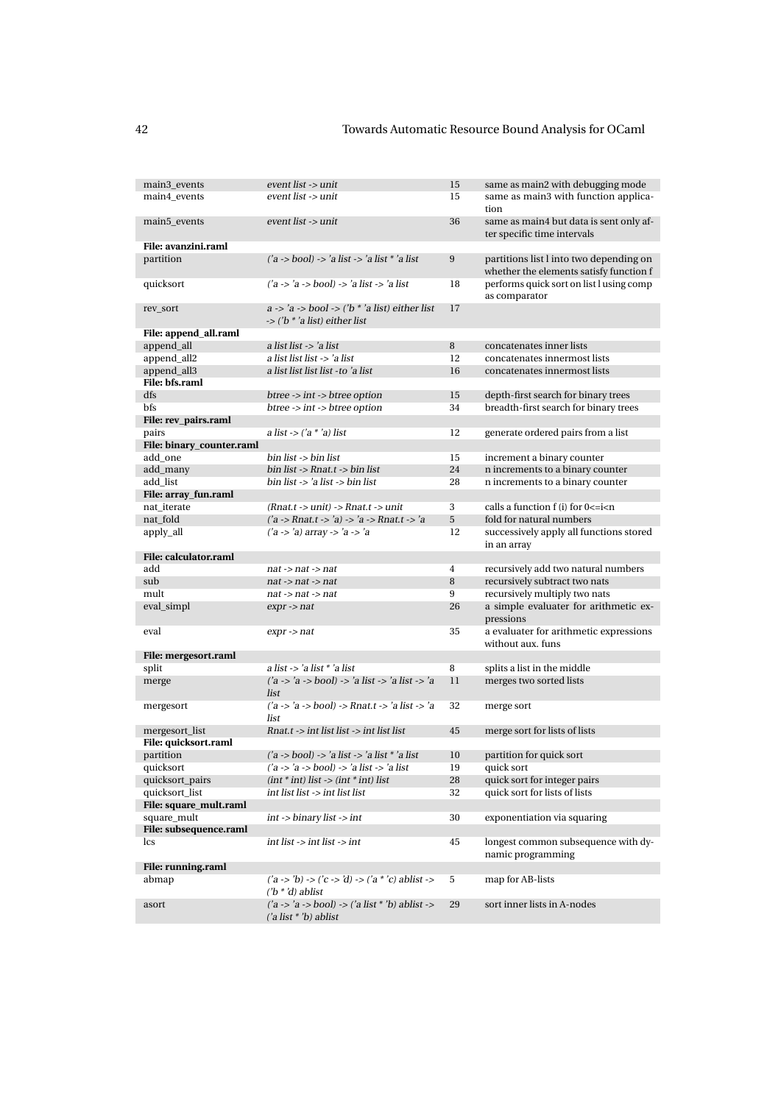## 42 Towards Automatic Resource Bound Analysis for OCaml

| main3 events              | event list -> unit                                                                                           | 15 | same as main2 with debugging mode           |
|---------------------------|--------------------------------------------------------------------------------------------------------------|----|---------------------------------------------|
| main4 events              | event list -> unit                                                                                           | 15 | same as main3 with function applica-        |
|                           |                                                                                                              |    | tion                                        |
| main5_events              | event list -> unit                                                                                           | 36 | same as main4 but data is sent only af-     |
|                           |                                                                                                              |    | ter specific time intervals                 |
| File: avanzini.raml       |                                                                                                              |    |                                             |
| partition                 | $(a \rightarrow bool) \rightarrow 'a$ list $\rightarrow 'a$ list $^*$ 'a list                                | 9  | partitions list l into two depending on     |
|                           |                                                                                                              |    | whether the elements satisfy function f     |
| quicksort                 | $(a \rightarrow a \rightarrow bool) \rightarrow 'a$ list $\rightarrow 'a$ list                               | 18 | performs quick sort on list l using comp    |
|                           |                                                                                                              |    | as comparator                               |
| rev_sort                  | $a \rightarrow a \rightarrow bool \rightarrow ('b * 'a list)$ either list                                    | 17 |                                             |
|                           | $\rightarrow$ ('b * 'a list) either list                                                                     |    |                                             |
| File: append_all.raml     |                                                                                                              |    |                                             |
| append_all                | a list list -> 'a list                                                                                       | 8  | concatenates inner lists                    |
| append_all2               | a list list list -> 'a list                                                                                  | 12 | concatenates innermost lists                |
| append_all3               | a list list list list -to 'a list                                                                            | 16 | concatenates innermost lists                |
| File: bfs.raml            |                                                                                                              |    |                                             |
| dfs                       | btree -> int -> btree option                                                                                 | 15 | depth-first search for binary trees         |
| bfs                       | btree -> int -> btree option                                                                                 | 34 | breadth-first search for binary trees       |
| File: rev_pairs.raml      |                                                                                                              |    |                                             |
| pairs                     | a list -> $('a * 'a)$ list                                                                                   | 12 | generate ordered pairs from a list          |
| File: binary_counter.raml |                                                                                                              |    |                                             |
| add one                   | bin list -> bin list                                                                                         | 15 | increment a binary counter                  |
| add_many                  | bin list -> Rnat.t -> bin list                                                                               | 24 | n increments to a binary counter            |
| add_list                  | $bin$ list -> 'a list -> $bin$ list                                                                          | 28 | n increments to a binary counter            |
| File: array_fun.raml      |                                                                                                              |    |                                             |
| nat_iterate               | $(Rnat.t -> unit) -> Rnat.t -> unit$                                                                         | 3  | calls a function $f(i)$ for $0 \le i \le n$ |
| nat fold                  | $(a \rightarrow Rnat. t \rightarrow 'a) \rightarrow 'a \rightarrow Rnat. t \rightarrow 'a$                   | 5  | fold for natural numbers                    |
| apply_all                 | $('a -> 'a) array -> 'a -> 'a$                                                                               | 12 | successively apply all functions stored     |
|                           |                                                                                                              |    | in an array                                 |
| File: calculator.raml     |                                                                                                              |    |                                             |
| add                       | $nat$ -> $nat$ -> $nat$                                                                                      | 4  | recursively add two natural numbers         |
| sub                       | $nat$ -> $nat$ -> $nat$                                                                                      | 8  | recursively subtract two nats               |
| mult                      | $nat$ -> $nat$ -> $nat$                                                                                      | 9  | recursively multiply two nats               |
| eval_simpl                | $expr \rightarrow nat$                                                                                       | 26 | a simple evaluater for arithmetic ex-       |
|                           |                                                                                                              |    | pressions                                   |
| eval                      | $expr \rightarrow nat$                                                                                       | 35 | a evaluater for arithmetic expressions      |
|                           |                                                                                                              |    | without aux. funs                           |
| File: mergesort.raml      |                                                                                                              |    |                                             |
| split                     | a list -> 'a list * 'a list                                                                                  |    |                                             |
| merge                     |                                                                                                              |    |                                             |
|                           |                                                                                                              | 8  | splits a list in the middle                 |
|                           | ('a -> 'a -> bool) -> 'a list -> 'a list -> 'a                                                               | 11 | merges two sorted lists                     |
|                           | list                                                                                                         |    |                                             |
| mergesort                 | $(a \rightarrow a \rightarrow bool) \rightarrow Rnat.t \rightarrow 'a list \rightarrow 'a$                   | 32 | merge sort                                  |
|                           | list                                                                                                         |    |                                             |
| mergesort_list            | Rnat.t -> int list list -> int list list                                                                     | 45 | merge sort for lists of lists               |
| File: quicksort.raml      |                                                                                                              |    |                                             |
| partition                 | ('a -> bool) -> 'a list -> 'a list * 'a list                                                                 | 10 | partition for quick sort                    |
| quicksort                 | ('a -> 'a -> bool) -> 'a list -> 'a list                                                                     | 19 | quick sort                                  |
| quicksort_pairs           | $(int * int)$ list $\rightarrow (int * int)$ list                                                            | 28 | quick sort for integer pairs                |
| quicksort_list            | int list list -> int list list                                                                               | 32 | quick sort for lists of lists               |
| File: square_mult.raml    |                                                                                                              |    |                                             |
| square mult               | $int$ -> $binary$ list -> $int$                                                                              | 30 | exponentiation via squaring                 |
| File: subsequence.raml    |                                                                                                              |    |                                             |
| lcs                       | $int list$ -> $int list$ -> $int$                                                                            | 45 | longest common subsequence with dy-         |
|                           |                                                                                                              |    | namic programming                           |
| File: running.raml        |                                                                                                              |    |                                             |
| abmap                     | $(a \rightarrow 'b)$ -> $(c \rightarrow 'd)$ -> $(a * 'c)$ ablist ->                                         | 5  | map for AB-lists                            |
| asort                     | $('b * 'd)$ ablist<br>$(a \rightarrow a \rightarrow bool) \rightarrow (a list * 'b)  \text{ a}  \rightarrow$ | 29 | sort inner lists in A-nodes                 |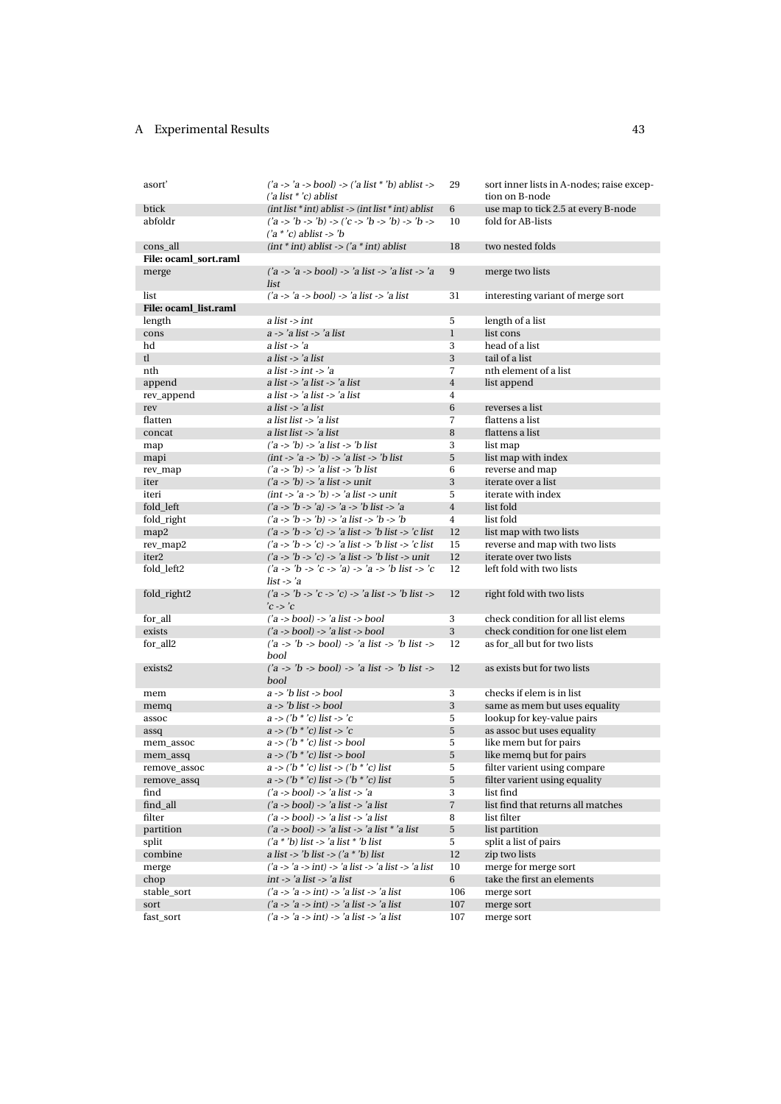| asort'                | $(a \rightarrow a \rightarrow bool) \rightarrow$ ('a list * 'b) ablist ->                                                                                                                                                         | 29              | sort inner lists in A-nodes; raise excep- |
|-----------------------|-----------------------------------------------------------------------------------------------------------------------------------------------------------------------------------------------------------------------------------|-----------------|-------------------------------------------|
|                       | ('a list * 'c) ablist                                                                                                                                                                                                             |                 | tion on B-node                            |
| btick                 | $(int list * int)$ ablist -> $(int list * int)$ ablist                                                                                                                                                                            | 6               | use map to tick 2.5 at every B-node       |
| abfoldr               | $('a -> 'b -> 'b) -> ('c -> 'b -> 'b -> 'b -> 'b -> 'b -> 'b -> 'b -> 'b -> 'b -> 'b -> 'b -> 'b -> 'b -> 'b -> 'b -> 'b -> 'b -> 'b -> 'b -> 'b -> 'b -> 'b -> 'b -> 'b -> 'b -> 'b -> 'b -> 'b -> 'b -> 'b -> 'b -> 'b -> 'b -$ | 10              | fold for AB-lists                         |
|                       | $('a * 'c)$ ablist -> 'b                                                                                                                                                                                                          |                 |                                           |
| cons_all              | $(int * int)$ ablist -> $('a * int)$ ablist                                                                                                                                                                                       | 18              | two nested folds                          |
| File: ocaml_sort.raml |                                                                                                                                                                                                                                   |                 |                                           |
| merge                 | ('a -> 'a -> bool) -> 'a list -> 'a list -> 'a                                                                                                                                                                                    | 9               | merge two lists                           |
|                       | list                                                                                                                                                                                                                              |                 |                                           |
| list                  | ('a -> 'a -> bool) -> 'a list -> 'a list                                                                                                                                                                                          | 31              |                                           |
|                       |                                                                                                                                                                                                                                   |                 | interesting variant of merge sort         |
| File: ocaml list.raml |                                                                                                                                                                                                                                   |                 |                                           |
| length                | $a$ list $\rightarrow$ int                                                                                                                                                                                                        | 5               | length of a list                          |
| cons                  | $a \rightarrow 'a$ list $\rightarrow 'a$ list                                                                                                                                                                                     | $\mathbf{1}$    | list cons                                 |
| hd                    | a list $\rightarrow$ 'a                                                                                                                                                                                                           | 3               | head of a list                            |
| tl                    | a list $\rightarrow$ 'a list                                                                                                                                                                                                      | 3               | tail of a list                            |
| nth                   | a list $\rightarrow$ int $\rightarrow$ 'a                                                                                                                                                                                         | $\overline{7}$  | nth element of a list                     |
| append                | a list -> 'a list -> 'a list                                                                                                                                                                                                      | $\overline{4}$  | list append                               |
| rev_append            | a list -> 'a list -> 'a list                                                                                                                                                                                                      | 4               |                                           |
| rev                   | a list -> 'a list                                                                                                                                                                                                                 | 6               | reverses a list                           |
| flatten               | a list list -> 'a list                                                                                                                                                                                                            | 7               | flattens a list                           |
| concat                | a list list -> 'a list                                                                                                                                                                                                            | 8               | flattens a list                           |
| map                   | $(a \rightarrow b) \rightarrow 'a$ list $\rightarrow 'b$ list                                                                                                                                                                     | 3               | list map                                  |
|                       | $(int -> 'a -> 'b) -> 'a list -> 'b list$                                                                                                                                                                                         | 5               | list map with index                       |
| mapi                  | $(a \rightarrow b) \rightarrow a$ list $\rightarrow b$ list                                                                                                                                                                       |                 |                                           |
| rev_map               |                                                                                                                                                                                                                                   | 6               | reverse and map                           |
| iter                  | $(a \rightarrow b) \rightarrow a$ list -> unit                                                                                                                                                                                    | 3               | iterate over a list                       |
| iteri                 | $(int -> 'a -> 'b) -> 'a list -> unit$                                                                                                                                                                                            | 5               | iterate with index                        |
| fold_left             | $(a \rightarrow b \rightarrow a) \rightarrow a \rightarrow b$ list $\rightarrow a$                                                                                                                                                | $\overline{4}$  | list fold                                 |
| fold_right            | $(a \rightarrow b \rightarrow b)$ -> $a$ list -> $b \rightarrow b$                                                                                                                                                                | $\overline{4}$  | list fold                                 |
| map2                  | $(a \rightarrow b \rightarrow c) \rightarrow 'a$ list -> 'b list -> 'c list                                                                                                                                                       | 12              | list map with two lists                   |
| rev_map2              | $(a \rightarrow b \rightarrow c) \rightarrow 'a$ list -> 'b list -> 'c list                                                                                                                                                       | 15              | reverse and map with two lists            |
| iter <sub>2</sub>     | $(a \rightarrow b \rightarrow c) \rightarrow 'a$ list -> 'b list -> unit                                                                                                                                                          | 12              | iterate over two lists                    |
| fold_left2            | $(a \rightarrow b \rightarrow c \rightarrow a) \rightarrow a \rightarrow b$ list $\rightarrow c$                                                                                                                                  | 12              | left fold with two lists                  |
|                       | $list \rightarrow 'a$                                                                                                                                                                                                             |                 |                                           |
| fold_right2           | $(a \rightarrow 'b \rightarrow 'c \rightarrow 'c) \rightarrow 'a$ list -> 'b list ->                                                                                                                                              | 12              | right fold with two lists                 |
|                       | $c \rightarrow c$                                                                                                                                                                                                                 |                 |                                           |
| for_all               | $(a \rightarrow bool) \rightarrow 'a list \rightarrow bool$                                                                                                                                                                       | 3               | check condition for all list elems        |
| exists                | $(a \rightarrow bool) \rightarrow 'a list \rightarrow bool$                                                                                                                                                                       | 3               | check condition for one list elem         |
|                       | $(a \rightarrow b \rightarrow bool) \rightarrow 'a list \rightarrow 'b list \rightarrow$                                                                                                                                          | 12              | as for_all but for two lists              |
| for_all2              |                                                                                                                                                                                                                                   |                 |                                           |
|                       | bool                                                                                                                                                                                                                              |                 |                                           |
| exists2               | $(a \rightarrow b \rightarrow bool) \rightarrow 'a list \rightarrow 'b list \rightarrow$                                                                                                                                          | 12              | as exists but for two lists               |
|                       | bool                                                                                                                                                                                                                              |                 |                                           |
| mem                   | $a \rightarrow 'b$ list -> bool                                                                                                                                                                                                   | 3               | checks if elem is in list                 |
| memq                  | $a \rightarrow 'b$ list -> bool                                                                                                                                                                                                   | 3               | same as mem but uses equality             |
| assoc                 | $a \rightarrow$ ('b * 'c) list -> 'c                                                                                                                                                                                              | 5               | lookup for key-value pairs                |
| assq                  | $a \rightarrow$ ('b * 'c) list -> 'c                                                                                                                                                                                              | 5               | as assoc but uses equality                |
| mem_assoc             | $a \rightarrow$ ('b * 'c) list -> bool                                                                                                                                                                                            | 5               | like mem but for pairs                    |
| mem_assq              | $a$ -> (' $b$ * 'c) list -> bool                                                                                                                                                                                                  | 5               | like memq but for pairs                   |
| remove_assoc          | $a \rightarrow (b * 'c)$ list $\rightarrow (b * 'c)$ list                                                                                                                                                                         | 5               | filter varient using compare              |
| remove_assq           | $a \rightarrow (b * 'c)$ list $\rightarrow (b * 'c)$ list                                                                                                                                                                         | 5               | filter varient using equality             |
| find                  | $(a \rightarrow bool) \rightarrow 'a list \rightarrow 'a$                                                                                                                                                                         | 3               | list find                                 |
| find_all              | $(a \rightarrow bool) \rightarrow 'a list \rightarrow 'a list$                                                                                                                                                                    | $\overline{7}$  | list find that returns all matches        |
| filter                | $(a \rightarrow bool) \rightarrow 'a list \rightarrow 'a list$                                                                                                                                                                    | 8               | list filter                               |
|                       | $(a \rightarrow bool) \rightarrow 'a$ list -> 'a list * 'a list                                                                                                                                                                   | 5               | list partition                            |
| partition             |                                                                                                                                                                                                                                   |                 | split a list of pairs                     |
| split                 | $('a * 'b)$ list -> 'a list * 'b list                                                                                                                                                                                             | 5               |                                           |
| combine               | a list -> 'b list -> ('a * 'b) list                                                                                                                                                                                               | $12\,$          | zip two lists                             |
| merge                 | $(a \rightarrow a \rightarrow int) \rightarrow a$ list -> 'a list -> 'a list                                                                                                                                                      | 10              | merge for merge sort                      |
| chop                  | $int \rightarrow 'a$ list -> 'a list                                                                                                                                                                                              | $6\phantom{.0}$ | take the first an elements                |
| stable_sort           | $(a \rightarrow a \rightarrow int) \rightarrow a list \rightarrow a list$                                                                                                                                                         | 106             | merge sort                                |
| sort                  | $(a \rightarrow a \rightarrow int) \rightarrow a list \rightarrow a list$                                                                                                                                                         | 107             | merge sort                                |
| fast_sort             | $(a \rightarrow a \rightarrow int) \rightarrow a list \rightarrow a list$                                                                                                                                                         | 107             | merge sort                                |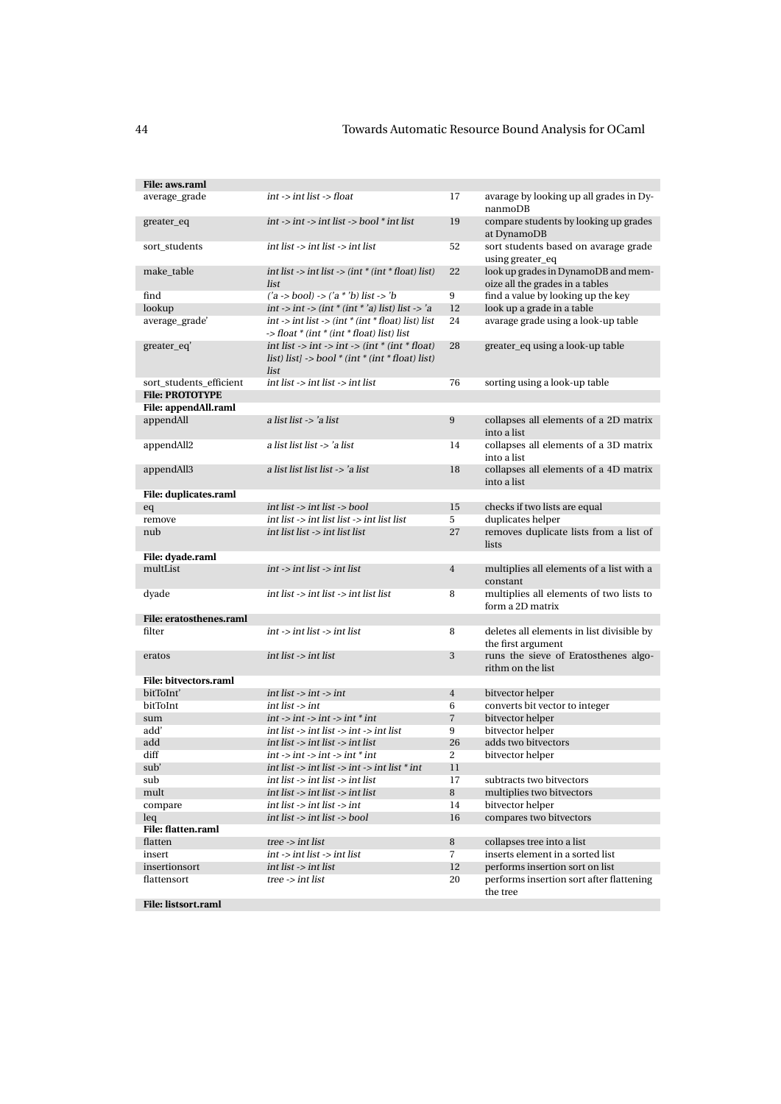| File: aws.raml            |                                                                                                                                                 |                |                                                                        |
|---------------------------|-------------------------------------------------------------------------------------------------------------------------------------------------|----------------|------------------------------------------------------------------------|
| average_grade             | $int \rightarrow int$ list $\rightarrow$ float                                                                                                  | 17             | avarage by looking up all grades in Dy-                                |
|                           |                                                                                                                                                 |                | nanmoDB                                                                |
| greater_eq                | $int$ -> $int$ -> $int$ list -> $bool$ * $int$ list                                                                                             | 19             | compare students by looking up grades<br>at DynamoDB                   |
| sort_students             | $int$ list -> $int$ list -> $int$ list                                                                                                          | 52             | sort students based on avarage grade<br>using greater_eq               |
| make_table                | int list $\rightarrow$ int list $\rightarrow$ (int $*$ (int $*$ float) list)<br>list                                                            | 22             | look up grades in DynamoDB and mem-<br>oize all the grades in a tables |
| find                      | $('a -> bool) -> ('a * 'b) list -> 'b$                                                                                                          | 9              | find a value by looking up the key                                     |
| lookup                    | $int$ -> $int$ -> $(int * 'a)$ $list$ $)$ $list$ -> $'a$                                                                                        | 12             | look up a grade in a table                                             |
| average_grade'            | $int \rightarrow int$ list $\rightarrow$ (int $*$ (int $*$ float) list) list<br>-> float * (int * (int * float) list) list                      | 24             | avarage grade using a look-up table                                    |
| greater_eq'               | int list $\rightarrow$ int $\rightarrow$ int $\rightarrow$ (int $*$ (int $*$ float)<br>list) list] -> bool * (int * (int * float) list)<br>list | 28             | greater_eq using a look-up table                                       |
| sort_students_efficient   | $int$ list -> $int$ list -> $int$ list                                                                                                          | 76             | sorting using a look-up table                                          |
| <b>File: PROTOTYPE</b>    |                                                                                                                                                 |                |                                                                        |
| File: appendAll.raml      |                                                                                                                                                 |                |                                                                        |
| appendAll                 | a list list -> 'a list                                                                                                                          | 9              | collapses all elements of a 2D matrix<br>into a list                   |
| appendAll2                | a list list list -> 'a list                                                                                                                     | 14             | collapses all elements of a 3D matrix<br>into a list                   |
| appendAll3                | a list list list list -> 'a list                                                                                                                | 18             | collapses all elements of a 4D matrix<br>into a list                   |
| File: duplicates.raml     |                                                                                                                                                 |                |                                                                        |
| eq                        | int list -> int list -> bool                                                                                                                    | 15             | checks if two lists are equal                                          |
| remove                    | $int$ list -> $int$ list list -> $int$ list list                                                                                                | 5              | duplicates helper                                                      |
| nub                       | int list list -> int list list                                                                                                                  | 27             | removes duplicate lists from a list of<br>lists                        |
| File: dyade.raml          |                                                                                                                                                 |                |                                                                        |
| multList                  | $int \rightarrow int$ list $\rightarrow int$ list                                                                                               | $\overline{4}$ | multiplies all elements of a list with a<br>constant                   |
| dyade                     | $int$ list -> $int$ list -> $int$ list list                                                                                                     | 8              | multiplies all elements of two lists to<br>form a 2D matrix            |
| File: eratosthenes.raml   |                                                                                                                                                 |                |                                                                        |
| filter                    | $int \rightarrow int$ list $\rightarrow int$ list                                                                                               | 8              | deletes all elements in list divisible by<br>the first argument        |
| eratos                    | int list -> int list                                                                                                                            | 3              | runs the sieve of Eratosthenes algo-                                   |
|                           |                                                                                                                                                 |                | rithm on the list                                                      |
| File: bitvectors.raml     |                                                                                                                                                 |                |                                                                        |
| bitToInt'                 | $int list \rightarrow int \rightarrow int$                                                                                                      | $\overline{4}$ | bitvector helper                                                       |
| bitToInt                  | $int$ list $\rightarrow$ int                                                                                                                    | 6              | converts bit vector to integer                                         |
| sum                       | $int$ -> $int$ -> $int$ -> $int$ * $int$                                                                                                        | $\overline{7}$ | bitvector helper                                                       |
| add'                      | $int$ list -> $int$ list -> $int$ -> $int$ list                                                                                                 | 9              | bitvector helper                                                       |
| add                       | $int$ list -> $int$ list -> $int$ list                                                                                                          | 26             | adds two bitvectors                                                    |
| diff                      | $int$ -> $int$ -> $int$ -> $int$ * $int$                                                                                                        | $\overline{2}$ | bitvector helper                                                       |
| sub'                      | $\int$ int list -> $\int$ int list -> $\int$ int -> $\int$ int list * $\int$                                                                    | $11\,$         | subtracts two bitvectors                                               |
| sub                       | $int$ list -> $int$ list -> $int$ list                                                                                                          | 17             |                                                                        |
| mult                      | $int$ list -> $int$ list -> $int$ list                                                                                                          | 8              | multiplies two bitvectors                                              |
| compare                   | $int$ list -> $int$ list -> $int$<br>$int list -> int list -> bool$                                                                             | 14<br>16       | bitvector helper<br>compares two bitvectors                            |
| leq<br>File: flatten.raml |                                                                                                                                                 |                |                                                                        |
| flatten                   | $tree \rightarrow int list$                                                                                                                     | 8              | collapses tree into a list                                             |
| insert                    | $int$ -> $int$ list -> $int$ list                                                                                                               | 7              | inserts element in a sorted list                                       |
| insertionsort             | $int$ list -> $int$ list                                                                                                                        | $12\,$         | performs insertion sort on list                                        |
| flattensort               | $tree \rightarrow int$ list                                                                                                                     | 20             | performs insertion sort after flattening<br>the tree                   |
| File: listsort.raml       |                                                                                                                                                 |                |                                                                        |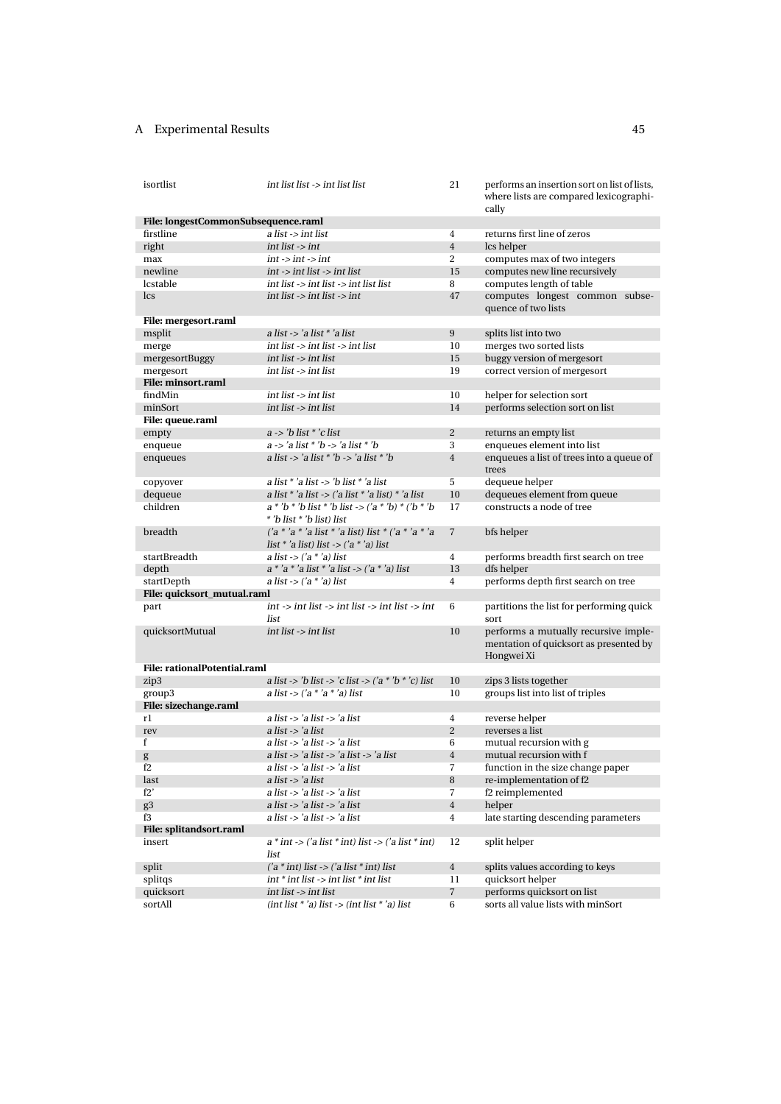| isortlist                           | int list list -> int list list                                                             | 21                  | performs an insertion sort on list of lists,<br>where lists are compared lexicographi-<br>cally |
|-------------------------------------|--------------------------------------------------------------------------------------------|---------------------|-------------------------------------------------------------------------------------------------|
| File: longestCommonSubsequence.raml |                                                                                            |                     |                                                                                                 |
| firstline                           | $a$ list $\rightarrow$ int list                                                            | 4                   | returns first line of zeros                                                                     |
| right                               | $int$ list $\rightarrow$ int                                                               | $\overline{4}$      | lcs helper                                                                                      |
| max                                 | $int$ -> $int$ -> $int$                                                                    | $\overline{2}$      | computes max of two integers                                                                    |
| newline                             | $int \rightarrow int$ list $\rightarrow int$ list                                          | 15                  | computes new line recursively                                                                   |
| lcstable                            | $int$ list -> $int$ list -> $int$ list list                                                | 8                   | computes length of table                                                                        |
| <sub>lcs</sub>                      | $int$ list $\rightarrow$ int list $\rightarrow$ int                                        | 47                  | computes longest common subse-<br>quence of two lists                                           |
| File: mergesort.raml                |                                                                                            |                     |                                                                                                 |
| msplit                              | a list -> 'a list * 'a list                                                                | 9                   | splits list into two                                                                            |
| merge                               | $int$ list -> $int$ list -> $int$ list                                                     | 10                  | merges two sorted lists                                                                         |
| mergesortBuggy                      | $int$ list $\rightarrow$ int list                                                          | 15                  | buggy version of mergesort                                                                      |
| mergesort                           | $int$ list -> $int$ list                                                                   | 19                  | correct version of mergesort                                                                    |
| File: minsort.raml                  |                                                                                            |                     |                                                                                                 |
| findMin                             | $int$ list -> $int$ list                                                                   | 10                  | helper for selection sort                                                                       |
| minSort                             | int list -> int list                                                                       | 14                  | performs selection sort on list                                                                 |
| File: queue.raml                    |                                                                                            |                     |                                                                                                 |
| empty                               | $a \rightarrow 'b$ list * 'c list                                                          | 2                   | returns an empty list                                                                           |
| enqueue                             | $a \rightarrow 'a$ list * 'b -> 'a list * 'b                                               | 3                   | enqueues element into list                                                                      |
| enqueues                            | a list -> 'a list * 'b -> 'a list * 'b                                                     | $\overline{4}$      | enqueues a list of trees into a queue of                                                        |
|                                     |                                                                                            |                     | trees                                                                                           |
| copyover                            | a list $*$ 'a list -> 'b list $*$ 'a list                                                  | 5                   | dequeue helper                                                                                  |
| dequeue                             | a list * 'a list -> ('a list * 'a list) * 'a list                                          | 10                  | dequeues element from queue                                                                     |
| children                            | $a * 'b * 'b$ list * 'b list -> (' $a * 'b$ ) * (' $b * 'b$                                | 17                  | constructs a node of tree                                                                       |
|                                     | * 'b list * 'b list) list                                                                  |                     |                                                                                                 |
| breadth                             | ('a * 'a * 'a list * 'a list) list * ('a * 'a * 'a                                         | $\overline{7}$      | bfs helper                                                                                      |
|                                     | list * 'a list) list -> ('a * 'a) list                                                     |                     |                                                                                                 |
| startBreadth                        | a list $\rightarrow$ ('a * 'a) list                                                        | 4                   | performs breadth first search on tree                                                           |
| depth                               | $a * 'a * 'a$ list $* 'a$ list $\rightarrow$ (' $a * 'a$ ) list                            | 13                  | dfs helper                                                                                      |
| startDepth                          | a list $\rightarrow$ ('a * 'a) list                                                        | 4                   | performs depth first search on tree                                                             |
| File: quicksort_mutual.raml         |                                                                                            |                     |                                                                                                 |
| part                                | $int \rightarrow int$ list $\rightarrow int$ list $\rightarrow int$ list $\rightarrow int$ | 6                   | partitions the list for performing quick                                                        |
|                                     | list                                                                                       |                     | sort                                                                                            |
| quicksortMutual                     | $int$ list -> $int$ list                                                                   | 10                  | performs a mutually recursive imple-                                                            |
|                                     |                                                                                            |                     | mentation of quicksort as presented by                                                          |
|                                     |                                                                                            |                     | Hongwei Xi                                                                                      |
| File: rationalPotential.raml        |                                                                                            |                     |                                                                                                 |
| zip3                                | a list -> 'b list -> 'c list -> ('a * 'b * 'c) list                                        | 10                  | zips 3 lists together                                                                           |
| group3                              | a list -> ('a * 'a * 'a) list                                                              | 10                  | groups list into list of triples                                                                |
| File: sizechange.raml               |                                                                                            |                     |                                                                                                 |
| r1                                  |                                                                                            |                     |                                                                                                 |
| rev                                 |                                                                                            |                     |                                                                                                 |
| f                                   | $a$ list -> ' $a$ list -> ' $a$ list                                                       | 4                   | reverse helper                                                                                  |
|                                     | a list $\rightarrow$ 'a list                                                               | $\overline{2}$      | reverses a list                                                                                 |
|                                     | a list -> 'a list -> 'a list                                                               | 6                   | mutual recursion with g                                                                         |
| g                                   | a list -> 'a list -> 'a list -> 'a list                                                    | $\overline{4}$      | mutual recursion with f                                                                         |
| t2                                  | a list -> 'a list -> 'a list                                                               | 7.                  | function in the size change paper                                                               |
| last                                | a list -> 'a list                                                                          | 8                   | re-implementation of f2                                                                         |
| f2'                                 | a list -> 'a list -> 'a list                                                               | $\overline{7}$      | f2 reimplemented                                                                                |
| g3                                  | a list -> 'a list -> 'a list                                                               | $\overline{4}$      | helper                                                                                          |
| f3                                  | a list -> 'a list -> 'a list                                                               | $\overline{4}$      | late starting descending parameters                                                             |
| File: splitandsort.raml             |                                                                                            |                     |                                                                                                 |
| insert                              | $a * int$ -> ('a list * int) list -> ('a list * int)                                       | 12                  | split helper                                                                                    |
|                                     | list                                                                                       |                     |                                                                                                 |
| split                               | $(a * int)$ list $\rightarrow$ ('a list * int) list                                        | $\overline{4}$      | splits values according to keys                                                                 |
| splitqs                             | $int * int$ list -> $int$ list $*$ int list                                                | 11                  | quicksort helper                                                                                |
| quicksort<br>sortAll                | int list -> int list<br>$(int list * 'a) list -> (int list * 'a) list$                     | $\overline{7}$<br>6 | performs quicksort on list<br>sorts all value lists with minSort                                |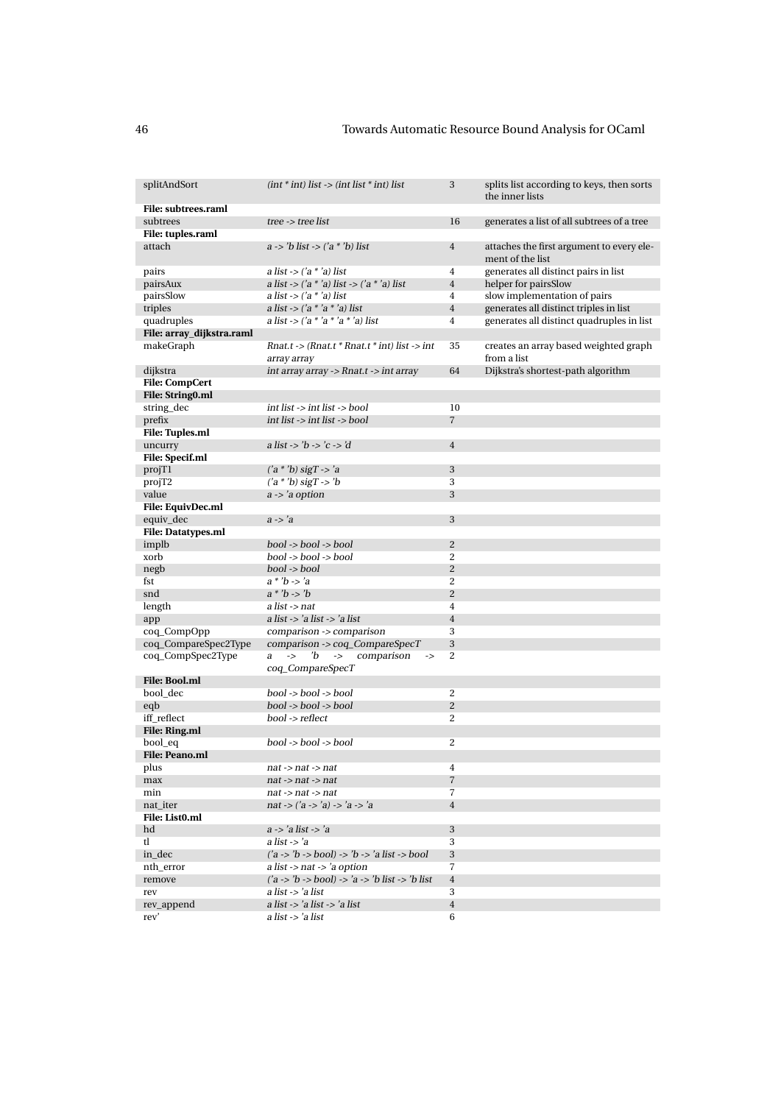| splitAndSort              | $(int * int)$ list $\rightarrow$ (int list $*$ int) list                               | 3              | splits list according to keys, then sorts<br>the inner lists  |
|---------------------------|----------------------------------------------------------------------------------------|----------------|---------------------------------------------------------------|
| File: subtrees.raml       |                                                                                        |                |                                                               |
| subtrees                  | tree -> tree list                                                                      | 16             | generates a list of all subtrees of a tree                    |
| File: tuples.raml         |                                                                                        |                |                                                               |
| attach                    | $a \rightarrow 'b$ list $\rightarrow ('a * 'b)$ list                                   | $\overline{4}$ | attaches the first argument to every ele-<br>ment of the list |
| pairs                     | a list -> $('a * 'a)$ list                                                             | 4              | generates all distinct pairs in list                          |
| pairsAux                  | a list -> ('a * 'a) list -> ('a * 'a) list                                             | $\overline{4}$ | helper for pairsSlow                                          |
| pairsSlow                 | a list -> $('a * 'a)$ list                                                             | 4              | slow implementation of pairs                                  |
| triples                   | a list -> ('a * 'a * 'a) list                                                          | $\overline{4}$ | generates all distinct triples in list                        |
| quadruples                | a list -> ('a * 'a * 'a * 'a) list                                                     | 4              | generates all distinct quadruples in list                     |
| File: array_dijkstra.raml |                                                                                        |                |                                                               |
| makeGraph                 | Rnat.t -> (Rnat.t * Rnat.t * int) list -> int                                          | 35             | creates an array based weighted graph                         |
|                           | array array                                                                            |                | from a list                                                   |
| dijkstra                  | int array array $\rightarrow$ Rnat.t $\rightarrow$ int array                           | 64             | Dijkstra's shortest-path algorithm                            |
| <b>File: CompCert</b>     |                                                                                        |                |                                                               |
| File: String0.ml          |                                                                                        |                |                                                               |
| string_dec                | $int list$ -> $int list$ -> $bool$                                                     | 10             |                                                               |
| prefix                    | $int$ list -> $int$ list -> $bool$                                                     | $\overline{7}$ |                                                               |
| <b>File: Tuples.ml</b>    |                                                                                        |                |                                                               |
| uncurry                   | a list -> 'b -> 'c -> 'd                                                               | $\overline{4}$ |                                                               |
| File: Specif.ml           |                                                                                        |                |                                                               |
| projT1                    | $('a * 'b) sigT \rightarrow 'a$                                                        | 3              |                                                               |
|                           | $('a * 'b) sigT \rightarrow 'b$                                                        | 3              |                                                               |
| projT2<br>value           | $a \rightarrow 'a$ option                                                              | 3              |                                                               |
|                           |                                                                                        |                |                                                               |
| File: EquivDec.ml         |                                                                                        |                |                                                               |
| equiv_dec                 | $a \rightarrow a$                                                                      | 3              |                                                               |
| File: Datatypes.ml        |                                                                                        |                |                                                               |
| implb                     | bool -> bool -> bool                                                                   | 2              |                                                               |
| xorb                      | $bool$ -> $bool$ -> $bool$                                                             | 2              |                                                               |
| negb                      | bool -> bool                                                                           | $\overline{2}$ |                                                               |
| fst                       | $a * 'b \rightarrow 'a$                                                                | 2              |                                                               |
| snd                       | $a * 'b -> 'b$                                                                         | $\overline{2}$ |                                                               |
| length                    | a list -> nat                                                                          | 4              |                                                               |
| app                       | a list -> 'a list -> 'a list                                                           | $\overline{4}$ |                                                               |
| coq_CompOpp               | comparison -> comparison                                                               | 3              |                                                               |
| coq_CompareSpec2Type      | comparison -> coq_CompareSpecT                                                         | 3              |                                                               |
| coq_CompSpec2Type         | 'b -> comparison<br>$\rightarrow$<br>a<br>->                                           | 2              |                                                               |
|                           | coq_CompareSpecT                                                                       |                |                                                               |
| <b>File: Bool.ml</b>      |                                                                                        |                |                                                               |
| bool_dec                  | bool -> bool -> bool                                                                   | 2              |                                                               |
| eqb                       | bool -> bool -> bool                                                                   | $\overline{c}$ |                                                               |
| iff_reflect               | $bool$ -> reflect                                                                      | 2              |                                                               |
| <b>File: Ring.ml</b>      |                                                                                        |                |                                                               |
| bool_eq                   | bool -> bool -> bool                                                                   | 2              |                                                               |
| <b>File: Peano.ml</b>     |                                                                                        |                |                                                               |
| plus                      | $nat$ -> $nat$ -> $nat$                                                                | 4              |                                                               |
| max                       | $nat$ -> $nat$ -> $nat$                                                                | $\overline{7}$ |                                                               |
| min                       | $nat$ -> $nat$ -> $nat$                                                                | 7              |                                                               |
| nat_iter                  | nat -> $('a -> 'a) -> 'a -> 'a$                                                        | $\overline{4}$ |                                                               |
| File: List0.ml            |                                                                                        |                |                                                               |
| hd                        | $a \rightarrow 'a$ list $\rightarrow 'a$                                               | 3              |                                                               |
| tl                        | a list $\rightarrow$ 'a                                                                | 3              |                                                               |
| in_dec                    | $(a \rightarrow b \rightarrow bool) \rightarrow b \rightarrow a list \rightarrow bool$ | 3              |                                                               |
| nth_error                 | a list $\rightarrow$ nat $\rightarrow$ 'a option                                       | $\overline{7}$ |                                                               |
| remove                    | ('a -> 'b -> bool) -> 'a -> 'b list -> 'b list                                         | $\overline{4}$ |                                                               |
| rev                       | a list -> 'a list                                                                      | 3              |                                                               |
| rev_append                | a list -> 'a list -> 'a list                                                           | $\overline{4}$ |                                                               |
| rev'                      | a list -> 'a list                                                                      | 6              |                                                               |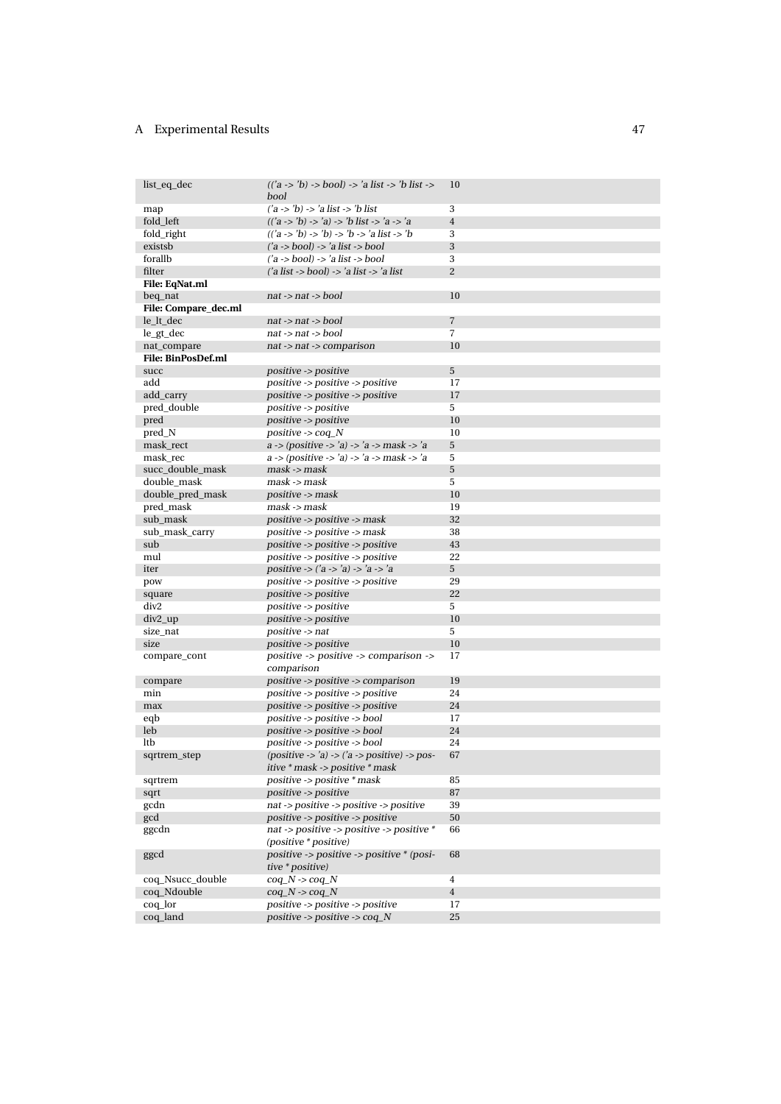| list_eq_dec               | $((a \rightarrow b) \rightarrow bool) \rightarrow 'a list \rightarrow 'b list \rightarrow$<br>bool | 10             |
|---------------------------|----------------------------------------------------------------------------------------------------|----------------|
| map                       | $(a \rightarrow b) \rightarrow a$ list $\rightarrow$ 'b list                                       | 3              |
| fold_left                 | $((a -> b) -> a) -> b$ list $-> a -> a$                                                            | $\overline{4}$ |
| fold_right                | $((a -> b) -> b) -> b -> a list -> b$                                                              | 3              |
| existsb                   | $(a \rightarrow bool) \rightarrow 'a$ list $\rightarrow bool$                                      | 3              |
| forallb                   | $(a \rightarrow bool) \rightarrow 'a list \rightarrow bool$                                        | 3              |
| filter                    | ('a list -> bool) -> 'a list -> 'a list                                                            | $\overline{c}$ |
| File: EqNat.ml            |                                                                                                    |                |
| beq_nat                   | $nat$ -> $nat$ -> $bool$                                                                           | 10             |
| File: Compare_dec.ml      |                                                                                                    |                |
| le_lt_dec                 | $nat$ -> $nat$ -> $bool$                                                                           | $\overline{7}$ |
| $le\_gt\_dec$             | $nat$ -> $nat$ -> $bool$                                                                           | 7              |
| nat_compare               | nat -> nat -> comparison                                                                           | 10             |
| <b>File: BinPosDef.ml</b> |                                                                                                    |                |
| succ                      | <i>positive -&gt; positive</i>                                                                     | 5              |
| add                       | positive -> positive -> positive                                                                   | 17             |
| add_carry                 | positive -> positive -> positive                                                                   | 17             |
| pred_double               | positive -> positive                                                                               | 5              |
| pred                      | positive -> positive                                                                               | 10             |
| pred_N                    | $positive > coq_N$                                                                                 | 10             |
| mask_rect                 | $a \rightarrow (positive \rightarrow 'a) \rightarrow 'a \rightarrow mask \rightarrow 'a$           | 5              |
| mask_rec                  | $a \rightarrow (positive \rightarrow 'a) \rightarrow 'a \rightarrow mask \rightarrow 'a$           | 5              |
| succ_double_mask          | $mask$ -> $mask$                                                                                   | 5              |
| double_mask               | $mask$ -> $mask$                                                                                   | 5              |
| double_pred_mask          | positive -> mask                                                                                   | 10             |
| pred_mask                 | mask -> mask                                                                                       | 19             |
| sub_mask                  | positive -> positive -> mask                                                                       | 32             |
| sub_mask_carry            | positive -> positive -> mask                                                                       | 38             |
| sub                       | positive -> positive -> positive                                                                   | 43             |
| mul                       | positive -> positive -> positive                                                                   | 22             |
| iter                      | positive -> $('a -> 'a) -> 'a -> 'a$                                                               | 5              |
| pow                       | positive -> positive -> positive                                                                   | 29             |
| square                    | positive -> positive                                                                               | 22             |
| div2                      | <i>positive -&gt; positive</i>                                                                     | 5              |
| $div2$ _up                | positive -> positive                                                                               | 10             |
| size_nat                  | positive -> nat                                                                                    | 5              |
| size                      | positive -> positive                                                                               | 10             |
| compare_cont              | positive -> positive -> comparison ->                                                              | 17             |
|                           | comparison                                                                                         |                |
| compare                   | positive -> positive -> comparison                                                                 | 19             |
| min                       | positive -> positive -> positive                                                                   | 24             |
| max                       | positive -> positive -> positive                                                                   | 24             |
| eqb                       | positive -> positive -> bool                                                                       | 17             |
| leb                       | positive -> positive -> bool                                                                       | 24             |
| ltb                       | positive -> positive -> bool                                                                       | 24             |
| sqrtrem_step              | $(positive \rightarrow 'a) \rightarrow ('a \rightarrow positive) \rightarrow pos$ -                | 67             |
|                           | itive * mask -> positive * mask                                                                    |                |
| sqrtrem                   | positive -> positive * mask                                                                        | 85             |
| sqrt                      | positive -> positive                                                                               | 87             |
| gcdn                      | nat -> positive -> positive -> positive                                                            | 39             |
| gcd                       | positive -> positive -> positive                                                                   | 50             |
| ggcdn                     | nat -> positive -> positive -> positive *                                                          | 66             |
|                           | (positive * positive)                                                                              |                |
| ggcd                      | positive -> positive -> positive * (posi-                                                          | 68             |
|                           | tive * positive)                                                                                   |                |
| coq_Nsucc_double          | $coq_N \rightarrow coq_N$                                                                          | 4              |
| coq_Ndouble               | $coq_N \rightarrow coq_N$                                                                          | $\overline{4}$ |
| $\log_{10}$               | positive -> positive -> positive                                                                   | 17             |
| coq_land                  | $positive$ -> $positive$ -> $coq_N$                                                                | 25             |
|                           |                                                                                                    |                |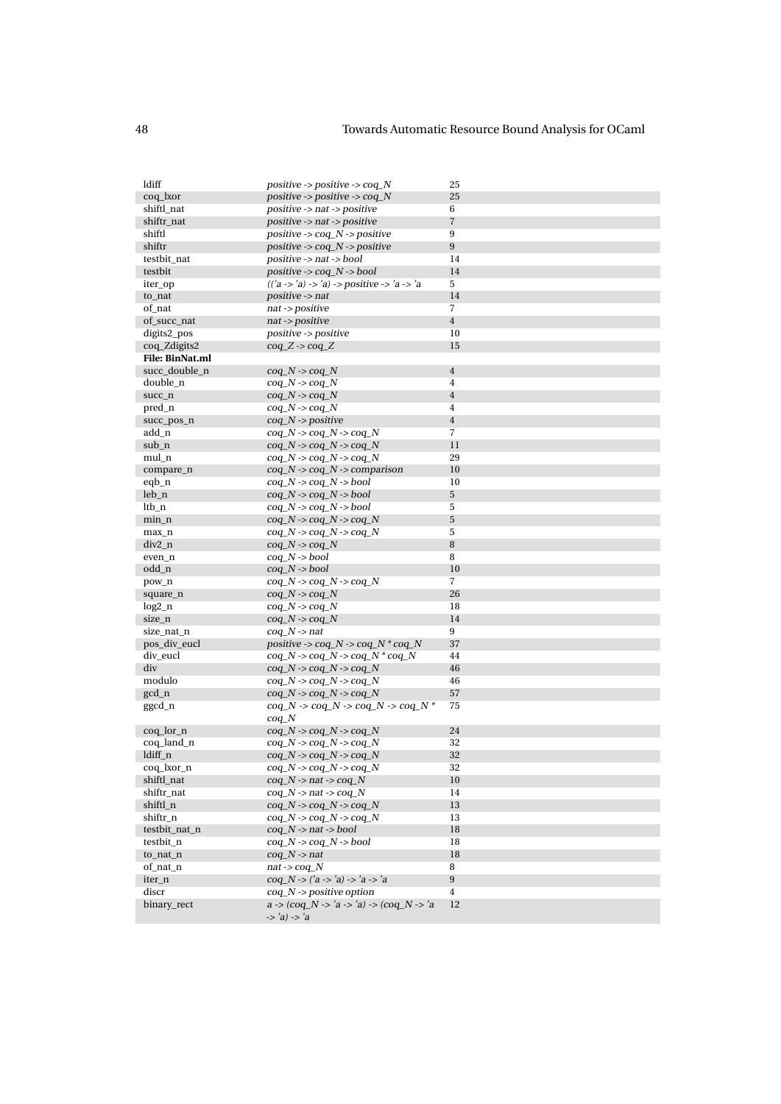| ldiff             | $positive$ -> $positive$ -> $coq_N$                                                      | 25             |
|-------------------|------------------------------------------------------------------------------------------|----------------|
| coq_lxor          | $positive$ -> $positive$ -> $coq_N$                                                      | 25             |
| shiftl_nat        | positive -> nat -> positive                                                              | 6              |
| shiftr_nat        | positive -> nat -> positive                                                              | 7              |
| shiftl            | $positive$ -> $coq_N$ -> $positive$                                                      | 9              |
| shiftr            | $positive$ -> $coq_N$ -> $positive$                                                      | 9              |
| testbit_nat       | positive -> nat -> bool                                                                  | 14             |
| testbit           | $positive$ -> $coq_N$ -> bool                                                            | 14             |
| iter_op           | $((a -> 'a) -> 'a) -> positive -> 'a -> 'a$                                              | 5              |
| to_nat            | positive -> nat                                                                          | 14             |
| of_nat            | nat -> positive                                                                          | $\overline{7}$ |
| of_succ_nat       | nat -> positive                                                                          | $\overline{4}$ |
| digits2_pos       | positive -> positive                                                                     | 10             |
| coq_Zdigits2      | $\text{coq\_Z} \rightarrow \text{coq\_Z}$                                                | 15             |
| File: BinNat.ml   |                                                                                          |                |
|                   |                                                                                          |                |
| succ_double_n     | $coq_N \rightarrow coq_N$                                                                | $\overline{4}$ |
| double_n          | $coq_N \rightarrow coq_N$                                                                | 4              |
| succ_n            | $coq_N \rightarrow coq_N$                                                                | $\overline{4}$ |
| pred_n            | $coq_N \rightarrow coq_N$                                                                | 4              |
| succ_pos_n        | $coq_N > positive$                                                                       | $\overline{4}$ |
| add_n             | $coq_N \rightarrow coq_N \rightarrow coq_N$                                              | 7              |
| $sub_n$           | $coq_N \rightarrow coq_N \rightarrow coq_N$                                              | 11             |
| mul_n             | $coq_N \rightarrow coq_N \rightarrow coq_N$                                              | 29             |
| compare_n         | $\text{coq}_N > \text{coq}_N > \text{comparison}$                                        | $10\,$         |
| eqb <sub>n</sub>  | $coq_N \rightarrow coq_N \rightarrow bool$                                               | 10             |
| $leb_n$           | $coq_N \rightarrow coq_N \rightarrow bool$                                               | 5              |
| ltb_n             | $coq_N \rightarrow coq_N \rightarrow bool$                                               | 5              |
| $min_n$           | $coq_N \rightarrow coq_N \rightarrow coq_N$                                              | 5              |
| max_n             | $coq_N \rightarrow coq_N \rightarrow coq_N$                                              | 5              |
| $div2_n$          | $coq_N \rightarrow coq_N$                                                                | 8              |
| even_n            | $coq_N > bool$                                                                           | 8              |
| odd_n             | $coq_N > bool$                                                                           | 10             |
| pow_n             | $coq_N \rightarrow coq_N \rightarrow coq_N$                                              | $\overline{7}$ |
| square_n          | $coq_N \rightarrow coq_N$                                                                | 26             |
| $log2_n$          | $coq_N \rightarrow coq_N$                                                                | 18             |
| size_n            | $coq_N \rightarrow coq_N$                                                                | 14             |
| size_nat_n        | $coq_N \rightarrow nat$                                                                  | 9              |
| pos_div_eucl      | $positive$ -> $coq_N$ -> $coq_N$ * $coq_N$                                               | 37             |
| div_eucl          | $coq_N \rightarrow coq_N \rightarrow coq_N * coq_N$                                      | 44             |
| div               | $coq_N \rightarrow coq_N \rightarrow coq_N$                                              | 46             |
| modulo            | $coq_N \rightarrow coq_N \rightarrow coq_N$                                              | 46             |
| $gcd_n$           | $coq_N \rightarrow coq_N \rightarrow coq_N$                                              | 57             |
| ggcd_n            | $coq_N \rightarrow coq_N \rightarrow coq_N \rightarrow coq_N$                            | 75             |
|                   | $coq_N$                                                                                  |                |
| $\log_{10}$ $\ln$ | $coq_N \rightarrow coq_N \rightarrow coq_N$                                              | 24             |
| coq_land_n        | $coq_N \rightarrow coq_N \rightarrow coq_N$                                              | 32             |
| ldiff_n           |                                                                                          | 32             |
|                   | $coq_N \rightarrow coq_N \rightarrow coq_N$                                              |                |
| coq_lxor_n        | $coq_N \rightarrow coq_N \rightarrow coq_N$<br>$\text{coq}_N$ -> nat -> $\text{coq}_N$   | 32             |
| shiftl_nat        |                                                                                          | 10             |
| shiftr_nat        | $coq_N \rightarrow nat \rightarrow coq_N$                                                | 14             |
| shiftl_n          | $coq_N \rightarrow coq_N \rightarrow coq_N$                                              | 13             |
| shiftr_n          | $coq_N \rightarrow coq_N \rightarrow coq_N$                                              | 13             |
| testbit nat n     | $coq_N >$ nat -> bool                                                                    | 18             |
| testbit_n         | $coq_N \rightarrow coq_N \rightarrow bool$                                               | 18             |
| to_nat_n          | $coq_N \rightarrow nat$                                                                  | 18             |
| of_nat_n          | nat -> $coq_N$                                                                           | 8              |
| iter_n            | $\cos N > (a \rightarrow a) > a \rightarrow a$                                           | 9              |
| discr             | $coq_N \rightarrow$ positive option                                                      | $\overline{4}$ |
| binary_rect       | $a \rightarrow (coq_N \rightarrow 'a \rightarrow 'a) \rightarrow (coq_N \rightarrow 'a)$ | 12             |
|                   | $\rightarrow 'a) \rightarrow 'a$                                                         |                |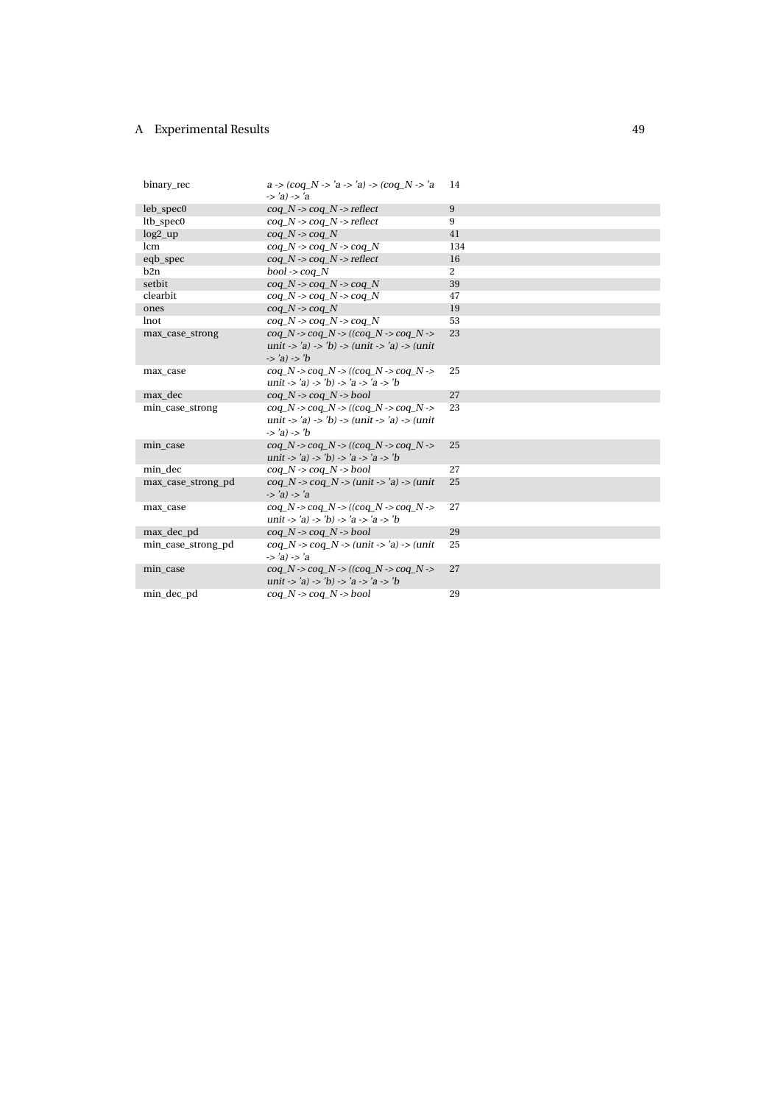| binary_rec         | $a \rightarrow (coq_N \rightarrow 'a \rightarrow 'a) \rightarrow (coq_N \rightarrow 'a)$<br>$\rightarrow 'a$ ) $\rightarrow 'a$                                               | 14             |
|--------------------|-------------------------------------------------------------------------------------------------------------------------------------------------------------------------------|----------------|
| leb_spec0          | $coq_N \rightarrow coq_N \rightarrow reflect$                                                                                                                                 | 9              |
| ltb_spec0          | $coq_N \rightarrow coq_N \rightarrow reflect$                                                                                                                                 | 9              |
| $log2$ _up         | $coq_N \rightarrow coq_N$                                                                                                                                                     | 41             |
| lcm                | $coq_N \rightarrow coq_N \rightarrow coq_N$                                                                                                                                   | 134            |
| eqb_spec           | $coq_N \rightarrow coq_N \rightarrow reflect$                                                                                                                                 | 16             |
| b2n                | $bool$ -> $coq$ N                                                                                                                                                             | $\overline{2}$ |
| setbit             | $coq_N \rightarrow coq_N \rightarrow coq_N$                                                                                                                                   | 39             |
| clearbit           | $coq_N \rightarrow coq_N \rightarrow coq_N$                                                                                                                                   | 47             |
| ones               | $coq_N \rightarrow coq_N$                                                                                                                                                     | 19             |
| lnot               | $\cos N$ -> $\cos N$ -> $\cos N$                                                                                                                                              | 53             |
| max_case_strong    | $\cos N$ -> $\cos N$ -> $((\cos N$ -> $\cos N$ -><br>unit -> 'a) -> 'b) -> (unit -> 'a) -> (unit<br>$\rightarrow$ 'a) $\rightarrow$ 'b                                        | 23             |
| max_case           | $coq_N > coq_N > ((coq_N > coq_N >$<br>unit -> 'a) -> 'b) -> 'a -> 'a -> 'b                                                                                                   | 25             |
| max_dec            | $coq_N \rightarrow coq_N \rightarrow bool$                                                                                                                                    | 27             |
| min_case_strong    | $coq_N > coq_N > ((coq_N > coq_N >$<br>unit $\rightarrow$ 'a) $\rightarrow$ 'b) $\rightarrow$ (unit $\rightarrow$ 'a) $\rightarrow$ (unit<br>$\rightarrow 'a) \rightarrow 'b$ | 23             |
| min_case           | $\cos N$ -> $\cos N$ -> $((\cos N)$ -> $\cos N$ -><br>unit -> 'a) -> 'b) -> 'a -> 'a -> 'b                                                                                    | 25             |
| min dec            | $\cos N$ -> $\cos N$ -> $\frac{\log N}{N}$                                                                                                                                    | 27             |
| max_case_strong_pd | $coq_N > coq_N > (unit \rightarrow a) > (unit$<br>$\rightarrow 'a) \rightarrow 'a$                                                                                            | 25             |
| max_case           | $coq_N > coq_N > ((coq_N > coq_N >$<br>unit -> 'a) -> 'b) -> 'a -> 'a -> 'b                                                                                                   | 27             |
| max_dec_pd         | $coq_N \rightarrow coq_N \rightarrow bool$                                                                                                                                    | 29             |
| min_case_strong_pd | $\cos N$ -> $\cos N$ -> $(\text{unit}$ -> $a)$ -> $(\text{unit}$<br>$\rightarrow 'a) \rightarrow 'a$                                                                          | 25             |
| min_case           | $\cos N$ -> $\cos N$ -> $((\cos N)$ -> $\cos N$ -><br>unit -> 'a) -> 'b) -> 'a -> 'a -> 'b                                                                                    | 27             |
| min_dec_pd         | $coq_N \rightarrow coq_N \rightarrow bool$                                                                                                                                    | 29             |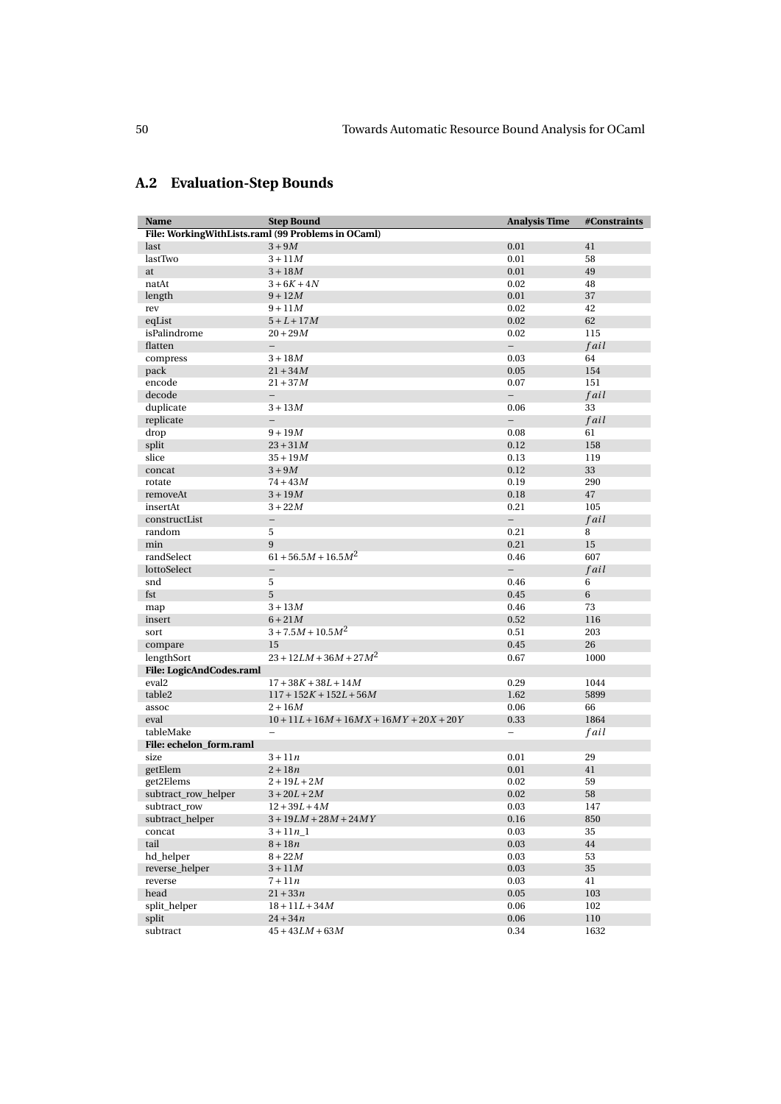| Name                     | <b>Step Bound</b>                                  | <b>Analysis Time</b>     | #Constraints |
|--------------------------|----------------------------------------------------|--------------------------|--------------|
|                          | File: WorkingWithLists.raml (99 Problems in OCaml) |                          |              |
| last                     | $3+9M$                                             | 0.01                     | 41           |
| lastTwo                  | $3 + 11M$                                          | 0.01                     | 58           |
| at                       | $3 + 18M$                                          | 0.01                     | 49           |
| natAt                    | $3 + 6K + 4N$                                      | 0.02                     | 48           |
| length                   | $9 + 12M$                                          | 0.01                     | 37           |
| rev                      | $9 + 11M$                                          | 0.02                     | 42           |
| eqList                   | $5 + L + 17M$                                      | 0.02                     | 62           |
| isPalindrome             | $20 + 29M$                                         | 0.02                     | 115          |
| flatten                  | $\overline{\phantom{0}}$                           | $\overline{\phantom{0}}$ | fail         |
| compress                 | $3 + 18M$                                          | 0.03                     | 64           |
|                          | $21 + 34M$                                         | 0.05                     | 154          |
| pack<br>encode           | $21 + 37M$                                         | 0.07                     | 151          |
| decode                   |                                                    | $\overline{\phantom{0}}$ |              |
|                          |                                                    |                          | fail         |
| duplicate                | $3 + 13M$                                          | 0.06                     | 33           |
| replicate                | $\qquad \qquad -$                                  | $-$                      | fail         |
| drop                     | $9 + 19M$                                          | 0.08                     | 61           |
| split                    | $23 + 31M$                                         | 0.12                     | 158          |
| slice                    | $35 + 19M$                                         | 0.13                     | 119          |
| concat                   | $3+9M$                                             | 0.12                     | 33           |
| rotate                   | $74 + 43M$                                         | 0.19                     | 290          |
| removeAt                 | $3 + 19M$                                          | 0.18                     | 47           |
| insertAt                 | $3 + 22M$                                          | 0.21                     | 105          |
| constructList            | $\equiv$                                           | $\overline{\phantom{0}}$ | fail         |
| random                   | 5                                                  | 0.21                     | 8            |
| min                      | 9                                                  | 0.21                     | 15           |
| randSelect               | $61 + 56.5M + 16.5M^2$                             | 0.46                     | 607          |
| lottoSelect              |                                                    | $-$                      | fail         |
| snd                      | 5                                                  | 0.46                     | 6            |
| fst                      | 5                                                  | 0.45                     | 6            |
| map                      | $3 + 13M$                                          | 0.46                     | 73           |
| insert                   | $6 + 21M$                                          | 0.52                     | 116          |
| sort                     | $3 + 7.5M + 10.5M^2$                               | 0.51                     | 203          |
| compare                  | 15                                                 | 0.45                     | 26           |
| lengthSort               | $23 + 12LM + 36M + 27M^2$                          | 0.67                     | 1000         |
| File: LogicAndCodes.raml |                                                    |                          |              |
| eval <sub>2</sub>        | $17 + 38K + 38L + 14M$                             | 0.29                     | 1044         |
| table2                   | $117 + 152K + 152L + 56M$                          | 1.62                     | 5899         |
| assoc                    | $2 + 16M$                                          | 0.06                     | 66           |
| eval                     | $10+11L+16M+16MX+16MY+20X+20Y$                     | 0.33                     | 1864         |
| tableMake                |                                                    |                          |              |
|                          |                                                    |                          | fail         |
| File: echelon_form.raml  |                                                    |                          |              |
| size                     | $3 + 11n$                                          | 0.01                     | 29           |
| getElem                  | $2 + 18n$                                          | 0.01                     | 41           |
| get2Elems                | $2 + 19L + 2M$                                     | 0.02                     | 59           |
| subtract_row_helper      | $3 + 20L + 2M$                                     | 0.02                     | 58           |
| subtract_row             | $12 + 39L + 4M$                                    | 0.03                     | 147          |
| subtract helper          | $3 + 19LM + 28M + 24MY$                            | 0.16                     | 850          |
| concat                   | $3 + 11n$ 1                                        | 0.03                     | 35           |
| tail                     | $8 + 18n$                                          | 0.03                     | 44           |
| hd_helper                | $8 + 22M$                                          | 0.03                     | 53           |
| reverse helper           | $3+11M$                                            | 0.03                     | 35           |
| reverse                  | $7 + 11n$                                          | 0.03                     | 41           |
| head                     | $21 + 33n$                                         | 0.05                     | 103          |
| split_helper             | $18 + 11L + 34M$                                   | 0.06                     | 102          |
| split                    | $24 + 34n$                                         | 0.06                     | 110          |
| subtract                 | $45 + 43LM + 63M$                                  | 0.34                     | 1632         |

# **A.2 Evaluation-Step Bounds**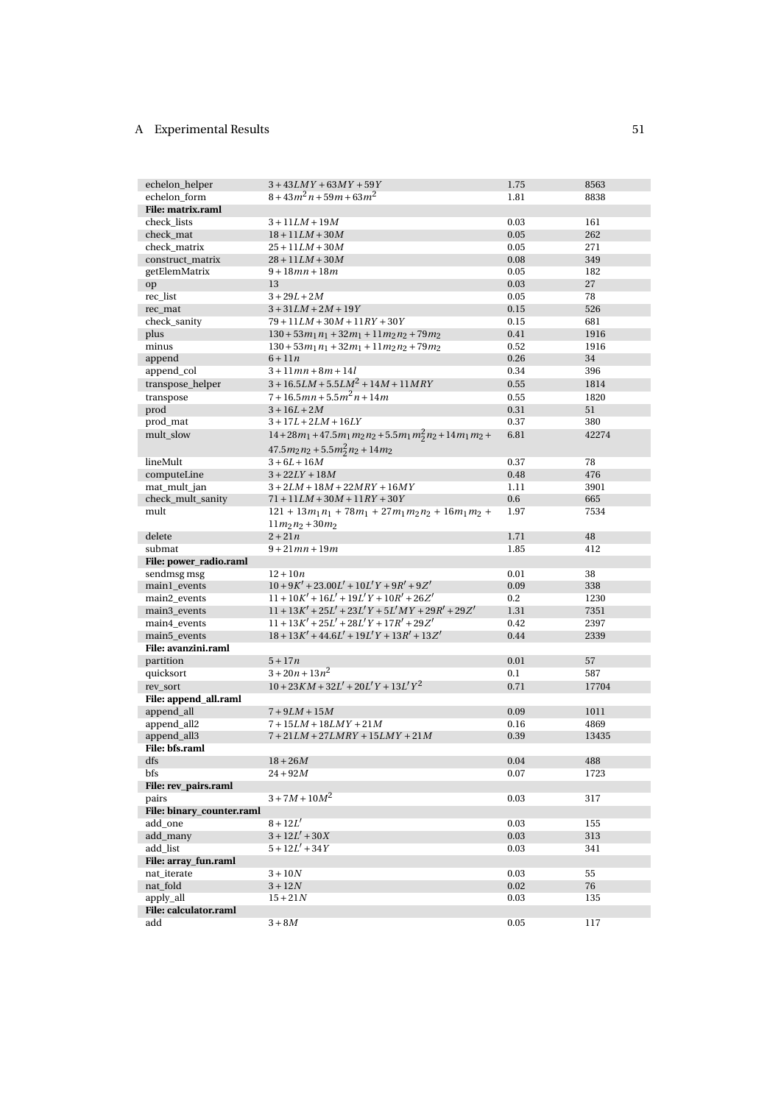| echelon_helper               | $3 + 43LMY + 63MY + 59Y$<br>$8 + 43m^2n + 59m + 63m^2$    | 1.75 | 8563  |
|------------------------------|-----------------------------------------------------------|------|-------|
| echelon_form                 |                                                           | 1.81 | 8838  |
| File: matrix.raml            |                                                           |      |       |
| check lists                  | $3 + 11LM + 19M$                                          | 0.03 | 161   |
| check_mat                    | $18 + 11LM + 30M$                                         | 0.05 | 262   |
| check matrix                 | $25 + 11LM + 30M$                                         | 0.05 | 271   |
| construct_matrix             | $28 + 11LM + 30M$                                         | 0.08 | 349   |
| getElemMatrix                | $9 + 18mn + 18m$                                          | 0.05 | 182   |
| op                           | 13                                                        | 0.03 | 27    |
| rec_list                     | $3 + 29L + 2M$                                            | 0.05 | 78    |
| rec mat                      | $3 + 31LM + 2M + 19Y$                                     | 0.15 | 526   |
| check_sanity                 | $79 + 11LM + 30M + 11RY + 30Y$                            | 0.15 | 681   |
| plus                         | $130 + 53m_1n_1 + 32m_1 + 11m_2n_2 + 79m_2$               | 0.41 | 1916  |
| minus                        | $130 + 53m_1n_1 + 32m_1 + 11m_2n_2 + 79m_2$               | 0.52 | 1916  |
| append                       | $6 + 11n$                                                 | 0.26 | 34    |
| append_col                   | $3 + 11mn + 8m + 14l$                                     | 0.34 | 396   |
| transpose_helper             | $3 + 16.5LM + 5.5LM^2 + 14M + 11MRY$                      | 0.55 | 1814  |
| transpose                    | $7+16.5mn+5.5m^2n+14m$                                    | 0.55 | 1820  |
| prod                         | $3 + 16L + 2M$                                            | 0.31 | 51    |
| prod_mat                     | $3 + 17L + 2LM + 16LY$                                    | 0.37 | 380   |
| mult slow                    | $14+28m_1+47.5m_1m_2n_2+5.5m_1m_2^2n_2+14m_1m_2+$         | 6.81 | 42274 |
|                              |                                                           |      |       |
|                              | $47.5 m_2 n_2 + 5.5 m_2^2 n_2 + 14 m_2$<br>$3 + 6L + 16M$ |      |       |
| lineMult                     |                                                           | 0.37 | 78    |
| computeLine                  | $3 + 22LY + 18M$                                          | 0.48 | 476   |
| mat_mult_jan                 | $3 + 2LM + 18M + 22MRY + 16MY$                            | 1.11 | 3901  |
| check_mult_sanity            | $71 + 11LM + 30M + 11RY + 30Y$                            | 0.6  | 665   |
| mult                         | $121 + 13m_1n_1 + 78m_1 + 27m_1m_2n_2 + 16m_1m_2 +$       | 1.97 | 7534  |
|                              | $11 m2 n2 + 30 m2$                                        |      |       |
| delete                       | $2 + 21n$                                                 | 1.71 | 48    |
| submat                       | $9 + 21mn + 19m$                                          | 1.85 | 412   |
| File: power_radio.raml       |                                                           |      |       |
| sendmsg msg                  | $12 + 10n$                                                | 0.01 | 38    |
| main1_events                 | $10+9K' + 23.00L' + 10L'Y + 9R' + 9Z'$                    | 0.09 | 338   |
| main2 events                 | $11 + 10K' + 16L' + 19L'Y + 10R' + 26Z'$                  | 0.2  | 1230  |
| main3_events                 | $11+13K'+25L'+23L'Y+5L'MY+29R'+29Z'$                      | 1.31 | 7351  |
| main4_events                 | $11+13K'+25L'+28L'Y+17R'+29Z'$                            | 0.42 | 2397  |
| main5 events                 | $18 + 13K' + 44.6L' + 19L'Y + 13R' + 13Z'$                | 0.44 | 2339  |
| File: avanzini.raml          |                                                           |      |       |
|                              |                                                           |      |       |
|                              |                                                           |      |       |
| partition                    | $5 + 17n$                                                 | 0.01 | 57    |
| quicksort                    | $3 + 20n + 13n^2$                                         | 0.1  | 587   |
| rev sort                     | $10 + 23KM + 32L' + 20L'Y + 13L'Y^2$                      | 0.71 | 17704 |
| File: append_all.raml        |                                                           |      |       |
| append_all                   | $7 + 9LM + 15M$                                           | 0.09 | 1011  |
| append_all2                  | $7 + 15LM + 18LMY + 21M$                                  | 0.16 | 4869  |
| append all3                  | $7 + 21LM + 27LMRY + 15LMY + 21M$                         | 0.39 | 13435 |
| File: bfs.raml               |                                                           |      |       |
| dfs                          | $18+26M$                                                  | 0.04 | 488   |
| bfs                          | $24 + 92M$                                                | 0.07 | 1723  |
| File: rev_pairs.raml         |                                                           |      |       |
| pairs                        | $3 + 7M + 10M^2$                                          | 0.03 | 317   |
| File: binary_counter.raml    |                                                           |      |       |
| add_one                      | $8 + 12L'$                                                | 0.03 | 155   |
| add_many                     | $3 + 12L' + 30X$                                          | 0.03 | 313   |
| add_list                     | $5 + 12L' + 34Y$                                          | 0.03 | 341   |
| File: array_fun.raml         |                                                           |      |       |
| nat iterate                  | $3 + 10N$                                                 | 0.03 | 55    |
| nat_fold                     | $3 + 12N$                                                 | 0.02 | 76    |
| apply_all                    | $15 + 21N$                                                | 0.03 | 135   |
| File: calculator.raml<br>add | $3+8M$                                                    |      |       |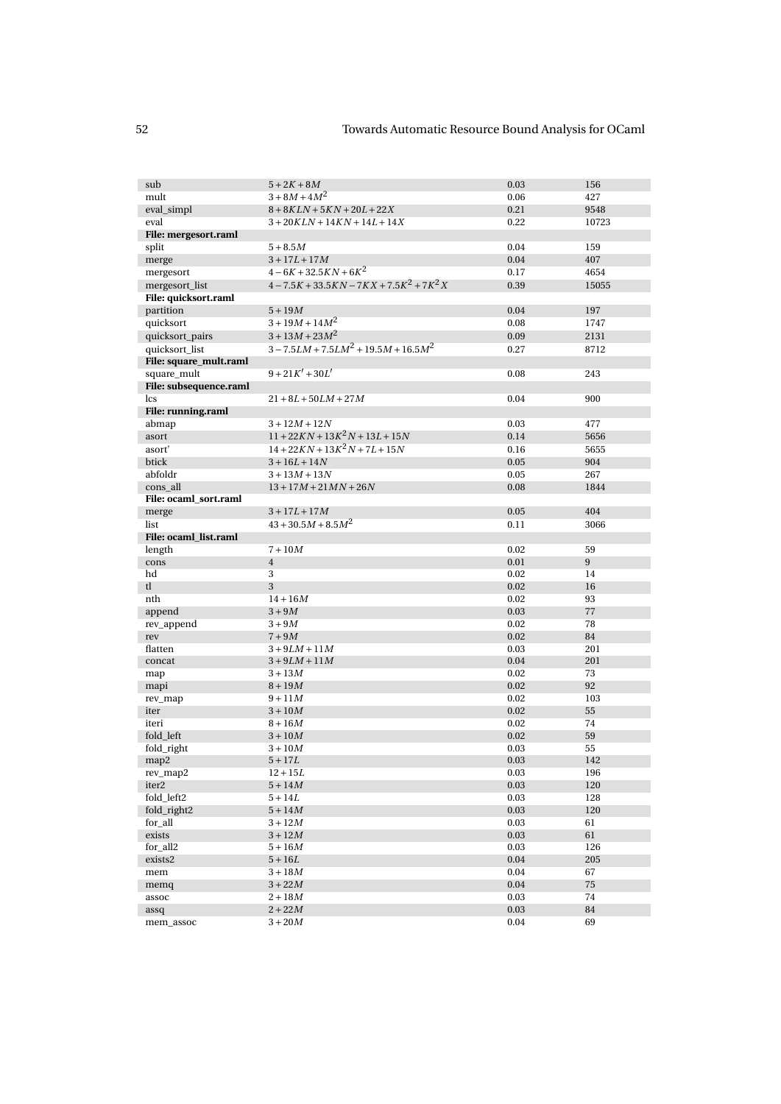| sub                    | $5 + 2K + 8M$                           | 0.03       | 156   |
|------------------------|-----------------------------------------|------------|-------|
| mult                   | $3 + 8M + 4M^2$                         | 0.06       | 427   |
| eval_simpl             | $8 + 8KLN + 5KN + 20L + 22X$            | 0.21       | 9548  |
| eval                   | $3 + 20KLN + 14KN + 14L + 14X$          | 0.22       | 10723 |
| File: mergesort.raml   |                                         |            |       |
| split                  | $5 + 8.5M$                              | 0.04       | 159   |
| merge                  | $3 + 17L + 17M$                         | 0.04       | 407   |
| mergesort              | $4-6K+32.5KN+6K^2$                      | 0.17       | 4654  |
| mergesort_list         | $4-7.5K+33.5KN-7KX+7.5K^{2}+7K^{2}X$    | 0.39       | 15055 |
| File: quicksort.raml   |                                         |            |       |
| partition              | $5 + 19M$                               | 0.04       | 197   |
| quicksort              | $3 + 19M + 14M^2$                       | 0.08       | 1747  |
| quicksort_pairs        | $3 + 13M + 23M^2$                       | 0.09       | 2131  |
| quicksort_list         | $3 - 7.5LM + 7.5LM^2 + 19.5M + 16.5M^2$ | 0.27       | 8712  |
| File: square_mult.raml |                                         |            |       |
| square_mult            | $9 + 21K' + 30L'$                       | 0.08       | 243   |
| File: subsequence.raml |                                         |            |       |
| lcs                    | $21 + 8L + 50LM + 27M$                  | 0.04       | 900   |
| File: running.raml     |                                         |            |       |
| abmap                  | $3 + 12M + 12N$                         | 0.03       | 477   |
|                        | $11 + 22KN + 13K^2N + 13L + 15N$        |            |       |
| asort                  |                                         | 0.14       | 5656  |
| asort'                 | $14 + 22KN + 13K^2N + 7L + 15N$         | 0.16       | 5655  |
| btick                  | $3 + 16L + 14N$                         | 0.05       | 904   |
| abfoldr                | $3 + 13M + 13N$                         | 0.05       | 267   |
| cons_all               | $13 + 17M + 21MN + 26N$                 | 0.08       | 1844  |
| File: ocaml_sort.raml  |                                         |            |       |
| merge                  | $3 + 17L + 17M$                         | 0.05       | 404   |
| list                   | $43 + 30.5M + 8.5M^2$                   | 0.11       | 3066  |
| File: ocaml list.raml  |                                         |            |       |
| length                 | $7 + 10M$                               | 0.02       | 59    |
| cons                   | $\overline{4}$                          | 0.01       | 9     |
| hd                     | 3                                       | 0.02       | 14    |
| t                      | 3                                       | 0.02       | 16    |
| nth                    | $14 + 16M$                              | 0.02       | 93    |
| append                 | $3+9M$                                  | 0.03       | 77    |
| rev_append             | $3+9M$                                  | 0.02       | 78    |
| rev                    | $7+9M$                                  | 0.02       | 84    |
| flatten                | $3 + 9LM + 11M$                         | 0.03       | 201   |
| concat                 | $3 + 9LM + 11M$                         | 0.04       | 201   |
| map                    | $3 + 13M$                               | 0.02       | 73    |
| mapi                   | $8 + 19M$                               | 0.02       | 92    |
| rev_map                | $9 + 11M$                               | 0.02       | 103   |
| iter                   | $3 + 10M$                               | 0.02       | 55    |
| iteri                  | $8 + 16M$                               | 0.02       | 74    |
| fold_left              | $3 + 10M$                               | 0.02       | 59    |
| fold_right             | $3 + 10M$                               | 0.03       | 55    |
| map2                   | $5 + 17L$                               | 0.03       | 142   |
| rev_map2               | $12 + 15L$                              | 0.03       | 196   |
| iter <sub>2</sub>      | $5 + 14M$                               | 0.03       | 120   |
| fold_left2             | $5 + 14L$                               | 0.03       | 128   |
| fold right2            | $5 + 14M$                               | 0.03       | 120   |
| for_all                | $3 + 12M$                               | $0.03\,$   | 61    |
| exists                 | $3 + 12M$                               | 0.03       | 61    |
| for_all2               | $5+16M$                                 | 0.03       | 126   |
|                        |                                         |            |       |
| exists2                | $5+16L$                                 | $\rm 0.04$ | 205   |
| mem                    | $3+18M$                                 | 0.04       | 67    |
| memq                   | $3 + 22M$                               | 0.04       | 75    |
| assoc                  | $2+18M$                                 | 0.03       | 74    |
| assq                   | $2 + 22M$                               | 0.03       | 84    |
| mem_assoc              | $3 + 20M$                               | 0.04       | 69    |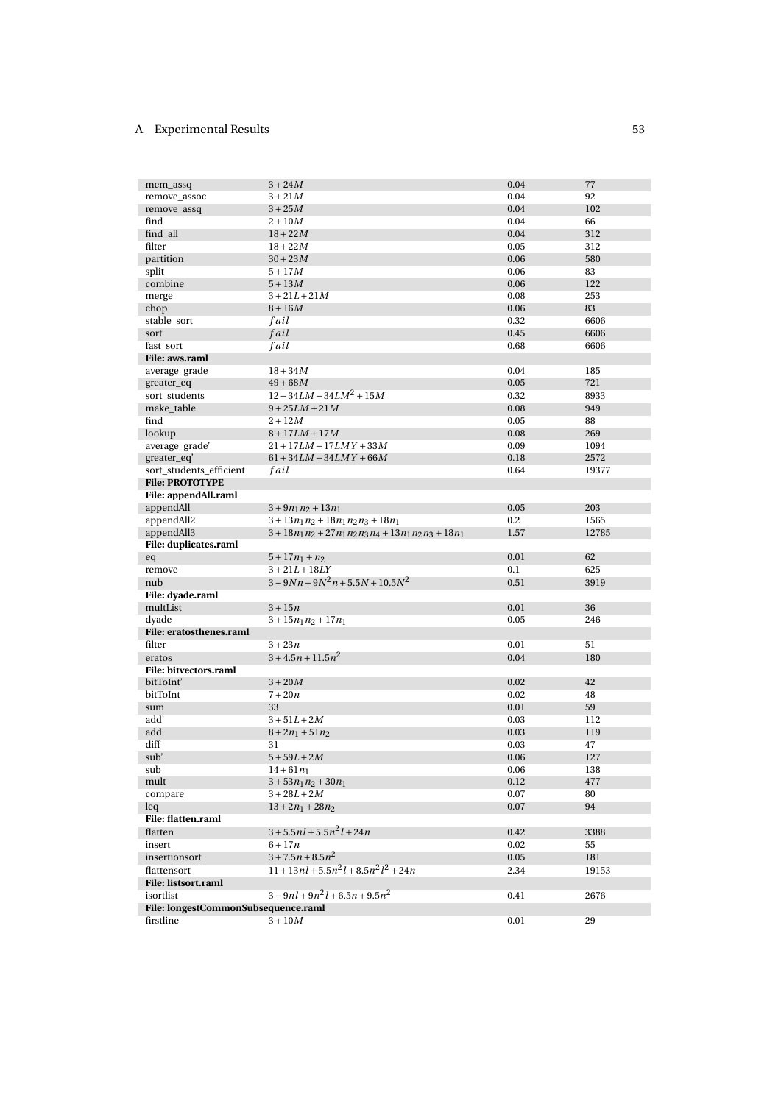| mem_assq                                         | $3 + 24M$                                             | 0.04 | 77    |
|--------------------------------------------------|-------------------------------------------------------|------|-------|
| remove_assoc                                     | $3 + 21M$                                             | 0.04 | 92    |
| remove_assq                                      | $3 + 25M$                                             | 0.04 | 102   |
| find                                             | $2 + 10M$                                             | 0.04 | 66    |
| find_all                                         | $18 + 22M$                                            | 0.04 | 312   |
| filter                                           | $18 + 22M$                                            | 0.05 | 312   |
| partition                                        | $30 + 23M$                                            | 0.06 | 580   |
| split                                            | $5 + 17M$                                             | 0.06 | 83    |
| combine                                          | $5 + 13M$                                             | 0.06 | 122   |
| merge                                            | $3 + 21L + 21M$                                       | 0.08 | 253   |
| chop                                             | $8 + 16M$                                             | 0.06 | 83    |
| stable_sort                                      | fail                                                  | 0.32 | 6606  |
| sort                                             | fail                                                  | 0.45 | 6606  |
| fast_sort                                        | fail                                                  | 0.68 | 6606  |
| File: aws.raml                                   |                                                       |      |       |
| average_grade                                    | $18 + 34M$                                            | 0.04 | 185   |
| greater_eq                                       | $49 + 68M$                                            | 0.05 | 721   |
| sort_students                                    | $12 - 34LM + 34LM^2 + 15M$                            | 0.32 | 8933  |
| make_table                                       | $9 + 25LM + 21M$                                      | 0.08 | 949   |
| find                                             | $2 + 12M$                                             | 0.05 | 88    |
| lookup                                           | $8 + 17LM + 17M$                                      | 0.08 | 269   |
| average_grade'                                   | $21 + 17LM + 17LMY + 33M$                             | 0.09 | 1094  |
| greater_eq'                                      | $61 + 34LM + 34LMY + 66M$                             | 0.18 | 2572  |
| sort_students_efficient                          | fail                                                  | 0.64 | 19377 |
| <b>File: PROTOTYPE</b>                           |                                                       |      |       |
| File: appendAll.raml                             |                                                       |      |       |
| appendAll                                        | $3 + 9n_1n_2 + 13n_1$                                 | 0.05 | 203   |
|                                                  |                                                       |      |       |
| appendAll2                                       | $3 + 13n_1n_2 + 18n_1n_2n_3 + 18n_1$                  | 0.2  | 1565  |
| appendAll3                                       | $3 + 18n_1n_2 + 27n_1n_2n_3n_4 + 13n_1n_2n_3 + 18n_1$ | 1.57 | 12785 |
| File: duplicates.raml                            |                                                       |      |       |
| eq                                               | $5 + 17n_1 + n_2$                                     | 0.01 | 62    |
|                                                  | $3 + 21L + 18LY$                                      |      | 625   |
| remove                                           |                                                       | 0.1  |       |
| nub                                              | $3-9Nn+9N^2n+5.5N+10.5N^2$                            | 0.51 | 3919  |
| File: dyade.raml                                 |                                                       |      |       |
| multList                                         | $3 + 15n$                                             | 0.01 | 36    |
| dyade                                            | $3 + 15n_1n_2 + 17n_1$                                | 0.05 | 246   |
| File: eratosthenes.raml                          |                                                       |      |       |
| filter                                           | $3 + 23n$                                             | 0.01 | 51    |
| eratos                                           | $3 + 4.5n + 11.5n^2$                                  | 0.04 | 180   |
| File: bitvectors.raml                            |                                                       |      |       |
| bitToInt'                                        | $3 + 20M$                                             | 0.02 | 42    |
| bitToInt                                         | $7 + 20n$                                             | 0.02 | 48    |
| sum                                              | 33                                                    | 0.01 | 59    |
| add'                                             | $3 + 51L + 2M$                                        | 0.03 | 112   |
| add                                              |                                                       | 0.03 | 119   |
| diff                                             | $8 + 2n_1 + 51n_2$<br>31                              | 0.03 | 47    |
|                                                  |                                                       |      |       |
| sub'                                             | $5 + 59L + 2M$                                        | 0.06 | 127   |
| sub                                              | $14 + 61n_1$                                          | 0.06 | 138   |
| mult                                             | $3 + 53n_1n_2 + 30n_1$                                | 0.12 | 477   |
| compare                                          | $3 + 28L + 2M$                                        | 0.07 | 80    |
| leq                                              | $13 + 2n_1 + 28n_2$                                   | 0.07 | 94    |
| File: flatten.raml                               |                                                       |      |       |
| flatten                                          | $3 + 5.5nl + 5.5n^2l + 24n$                           | 0.42 | 3388  |
| insert                                           | $6 + 17n$                                             | 0.02 | 55    |
| insertionsort                                    | $3 + 7.5n + 8.5n^2$                                   | 0.05 | 181   |
| flattensort                                      | $11 + 13nl + 5.5n^2l + 8.5n^2l^2 + 24n$               | 2.34 | 19153 |
| File: listsort.raml                              |                                                       |      |       |
| isortlist                                        | $3 - 9nl + 9n^2l + 6.5n + 9.5n^2$                     | 0.41 | 2676  |
| File: longestCommonSubsequence.raml<br>firstline | $3 + 10M$                                             | 0.01 | 29    |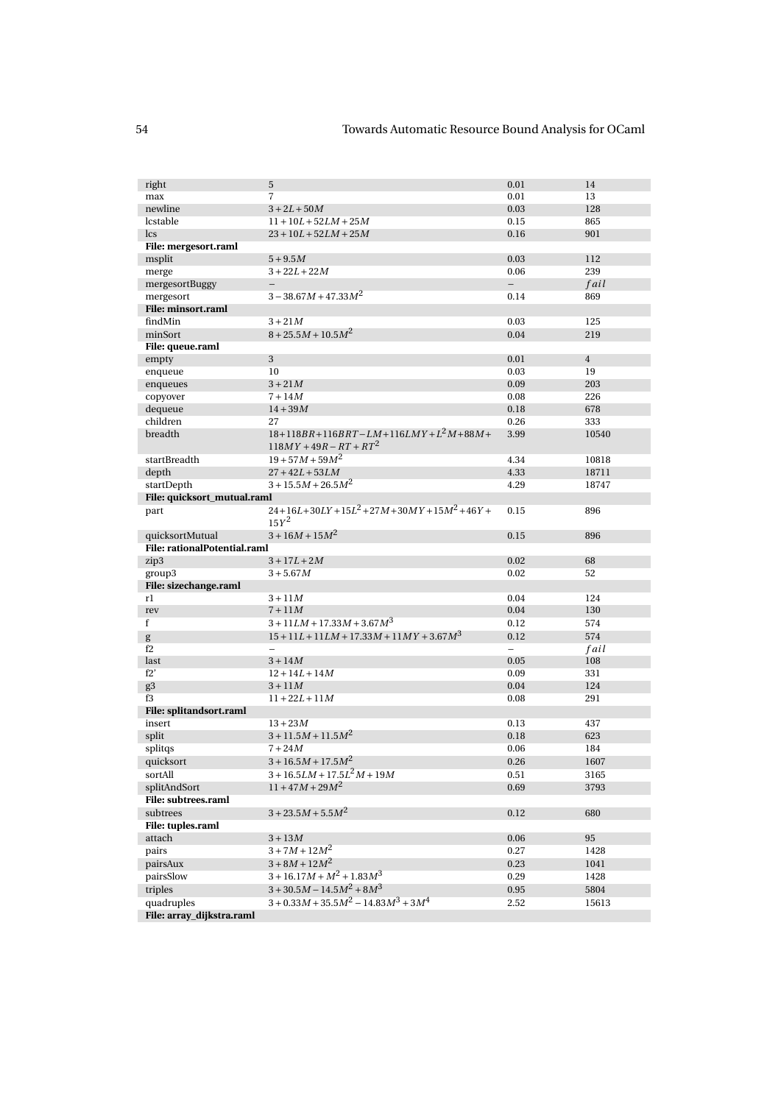| right                         | $\mathbf 5$                                        | 0.01        | 14             |
|-------------------------------|----------------------------------------------------|-------------|----------------|
| max                           | $\overline{7}$                                     | 0.01        | 13             |
| newline                       | $3 + 2L + 50M$                                     | 0.03        | 128            |
| lcstable                      | $11 + 10L + 52LM + 25M$                            | 0.15        | 865            |
| lcs                           | $23 + 10L + 52LM + 25M$                            | 0.16        | 901            |
| File: mergesort.raml          |                                                    |             |                |
| msplit                        | $5 + 9.5M$                                         | 0.03        | 112            |
| merge                         | $3 + 22L + 22M$                                    | 0.06<br>$-$ | 239            |
| mergesortBuggy                | $-$<br>$3 - 38.67M + 47.33M^2$                     |             | fail           |
| mergesort                     |                                                    | 0.14        | 869            |
| File: minsort.raml<br>findMin | $3 + 21M$                                          | 0.03        | 125            |
|                               | $8 + 25.5M + 10.5M^2$                              |             |                |
| minSort<br>File: queue.raml   |                                                    | 0.04        | 219            |
|                               | 3                                                  | 0.01        | $\overline{4}$ |
| empty<br>enqueue              | 10                                                 | 0.03        | 19             |
| enqueues                      | $3 + 21M$                                          | 0.09        | 203            |
| copyover                      | $7 + 14M$                                          | 0.08        | 226            |
| dequeue                       | $14 + 39M$                                         | 0.18        | 678            |
| children                      | 27                                                 | 0.26        | 333            |
| breadth                       | $18+118BR+116BRT-LM+116LMY+L^2M+88M+$              | 3.99        | 10540          |
|                               | $118MY + 49R - RT + RT^2$                          |             |                |
| startBreadth                  | $19 + 57M + 59M^2$                                 | 4.34        | 10818          |
| depth                         | $27 + 42L + 53LM$                                  | 4.33        | 18711          |
| startDepth                    | $3 + 15.5M + 26.5M^2$                              | 4.29        | 18747          |
| File: quicksort_mutual.raml   |                                                    |             |                |
| part                          | $24+16L+30LY+15L^2+27M+30MY+15M^2+46Y+$<br>$15Y^2$ | 0.15        | 896            |
| quicksortMutual               | $3 + 16M + 15M^2$                                  | 0.15        | 896            |
| File: rationalPotential.raml  |                                                    |             |                |
| zip3                          | $3 + 17L + 2M$                                     | 0.02        | 68             |
| group3                        | $3 + 5.67M$                                        | 0.02        | 52             |
| File: sizechange.raml         |                                                    |             |                |
| r1                            | $3 + 11M$                                          | 0.04        | 124            |
| rev                           | $7 + 11M$                                          | 0.04        | 130            |
| f                             | $3 + 11LM + 17.33M + 3.67M^3$                      | 0.12        | 574            |
| g                             | $15+11L+11LM+17.33M+11MY+3.67M3$                   | 0.12        | 574            |
| f2                            |                                                    | $-$         | fail           |
| last                          | $3 + 14M$                                          | 0.05        | 108            |
| f2'                           | $12 + 14L + 14M$                                   | 0.09        | 331            |
| g <sub>3</sub>                | $3 + 11M$                                          | 0.04        | 124            |
| f3                            | $11 + 22L + 11M$                                   | 0.08        | 291            |
| File: splitandsort.raml       |                                                    |             |                |
| insert                        | $13 + 23M$                                         | 0.13        | 437            |
| split                         | $3 + 11.5M + 11.5M^2$                              | 0.18        | 623            |
| splitqs                       | $7 + 24M$                                          | 0.06        | 184            |
| quicksort                     | $3 + 16.5M + 17.5M^2$                              | 0.26        | 1607           |
| sortAll                       | $3 + 16.5LM + 17.5L^2M + 19M$                      | 0.51        | 3165           |
| splitAndSort                  | $11 + 47M + 29M^2$                                 | 0.69        | 3793           |
| File: subtrees.raml           |                                                    |             |                |
| subtrees                      | $3 + 23.5M + 5.5M^2$                               | 0.12        | 680            |
| File: tuples.raml             |                                                    |             |                |
| attach                        | $3 + 13M$                                          | 0.06        | 95             |
| pairs                         | $3 + 7M + 12M^2$                                   | 0.27        | 1428           |
| pairsAux                      | $3 + 8M + 12M^2$                                   | 0.23        | 1041           |
| pairsSlow                     | $3 + 16.17M + M^2 + 1.83M^3$                       | 0.29        | 1428           |
| triples                       | $3 + 30.5M - 14.5M^2 + 8M^3$                       | 0.95        | 5804           |
| quadruples                    | $3 + 0.33M + 35.5M^2 - 14.83M^3 + 3M^4$            | 2.52        | 15613          |
| File: array_dijkstra.raml     |                                                    |             |                |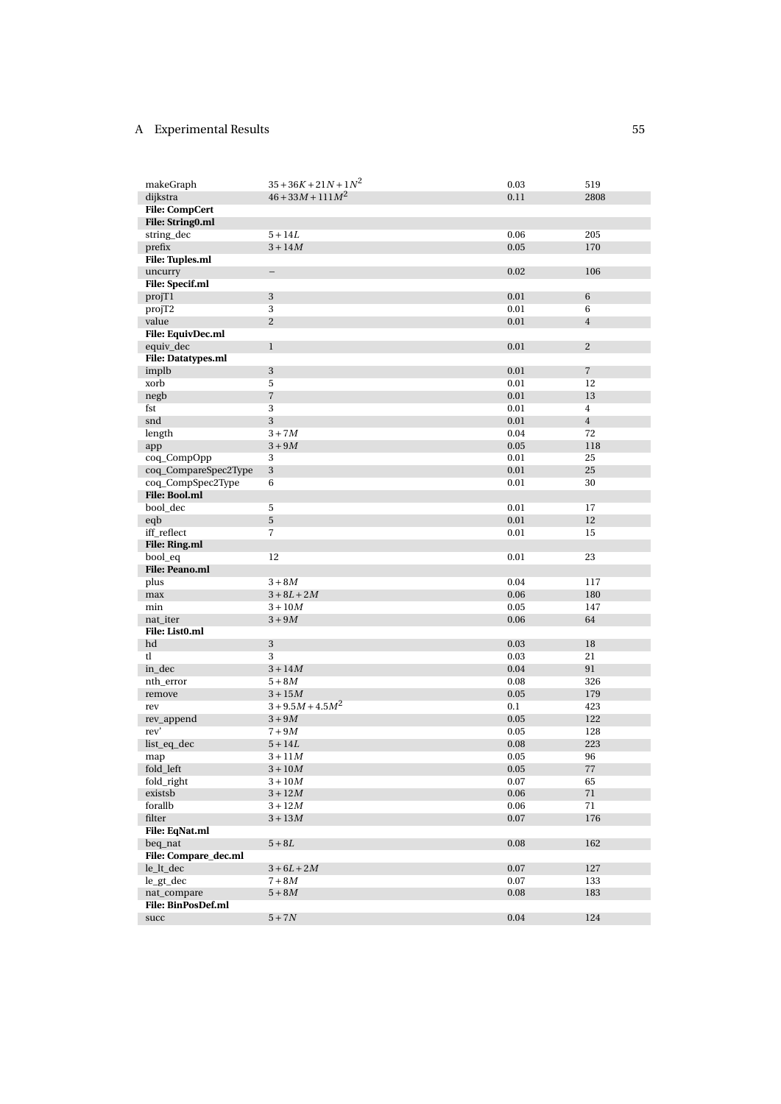| makeGraph             | $35 + 36K + 21N + 1N^2$  | 0.03 | 519            |
|-----------------------|--------------------------|------|----------------|
| dijkstra              | $46 + 33M + 111M^2$      | 0.11 | 2808           |
| <b>File: CompCert</b> |                          |      |                |
| File: String0.ml      |                          |      |                |
| string_dec            | $5 + 14L$                | 0.06 | 205            |
| prefix                | $3 + 14M$                | 0.05 | 170            |
|                       |                          |      |                |
| File: Tuples.ml       | $\overline{\phantom{m}}$ | 0.02 | 106            |
| uncurry               |                          |      |                |
| File: Specif.ml       |                          |      | 6              |
| projT1                | 3                        | 0.01 |                |
| projT2                | 3                        | 0.01 | 6              |
| value                 | $\overline{2}$           | 0.01 | $\overline{4}$ |
| File: EquivDec.ml     |                          |      |                |
| equiv_dec             | $\mathbf{1}$             | 0.01 | $\overline{2}$ |
| File: Datatypes.ml    |                          |      |                |
| implb                 | 3                        | 0.01 | $\overline{7}$ |
| xorb                  | 5                        | 0.01 | 12             |
| negb                  | $\overline{7}$           | 0.01 | 13             |
| fst                   | 3                        | 0.01 | $\overline{4}$ |
| snd                   | 3                        | 0.01 | $\overline{4}$ |
| length                | $3+7M$                   | 0.04 | 72             |
| app                   | $3+9M$                   | 0.05 | 118            |
| coq_CompOpp           | 3                        | 0.01 | 25             |
| coq_CompareSpec2Type  | 3                        | 0.01 | 25             |
| coq_CompSpec2Type     | 6                        | 0.01 | 30             |
| <b>File: Bool.ml</b>  |                          |      |                |
| bool dec              | 5                        | 0.01 | 17             |
| eqb                   | $\overline{5}$           | 0.01 | 12             |
| iff_reflect           | $\overline{7}$           | 0.01 | 15             |
| File: Ring.ml         |                          |      |                |
| bool_eq               | 12                       | 0.01 | 23             |
| <b>File: Peano.ml</b> |                          |      |                |
| plus                  | $3+8M$                   | 0.04 | 117            |
| max                   | $3 + 8L + 2M$            | 0.06 | 180            |
| min                   | $3 + 10M$                | 0.05 | 147            |
| nat_iter              | $3+9M$                   | 0.06 | 64             |
| File: List0.ml        |                          |      |                |
| hd                    | 3                        | 0.03 | 18             |
| tl                    | 3                        | 0.03 | 21             |
| in_dec                | $3 + 14M$                | 0.04 | 91             |
| nth_error             | $5+8M$                   | 0.08 | 326            |
| remove                | $3 + 15M$                | 0.05 | 179            |
| rev                   | $3 + 9.5M + 4.5M^2$      | 0.1  | 423            |
| rev_append            | $3+9M$                   | 0.05 | 122            |
| rev'                  | $7+9M$                   | 0.05 | 128            |
| list_eq_dec           | $5 + 14L$                | 0.08 | 223            |
| map                   | $3 + 11M$                | 0.05 | 96             |
| fold_left             | $3+10M$                  | 0.05 | 77             |
| fold_right            | $3 + 10M$                | 0.07 | 65             |
| existsb               | $3 + 12M$                | 0.06 | 71             |
| forallb               | $3 + 12M$                | 0.06 | 71             |
| filter                | $3+13M$                  | 0.07 | 176            |
| File: EqNat.ml        |                          |      |                |
| beq_nat               | $5+8L$                   | 0.08 | 162            |
| File: Compare_dec.ml  |                          |      |                |
| le_lt_dec             | $3 + 6L + 2M$            | 0.07 | 127            |
| le_gt_dec             | $7+8M$                   | 0.07 | 133            |
| nat_compare           | $5+8M$                   | 0.08 | 183            |
| File: BinPosDef.ml    |                          |      |                |
| succ                  | $5+7N$                   | 0.04 | 124            |
|                       |                          |      |                |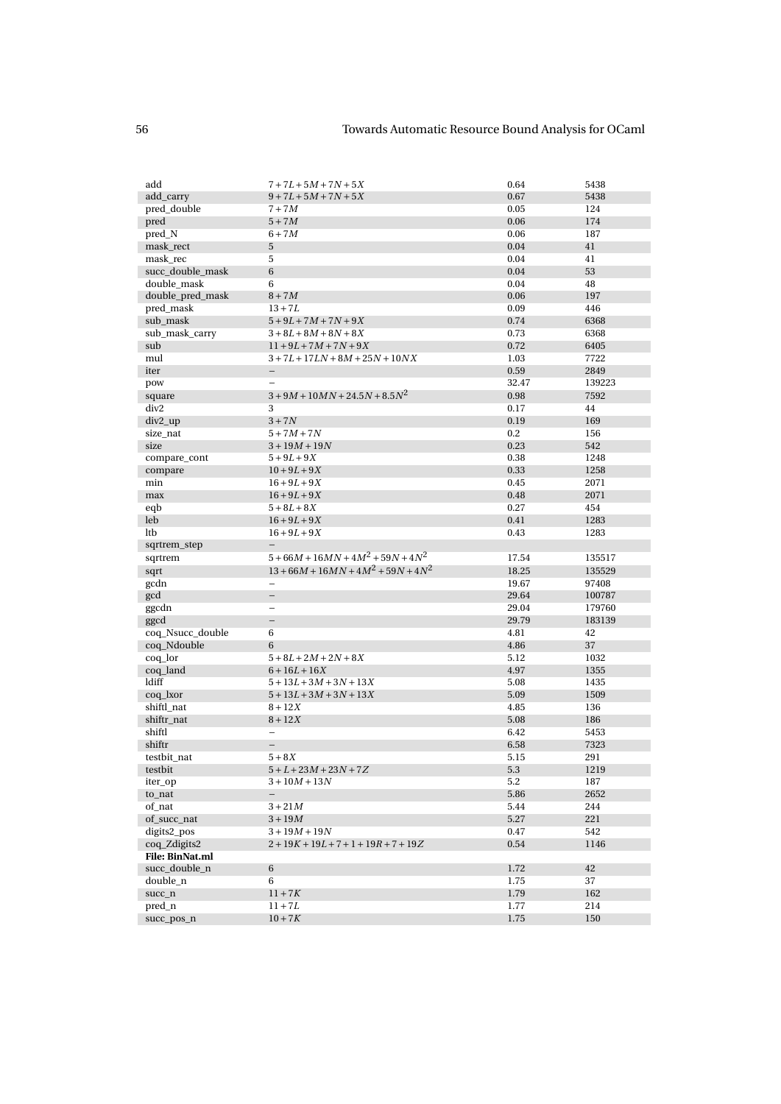| add              | $7 + 7L + 5M + 7N + 5X$                 | 0.64  | 5438   |
|------------------|-----------------------------------------|-------|--------|
| add_carry        | $9 + 7L + 5M + 7N + 5X$                 | 0.67  | 5438   |
| pred_double      | $7+7M$                                  | 0.05  | 124    |
| pred             | $5+7M$                                  | 0.06  | 174    |
| pred_N           | $6+7M$                                  | 0.06  | 187    |
| mask_rect        | 5                                       | 0.04  | 41     |
| mask_rec         | 5                                       | 0.04  | 41     |
| succ_double_mask | 6                                       | 0.04  | 53     |
| double_mask      | 6                                       | 0.04  | 48     |
| double_pred_mask | $8+7M$                                  | 0.06  | 197    |
| pred_mask        | $13 + 7L$                               | 0.09  | 446    |
| sub_mask         | $5 + 9L + 7M + 7N + 9X$                 | 0.74  | 6368   |
| sub_mask_carry   | $3 + 8L + 8M + 8N + 8X$                 | 0.73  | 6368   |
| sub              | $11 + 9L + 7M + 7N + 9X$                | 0.72  | 6405   |
| mul              | $3 + 7L + 17LN + 8M + 25N + 10NX$       | 1.03  | 7722   |
| iter             | $\overline{\phantom{0}}$                | 0.59  | 2849   |
| pow              | $-$                                     | 32.47 | 139223 |
| square           | $3+9M+10MN+24.5N+8.5N^2$                | 0.98  | 7592   |
| div2             | 3                                       | 0.17  | 44     |
| $div2$ _up       | $3+7N$                                  | 0.19  | 169    |
| size_nat         | $5 + 7M + 7N$                           | 0.2   | 156    |
| size             | $3 + 19M + 19N$                         | 0.23  | 542    |
| compare_cont     | $5 + 9L + 9X$                           | 0.38  | 1248   |
| compare          | $10 + 9L + 9X$                          | 0.33  | 1258   |
| min              | $16 + 9L + 9X$                          | 0.45  | 2071   |
| max              | $16 + 9L + 9X$                          | 0.48  | 2071   |
| eqb              | $5 + 8L + 8X$                           | 0.27  | 454    |
| leb              | $16 + 9L + 9X$                          | 0.41  | 1283   |
| ltb              | $16 + 9L + 9X$                          | 0.43  | 1283   |
| sqrtrem_step     | $-$                                     |       |        |
| sqrtrem          | $5+66M+16MN+4M^2+59N+4N^2$              | 17.54 | 135517 |
| sqrt             | $13 + 66M + 16MN + 4M^2 + 59N + 4N^2$   | 18.25 | 135529 |
| gcdn             |                                         | 19.67 | 97408  |
| gcd              | $\overline{\phantom{0}}$                | 29.64 | 100787 |
| ggcdn            | $\equiv$                                | 29.04 | 179760 |
| ggcd             | $-$                                     | 29.79 | 183139 |
| coq_Nsucc_double | 6                                       | 4.81  | 42     |
| coq_Ndouble      | 6                                       | 4.86  | 37     |
| coq_lor          | $5 + 8L + 2M + 2N + 8X$                 | 5.12  | 1032   |
| coq_land         | $6 + 16L + 16X$                         | 4.97  | 1355   |
| ldiff            | $5 + 13L + 3M + 3N + 13X$               | 5.08  | 1435   |
| $\log_{1}$ kor   | $5 + 13L + 3M + 3N + 13X$               | 5.09  | 1509   |
| shiftl_nat       | $8 + 12X$                               | 4.85  | 136    |
| shiftr_nat       | $8 + 12X$                               | 5.08  | 186    |
| shiftl           |                                         | 6.42  | 5453   |
| shiftr           | $\overline{a}$                          | 6.58  | 7323   |
| testbit nat      | $5+8X$                                  | 5.15  | 291    |
| testbit          | $5 + L + 23M + 23N + 7Z$                | 5.3   | 1219   |
| iter_op          | $3 + 10M + 13N$                         | 5.2   | 187    |
| to_nat           | $-$                                     | 5.86  | 2652   |
| of_nat           | $3+21M$                                 | 5.44  | 244    |
| of succ nat      | $3 + 19M$                               | 5.27  | 221    |
| digits2 pos      | $3 + 19M + 19N$                         | 0.47  | 542    |
| coq_Zdigits2     | $2 + 19K + 19L + 7 + 1 + 19R + 7 + 19Z$ | 0.54  | 1146   |
| File: BinNat.ml  |                                         |       |        |
| succ double n    | 6                                       | 1.72  | 42     |
| double_n         | 6                                       | 1.75  | 37     |
| succ_n           | $11 + 7K$                               | 1.79  | 162    |
| pred_n           | $11 + 7L$                               | 1.77  | 214    |
| succ_pos_n       | $10 + 7K$                               | 1.75  | 150    |
|                  |                                         |       |        |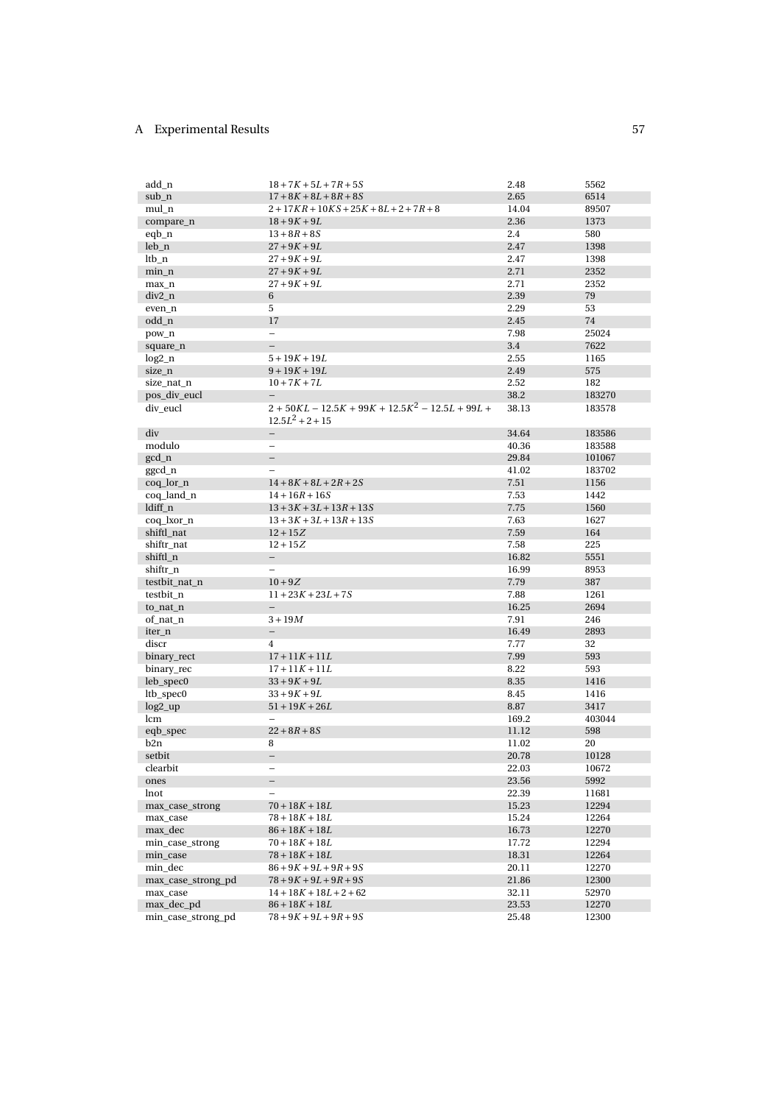| add_n              | $18 + 7K + 5L + 7R + 5S$                                                 | 2.48  | 5562         |
|--------------------|--------------------------------------------------------------------------|-------|--------------|
| sub_n              | $17 + 8K + 8L + 8R + 8S$                                                 | 2.65  | 6514         |
| mul_n              | $2 + 17KR + 10KS + 25K + 8L + 2 + 7R + 8$                                | 14.04 | 89507        |
| compare n          | $18 + 9K + 9L$                                                           | 2.36  | 1373         |
| eqb_n              | $13 + 8R + 8S$                                                           | 2.4   | 580          |
| leb n              | $27 + 9K + 9L$                                                           | 2.47  | 1398         |
| ltb_n              | $27 + 9K + 9L$                                                           | 2.47  | 1398         |
| $min_n$            | $27 + 9K + 9L$                                                           | 2.71  | 2352         |
|                    | $27 + 9K + 9L$                                                           | 2.71  | 2352         |
| max_n              |                                                                          | 2.39  |              |
| $div2_n$           | 6                                                                        |       | 79           |
| even_n             | 5                                                                        | 2.29  | 53           |
| odd_n              | 17                                                                       | 2.45  | 74           |
| pow_n              | $\equiv$                                                                 | 7.98  | 25024        |
| square_n           | $\overline{\phantom{0}}$                                                 | 3.4   | 7622         |
| log2_n             | $5 + 19K + 19L$                                                          | 2.55  | 1165         |
| size_n             | $9 + 19K + 19L$                                                          | 2.49  | 575          |
| size_nat_n         | $10 + 7K + 7L$                                                           | 2.52  | 182          |
| pos_div_eucl       | $\overline{\phantom{0}}$                                                 | 38.2  | 183270       |
| div_eucl           | $2 + 50KL - 12.5K + 99K + 12.5K^2 - 12.5L + 99L +$<br>$12.5L^2 + 2 + 15$ | 38.13 | 183578       |
| div                |                                                                          | 34.64 | 183586       |
| modulo             | $\equiv$                                                                 | 40.36 | 183588       |
| gcd_n              | $\equiv$                                                                 | 29.84 | 101067       |
| ggcd_n             |                                                                          | 41.02 | 183702       |
| $\log_{10}$ $\ln$  | $14 + 8K + 8L + 2R + 2S$                                                 | 7.51  | 1156         |
| coq_land_n         | $14 + 16R + 16S$                                                         | 7.53  | 1442         |
| ldiff n            | $13 + 3K + 3L + 13R + 13S$                                               | 7.75  | 1560         |
| coq lxor n         | $13 + 3K + 3L + 13R + 13S$                                               | 7.63  | 1627         |
| shiftl_nat         | $12 + 15Z$                                                               | 7.59  | 164          |
| shiftr nat         | $12 + 15Z$                                                               | 7.58  | 225          |
| shiftl_n           | $\overline{\phantom{0}}$                                                 | 16.82 | 5551         |
| shiftr n           | $-$                                                                      | 16.99 | 8953         |
| testbit_nat_n      | $10 + 9Z$                                                                | 7.79  | 387          |
| testbit_n          | $11 + 23K + 23L + 7S$                                                    | 7.88  | 1261         |
| to_nat_n           | $\overline{\phantom{0}}$                                                 | 16.25 | 2694         |
| of_nat_n           | $3 + 19M$                                                                | 7.91  | 246          |
| iter_n             | $\overline{\phantom{0}}$                                                 | 16.49 | 2893         |
| discr              | 4                                                                        | 7.77  | 32           |
| binary_rect        | $17 + 11K + 11L$                                                         | 7.99  | 593          |
|                    | $17 + 11K + 11L$                                                         | 8.22  | 593          |
| binary_rec         | $33 + 9K + 9L$                                                           | 8.35  |              |
| $leb$ _spec $0$    |                                                                          |       | 1416<br>1416 |
| ltb_spec0          | $33 + 9K + 9L$                                                           | 8.45  |              |
| $log2$ _up         | $51 + 19K + 26L$                                                         | 8.87  | 3417         |
| lcm                |                                                                          | 169.2 | 403044       |
| eqb_spec           | $22 + 8R + 8S$                                                           | 11.12 | 598          |
| b2n                | 8                                                                        | 11.02 | 20           |
| setbit             | $\overline{\phantom{0}}$                                                 | 20.78 | 10128        |
| clearbit           |                                                                          | 22.03 | 10672        |
| ones               | $\overline{\phantom{0}}$                                                 | 23.56 | 5992         |
| lnot               |                                                                          | 22.39 | 11681        |
| max_case_strong    | $70 + 18K + 18L$                                                         | 15.23 | 12294        |
| max_case           | $78 + 18K + 18L$                                                         | 15.24 | 12264        |
| max_dec            | $86 + 18K + 18L$                                                         | 16.73 | 12270        |
| min_case_strong    | $70 + 18K + 18L$                                                         | 17.72 | 12294        |
| min_case           | $78 + 18K + 18L$                                                         | 18.31 | 12264        |
| min_dec            | $86 + 9K + 9L + 9R + 9S$                                                 | 20.11 | 12270        |
| max_case_strong_pd | $78 + 9K + 9L + 9R + 9S$                                                 | 21.86 | 12300        |
| max case           | $14 + 18K + 18L + 2 + 62$                                                | 32.11 | 52970        |
| max_dec_pd         | $86 + 18K + 18L$                                                         | 23.53 | 12270        |
| min case strong pd | $78 + 9K + 9L + 9R + 9S$                                                 | 25.48 | 12300        |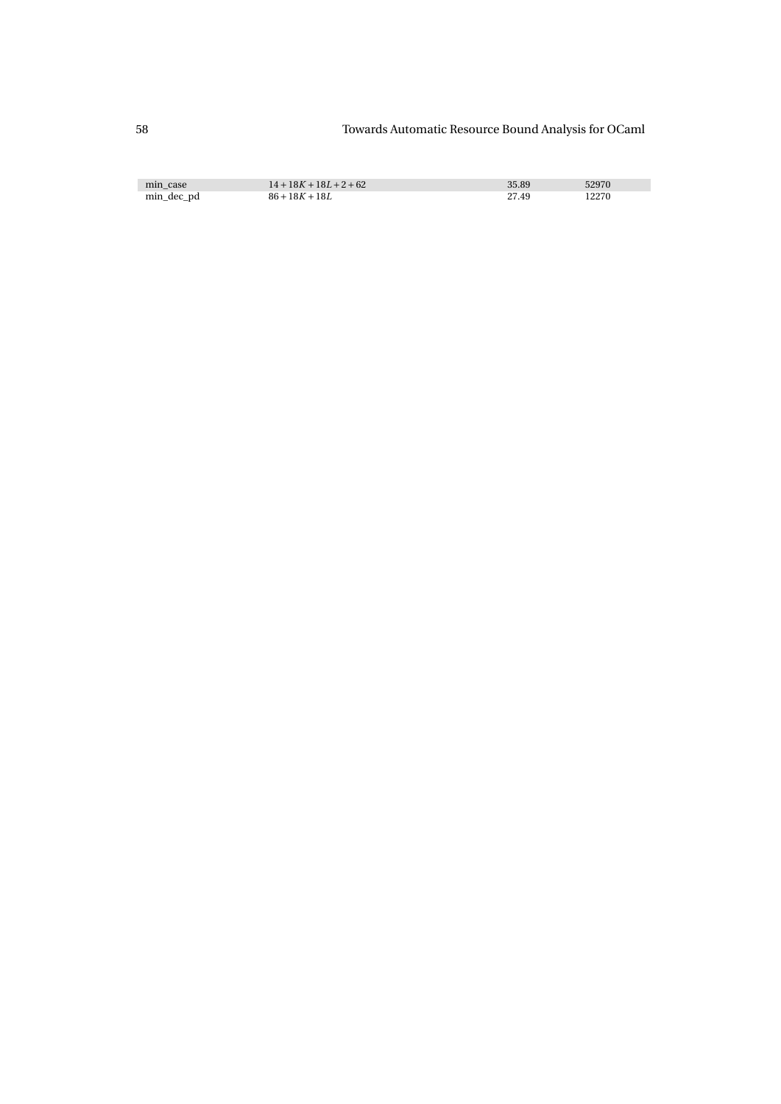## 58 Towards Automatic Resource Bound Analysis for OCaml

min\_case 14+18*K* +18*L* +2+62 35.89 52970 min\_dec\_pd 86+18*K* + 18*L* 27.49 12270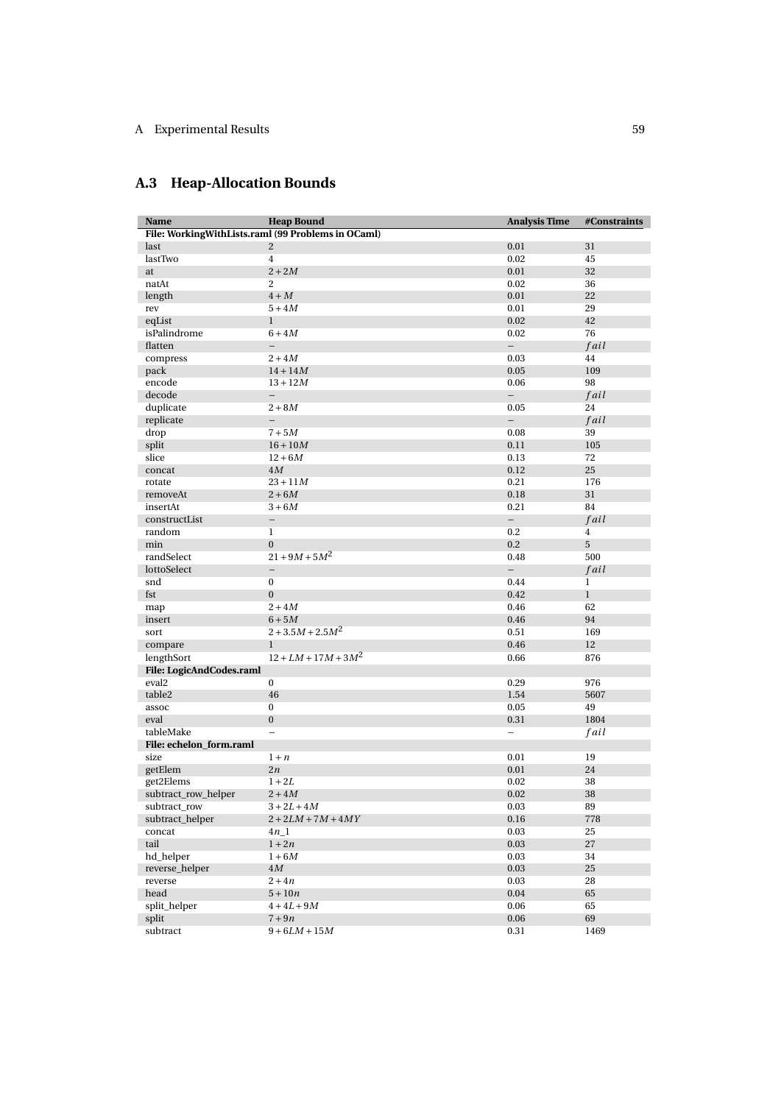| <b>Name</b>              | <b>Heap Bound</b>                                  | <b>Analysis Time</b>     | #Constraints   |
|--------------------------|----------------------------------------------------|--------------------------|----------------|
|                          | File: WorkingWithLists.raml (99 Problems in OCaml) |                          |                |
| last                     | $\overline{c}$                                     | 0.01                     | 31             |
| lastTwo                  | 4                                                  | 0.02                     | 45             |
| at                       | $2 + 2M$                                           | 0.01                     | 32             |
| natAt                    | $\overline{c}$                                     | 0.02                     | 36             |
| length                   | $4+M$                                              | 0.01                     | 22             |
| rev                      | $5+4M$                                             | 0.01                     | 29             |
| eqList                   | $\mathbf{1}$                                       | 0.02                     | 42             |
| isPalindrome             | $6+4M$                                             | 0.02                     | 76             |
| flatten                  | $\qquad \qquad -$                                  | $\overline{\phantom{0}}$ | fail           |
| compress                 | $2 + 4M$                                           | 0.03                     | 44             |
| pack                     | $14 + 14M$                                         | 0.05                     | 109            |
| encode                   | $13 + 12M$                                         | 0.06                     | 98             |
| decode                   | $\equiv$                                           | $\overline{\phantom{0}}$ | fail           |
| duplicate                | $2 + 8M$                                           | 0.05                     | 24             |
| replicate                | $\overline{\phantom{0}}$                           | $\overline{\phantom{0}}$ | fail           |
| drop                     | $7+5M$                                             | 0.08                     | 39             |
| split                    | $16 + 10M$                                         | 0.11                     | 105            |
| slice                    | $12 + 6M$                                          | 0.13                     | 72             |
| concat                   | 4M                                                 | 0.12                     | 25             |
| rotate                   | $23 + 11M$                                         | 0.21                     | 176            |
| removeAt                 | $2 + 6M$                                           | 0.18                     | 31             |
| insertAt                 | $3+6M$                                             | 0.21                     | 84             |
| constructList            | $\equiv$                                           | $\equiv$                 | fail           |
| random                   | $\mathbf{1}$                                       | 0.2                      | $\overline{4}$ |
| min                      | $\mathbf{0}$                                       | 0.2                      | 5              |
| randSelect               | $21 + 9M + 5M^2$                                   | 0.48                     | 500            |
| lottoSelect              | $\overline{\phantom{0}}$                           | $\overline{\phantom{0}}$ | fail           |
| snd                      | $\mathbf{0}$                                       | 0.44                     | $\mathbf{1}$   |
| fst                      | $\bf{0}$                                           | 0.42                     | $\bf{l}$       |
| map                      | $2 + 4M$                                           | 0.46                     | 62             |
| insert                   | $6+5M$                                             | 0.46                     | 94             |
| sort                     | $2 + 3.5M + 2.5M^2$                                | 0.51                     | 169            |
| compare                  | $\mathbf{1}$                                       | 0.46                     | 12             |
| lengthSort               | $12 + LM + 17M + 3M^2$                             | 0.66                     | 876            |
| File: LogicAndCodes.raml |                                                    |                          |                |
| eval <sub>2</sub>        | $\bf{0}$                                           | 0.29                     | 976            |
| table2                   | 46                                                 | 1.54                     | 5607           |
| assoc                    | $\mathbf{0}$                                       | 0.05                     | 49             |
| eval                     | $\overline{0}$                                     | 0.31                     | 1804           |
| tableMake                | $\equiv$                                           | $\overline{\phantom{0}}$ | fail           |
| File: echelon_form.raml  |                                                    |                          |                |
| size                     | $1 + n$                                            | 0.01                     | 19             |
| getElem                  | 2n                                                 | 0.01                     | 24             |
| get2Elems                | $1+2L$                                             | 0.02                     | 38             |
| subtract_row_helper      | $2+4M$                                             | 0.02                     | 38             |
| subtract_row             | $3 + 2L + 4M$                                      | $0.03\,$                 | 89             |
| subtract helper          | $2+2LM+7M+4MY$                                     | 0.16                     | 778            |
| concat                   | $4n_1$                                             | 0.03                     | 25             |
| tail                     | $1+2n$                                             | 0.03                     | 27             |
| hd_helper                | $1+6M$                                             | 0.03                     | 34             |
| reverse_helper           | 4M                                                 | 0.03                     | 25             |
| reverse                  | $2 + 4n$                                           | 0.03                     | 28             |
| head                     | $5 + 10n$                                          | 0.04                     | 65             |
| split_helper             | $4 + 4L + 9M$                                      | 0.06                     | 65             |
| split                    | $7+9n$                                             | 0.06                     | 69             |
| subtract                 | $9 + 6LM + 15M$                                    | 0.31                     | 1469           |

## **A.3 Heap-Allocation Bounds**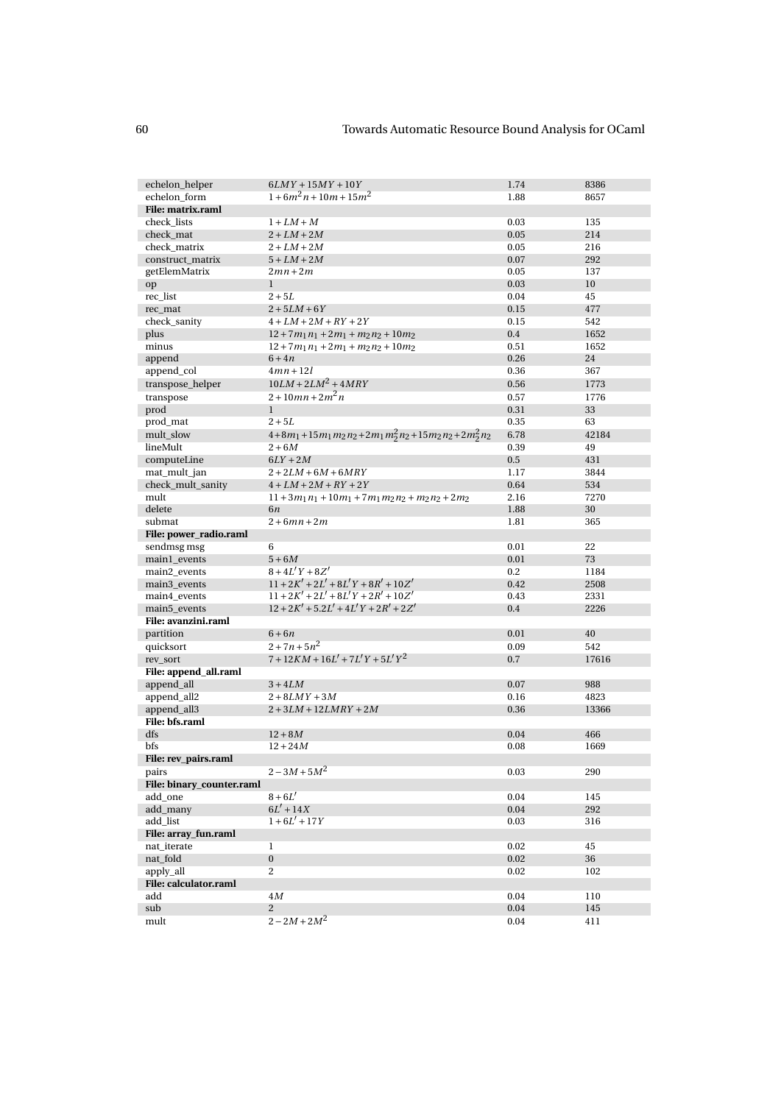| echelon_helper            | $6LMY + 15MY + 10Y$                                  | 1.74    | 8386            |
|---------------------------|------------------------------------------------------|---------|-----------------|
| echelon_form              | $1 + 6m^2n + 10m + 15m^2$                            | 1.88    | 8657            |
| File: matrix.raml         |                                                      |         |                 |
| check lists               | $1 + LM + M$                                         | 0.03    | 135             |
| check_mat                 | $2+LM+2M$                                            | 0.05    | 214             |
| check_matrix              | $2+LM+2M$                                            | 0.05    | 216             |
| construct matrix          | $5+LM+2M$                                            | 0.07    | 292             |
| getElemMatrix             | $2mn+2m$                                             | 0.05    | 137             |
| op                        | $\mathbf{1}$                                         | 0.03    | 10 <sup>°</sup> |
| rec_list                  | $2 + 5L$                                             | 0.04    | 45              |
| rec_mat                   | $2+5LM+6Y$                                           | 0.15    | 477             |
| check_sanity              | $4 + LM + 2M + RY + 2Y$                              | 0.15    | 542             |
| plus                      | $12 + 7m_1n_1 + 2m_1 + m_2n_2 + 10m_2$               | $0.4\,$ | 1652            |
| minus                     | $12 + 7m_1n_1 + 2m_1 + m_2n_2 + 10m_2$               | 0.51    | 1652            |
| append                    | $6 + 4n$                                             | 0.26    | 24              |
| append_col                | $4mn + 12l$                                          | 0.36    | 367             |
| transpose_helper          | $10LM + 2LM^2 + 4MRY$                                | 0.56    | 1773            |
|                           | $2+10mn+2m^2n$                                       |         |                 |
| transpose                 |                                                      | 0.57    | 1776            |
| prod                      | $\mathbf{1}$                                         | 0.31    | 33              |
| prod_mat                  | $2+5L$                                               | 0.35    | 63              |
| mult_slow                 | $4+8m_1+15m_1m_2n_2+2m_1m_2^2n_2+15m_2n_2+2m_2^2n_2$ | 6.78    | 42184           |
| lineMult                  | $2+6M$                                               | 0.39    | 49              |
| computeLine               | $6LY+2M$                                             | 0.5     | 431             |
| mat mult jan              | $2 + 2LM + 6M + 6MRY$                                | 1.17    | 3844            |
| check_mult_sanity         | $4 + LM + 2M + RY + 2Y$                              | 0.64    | 534             |
| mult                      | $11+3m_1n_1+10m_1+7m_1m_2n_2+m_2n_2+2m_2$            | 2.16    | 7270            |
| delete                    | 6n                                                   | 1.88    | 30              |
| submat                    | $2 + 6mn + 2m$                                       | 1.81    | 365             |
| File: power_radio.raml    |                                                      |         |                 |
| sendmsg msg               | 6                                                    | 0.01    | 22              |
| main1_events              | $5+6M$                                               | 0.01    | 73              |
| main2_events              | $8 + 4L'Y + 8Z'$                                     | 0.2     | 1184            |
| main3_events              | $11 + 2K' + 2L' + 8L'Y + 8R' + 10Z'$                 | 0.42    | 2508            |
| main4_events              | $11 + 2K' + 2L' + 8L'Y + 2R' + 10Z'$                 | 0.43    | 2331            |
| main5 events              | $12+2K' + 5.2L' + 4L'Y + 2R' + 2Z'$                  | 0.4     | 2226            |
| File: avanzini.raml       |                                                      |         |                 |
| partition                 | $6+6n$                                               | 0.01    | 40              |
| quicksort                 | $2 + 7n + 5n^2$                                      | 0.09    | 542             |
| rev_sort                  | $7 + 12KM + 16L' + 7L'Y + 5L'Y^2$                    | 0.7     | 17616           |
| File: append_all.raml     |                                                      |         |                 |
| append_all                | $3+4LM$                                              | 0.07    | 988             |
| append_all2               | $2+8LMY+3M$                                          | 0.16    | 4823            |
| append_all3               | $2+3LM+12LMRY+2M$                                    | 0.36    | 13366           |
| File: bfs.raml            |                                                      |         |                 |
| dfs                       | $12 + 8M$                                            | 0.04    | 466             |
| bfs                       |                                                      |         |                 |
|                           | $12 + 24M$                                           | 0.08    | 1669            |
| File: rev_pairs.raml      |                                                      |         |                 |
| pairs                     | $2 - 3M + 5M^2$                                      | 0.03    | 290             |
| File: binary counter.raml |                                                      |         |                 |
| add_one                   | $8+6L'$                                              | 0.04    | 145             |
| add many                  | $6L' + 14X$                                          | 0.04    | 292             |
| add list                  | $1 + 6L' + 17Y$                                      | 0.03    | 316             |
| File: array fun.raml      |                                                      |         |                 |
| nat iterate               | $\mathbf{1}$                                         | 0.02    | 45              |
| nat_fold                  | $\overline{0}$                                       | 0.02    | 36              |
| apply_all                 | 2                                                    | 0.02    | 102             |
| File: calculator.raml     |                                                      |         |                 |
| add                       | 4M                                                   | 0.04    | 110             |
| sub                       | 2                                                    | 0.04    | 145             |
| mult                      | $2 - 2M + 2M^2$                                      | 0.04    | 411             |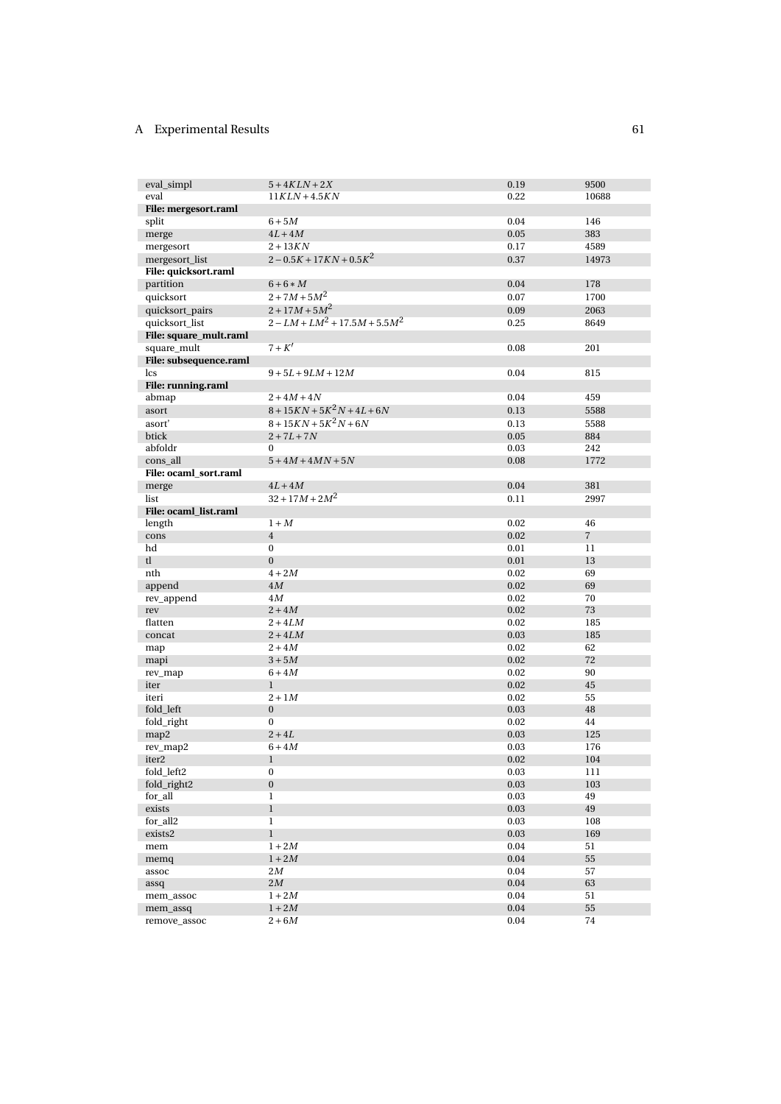| eval_simpl             | $5+4KLN+2X$                      | 0.19       | 9500           |
|------------------------|----------------------------------|------------|----------------|
| eval                   | $11KLN + 4.5KN$                  | 0.22       | 10688          |
| File: mergesort.raml   |                                  |            |                |
| split                  | $6+5M$                           | 0.04       | 146            |
| merge                  | $4L+4M$                          | 0.05       | 383            |
| mergesort              | $2+13KN$                         | 0.17       | 4589           |
| mergesort_list         | $2 - 0.5K + 17KN + 0.5K^2$       | 0.37       | 14973          |
| File: quicksort.raml   |                                  |            |                |
|                        | $6 + 6 * M$                      | 0.04       | 178            |
| partition              |                                  |            |                |
| quicksort              | $2 + 7M + 5M^2$                  | 0.07       | 1700           |
| quicksort_pairs        | $2 + 17M + 5M^2$                 | 0.09       | 2063           |
| quicksort list         | $2 - LM + LM^2 + 17.5M + 5.5M^2$ | 0.25       | 8649           |
| File: square_mult.raml |                                  |            |                |
| square_mult            | $7 + K'$                         | 0.08       | 201            |
| File: subsequence.raml |                                  |            |                |
| $\log$                 | $9 + 5L + 9LM + 12M$             | 0.04       | 815            |
| File: running.raml     |                                  |            |                |
| abmap                  | $2 + 4M + 4N$                    | 0.04       | 459            |
| asort                  | $8 + 15KN + 5K^2N + 4L + 6N$     | 0.13       | 5588           |
| asort'                 | $8 + 15KN + 5K^2N + 6N$          | 0.13       | 5588           |
| <b>btick</b>           | $2 + 7L + 7N$                    | 0.05       | 884            |
| abfoldr                | $\mathbf{0}$                     | 0.03       | 242            |
|                        |                                  |            |                |
| cons all               | $5 + 4M + 4MN + 5N$              | 0.08       | 1772           |
| File: ocaml_sort.raml  |                                  |            |                |
| merge                  | $4L+4M$                          | 0.04       | 381            |
| list                   | $32 + 17M + 2M^2$                | 0.11       | 2997           |
| File: ocaml list.raml  |                                  |            |                |
| length                 | $1 + M$                          | 0.02       | 46             |
| cons                   | $\overline{4}$                   | 0.02       | $\overline{7}$ |
| hd                     | $\boldsymbol{0}$                 | 0.01       | 11             |
| t1                     | $\overline{0}$                   | 0.01       | 13             |
| nth                    | $4+2M$                           | 0.02       | 69             |
| append                 | 4M                               | 0.02       | 69             |
| rev_append             | 4M                               | 0.02       | 70             |
| rev                    | $2 + 4M$                         | 0.02       | 73             |
| flatten                | $2+4LM$                          | 0.02       | 185            |
| concat                 | $2+4LM$                          | 0.03       | 185            |
| map                    | $2 + 4M$                         | 0.02       | 62             |
| mapi                   | $3+5M$                           | 0.02       | 72             |
| rev_map                | $6+4M$                           | 0.02       | 90             |
| iter                   | $\mathbf{1}$                     | 0.02       | 45             |
|                        | $2 + 1M$                         |            |                |
| iteri                  |                                  | 0.02       | 55             |
| fold_left              | $\boldsymbol{0}$                 | 0.03       | 48             |
| fold_right             | $\mathbf{0}$                     | 0.02       | 44             |
| map2                   | $2 + 4L$                         | 0.03       | 125            |
| rev_map2               | $6+4M$                           | 0.03       | 176            |
| iter <sub>2</sub>      | $\mathbf{1}$                     | 0.02       | 104            |
| fold left2             | 0                                | 0.03       | 111            |
| fold_right2            | $\boldsymbol{0}$                 | 0.03       | 103            |
| for_all                | $\mathbf{1}$                     | 0.03       | 49             |
| exists                 | $\mathbf{1}$                     | 0.03       | 49             |
| for all2               | $\mathbf{1}$                     | 0.03       | 108            |
| exists2                | $\mathbf{1}$                     | 0.03       | 169            |
| mem                    | $1+2M$                           | 0.04       | 51             |
| memq                   | $1+2M$                           | $\rm 0.04$ | 55             |
| assoc                  | 2M                               | 0.04       | 57             |
| assq                   | 2M                               | $\rm 0.04$ | 63             |
| mem_assoc              | $1+2M$                           | 0.04       | 51             |
|                        | $1+2M$                           | $\rm 0.04$ |                |
| mem_assq               |                                  |            | 55             |
| remove_assoc           | $2+6M$                           | 0.04       | 74             |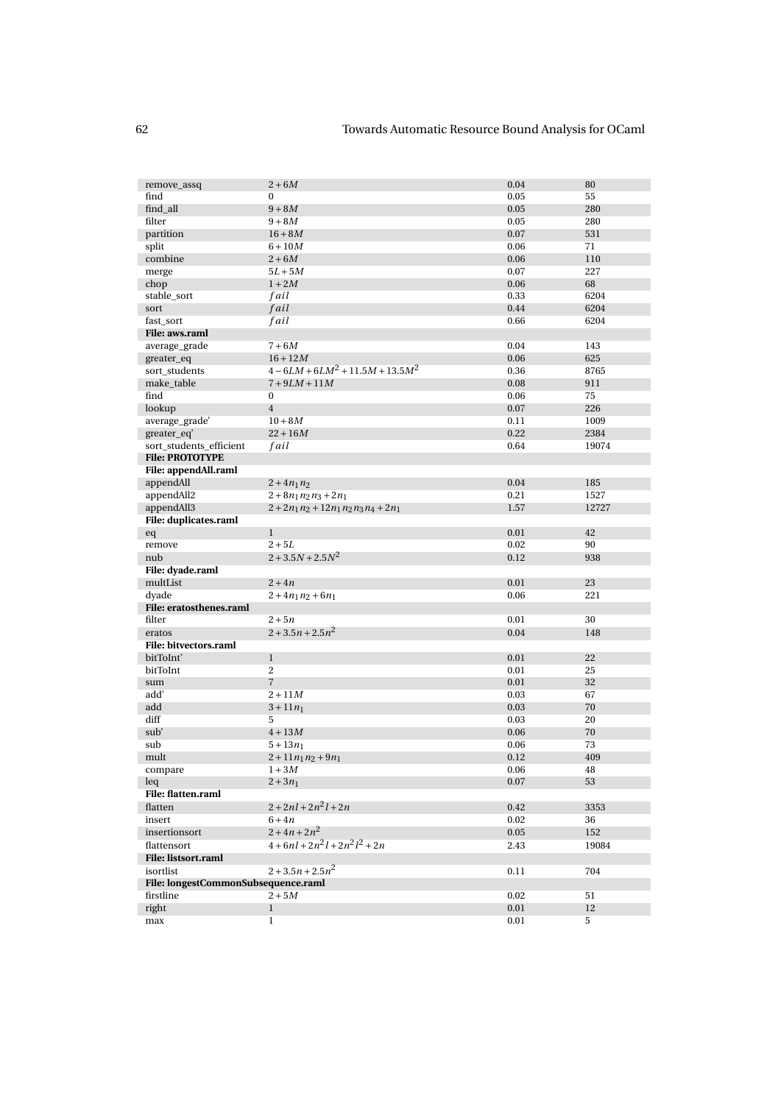| remove_assq                         | $2+6M$                                    | 0.04 | 80    |
|-------------------------------------|-------------------------------------------|------|-------|
| find                                | $\Omega$                                  | 0.05 | 55    |
|                                     |                                           |      |       |
| find all                            | $9+8M$                                    | 0.05 | 280   |
| filter                              | $9+8M$                                    | 0.05 | 280   |
| partition                           | $16 + 8M$                                 | 0.07 | 531   |
| split                               | $6 + 10M$                                 | 0.06 | 71    |
| combine                             | $2+6M$                                    | 0.06 | 110   |
| merge                               | $5L+5M$                                   | 0.07 | 227   |
| chop                                | $1+2M$                                    | 0.06 | 68    |
| stable_sort                         | fail                                      | 0.33 | 6204  |
| sort                                | fail                                      | 0.44 | 6204  |
| fast_sort                           | fail                                      | 0.66 | 6204  |
| File: aws.raml                      |                                           |      |       |
| average_grade                       | $7+6M$                                    | 0.04 | 143   |
| greater_eq                          | $16 + 12M$                                | 0.06 | 625   |
|                                     | $4-6LM+6LM^{2}+11.5M+13.5M^{2}$           |      |       |
| sort_students                       |                                           | 0.36 | 8765  |
| make_table                          | $7 + 9LM + 11M$                           | 0.08 | 911   |
| find                                | 0                                         | 0.06 | 75    |
| lookup                              | $\overline{4}$                            | 0.07 | 226   |
| average_grade'                      | $10+8M$                                   | 0.11 | 1009  |
| greater_eq'                         | $22 + 16M$                                | 0.22 | 2384  |
| sort_students_efficient             | fail                                      | 0.64 | 19074 |
| <b>File: PROTOTYPE</b>              |                                           |      |       |
| File: appendAll.raml                |                                           |      |       |
| appendAll                           | $2 + 4n_1n_2$                             | 0.04 | 185   |
| appendAll2                          | $2 + 8n_1n_2n_3 + 2n_1$                   | 0.21 | 1527  |
|                                     |                                           |      | 12727 |
| appendAll3                          | $2 + 2n_1 n_2 + 12n_1 n_2 n_3 n_4 + 2n_1$ | 1.57 |       |
| File: duplicates.raml               |                                           |      |       |
| eq                                  | $\mathbf{1}$                              | 0.01 | 42    |
| remove                              | $2 + 5L$                                  | 0.02 | 90    |
| nub                                 | $2 + 3.5N + 2.5N^2$                       | 0.12 | 938   |
| File: dyade.raml                    |                                           |      |       |
| multList                            | $2 + 4n$                                  | 0.01 | 23    |
| dyade                               | $2 + 4n_1n_2 + 6n_1$                      | 0.06 | 221   |
| File: eratosthenes.raml             |                                           |      |       |
| filter                              | $2 + 5n$                                  | 0.01 | 30    |
| eratos                              | $2 + 3.5n + 2.5n^2$                       | 0.04 | 148   |
| File: bitvectors.raml               |                                           |      |       |
| bitToInt'                           | $\mathbf{1}$                              | 0.01 | 22    |
| bitToInt                            | $\overline{2}$                            | 0.01 | 25    |
|                                     | $\overline{7}$                            |      |       |
| sum                                 |                                           | 0.01 | 32    |
| add'                                | $2 + 11M$                                 | 0.03 | 67    |
| add                                 | $3 + 11n_1$                               | 0.03 | 70    |
| diff                                | 5                                         | 0.03 | 20    |
| sub'                                | $4 + 13M$                                 | 0.06 | 70    |
| sub                                 | $5 + 13n_1$                               | 0.06 | 73    |
| mult                                | $2 + 11n_1n_2 + 9n_1$                     | 0.12 | 409   |
| compare                             |                                           |      |       |
| leq                                 | $1+3M$                                    | 0.06 | 48    |
| File: flatten.raml                  | $2 + 3n_1$                                | 0.07 | 53    |
|                                     |                                           |      |       |
| flatten                             |                                           |      |       |
|                                     | $2 + 2nl + 2n^2l + 2n$                    | 0.42 | 3353  |
| insert                              | $6+4n$                                    | 0.02 | 36    |
| insertionsort                       | $2 + 4n + 2n^2$                           | 0.05 | 152   |
| flattensort                         | $4+6nl+2n^2l+2n^2l^2+2n$                  | 2.43 | 19084 |
| File: listsort.raml                 |                                           |      |       |
| isortlist                           | $2+3.5n+2.5n^2$                           | 0.11 | 704   |
| File: longestCommonSubsequence.raml |                                           |      |       |
| firstline                           | $2+5M$                                    | 0.02 | 51    |
| right<br>max                        | $\mathbf{1}$                              | 0.01 | 12    |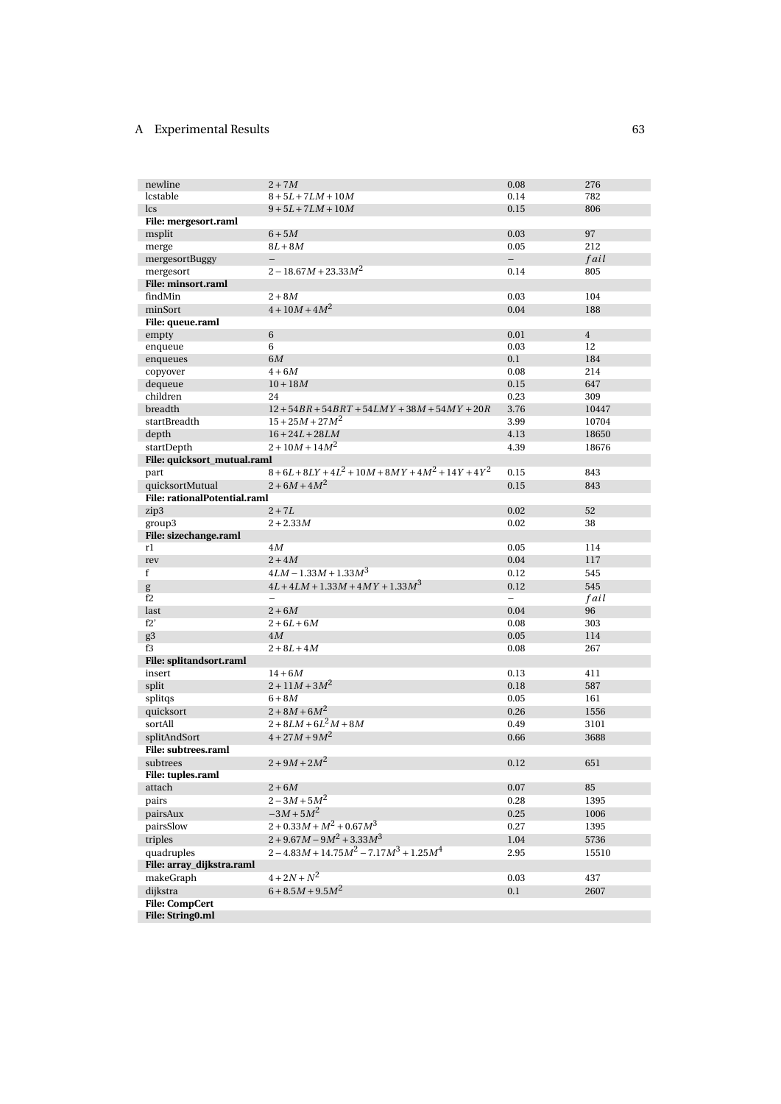| newline                      | $2+7M$                                                | 0.08                     | 276            |
|------------------------------|-------------------------------------------------------|--------------------------|----------------|
| lcstable                     | $8 + 5L + 7LM + 10M$                                  | 0.14                     | 782            |
| $\log$                       | $9 + 5L + 7LM + 10M$                                  | 0.15                     | 806            |
| File: mergesort.raml         |                                                       |                          |                |
| msplit                       | $6+5M$                                                | 0.03                     | 97             |
| merge                        | $8L+8M$                                               | 0.05                     | 212            |
| mergesortBuggy               | $-$                                                   | $-$                      | fail           |
| mergesort                    | $2 - 18.67M + 23.33M^2$                               | 0.14                     | 805            |
| File: minsort.raml           |                                                       |                          |                |
| findMin                      | $2 + 8M$                                              | 0.03                     | 104            |
| minSort                      | $4 + 10M + 4M^2$                                      | 0.04                     | 188            |
| File: queue.raml             |                                                       |                          |                |
| empty                        | $6\phantom{.}$                                        | 0.01                     | $\overline{4}$ |
| enqueue                      | 6                                                     | 0.03                     | 12             |
| enqueues                     | 6M                                                    | 0.1                      | 184            |
| copyover                     | $4+6M$                                                | 0.08                     | 214            |
| dequeue                      | $10 + 18M$                                            | 0.15                     | 647            |
| children                     | 24                                                    | 0.23                     | 309            |
| breadth                      | $12 + 54BR + 54BRT + 54LMY + 38M + 54MY + 20R$        | 3.76                     | 10447          |
| startBreadth                 | $15 + 25M + 27M^2$                                    | 3.99                     | 10704          |
| depth                        | $16 + 24L + 28LM$                                     | 4.13                     | 18650          |
| startDepth                   | $2+10M+14M^2$                                         | 4.39                     | 18676          |
| File: quicksort_mutual.raml  |                                                       |                          |                |
| part                         | $8 + 6L + 8LY + 4L^2 + 10M + 8MY + 4M^2 + 14Y + 4Y^2$ | 0.15                     | 843            |
| quicksortMutual              | $2 + 6M + 4M^2$                                       | 0.15                     | 843            |
| File: rationalPotential.raml |                                                       |                          |                |
|                              | $2 + 7L$                                              |                          | 52             |
| zip3                         | $2 + 2.33M$                                           | 0.02<br>0.02             | 38             |
| group3                       |                                                       |                          |                |
| File: sizechange.raml        |                                                       |                          |                |
| rl                           | 4M                                                    | 0.05                     | 114            |
| rev                          | $2 + 4M$<br>$4LM - 1.33M + 1.33M^3$                   | 0.04                     | 117            |
| f                            |                                                       | 0.12                     | 545            |
| g                            | $4L + 4LM + 1.33M + 4MY + 1.33M3$                     | 0.12                     | 545            |
| f2                           |                                                       | $\overline{\phantom{0}}$ | fail           |
| last                         | $2+6M$                                                | 0.04                     | 96             |
| f2'                          | $2 + 6L + 6M$                                         | 0.08                     | 303            |
| g <sub>3</sub>               | 4M                                                    | 0.05                     | 114            |
| f3                           | $2 + 8L + 4M$                                         | 0.08                     | 267            |
| File: splitandsort.raml      |                                                       |                          |                |
| insert                       | $14 + 6M$                                             | 0.13                     | 411            |
| split                        | $2+11M+3M^2$                                          | 0.18                     | 587            |
| splitqs                      | $6+8M$                                                | 0.05                     | 161            |
| quicksort                    | $2 + 8M + 6M^2$                                       | 0.26                     | 1556           |
| sortAll                      | $2 + 8LM + 6L^2M + 8M$                                | 0.49                     | 3101           |
| splitAndSort                 | $4 + 27M + 9M^2$                                      | 0.66                     | 3688           |
| File: subtrees.raml          |                                                       |                          |                |
| subtrees                     | $2 + 9M + 2M^2$                                       | 0.12                     | 651            |
| File: tuples.raml            |                                                       |                          |                |
| attach                       | $2+6M$                                                | 0.07                     | 85             |
| pairs                        | $2 - 3M + 5M^2$                                       | 0.28                     | 1395           |
| pairsAux                     | $-3M + 5M^2$                                          | 0.25                     | 1006           |
| pairsSlow                    | $2 + 0.33M + M^2 + 0.67M^3$                           | 0.27                     | 1395           |
| triples                      | $2 + 9.67M - 9M^2 + 3.33M^3$                          | 1.04                     | 5736           |
| quadruples                   | $2-4.83M+14.75M^2-7.17M^3+1.25M^4$                    | 2.95                     | 15510          |
| File: array_dijkstra.raml    |                                                       |                          |                |
| makeGraph                    | $4 + 2N + N^2$                                        | 0.03                     | 437            |
| dijkstra                     | $6 + 8.5M + 9.5M^2$                                   | 0.1                      | 2607           |
| <b>File: CompCert</b>        |                                                       |                          |                |
| File: String0.ml             |                                                       |                          |                |
|                              |                                                       |                          |                |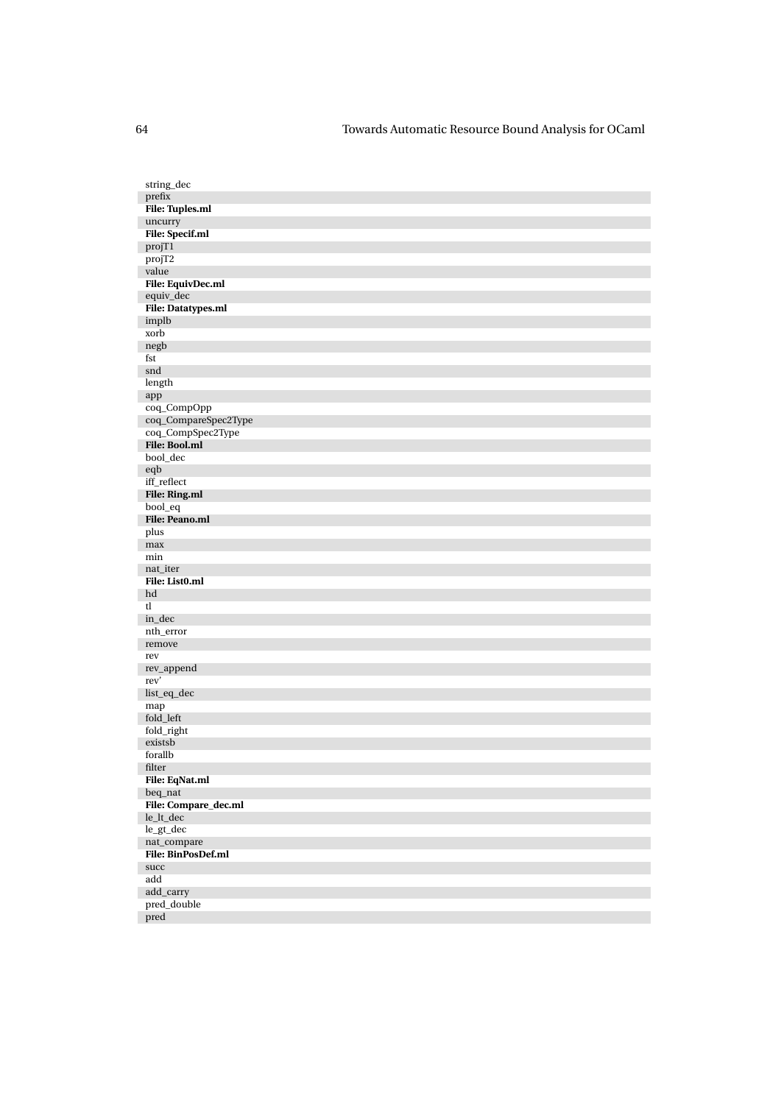string\_dec prefix **File: Tuples.ml** uncurry **File: Specif.ml** projT1 projT2 value **File: EquivDec.ml** equiv\_dec **File: Datatypes.ml** implb xorb negb fst snd length app coq\_CompOpp coq\_CompareSpec2Type coq\_CompSpec2Type **File: Bool.ml** bool\_dec eqb iff<sup>reflect</sup> **File: Ring.ml** bool\_eq **File: Peano.ml** plus max min nat\_iter **File: List0.ml** hd tl in\_dec nth\_error remove rev rev\_append rev' list\_eq\_dec map fold\_left fold\_right existsb forallb filter **File: EqNat.ml** beq\_nat **File: Compare\_dec.ml** le\_lt\_dec le\_gt\_dec nat\_compare **File: BinPosDef.ml** Ì succ add add\_carry pred\_double pred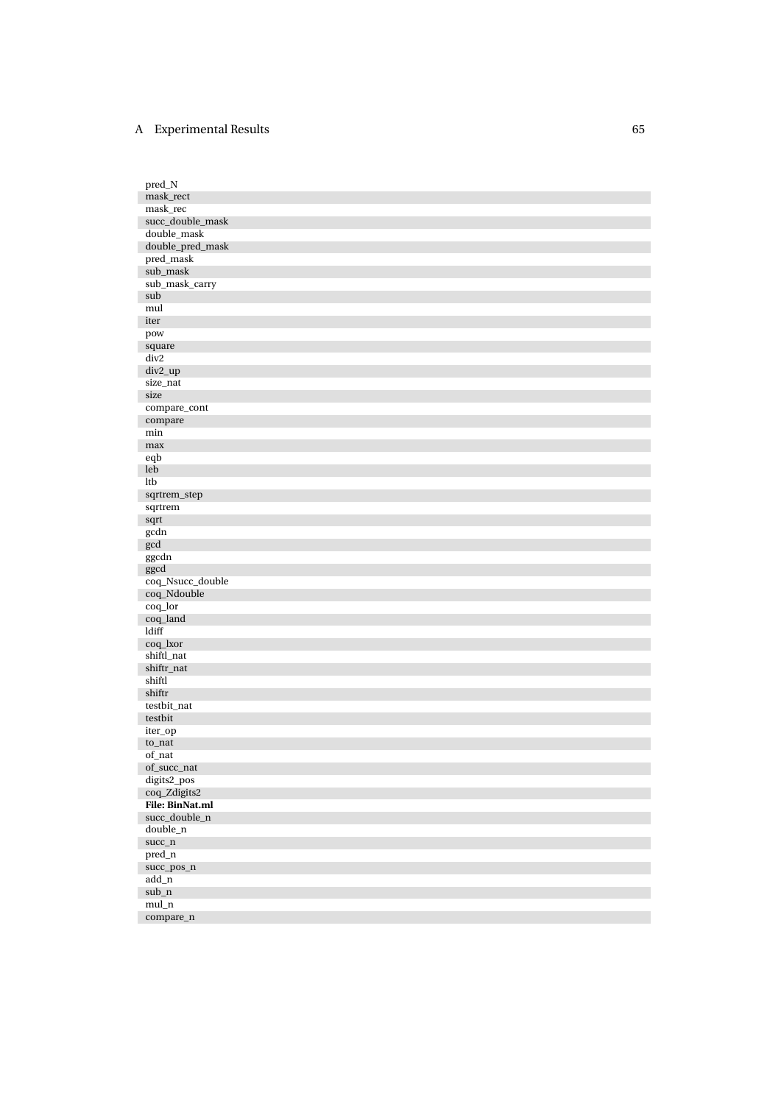| pred_N                   |
|--------------------------|
| mask_rect                |
| $\rm{mask\_rec}$         |
| succ_double_mask         |
| double_mask              |
| double_pred_mask         |
| pred_mask                |
| $\mathsf{sub\_mask}$     |
| sub_mask_carry           |
| sub                      |
| mul                      |
| iter                     |
| pow                      |
| square                   |
| div2                     |
| div2_up                  |
| size_nat                 |
| size                     |
| compare_cont             |
| compare                  |
| min                      |
| max                      |
| eqb                      |
| leb                      |
| ltb                      |
| sqrtrem_step             |
| sqrtrem                  |
| sqrt                     |
| gcdn                     |
| $\gcd$                   |
| ggcdn                    |
| ggcd<br>coq_Nsucc_double |
| coq_Ndouble              |
| coq_lor                  |
| coq_land                 |
| ldiff                    |
| coq_lxor                 |
| shiftl_nat               |
| shiftr_nat               |
| shiftl                   |
| shiftr                   |
| testbit_nat              |
| testbit                  |
| iter_op                  |
| $to_$ rat                |
| of_nat                   |
| $of\_succ\_nat$          |
| digits2_pos              |
| coq_Zdigits2             |
| File: BinNat.ml          |
| succ_double_n            |
| $\texttt{double\_{}n}$   |
| $succ_n$                 |
| pred_n                   |
| succ_pos_n               |
| $add_n$                  |
| $sub_n$                  |
| $mul_n$                  |
| compare_n                |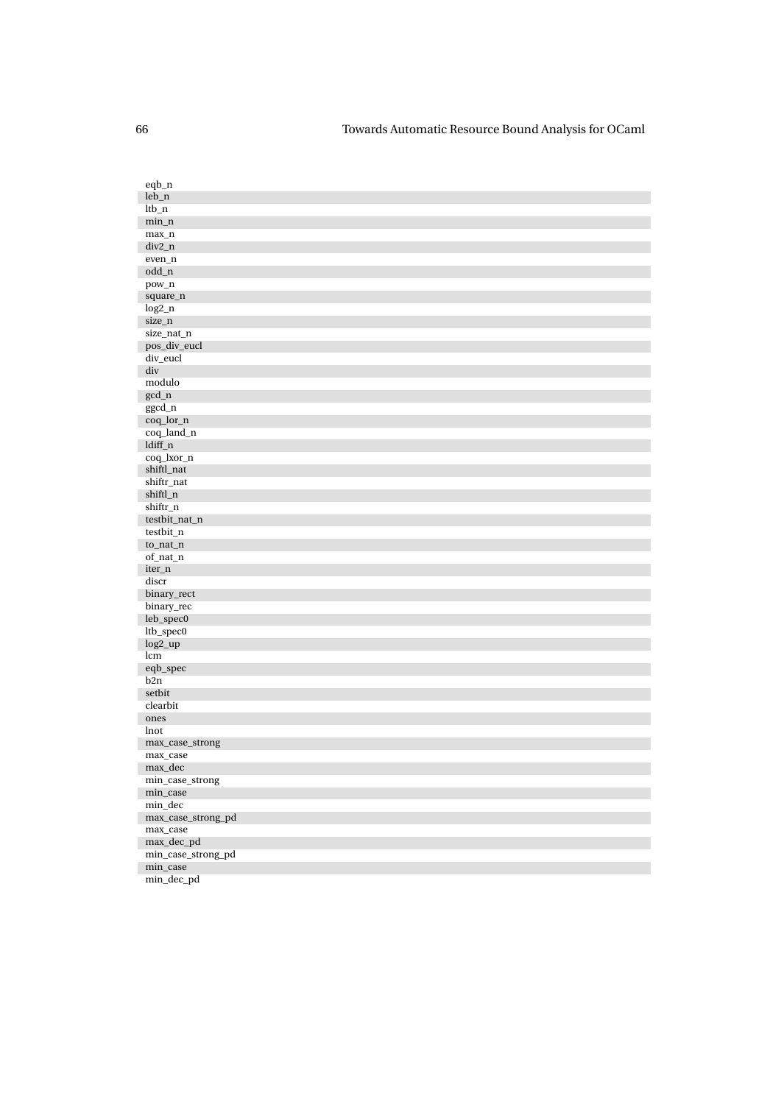| eqb_n              |
|--------------------|
| $leb_n$            |
| $ltb_n$            |
| $min_n$            |
| $max_n$            |
| $div2_n$           |
| even_n             |
| $odd_n$            |
| pow_n              |
| square_n           |
| $log2_n$           |
| size_n             |
| size_nat_n         |
| pos_div_eucl       |
| div_eucl           |
| div                |
| modulo             |
| $gcd_n$            |
| $\text{ggcd\_}n$   |
| coq_lor_n          |
| coq_land_n         |
| ldiff_n            |
| coq_lxor_n         |
| shiftl_nat         |
| shiftr_nat         |
| shiftl_n           |
| shiftr_n           |
| testbit_nat_n      |
| testbit_n          |
| $to_$ rat_n        |
| of_nat_n           |
| iter_n             |
| discr              |
| binary_rect        |
| binary_rec         |
| leb_spec0          |
| ltb_spec0          |
| $log2$ _up         |
| lcm                |
| eqb_spec           |
| b2n                |
| setbit             |
| clearbit           |
| ones               |
| lnot               |
| max_case_strong    |
| max_case           |
| $\max\_dec$        |
| min_case_strong    |
| $\rm min\_case$    |
| min_dec            |
| max_case_strong_pd |
| $\max\_case$       |
| max_dec_pd         |
| min_case_strong_pd |
| $\rm min\_case$    |
| min_dec_pd         |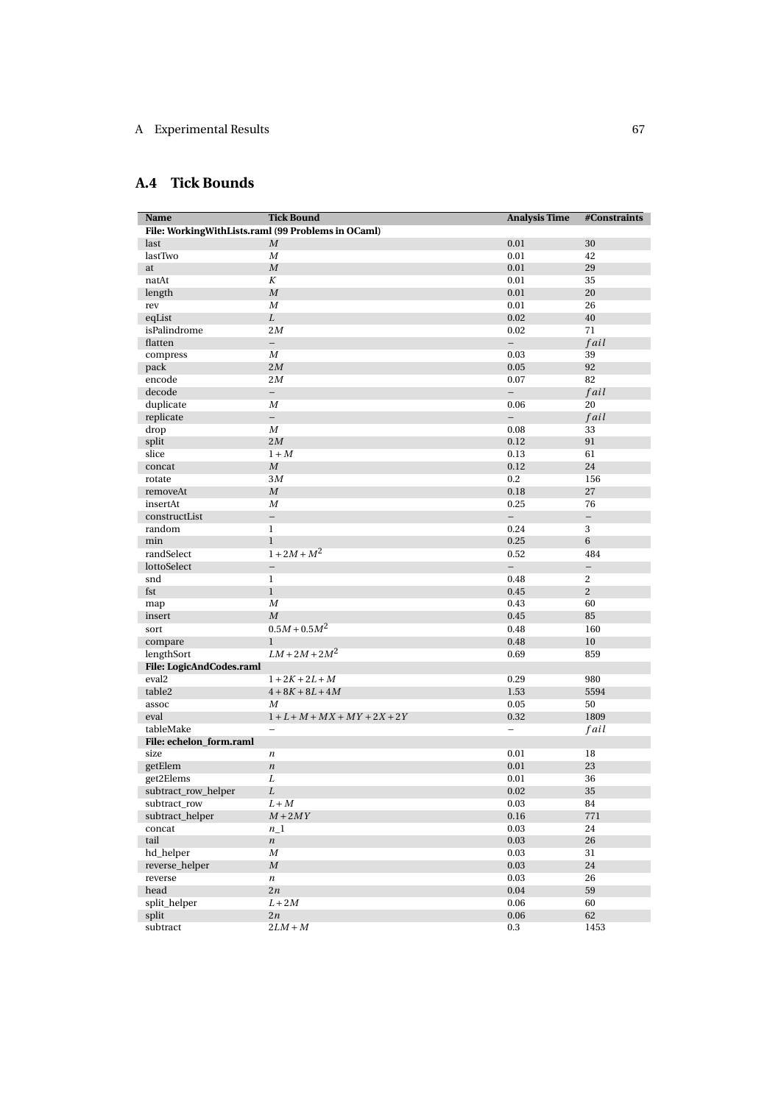### **A.4 Tick Bounds**

| <b>Name</b>                                   | <b>Tick Bound</b>                                  | <b>Analysis Time</b>     | #Constraints             |
|-----------------------------------------------|----------------------------------------------------|--------------------------|--------------------------|
|                                               | File: WorkingWithLists.raml (99 Problems in OCaml) |                          |                          |
| last                                          | $\cal M$                                           | 0.01                     | 30                       |
| lastTwo                                       | $\boldsymbol{M}$                                   | 0.01                     | 42                       |
| at                                            | M                                                  | 0.01                     | 29                       |
| natAt                                         | K                                                  | 0.01                     | 35                       |
| length                                        | $\boldsymbol{M}$                                   | 0.01                     | 20                       |
| rev                                           | $\boldsymbol{M}$                                   | 0.01                     | 26                       |
| eqList                                        | L                                                  | 0.02                     | 40                       |
| isPalindrome                                  | 2M                                                 | 0.02                     | 71                       |
| flatten                                       | $\overline{\phantom{0}}$                           | $\overline{\phantom{0}}$ | fail                     |
| compress                                      | $\boldsymbol{M}$                                   | 0.03                     | 39                       |
| pack                                          | 2M                                                 | 0.05                     | 92                       |
| encode                                        | 2M                                                 | 0.07                     | 82                       |
| decode                                        | $\overline{\phantom{0}}$                           | $\equiv$                 | fail                     |
| duplicate                                     | $\boldsymbol{M}$                                   | 0.06                     | 20                       |
| replicate                                     | $\frac{1}{2}$                                      | $\equiv$                 | fail                     |
| drop                                          | $\boldsymbol{M}$                                   | 0.08                     | 33                       |
| split                                         | 2M                                                 | 0.12                     | 91                       |
| slice                                         | $1+M$                                              | 0.13                     | 61                       |
| concat                                        | $\cal M$                                           | 0.12                     | 24                       |
| rotate                                        | 3M                                                 | 0.2                      | 156                      |
| removeAt                                      | $\cal M$                                           | 0.18                     | 27                       |
| insertAt                                      | $\boldsymbol{M}$                                   | 0.25                     | 76                       |
| constructList                                 | $\overline{\phantom{0}}$                           | $\overline{\phantom{0}}$ | $\overline{\phantom{0}}$ |
| random                                        | $\mathbf{1}$                                       | 0.24                     | 3                        |
| min                                           | $\mathbf{1}$                                       | 0.25                     | $6\phantom{a}$           |
| randSelect                                    | $1 + 2M + M^2$                                     | 0.52                     | 484                      |
| lottoSelect                                   | $\overline{\phantom{0}}$                           | $\equiv$                 | $\overline{\phantom{a}}$ |
| snd                                           | $\mathbf{1}$                                       | 0.48                     | $\overline{2}$           |
| fst                                           | $\mathbf{1}$                                       | 0.45                     | $\overline{2}$           |
| map                                           | $\boldsymbol{M}$                                   | 0.43                     | 60                       |
| insert                                        | $\overline{M}$                                     | 0.45                     | 85                       |
| sort                                          | $0.5M + 0.5M^2$                                    | 0.48                     | 160                      |
| compare                                       | $\mathbf{1}$                                       | 0.48                     | 10                       |
|                                               | $LM + 2M + 2M^2$                                   |                          |                          |
| lengthSort                                    |                                                    | 0.69                     | 859                      |
| File: LogicAndCodes.raml<br>eval <sub>2</sub> | $1 + 2K + 2L + M$                                  | 0.29                     | 980                      |
| table2                                        | $4 + 8K + 8L + 4M$                                 | 1.53                     | 5594                     |
|                                               | $\boldsymbol{M}$                                   |                          |                          |
| assoc<br>eval                                 | $1 + L + M + MX + MY + 2X + 2Y$                    | 0.05<br>0.32             | 50<br>1809               |
| tableMake                                     |                                                    |                          |                          |
| File: echelon_form.raml                       |                                                    | $\qquad \qquad -$        | fail                     |
| size                                          |                                                    | 0.01                     | 18                       |
| getElem                                       | $\boldsymbol{n}$<br>$\boldsymbol{n}$               | 0.01                     | 23                       |
| get2Elems                                     | L                                                  | 0.01                     | 36                       |
| subtract_row_helper                           | L                                                  |                          | 35                       |
|                                               | $L+M$                                              | $0.02\,$<br>0.03         |                          |
| subtract_row<br>subtract helper               |                                                    | 0.16                     | 84<br>771                |
|                                               | $M+2MY$                                            | 0.03                     | 24                       |
| concat                                        | $n_1$                                              |                          |                          |
| tail<br>hd_helper                             | $\boldsymbol{n}$                                   | 0.03                     | 26                       |
| reverse helper                                | $\cal M$                                           | 0.03                     | 31                       |
|                                               | $\boldsymbol{M}$                                   | 0.03                     | 24                       |
| reverse                                       | $\boldsymbol{n}$                                   | 0.03                     | 26                       |
| head                                          | 2n                                                 | 0.04                     | 59                       |
| split_helper                                  | $L+2M$                                             | 0.06                     | 60                       |
| split                                         | 2n                                                 | $0.06\,$                 | 62                       |
| subtract                                      | $2LM+M$                                            | $0.3\,$                  | 1453                     |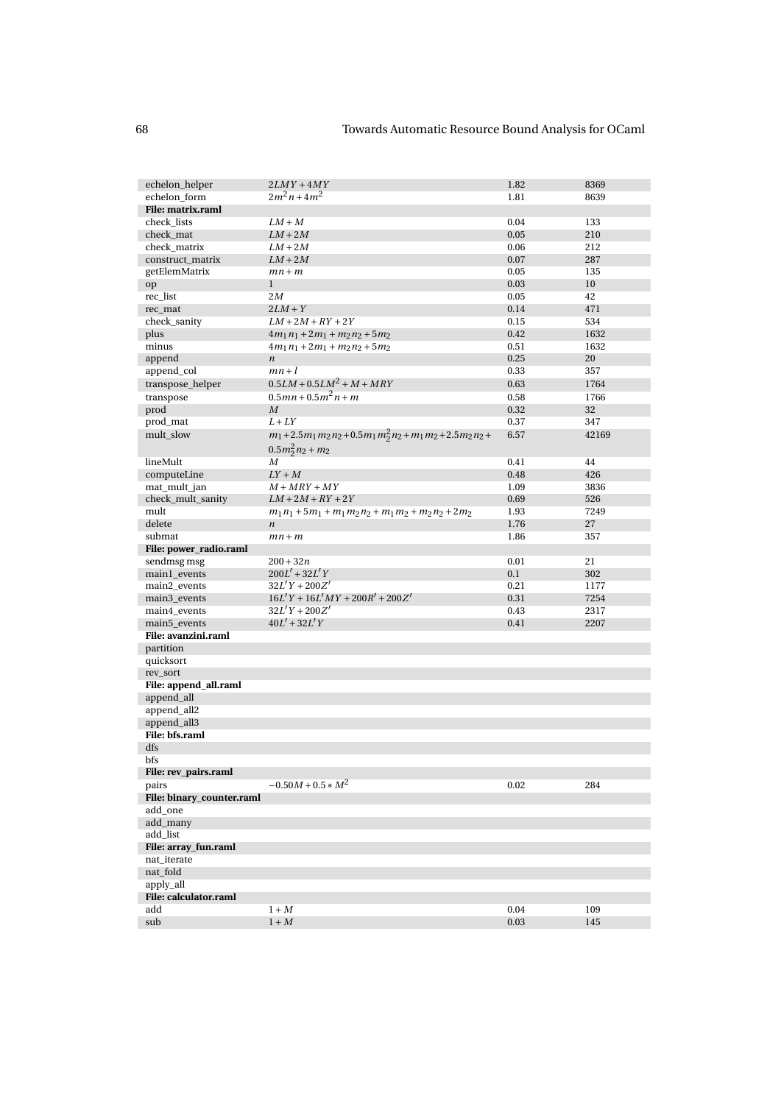| echelon_helper            | $2LMY + 4MY$                                                 | 1.82         | 8369       |
|---------------------------|--------------------------------------------------------------|--------------|------------|
| echelon_form              | $2m^2n + 4m^2$                                               | 1.81         | 8639       |
| File: matrix.raml         |                                                              |              |            |
| check_lists               | $LM+M$                                                       | 0.04         | 133        |
| check_mat                 | $LM+2M$                                                      | 0.05         | 210        |
| check matrix              | $LM+2M$                                                      | 0.06         | 212        |
| construct_matrix          | $LM+2M$                                                      | 0.07         | 287        |
| getElemMatrix             | $mn + m$                                                     | 0.05         | 135        |
| op                        | $\mathbf{1}$                                                 | 0.03         | 10         |
| rec_list                  | 2M                                                           | 0.05         | 42         |
| rec mat                   | $2LM + Y$                                                    | 0.14         | 471        |
| check_sanity              | $LM+2M+RY+2Y$                                                | 0.15         | 534        |
| plus                      | $4m_1n_1 + 2m_1 + m_2n_2 + 5m_2$                             | 0.42         | 1632       |
| minus                     | $4m_1n_1 + 2m_1 + m_2n_2 + 5m_2$                             | 0.51         | 1632       |
| append                    | $\boldsymbol{n}$                                             | 0.25         | 20         |
| append_col                | $mn+l$                                                       | 0.33         | 357        |
| transpose_helper          | $0.5LM + 0.5LM^2 + M + MRY$                                  | 0.63         | 1764       |
| transpose                 | $0.5mn + 0.5m^2n + m$                                        | 0.58         | 1766       |
| prod                      | $\boldsymbol{M}$                                             | 0.32         | 32         |
| prod_mat                  | $L + LY$                                                     | 0.37         | 347        |
| mult_slow                 | $m_1 + 2.5m_1m_2n_2 + 0.5m_1m_2^2n_2 + m_1m_2 + 2.5m_2n_2 +$ | 6.57         | 42169      |
|                           |                                                              |              |            |
|                           | $0.5 m_2^2 n_2 + m_2$                                        |              |            |
| lineMult                  | $\boldsymbol{M}$                                             | 0.41         | 44         |
| computeLine               | $LY + M$                                                     | 0.48         | 426        |
| mat_mult_jan              | $M+MRY+MY$                                                   | 1.09         | 3836       |
| check_mult_sanity         | $LM+2M+RY+2Y$                                                | 0.69         | 526        |
| mult                      | $m_1 n_1 + 5 m_1 + m_1 m_2 n_2 + m_1 m_2 + m_2 n_2 + 2 m_2$  | 1.93         | 7249       |
| delete                    | $\boldsymbol{n}$                                             | 1.76         | 27         |
| submat                    | $mn + m$                                                     | 1.86         | 357        |
| File: power_radio.raml    |                                                              |              |            |
| sendmsg msg               | $200 + 32n$                                                  | 0.01         | 21         |
| main1_events              | $200L' + 32L'Y$                                              | 0.1          | 302        |
| main2_events              | $32L'Y + 200Z'$                                              | 0.21         | 1177       |
| main3_events              | $16L'Y + 16L'MY + 200R' + 200Z'$                             | 0.31         | 7254       |
| main4_events              | $32L'Y + 200Z'$                                              | 0.43         | 2317       |
| main5_events              | $40L' + 32L'Y$                                               | 0.41         | 2207       |
| File: avanzini.raml       |                                                              |              |            |
| partition                 |                                                              |              |            |
| quicksort                 |                                                              |              |            |
| rev_sort                  |                                                              |              |            |
| File: append_all.raml     |                                                              |              |            |
| append_all                |                                                              |              |            |
| append_all2               |                                                              |              |            |
| append_all3               |                                                              |              |            |
| File: bfs.raml            |                                                              |              |            |
| dfs                       |                                                              |              |            |
| bfs                       |                                                              |              |            |
| File: rev_pairs.raml      |                                                              |              |            |
| pairs                     | $-0.50M + 0.5 * M^2$                                         | 0.02         | 284        |
| File: binary_counter.raml |                                                              |              |            |
| add_one                   |                                                              |              |            |
| add_many                  |                                                              |              |            |
| add_list                  |                                                              |              |            |
| File: array fun.raml      |                                                              |              |            |
|                           |                                                              |              |            |
| nat_iterate               |                                                              |              |            |
| nat_fold                  |                                                              |              |            |
| apply_all                 |                                                              |              |            |
|                           |                                                              |              |            |
| File: calculator.raml     |                                                              |              |            |
| add<br>sub                | $1+M$<br>$1+M$                                               | 0.04<br>0.03 | 109<br>145 |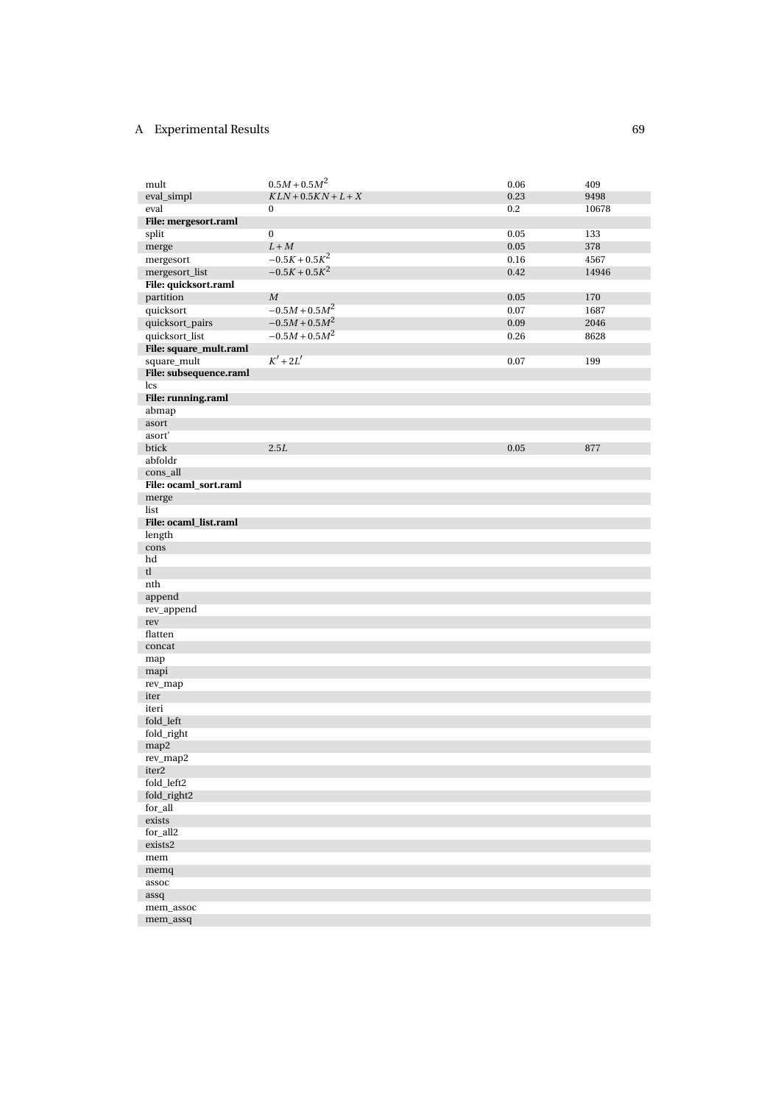| mult                   | $0.5M + 0.5M^2$       | 0.06 | 409   |
|------------------------|-----------------------|------|-------|
| eval_simpl             | $KLN + 0.5KN + L + X$ | 0.23 | 9498  |
| eval                   | $\bf{0}$              | 0.2  | 10678 |
| File: mergesort.raml   |                       |      |       |
| split                  | $\bf{0}$              | 0.05 | 133   |
| merge                  | $L+M$                 | 0.05 | 378   |
| mergesort              | $-0.5K + 0.5K^2$      | 0.16 | 4567  |
| mergesort_list         | $-0.5K + 0.5K^2$      | 0.42 | 14946 |
| File: quicksort.raml   |                       |      |       |
| partition              | $\cal M$              | 0.05 | 170   |
| quicksort              | $-0.5M + 0.5M^2$      | 0.07 | 1687  |
| quicksort_pairs        | $-0.5M + 0.5M^2$      | 0.09 | 2046  |
|                        | $-0.5M + 0.5M^2$      |      | 8628  |
| quicksort_list         |                       | 0.26 |       |
| File: square_mult.raml | $K' + 2L'$            |      |       |
| square_mult            |                       | 0.07 | 199   |
| File: subsequence.raml |                       |      |       |
| lcs                    |                       |      |       |
| File: running.raml     |                       |      |       |
| abmap                  |                       |      |       |
| asort                  |                       |      |       |
| asort'                 |                       |      |       |
| btick                  | 2.5L                  | 0.05 | 877   |
| abfoldr                |                       |      |       |
| cons_all               |                       |      |       |
| File: ocaml_sort.raml  |                       |      |       |
| merge                  |                       |      |       |
| list                   |                       |      |       |
| File: ocaml_list.raml  |                       |      |       |
| length                 |                       |      |       |
| cons                   |                       |      |       |
| hd                     |                       |      |       |
| t                      |                       |      |       |
| nth                    |                       |      |       |
| append                 |                       |      |       |
| rev_append             |                       |      |       |
| rev<br>flatten         |                       |      |       |
|                        |                       |      |       |
| concat                 |                       |      |       |
| map                    |                       |      |       |
| mapi                   |                       |      |       |
| rev_map<br>iter        |                       |      |       |
| iteri                  |                       |      |       |
| fold_left              |                       |      |       |
| fold_right             |                       |      |       |
| map2                   |                       |      |       |
| rev_map2               |                       |      |       |
| iter <sub>2</sub>      |                       |      |       |
| fold_left2             |                       |      |       |
| fold_right2            |                       |      |       |
| for all                |                       |      |       |
| exists                 |                       |      |       |
| for_all2               |                       |      |       |
| exists2                |                       |      |       |
| mem                    |                       |      |       |
| memq                   |                       |      |       |
| assoc                  |                       |      |       |
| assq                   |                       |      |       |
| mem_assoc              |                       |      |       |
|                        |                       |      |       |
| mem_assq               |                       |      |       |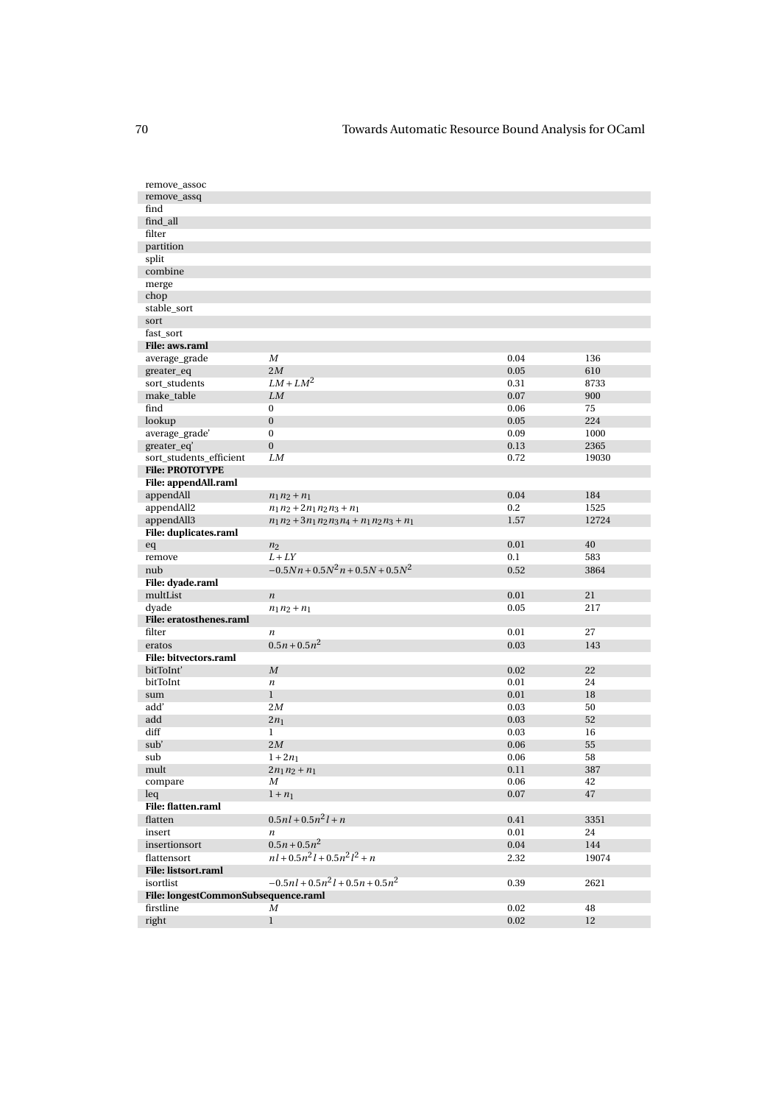| remove_assoc                                            |                                                  |              |          |
|---------------------------------------------------------|--------------------------------------------------|--------------|----------|
| remove_assq                                             |                                                  |              |          |
| find                                                    |                                                  |              |          |
| find all                                                |                                                  |              |          |
| filter                                                  |                                                  |              |          |
| partition                                               |                                                  |              |          |
| split                                                   |                                                  |              |          |
| combine                                                 |                                                  |              |          |
| merge                                                   |                                                  |              |          |
| chop                                                    |                                                  |              |          |
| stable_sort                                             |                                                  |              |          |
| sort                                                    |                                                  |              |          |
| fast_sort                                               |                                                  |              |          |
| File: aws.raml                                          |                                                  |              |          |
| average_grade                                           | $\boldsymbol{M}$                                 | 0.04         | 136      |
| greater_eq                                              | 2M                                               | 0.05         | 610      |
| sort_students                                           | $LM + LM^2$                                      | 0.31         | 8733     |
| make_table                                              | LM                                               | 0.07         | 900      |
| find                                                    | $\bf{0}$                                         | 0.06         | 75       |
| lookup                                                  | $\bf{0}$                                         | 0.05         | 224      |
| average_grade'                                          | $\boldsymbol{0}$                                 | 0.09         | 1000     |
| greater_eq'                                             | $\overline{0}$                                   | 0.13         | 2365     |
| sort_students_efficient                                 | LM                                               | 0.72         | 19030    |
| <b>File: PROTOTYPE</b>                                  |                                                  |              |          |
| File: appendAll.raml                                    |                                                  |              |          |
| appendAll                                               | $n_1 n_2 + n_1$                                  | 0.04         | 184      |
| appendAll2                                              | $n_1 n_2 + 2n_1 n_2 n_3 + n_1$                   | 0.2          | 1525     |
| appendAll3                                              | $n_1 n_2 + 3n_1 n_2 n_3 n_4 + n_1 n_2 n_3 + n_1$ | 1.57         | 12724    |
| File: duplicates.raml                                   |                                                  |              |          |
| eq                                                      | n <sub>2</sub>                                   | 0.01         | 40       |
| remove                                                  | $L + LY$                                         | 0.1          | 583      |
| nub                                                     | $-0.5Nn + 0.5N^2n + 0.5N + 0.5N^2$               | 0.52         | 3864     |
| File: dyade.raml                                        |                                                  |              |          |
| multList                                                | $\boldsymbol{n}$                                 | 0.01         | 21       |
| dyade                                                   | $n_1\,n_2+n_1$                                   | 0.05         | 217      |
| File: eratosthenes.raml                                 |                                                  |              |          |
| filter                                                  | $\boldsymbol{n}$                                 | 0.01         | 27       |
| eratos                                                  | $0.5n + 0.5n^2$                                  | 0.03         | 143      |
| File: bitvectors.raml                                   | $\boldsymbol{M}$                                 |              | 22       |
| bitToInt'                                               |                                                  | 0.02         |          |
| bitToInt                                                | $\boldsymbol{n}$                                 | 0.01         | 24       |
| sum<br>add'                                             | $\mathbf{1}$<br>2M                               | 0.01<br>0.03 | 18<br>50 |
| add                                                     | $2n_1$                                           | 0.03         | 52       |
| diff                                                    | $\mathbf{1}$                                     | 0.03         | 16       |
| sub'                                                    | 2M                                               | 0.06         | 55       |
| sub                                                     | $1 + 2n_1$                                       | 0.06         | 58       |
| mult                                                    | $2n_1n_2 + n_1$                                  | 0.11         | 387      |
| compare                                                 | М                                                | 0.06         | 42       |
| leq                                                     | $1 + n_1$                                        | 0.07         | 47       |
| File: flatten.raml                                      |                                                  |              |          |
| flatten                                                 | $0.5nl + 0.5n^2l + n$                            | 0.41         | 3351     |
| insert                                                  | $\boldsymbol{n}$                                 | 0.01         | 24       |
| insertionsort                                           | $0.5n + 0.5n^2$                                  | 0.04         | 144      |
| flattensort                                             | $nl + 0.5n^2l + 0.5n^2l^2 + n$                   | 2.32         | 19074    |
| File: listsort.raml                                     |                                                  |              |          |
| $-0.5nl + 0.5n^2l + 0.5n + 0.5n^2$<br>isortlist<br>2621 |                                                  |              |          |
| File: longestCommonSubsequence.raml                     |                                                  | 0.39         |          |
| firstline                                               | $\cal M$                                         | 0.02         | 48       |
|                                                         | $\mathbf{1}$                                     | 0.02         | 12       |
| right                                                   |                                                  |              |          |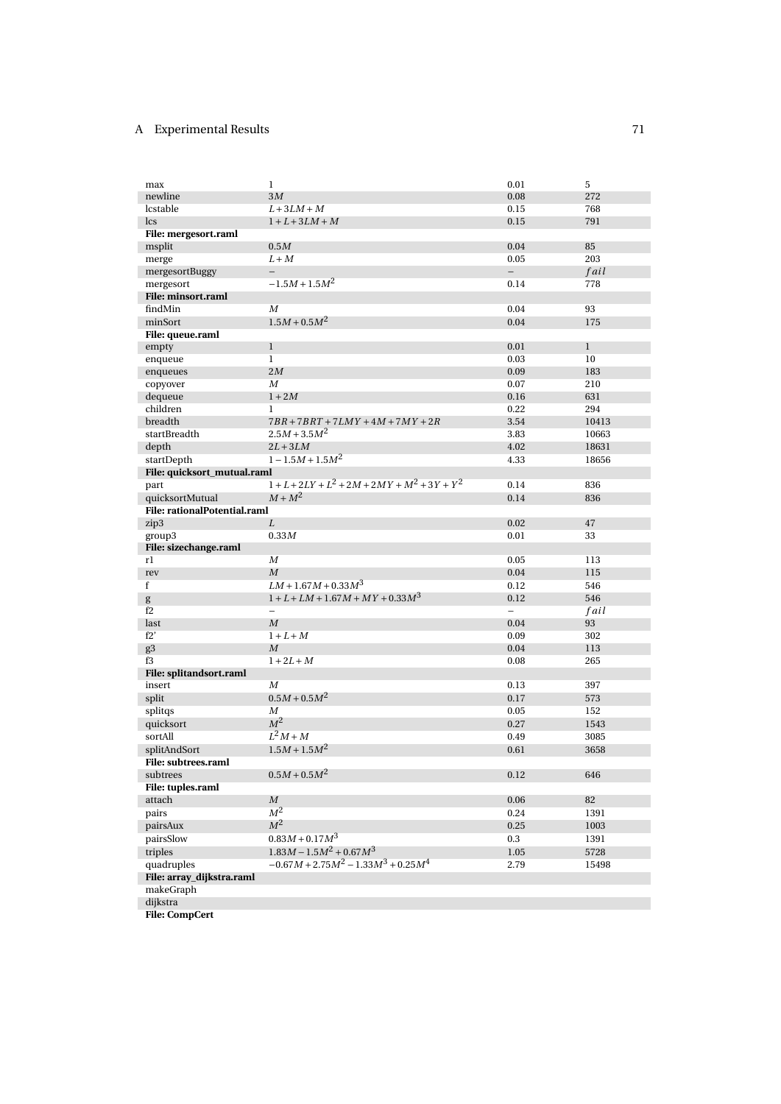| max                          | $\mathbf{1}$                                    | 0.01                     | 5            |
|------------------------------|-------------------------------------------------|--------------------------|--------------|
| newline                      | 3M                                              | 0.08                     | 272          |
| lcstable                     | $L+3LM+M$                                       | 0.15                     | 768          |
| $\log$                       | $1+L+3LM+M$                                     | 0.15                     | 791          |
| File: mergesort.raml         |                                                 |                          |              |
| msplit                       | 0.5M                                            | 0.04                     | 85           |
| merge                        | $L+M$                                           | 0.05                     | 203          |
| mergesortBuggy               | $\overline{\phantom{0}}$                        | $\overline{\phantom{0}}$ | fail         |
| mergesort                    | $-1.5M + 1.5M^2$                                | 0.14                     | 778          |
| File: minsort.raml           |                                                 |                          |              |
| findMin                      | $\boldsymbol{M}$                                | 0.04                     | 93           |
| minSort                      | $1.5M + 0.5M^2$                                 | 0.04                     | 175          |
| File: queue.raml             |                                                 |                          |              |
| empty                        | $\mathbf{1}$                                    | 0.01                     | $\mathbf{1}$ |
| enqueue                      | 1                                               | 0.03                     | 10           |
| enqueues                     | 2M                                              | 0.09                     | 183          |
| copyover                     | M                                               | 0.07                     | 210          |
| dequeue                      | $1+2M$                                          | 0.16                     | 631          |
| children                     | $\mathbf{1}$                                    | 0.22                     | 294          |
| breadth                      | $7BR + 7BRT + 7LMY + 4M + 7MY + 2R$             | 3.54                     | 10413        |
| startBreadth                 | $2.5M + 3.5M^2$                                 | 3.83                     | 10663        |
| depth                        | $2L+3LM$                                        | 4.02                     | 18631        |
| startDepth                   | $1 - 1.5M + 1.5M^2$                             | 4.33                     | 18656        |
| File: quicksort_mutual.raml  |                                                 |                          |              |
| part                         | $1 + L + 2LY + L^2 + 2M + 2MY + M^2 + 3Y + Y^2$ | 0.14                     | 836          |
| quicksortMutual              | $M+M^2$                                         | 0.14                     | 836          |
| File: rationalPotential.raml |                                                 |                          |              |
| zip3                         | L                                               | 0.02                     | 47           |
| group3                       | 0.33M                                           | 0.01                     | 33           |
| File: sizechange.raml        |                                                 |                          |              |
| rl                           | $\boldsymbol{M}$                                | 0.05                     | 113          |
| rev                          | $\overline{M}$                                  | 0.04                     | 115          |
| f                            | $LM + 1.67M + 0.33M^3$                          | 0.12                     | 546          |
| g                            | $1 + L + LM + 1.67M + MY + 0.33M^3$             | 0.12                     | 546          |
| f2                           | $\equiv$                                        | $\overline{\phantom{0}}$ | fail         |
| last                         | $\overline{M}$                                  | 0.04                     | 93           |
| f2'                          | $1+L+M$                                         | 0.09                     | 302          |
| g <sub>3</sub>               | $\boldsymbol{M}$                                | 0.04                     | 113          |
| f3                           | $1 + 2L + M$                                    | 0.08                     | 265          |
| File: splitandsort.raml      |                                                 |                          |              |
| insert                       | $\boldsymbol{M}$                                | 0.13                     | 397          |
| split                        | $0.5M + 0.5M^2$                                 | 0.17                     | 573          |
| splitqs                      | $\boldsymbol{M}$                                | 0.05                     | 152          |
| quicksort                    | $M^2$                                           | 0.27                     | 1543         |
| sortAll                      | $L^2M+M$                                        | 0.49                     | 3085         |
| splitAndSort                 | $1.5M + 1.5M^2$                                 | 0.61                     | 3658         |
| File: subtrees.raml          |                                                 |                          |              |
| subtrees                     | $0.5M + 0.5M^2$                                 | 0.12                     | 646          |
| File: tuples.raml            |                                                 |                          |              |
| attach                       | $\boldsymbol{M}$                                | 0.06                     | 82           |
| pairs                        | $\overline{M}^2$                                | 0.24                     | 1391         |
| pairsAux                     | $M^2$                                           | 0.25                     | 1003         |
| pairsSlow                    | $0.83M + 0.17M^3$                               | 0.3                      | 1391         |
|                              | $1.83M - 1.5M^2 + 0.67M^3$                      |                          | 5728         |
| triples                      | $-0.67M + 2.75M^2 - 1.33M^3 + 0.25M^4$          | $1.05\,$                 |              |
| quadruples                   |                                                 | 2.79                     | 15498        |
| File: array_dijkstra.raml    |                                                 |                          |              |
| makeGraph                    |                                                 |                          |              |
| dijkstra                     |                                                 |                          |              |
| <b>File: CompCert</b>        |                                                 |                          |              |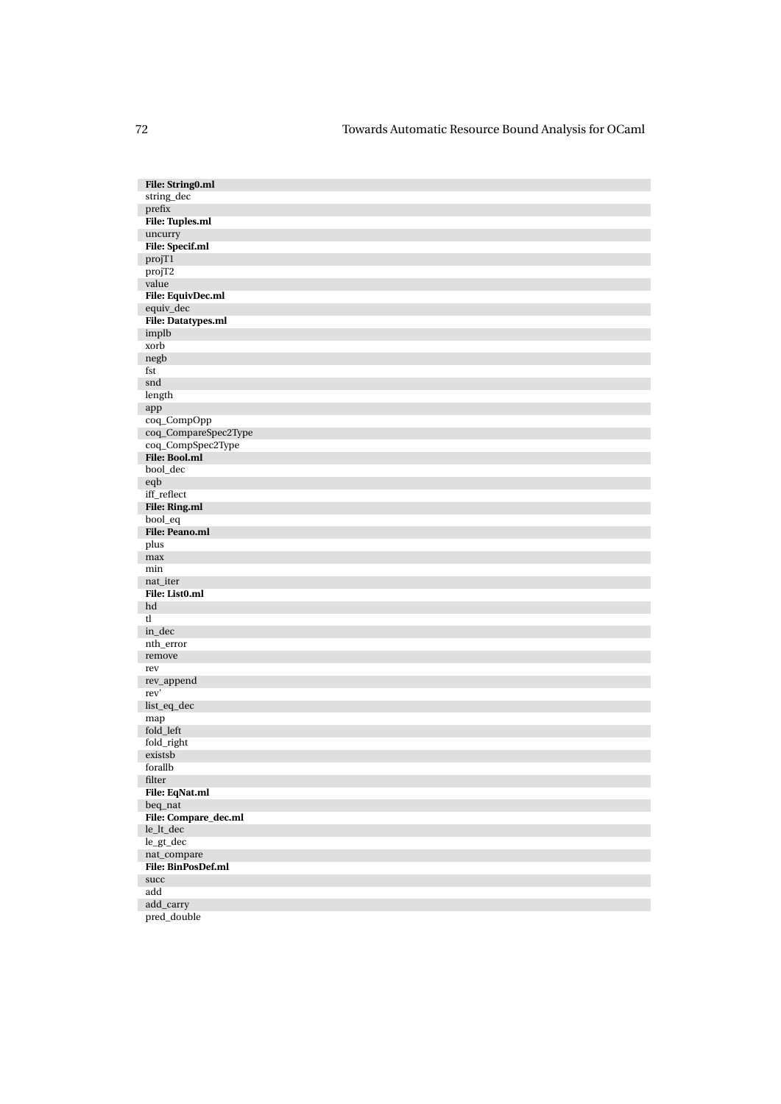**File: String0.ml** string\_dec prefix **File: Tuples.ml** uncurry **File: Specif.ml** projT1 projT2 value **File: EquivDec.ml** equiv\_dec **File: Datatypes.ml** implb xorb negb fst snd length app coq\_CompOpp coq\_CompareSpec2Type coq\_CompSpec2Type **File: Bool.ml** bool\_dec eqb iff\_reflect **File: Ring.ml** bool\_eq **File: Peano.ml** plus max min nat\_iter **File: List0.ml** hd tl in\_dec nth\_error remove rev rev\_append rev' list\_eq\_dec map fold\_left fold\_right existsb forallb filter **File: EqNat.ml** beq\_nat **File: Compare\_dec.ml** le\_lt\_dec le\_gt\_dec nat\_compare **File: BinPosDef.ml** succ add add\_carry

pred\_double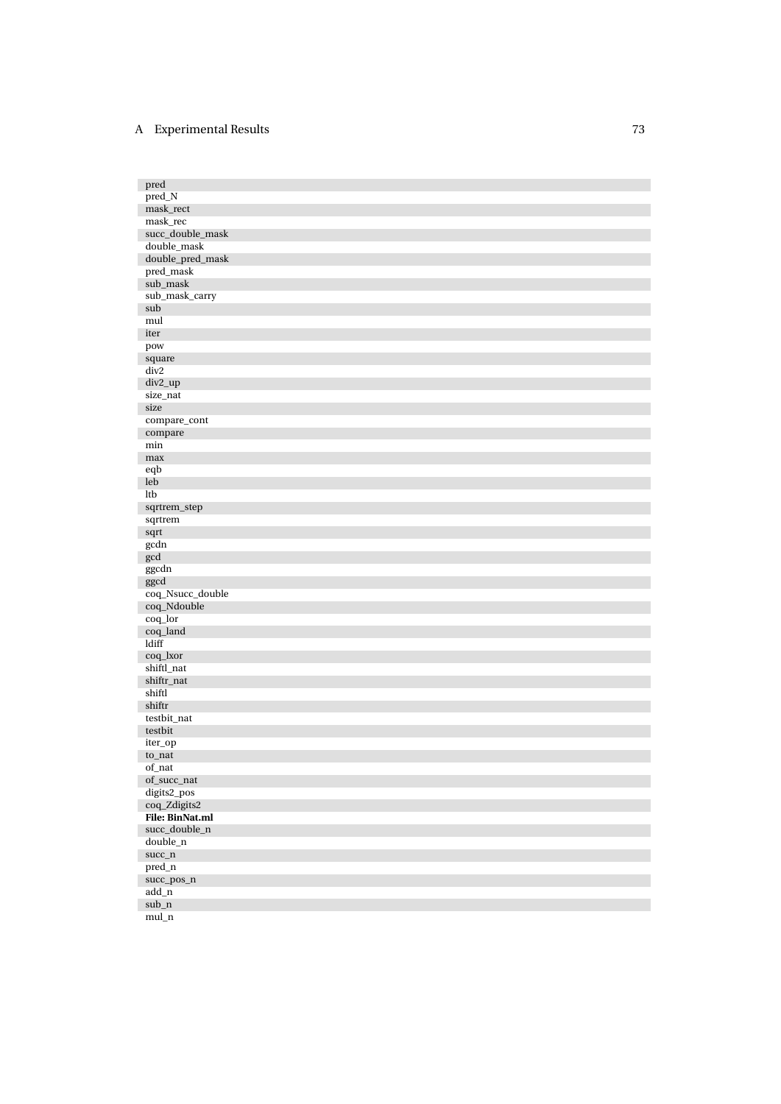## A Experimental Results 73

| pred                           |  |
|--------------------------------|--|
| $\operatorname{pred\_N}$       |  |
| ${\rm mask\_rect}$             |  |
| $\rm{mask\_rec}$               |  |
| succ_double_mask               |  |
| double_mask                    |  |
| double_pred_mask               |  |
| pred_mask                      |  |
| sub_mask                       |  |
| sub_mask_carry                 |  |
| sub                            |  |
| mul                            |  |
| iter                           |  |
| pow                            |  |
| square                         |  |
| div2                           |  |
|                                |  |
| div2_up                        |  |
| size_nat                       |  |
| size                           |  |
| compare_cont                   |  |
| compare                        |  |
| min                            |  |
| max                            |  |
| eqb                            |  |
| leb                            |  |
| ltb                            |  |
| sqrtrem_step                   |  |
| sqrtrem                        |  |
| sqrt                           |  |
| gcdn                           |  |
| $\gcd$                         |  |
| ggcdn                          |  |
| ggcd                           |  |
| coq_Nsucc_double               |  |
| coq_Ndouble                    |  |
| coq_lor                        |  |
| coq_land                       |  |
| ldiff                          |  |
| coq_lxor                       |  |
| shiftl_nat                     |  |
| shiftr_nat                     |  |
| shiftl                         |  |
| shiftr                         |  |
| testbit_nat                    |  |
| testbit                        |  |
| iter_op                        |  |
| $to_$ rat                      |  |
| $of\_nat$                      |  |
| of_succ_nat                    |  |
| digits2_pos                    |  |
| coq_Zdigits2                   |  |
| File: BinNat.ml                |  |
| succ_double_n                  |  |
|                                |  |
| $\texttt{double\_{}n}$         |  |
| $succ_n$                       |  |
| pred_n                         |  |
| succ_pos_n                     |  |
| $\mathop{\rm add\_n}\nolimits$ |  |
|                                |  |
| $sub_n$<br>$\mbox{mul\_n}$     |  |